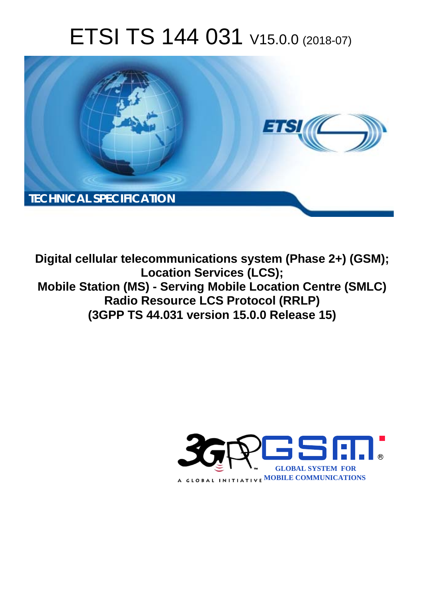# ETSI TS 144 031 V15.0.0 (2018-07)



**Digital cellular telecommunications system (Phase 2+) (GSM); Location Services (LCS); Mobile Station (MS) - Serving Mobile Location Centre (SMLC) Radio Resource LCS Protocol (RRLP) (3GPP TS 44.031 version 15.0.0 Release 15)** 

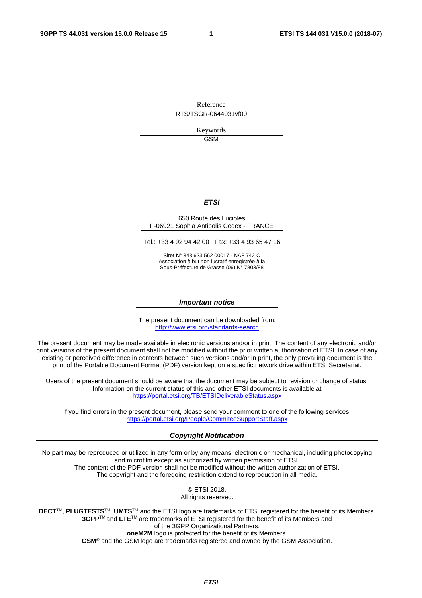Reference RTS/TSGR-0644031vf00

> Keywords GSM

#### *ETSI*

#### 650 Route des Lucioles F-06921 Sophia Antipolis Cedex - FRANCE

Tel.: +33 4 92 94 42 00 Fax: +33 4 93 65 47 16

Siret N° 348 623 562 00017 - NAF 742 C Association à but non lucratif enregistrée à la Sous-Préfecture de Grasse (06) N° 7803/88

#### *Important notice*

The present document can be downloaded from: <http://www.etsi.org/standards-search>

The present document may be made available in electronic versions and/or in print. The content of any electronic and/or print versions of the present document shall not be modified without the prior written authorization of ETSI. In case of any existing or perceived difference in contents between such versions and/or in print, the only prevailing document is the print of the Portable Document Format (PDF) version kept on a specific network drive within ETSI Secretariat.

Users of the present document should be aware that the document may be subject to revision or change of status. Information on the current status of this and other ETSI documents is available at <https://portal.etsi.org/TB/ETSIDeliverableStatus.aspx>

If you find errors in the present document, please send your comment to one of the following services: <https://portal.etsi.org/People/CommiteeSupportStaff.aspx>

#### *Copyright Notification*

No part may be reproduced or utilized in any form or by any means, electronic or mechanical, including photocopying and microfilm except as authorized by written permission of ETSI. The content of the PDF version shall not be modified without the written authorization of ETSI. The copyright and the foregoing restriction extend to reproduction in all media.

> © ETSI 2018. All rights reserved.

**DECT**TM, **PLUGTESTS**TM, **UMTS**TM and the ETSI logo are trademarks of ETSI registered for the benefit of its Members. **3GPP**TM and **LTE**TM are trademarks of ETSI registered for the benefit of its Members and of the 3GPP Organizational Partners. **oneM2M** logo is protected for the benefit of its Members.

**GSM**® and the GSM logo are trademarks registered and owned by the GSM Association.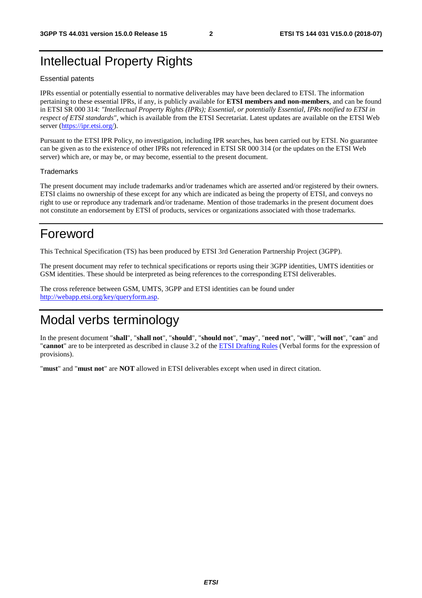# Intellectual Property Rights

#### Essential patents

IPRs essential or potentially essential to normative deliverables may have been declared to ETSI. The information pertaining to these essential IPRs, if any, is publicly available for **ETSI members and non-members**, and can be found in ETSI SR 000 314: *"Intellectual Property Rights (IPRs); Essential, or potentially Essential, IPRs notified to ETSI in respect of ETSI standards"*, which is available from the ETSI Secretariat. Latest updates are available on the ETSI Web server ([https://ipr.etsi.org/\)](https://ipr.etsi.org/).

Pursuant to the ETSI IPR Policy, no investigation, including IPR searches, has been carried out by ETSI. No guarantee can be given as to the existence of other IPRs not referenced in ETSI SR 000 314 (or the updates on the ETSI Web server) which are, or may be, or may become, essential to the present document.

#### **Trademarks**

The present document may include trademarks and/or tradenames which are asserted and/or registered by their owners. ETSI claims no ownership of these except for any which are indicated as being the property of ETSI, and conveys no right to use or reproduce any trademark and/or tradename. Mention of those trademarks in the present document does not constitute an endorsement by ETSI of products, services or organizations associated with those trademarks.

# Foreword

This Technical Specification (TS) has been produced by ETSI 3rd Generation Partnership Project (3GPP).

The present document may refer to technical specifications or reports using their 3GPP identities, UMTS identities or GSM identities. These should be interpreted as being references to the corresponding ETSI deliverables.

The cross reference between GSM, UMTS, 3GPP and ETSI identities can be found under [http://webapp.etsi.org/key/queryform.asp.](http://webapp.etsi.org/key/queryform.asp)

# Modal verbs terminology

In the present document "**shall**", "**shall not**", "**should**", "**should not**", "**may**", "**need not**", "**will**", "**will not**", "**can**" and "**cannot**" are to be interpreted as described in clause 3.2 of the [ETSI Drafting Rules](https://portal.etsi.org/Services/editHelp!/Howtostart/ETSIDraftingRules.aspx) (Verbal forms for the expression of provisions).

"**must**" and "**must not**" are **NOT** allowed in ETSI deliverables except when used in direct citation.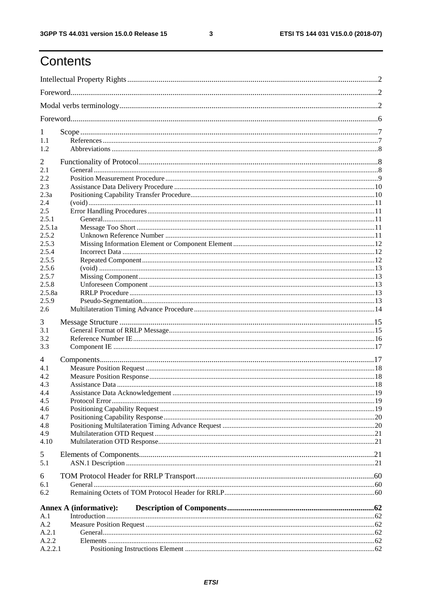$\mathbf{3}$ 

# Contents

| 1              |                               |  |
|----------------|-------------------------------|--|
| 1.1            |                               |  |
| 1.2            |                               |  |
| 2              |                               |  |
| 2.1            |                               |  |
| 2.2            |                               |  |
| 2.3            |                               |  |
| 2.3a           |                               |  |
| 2.4            |                               |  |
| 2.5            |                               |  |
| 2.5.1          |                               |  |
| 2.5.1a         |                               |  |
| 2.5.2          |                               |  |
| 2.5.3          |                               |  |
| 2.5.4          |                               |  |
| 2.5.5<br>2.5.6 |                               |  |
| 2.5.7          |                               |  |
| 2.5.8          |                               |  |
| 2.5.8a         |                               |  |
| 2.5.9          |                               |  |
| 2.6            |                               |  |
|                |                               |  |
| 3              |                               |  |
| 3.1            |                               |  |
| 3.2            |                               |  |
| 3.3            |                               |  |
| 4              |                               |  |
| 4.1            |                               |  |
| 4.2            |                               |  |
| 4.3            |                               |  |
| 4.4            |                               |  |
| 4.5            |                               |  |
| 4.6            |                               |  |
| 4.7            |                               |  |
| 4.8            |                               |  |
| 4.9            |                               |  |
| 4.10           |                               |  |
| 5              |                               |  |
| 5.1            |                               |  |
|                |                               |  |
| 6              |                               |  |
| 6.1            |                               |  |
| 6.2            |                               |  |
|                | <b>Annex A (informative):</b> |  |
| A.1            |                               |  |
| A.2            |                               |  |
| A.2.1          |                               |  |
| A.2.2          |                               |  |
| A.2.2.1        |                               |  |
|                |                               |  |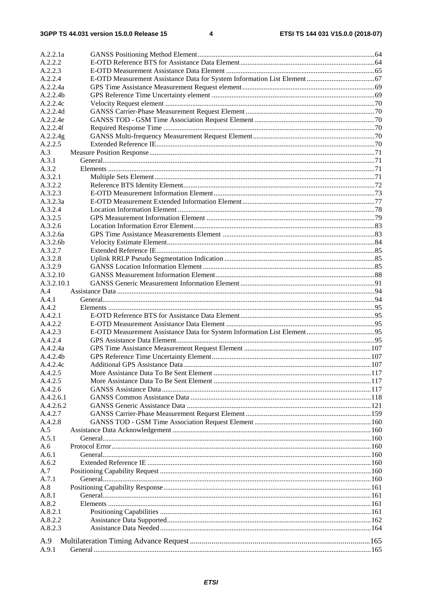| A.2.2.1a   |  |
|------------|--|
| A.2.2.2    |  |
| A.2.2.3    |  |
| A.2.2.4    |  |
| A.2.2.4a   |  |
| A.2.2.4b   |  |
| A.2.2.4c   |  |
| A.2.2.4d   |  |
|            |  |
| A.2.2.4e   |  |
| A.2.2.4f   |  |
| A.2.2.4g   |  |
| A.2.2.5    |  |
| A.3        |  |
| A.3.1      |  |
| A.3.2      |  |
| A.3.2.1    |  |
| A.3.2.2    |  |
| A.3.2.3    |  |
| A.3.2.3a   |  |
| A.3.2.4    |  |
| A.3.2.5    |  |
| A.3.2.6    |  |
| A.3.2.6a   |  |
| A.3.2.6b   |  |
| A.3.2.7    |  |
| A.3.2.8    |  |
|            |  |
| A.3.2.9    |  |
| A.3.2.10   |  |
| A.3.2.10.1 |  |
| A.4        |  |
| A.4.1      |  |
| A.4.2      |  |
| A.4.2.1    |  |
| A.4.2.2    |  |
| A.4.2.3    |  |
| A.4.2.4    |  |
| A.4.2.4a   |  |
| A.4.2.4b   |  |
| A.4.2.4c   |  |
| A.4.2.5    |  |
| A.4.2.5    |  |
| A.4.2.6    |  |
| A.4.2.6.1  |  |
|            |  |
| A.4.2.6.2  |  |
| A.4.2.7    |  |
| A.4.2.8    |  |
| A.5        |  |
| A.5.1      |  |
| A.6        |  |
| A.6.1      |  |
| A.6.2      |  |
| A.7        |  |
| A.7.1      |  |
| A.8        |  |
| A.8.1      |  |
| A.8.2      |  |
| A.8.2.1    |  |
| A.8.2.2    |  |
| A.8.2.3    |  |
|            |  |
| A.9        |  |
| A.9.1      |  |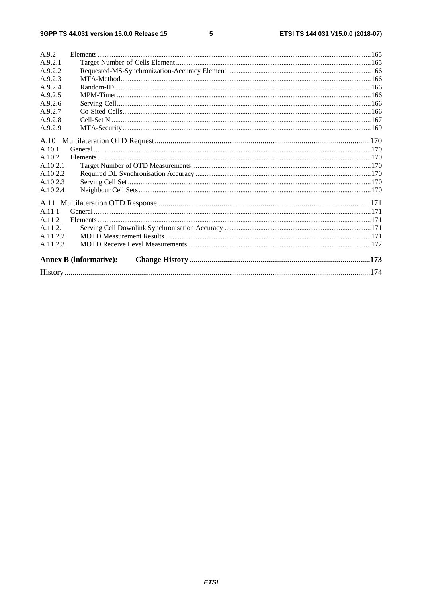#### $5\phantom{a}$

| A.9.2    |                               |  |
|----------|-------------------------------|--|
| A.9.2.1  |                               |  |
| A.9.2.2  |                               |  |
| A.9.2.3  |                               |  |
| A.9.2.4  |                               |  |
| A.9.2.5  |                               |  |
| A.9.2.6  |                               |  |
| A.9.2.7  |                               |  |
| A.9.2.8  |                               |  |
| A.9.2.9  |                               |  |
| A.10     |                               |  |
| A.10.1   |                               |  |
| A.10.2   |                               |  |
| A.10.2.1 |                               |  |
| A.10.2.2 |                               |  |
| A.10.2.3 |                               |  |
| A.10.2.4 |                               |  |
|          |                               |  |
| A.11.1   |                               |  |
| A.11.2   |                               |  |
| A.11.2.1 |                               |  |
| A.11.2.2 |                               |  |
| A.11.2.3 |                               |  |
|          |                               |  |
|          | <b>Annex B</b> (informative): |  |
|          |                               |  |
|          |                               |  |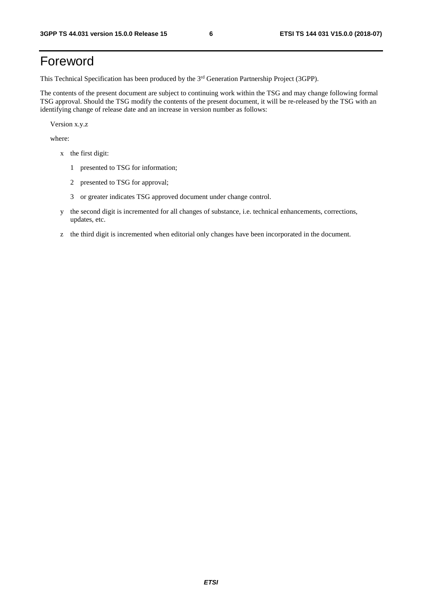# Foreword

This Technical Specification has been produced by the 3<sup>rd</sup> Generation Partnership Project (3GPP).

The contents of the present document are subject to continuing work within the TSG and may change following formal TSG approval. Should the TSG modify the contents of the present document, it will be re-released by the TSG with an identifying change of release date and an increase in version number as follows:

Version x.y.z

where:

- x the first digit:
	- 1 presented to TSG for information;
	- 2 presented to TSG for approval;
	- 3 or greater indicates TSG approved document under change control.
- y the second digit is incremented for all changes of substance, i.e. technical enhancements, corrections, updates, etc.
- z the third digit is incremented when editorial only changes have been incorporated in the document.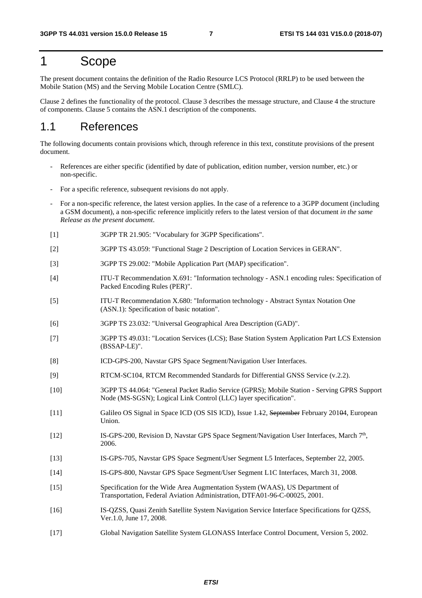### 1 Scope

The present document contains the definition of the Radio Resource LCS Protocol (RRLP) to be used between the Mobile Station (MS) and the Serving Mobile Location Centre (SMLC).

Clause 2 defines the functionality of the protocol. Clause 3 describes the message structure, and Clause 4 the structure of components. Clause 5 contains the ASN.1 description of the components.

#### 1.1 References

The following documents contain provisions which, through reference in this text, constitute provisions of the present document.

- References are either specific (identified by date of publication, edition number, version number, etc.) or non-specific.
- For a specific reference, subsequent revisions do not apply.
- For a non-specific reference, the latest version applies. In the case of a reference to a 3GPP document (including a GSM document), a non-specific reference implicitly refers to the latest version of that document *in the same Release as the present document*.
- [1] 3GPP TR 21.905: "Vocabulary for 3GPP Specifications".
- [2] 3GPP TS 43.059: "Functional Stage 2 Description of Location Services in GERAN".
- [3] 3GPP TS 29.002: "Mobile Application Part (MAP) specification".
- [4] ITU-T Recommendation X.691: "Information technology ASN.1 encoding rules: Specification of Packed Encoding Rules (PER)".
- [5] ITU-T Recommendation X.680: "Information technology Abstract Syntax Notation One (ASN.1): Specification of basic notation".
- [6] 3GPP TS 23.032: "Universal Geographical Area Description (GAD)".
- [7] 3GPP TS 49.031: "Location Services (LCS); Base Station System Application Part LCS Extension (BSSAP-LE)".
- [8] ICD-GPS-200, Navstar GPS Space Segment/Navigation User Interfaces.
- [9] RTCM-SC104, RTCM Recommended Standards for Differential GNSS Service (v.2.2).
- [10] 3GPP TS 44.064: "General Packet Radio Service (GPRS); Mobile Station Serving GPRS Support Node (MS-SGSN); Logical Link Control (LLC) layer specification".
- [11] Galileo OS Signal in Space ICD (OS SIS ICD), Issue 1.12, September February 20104, European Union.
- [12] IS-GPS-200, Revision D, Navstar GPS Space Segment/Navigation User Interfaces, March 7th, 2006.
- [13] IS-GPS-705, Navstar GPS Space Segment/User Segment L5 Interfaces, September 22, 2005.
- [14] IS-GPS-800, Navstar GPS Space Segment/User Segment L1C Interfaces, March 31, 2008.
- [15] Specification for the Wide Area Augmentation System (WAAS), US Department of Transportation, Federal Aviation Administration, DTFA01-96-C-00025, 2001.
- [16] IS-QZSS, Quasi Zenith Satellite System Navigation Service Interface Specifications for QZSS, Ver.1.0, June 17, 2008.
- [17] Global Navigation Satellite System GLONASS Interface Control Document, Version 5, 2002.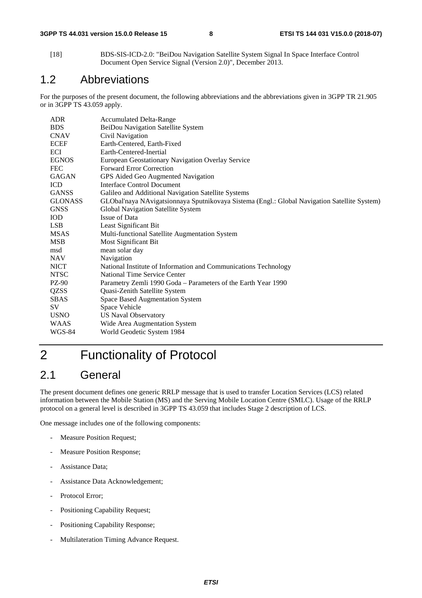[18] BDS-SIS-ICD-2.0: "BeiDou Navigation Satellite System Signal In Space Interface Control Document Open Service Signal (Version 2.0)", December 2013.

### 1.2 Abbreviations

For the purposes of the present document, the following abbreviations and the abbreviations given in 3GPP TR 21.905 or in 3GPP TS 43.059 apply.

| <b>ADR</b>     | <b>Accumulated Delta-Range</b>                                                               |
|----------------|----------------------------------------------------------------------------------------------|
| <b>BDS</b>     | BeiDou Navigation Satellite System                                                           |
| <b>CNAV</b>    | Civil Navigation                                                                             |
| <b>ECEF</b>    | Earth-Centered, Earth-Fixed                                                                  |
| <b>ECI</b>     | Earth-Centered-Inertial                                                                      |
| <b>EGNOS</b>   | European Geostationary Navigation Overlay Service                                            |
| <b>FEC</b>     | <b>Forward Error Correction</b>                                                              |
| <b>GAGAN</b>   | GPS Aided Geo Augmented Navigation                                                           |
| ICD            | <b>Interface Control Document</b>                                                            |
| <b>GANSS</b>   | Galileo and Additional Navigation Satellite Systems                                          |
| <b>GLONASS</b> | GLObal'naya NAvigatsionnaya Sputnikovaya Sistema (Engl.: Global Navigation Satellite System) |
| <b>GNSS</b>    | Global Navigation Satellite System                                                           |
| <b>IOD</b>     | <b>Issue of Data</b>                                                                         |
| LSB            | Least Significant Bit                                                                        |
| <b>MSAS</b>    | Multi-functional Satellite Augmentation System                                               |
| <b>MSB</b>     | Most Significant Bit                                                                         |
| msd            | mean solar day                                                                               |
| <b>NAV</b>     | Navigation                                                                                   |
| <b>NICT</b>    | National Institute of Information and Communications Technology                              |
| <b>NTSC</b>    | National Time Service Center                                                                 |
| PZ-90          | Parametry Zemli 1990 Goda - Parameters of the Earth Year 1990                                |
| <b>QZSS</b>    | Quasi-Zenith Satellite System                                                                |
| <b>SBAS</b>    | Space Based Augmentation System                                                              |
| SV             | Space Vehicle                                                                                |
| <b>USNO</b>    | <b>US Naval Observatory</b>                                                                  |
| <b>WAAS</b>    | Wide Area Augmentation System                                                                |
| <b>WGS-84</b>  | World Geodetic System 1984                                                                   |

# 2 Functionality of Protocol

### 2.1 General

The present document defines one generic RRLP message that is used to transfer Location Services (LCS) related information between the Mobile Station (MS) and the Serving Mobile Location Centre (SMLC). Usage of the RRLP protocol on a general level is described in 3GPP TS 43.059 that includes Stage 2 description of LCS.

One message includes one of the following components:

- Measure Position Request;
- Measure Position Response;
- Assistance Data;
- Assistance Data Acknowledgement;
- Protocol Error;
- Positioning Capability Request;
- Positioning Capability Response;
- Multilateration Timing Advance Request.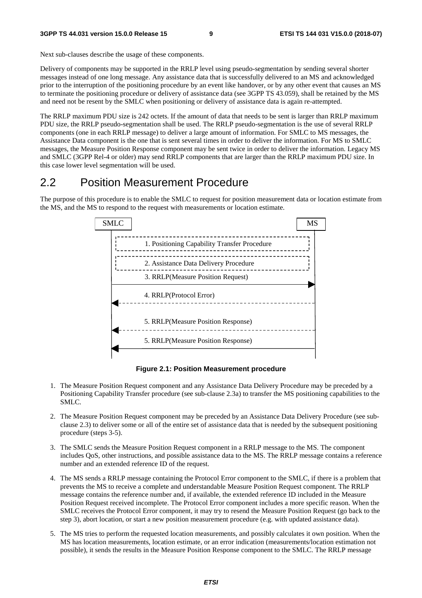Next sub-clauses describe the usage of these components.

Delivery of components may be supported in the RRLP level using pseudo-segmentation by sending several shorter messages instead of one long message. Any assistance data that is successfully delivered to an MS and acknowledged prior to the interruption of the positioning procedure by an event like handover, or by any other event that causes an MS to terminate the positioning procedure or delivery of assistance data (see 3GPP TS 43.059), shall be retained by the MS and need not be resent by the SMLC when positioning or delivery of assistance data is again re-attempted.

The RRLP maximum PDU size is 242 octets. If the amount of data that needs to be sent is larger than RRLP maximum PDU size, the RRLP pseudo-segmentation shall be used. The RRLP pseudo-segmentation is the use of several RRLP components (one in each RRLP message) to deliver a large amount of information. For SMLC to MS messages, the Assistance Data component is the one that is sent several times in order to deliver the information. For MS to SMLC messages, the Measure Position Response component may be sent twice in order to deliver the information. Legacy MS and SMLC (3GPP Rel-4 or older) may send RRLP components that are larger than the RRLP maximum PDU size. In this case lower level segmentation will be used.

#### 2.2 Position Measurement Procedure

The purpose of this procedure is to enable the SMLC to request for position measurement data or location estimate from the MS, and the MS to respond to the request with measurements or location estimate.



**Figure 2.1: Position Measurement procedure** 

- 1. The Measure Position Request component and any Assistance Data Delivery Procedure may be preceded by a Positioning Capability Transfer procedure (see sub-clause 2.3a) to transfer the MS positioning capabilities to the SMLC.
- 2. The Measure Position Request component may be preceded by an Assistance Data Delivery Procedure (see subclause 2.3) to deliver some or all of the entire set of assistance data that is needed by the subsequent positioning procedure (steps 3-5).
- 3. The SMLC sends the Measure Position Request component in a RRLP message to the MS. The component includes QoS, other instructions, and possible assistance data to the MS. The RRLP message contains a reference number and an extended reference ID of the request.
- 4. The MS sends a RRLP message containing the Protocol Error component to the SMLC, if there is a problem that prevents the MS to receive a complete and understandable Measure Position Request component. The RRLP message contains the reference number and, if available, the extended reference ID included in the Measure Position Request received incomplete. The Protocol Error component includes a more specific reason. When the SMLC receives the Protocol Error component, it may try to resend the Measure Position Request (go back to the step 3), abort location, or start a new position measurement procedure (e.g. with updated assistance data).
- 5. The MS tries to perform the requested location measurements, and possibly calculates it own position. When the MS has location measurements, location estimate, or an error indication (measurements/location estimation not possible), it sends the results in the Measure Position Response component to the SMLC. The RRLP message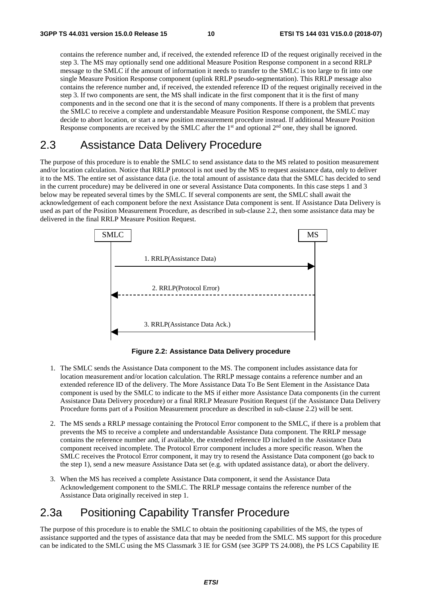contains the reference number and, if received, the extended reference ID of the request originally received in the step 3. The MS may optionally send one additional Measure Position Response component in a second RRLP message to the SMLC if the amount of information it needs to transfer to the SMLC is too large to fit into one single Measure Position Response component (uplink RRLP pseudo-segmentation). This RRLP message also contains the reference number and, if received, the extended reference ID of the request originally received in the step 3. If two components are sent, the MS shall indicate in the first component that it is the first of many components and in the second one that it is the second of many components. If there is a problem that prevents the SMLC to receive a complete and understandable Measure Position Response component, the SMLC may decide to abort location, or start a new position measurement procedure instead. If additional Measure Position Response components are received by the SMLC after the 1<sup>st</sup> and optional 2<sup>nd</sup> one, they shall be ignored.

# 2.3 Assistance Data Delivery Procedure

The purpose of this procedure is to enable the SMLC to send assistance data to the MS related to position measurement and/or location calculation. Notice that RRLP protocol is not used by the MS to request assistance data, only to deliver it to the MS. The entire set of assistance data (i.e. the total amount of assistance data that the SMLC has decided to send in the current procedure) may be delivered in one or several Assistance Data components. In this case steps 1 and 3 below may be repeated several times by the SMLC. If several components are sent, the SMLC shall await the acknowledgement of each component before the next Assistance Data component is sent. If Assistance Data Delivery is used as part of the Position Measurement Procedure, as described in sub-clause 2.2, then some assistance data may be delivered in the final RRLP Measure Position Request.



**Figure 2.2: Assistance Data Delivery procedure** 

- 1. The SMLC sends the Assistance Data component to the MS. The component includes assistance data for location measurement and/or location calculation. The RRLP message contains a reference number and an extended reference ID of the delivery. The More Assistance Data To Be Sent Element in the Assistance Data component is used by the SMLC to indicate to the MS if either more Assistance Data components (in the current Assistance Data Delivery procedure) or a final RRLP Measure Position Request (if the Assistance Data Delivery Procedure forms part of a Position Measurement procedure as described in sub-clause 2.2) will be sent.
- 2. The MS sends a RRLP message containing the Protocol Error component to the SMLC, if there is a problem that prevents the MS to receive a complete and understandable Assistance Data component. The RRLP message contains the reference number and, if available, the extended reference ID included in the Assistance Data component received incomplete. The Protocol Error component includes a more specific reason. When the SMLC receives the Protocol Error component, it may try to resend the Assistance Data component (go back to the step 1), send a new measure Assistance Data set (e.g. with updated assistance data), or abort the delivery.
- 3. When the MS has received a complete Assistance Data component, it send the Assistance Data Acknowledgement component to the SMLC. The RRLP message contains the reference number of the Assistance Data originally received in step 1.

### 2.3a Positioning Capability Transfer Procedure

The purpose of this procedure is to enable the SMLC to obtain the positioning capabilities of the MS, the types of assistance supported and the types of assistance data that may be needed from the SMLC. MS support for this procedure can be indicated to the SMLC using the MS Classmark 3 IE for GSM (see 3GPP TS 24.008), the PS LCS Capability IE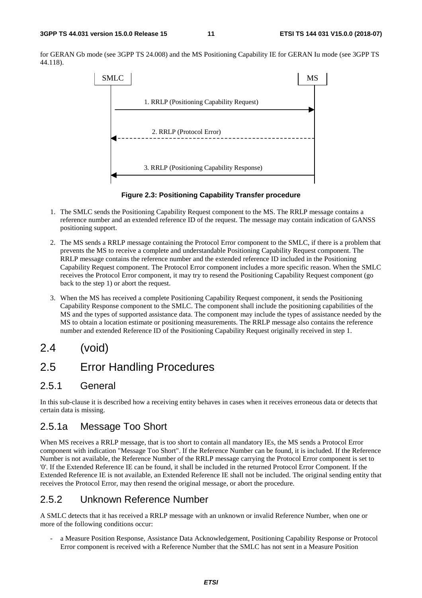for GERAN Gb mode (see 3GPP TS 24.008) and the MS Positioning Capability IE for GERAN Iu mode (see 3GPP TS 44.118).



**Figure 2.3: Positioning Capability Transfer procedure** 

- 1. The SMLC sends the Positioning Capability Request component to the MS. The RRLP message contains a reference number and an extended reference ID of the request. The message may contain indication of GANSS positioning support.
- 2. The MS sends a RRLP message containing the Protocol Error component to the SMLC, if there is a problem that prevents the MS to receive a complete and understandable Positioning Capability Request component. The RRLP message contains the reference number and the extended reference ID included in the Positioning Capability Request component. The Protocol Error component includes a more specific reason. When the SMLC receives the Protocol Error component, it may try to resend the Positioning Capability Request component (go back to the step 1) or abort the request.
- 3. When the MS has received a complete Positioning Capability Request component, it sends the Positioning Capability Response component to the SMLC. The component shall include the positioning capabilities of the MS and the types of supported assistance data. The component may include the types of assistance needed by the MS to obtain a location estimate or positioning measurements. The RRLP message also contains the reference number and extended Reference ID of the Positioning Capability Request originally received in step 1.

### 2.4 (void)

### 2.5 Error Handling Procedures

#### 2.5.1 General

In this sub-clause it is described how a receiving entity behaves in cases when it receives erroneous data or detects that certain data is missing.

### 2.5.1a Message Too Short

When MS receives a RRLP message, that is too short to contain all mandatory IEs, the MS sends a Protocol Error component with indication "Message Too Short". If the Reference Number can be found, it is included. If the Reference Number is not available, the Reference Number of the RRLP message carrying the Protocol Error component is set to '0'. If the Extended Reference IE can be found, it shall be included in the returned Protocol Error Component. If the Extended Reference IE is not available, an Extended Reference IE shall not be included. The original sending entity that receives the Protocol Error, may then resend the original message, or abort the procedure.

#### 2.5.2 Unknown Reference Number

A SMLC detects that it has received a RRLP message with an unknown or invalid Reference Number, when one or more of the following conditions occur:

a Measure Position Response, Assistance Data Acknowledgement, Positioning Capability Response or Protocol Error component is received with a Reference Number that the SMLC has not sent in a Measure Position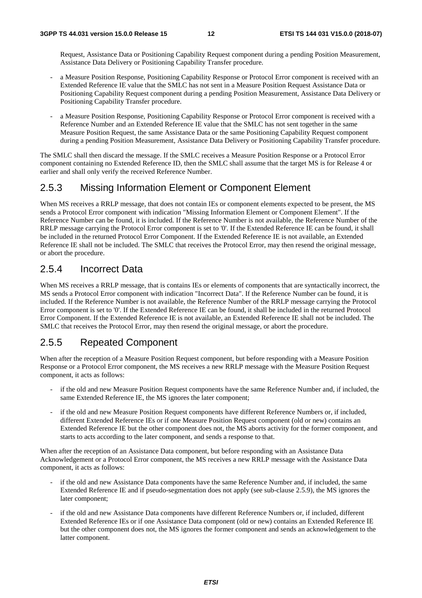Request, Assistance Data or Positioning Capability Request component during a pending Position Measurement, Assistance Data Delivery or Positioning Capability Transfer procedure.

- a Measure Position Response, Positioning Capability Response or Protocol Error component is received with an Extended Reference IE value that the SMLC has not sent in a Measure Position Request Assistance Data or Positioning Capability Request component during a pending Position Measurement, Assistance Data Delivery or Positioning Capability Transfer procedure.
- a Measure Position Response, Positioning Capability Response or Protocol Error component is received with a Reference Number and an Extended Reference IE value that the SMLC has not sent together in the same Measure Position Request, the same Assistance Data or the same Positioning Capability Request component during a pending Position Measurement, Assistance Data Delivery or Positioning Capability Transfer procedure.

The SMLC shall then discard the message. If the SMLC receives a Measure Position Response or a Protocol Error component containing no Extended Reference ID, then the SMLC shall assume that the target MS is for Release 4 or earlier and shall only verify the received Reference Number.

#### 2.5.3 Missing Information Element or Component Element

When MS receives a RRLP message, that does not contain IEs or component elements expected to be present, the MS sends a Protocol Error component with indication "Missing Information Element or Component Element". If the Reference Number can be found, it is included. If the Reference Number is not available, the Reference Number of the RRLP message carrying the Protocol Error component is set to '0'. If the Extended Reference IE can be found, it shall be included in the returned Protocol Error Component. If the Extended Reference IE is not available, an Extended Reference IE shall not be included. The SMLC that receives the Protocol Error, may then resend the original message, or abort the procedure.

#### 2.5.4 Incorrect Data

When MS receives a RRLP message, that is contains IEs or elements of components that are syntactically incorrect, the MS sends a Protocol Error component with indication "Incorrect Data". If the Reference Number can be found, it is included. If the Reference Number is not available, the Reference Number of the RRLP message carrying the Protocol Error component is set to '0'. If the Extended Reference IE can be found, it shall be included in the returned Protocol Error Component. If the Extended Reference IE is not available, an Extended Reference IE shall not be included. The SMLC that receives the Protocol Error, may then resend the original message, or abort the procedure.

#### 2.5.5 Repeated Component

When after the reception of a Measure Position Request component, but before responding with a Measure Position Response or a Protocol Error component, the MS receives a new RRLP message with the Measure Position Request component, it acts as follows:

- if the old and new Measure Position Request components have the same Reference Number and, if included, the same Extended Reference IE, the MS ignores the later component;
- if the old and new Measure Position Request components have different Reference Numbers or, if included, different Extended Reference IEs or if one Measure Position Request component (old or new) contains an Extended Reference IE but the other component does not, the MS aborts activity for the former component, and starts to acts according to the later component, and sends a response to that.

When after the reception of an Assistance Data component, but before responding with an Assistance Data Acknowledgement or a Protocol Error component, the MS receives a new RRLP message with the Assistance Data component, it acts as follows:

- if the old and new Assistance Data components have the same Reference Number and, if included, the same Extended Reference IE and if pseudo-segmentation does not apply (see sub-clause 2.5.9), the MS ignores the later component;
- if the old and new Assistance Data components have different Reference Numbers or, if included, different Extended Reference IEs or if one Assistance Data component (old or new) contains an Extended Reference IE but the other component does not, the MS ignores the former component and sends an acknowledgement to the latter component.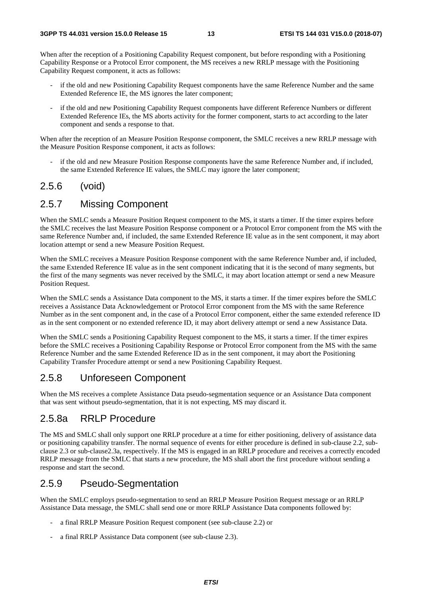When after the reception of a Positioning Capability Request component, but before responding with a Positioning Capability Response or a Protocol Error component, the MS receives a new RRLP message with the Positioning Capability Request component, it acts as follows:

- if the old and new Positioning Capability Request components have the same Reference Number and the same Extended Reference IE, the MS ignores the later component;
- if the old and new Positioning Capability Request components have different Reference Numbers or different Extended Reference IEs, the MS aborts activity for the former component, starts to act according to the later component and sends a response to that.

When after the reception of an Measure Position Response component, the SMLC receives a new RRLP message with the Measure Position Response component, it acts as follows:

if the old and new Measure Position Response components have the same Reference Number and, if included, the same Extended Reference IE values, the SMLC may ignore the later component;

#### 2.5.6 (void)

#### 2.5.7 Missing Component

When the SMLC sends a Measure Position Request component to the MS, it starts a timer. If the timer expires before the SMLC receives the last Measure Position Response component or a Protocol Error component from the MS with the same Reference Number and, if included, the same Extended Reference IE value as in the sent component, it may abort location attempt or send a new Measure Position Request.

When the SMLC receives a Measure Position Response component with the same Reference Number and, if included, the same Extended Reference IE value as in the sent component indicating that it is the second of many segments, but the first of the many segments was never received by the SMLC, it may abort location attempt or send a new Measure Position Request.

When the SMLC sends a Assistance Data component to the MS, it starts a timer. If the timer expires before the SMLC receives a Assistance Data Acknowledgement or Protocol Error component from the MS with the same Reference Number as in the sent component and, in the case of a Protocol Error component, either the same extended reference ID as in the sent component or no extended reference ID, it may abort delivery attempt or send a new Assistance Data.

When the SMLC sends a Positioning Capability Request component to the MS, it starts a timer. If the timer expires before the SMLC receives a Positioning Capability Response or Protocol Error component from the MS with the same Reference Number and the same Extended Reference ID as in the sent component, it may abort the Positioning Capability Transfer Procedure attempt or send a new Positioning Capability Request.

#### 2.5.8 Unforeseen Component

When the MS receives a complete Assistance Data pseudo-segmentation sequence or an Assistance Data component that was sent without pseudo-segmentation, that it is not expecting, MS may discard it.

#### 2.5.8a RRLP Procedure

The MS and SMLC shall only support one RRLP procedure at a time for either positioning, delivery of assistance data or positioning capability transfer. The normal sequence of events for either procedure is defined in sub-clause 2.2, subclause 2.3 or sub-clause2.3a, respectively. If the MS is engaged in an RRLP procedure and receives a correctly encoded RRLP message from the SMLC that starts a new procedure, the MS shall abort the first procedure without sending a response and start the second.

### 2.5.9 Pseudo-Segmentation

When the SMLC employs pseudo-segmentation to send an RRLP Measure Position Request message or an RRLP Assistance Data message, the SMLC shall send one or more RRLP Assistance Data components followed by:

- a final RRLP Measure Position Request component (see sub-clause 2.2) or
- a final RRLP Assistance Data component (see sub-clause 2.3).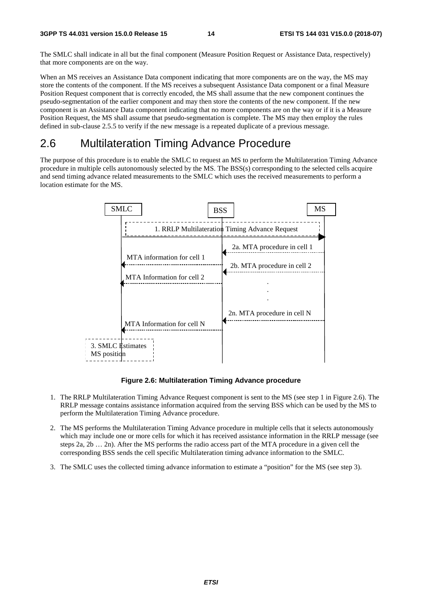The SMLC shall indicate in all but the final component (Measure Position Request or Assistance Data, respectively) that more components are on the way.

When an MS receives an Assistance Data component indicating that more components are on the way, the MS may store the contents of the component. If the MS receives a subsequent Assistance Data component or a final Measure Position Request component that is correctly encoded, the MS shall assume that the new component continues the pseudo-segmentation of the earlier component and may then store the contents of the new component. If the new component is an Assistance Data component indicating that no more components are on the way or if it is a Measure Position Request, the MS shall assume that pseudo-segmentation is complete. The MS may then employ the rules defined in sub-clause 2.5.5 to verify if the new message is a repeated duplicate of a previous message.

### 2.6 Multilateration Timing Advance Procedure

The purpose of this procedure is to enable the SMLC to request an MS to perform the Multilateration Timing Advance procedure in multiple cells autonomously selected by the MS. The BSS(s) corresponding to the selected cells acquire and send timing advance related measurements to the SMLC which uses the received measurements to perform a location estimate for the MS.



**Figure 2.6: Multilateration Timing Advance procedure** 

- 1. The RRLP Multilateration Timing Advance Request component is sent to the MS (see step 1 in Figure 2.6). The RRLP message contains assistance information acquired from the serving BSS which can be used by the MS to perform the Multilateration Timing Advance procedure.
- 2. The MS performs the Multilateration Timing Advance procedure in multiple cells that it selects autonomously which may include one or more cells for which it has received assistance information in the RRLP message (see steps 2a, 2b … 2n). After the MS performs the radio access part of the MTA procedure in a given cell the corresponding BSS sends the cell specific Multilateration timing advance information to the SMLC.
- 3. The SMLC uses the collected timing advance information to estimate a "position" for the MS (see step 3).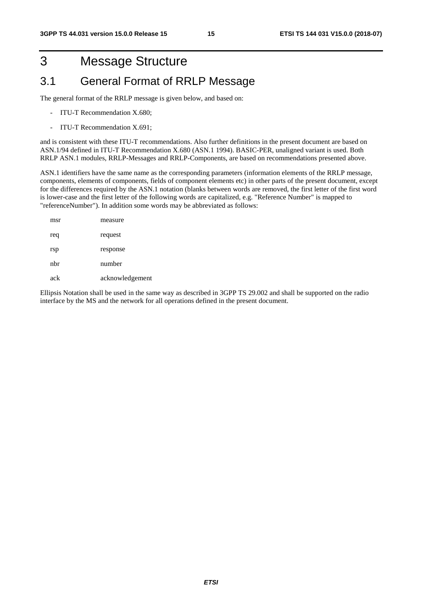# 3 Message Structure

### 3.1 General Format of RRLP Message

The general format of the RRLP message is given below, and based on:

- ITU-T Recommendation X.680;
- ITU-T Recommendation X.691;

and is consistent with these ITU-T recommendations. Also further definitions in the present document are based on ASN.1/94 defined in ITU-T Recommendation X.680 (ASN.1 1994). BASIC-PER, unaligned variant is used. Both RRLP ASN.1 modules, RRLP-Messages and RRLP-Components, are based on recommendations presented above.

ASN.1 identifiers have the same name as the corresponding parameters (information elements of the RRLP message, components, elements of components, fields of component elements etc) in other parts of the present document, except for the differences required by the ASN.1 notation (blanks between words are removed, the first letter of the first word is lower-case and the first letter of the following words are capitalized, e.g. "Reference Number" is mapped to "referenceNumber"). In addition some words may be abbreviated as follows:

| msr | measure         |
|-----|-----------------|
| req | request         |
| rsp | response        |
| nhr | number          |
| ack | acknowledgement |

Ellipsis Notation shall be used in the same way as described in 3GPP TS 29.002 and shall be supported on the radio interface by the MS and the network for all operations defined in the present document.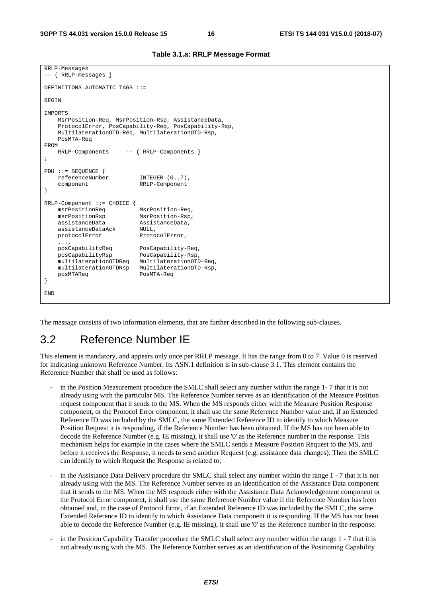|  |  |  | Table 3.1.a: RRLP Message Format |  |
|--|--|--|----------------------------------|--|
|--|--|--|----------------------------------|--|

```
RRLP-Messages 
-- { RRLP-messages } 
DEFINITIONS AUTOMATIC TAGS ::= 
BEGIN
IMPORTS 
    MsrPosition-Req, MsrPosition-Rsp, AssistanceData, 
     ProtocolError, PosCapability-Req, PosCapability-Rsp, 
     MultilaterationOTD-Req, MultilaterationOTD-Rsp, 
     PosMTA-Req 
FROM 
    RRLP-Components -- { RRLP-Components } 
; 
PDU ::= SEQUENCE { 
    referenceNumber INTEGER (0..7), 
     component RRLP-Component 
} 
RRLP-Component ::= CHOICE { 
    msrPositionReq MsrPosition-Req, 
     msrPositionRsp MsrPosition-Rsp, 
     assistanceData AssistanceData, 
     assistanceDataAck NULL, 
   protocolError ProtocolError,
     ..., 
    posCapabilityReq PosCapability-Req,<br>posCapabilityRsp PosCapability-Rsp,
   posCapabilityRsp PosCapability-Rsp,<br>multilaterationOTDReq MultilaterationOTD
    multilaterationOTDReq MultilaterationOTD-Req, 
                             MultilaterationOTD-Rsn posMTAReq PosMTA-Req 
} 
END
```
The message consists of two information elements, that are further described in the following sub-clauses.

### 3.2 Reference Number IE

This element is mandatory, and appears only once per RRLP message. It has the range from 0 to 7. Value 0 is reserved for indicating unknown Reference Number. Its ASN.1 definition is in sub-clause 3.1. This element contains the Reference Number that shall be used as follows:

- in the Position Measurement procedure the SMLC shall select any number within the range 1-7 that it is not already using with the particular MS. The Reference Number serves as an identification of the Measure Position request component that it sends to the MS. When the MS responds either with the Measure Position Response component, or the Protocol Error component, it shall use the same Reference Number value and, if an Extended Reference ID was included by the SMLC, the same Extended Reference ID to identify to which Measure Position Request it is responding, if the Reference Number has been obtained. If the MS has not been able to decode the Reference Number (e.g. IE missing), it shall use '0' as the Reference number in the response. This mechanism helps for example in the cases where the SMLC sends a Measure Position Request to the MS, and before it receives the Response, it needs to send another Request (e.g. assistance data changes). Then the SMLC can identify to which Request the Response is related to;
- in the Assistance Data Delivery procedure the SMLC shall select any number within the range 1 7 that it is not already using with the MS. The Reference Number serves as an identification of the Assistance Data component that it sends to the MS. When the MS responds either with the Assistance Data Acknowledgement component or the Protocol Error component, it shall use the same Reference Number value if the Reference Number has been obtained and, in the case of Protocol Error, if an Extended Reference ID was included by the SMLC, the same Extended Reference ID to identify to which Assistance Data component it is responding. If the MS has not been able to decode the Reference Number (e.g. IE missing), it shall use '0' as the Reference number in the response.
- in the Position Capability Transfer procedure the SMLC shall select any number within the range 1 7 that it is not already using with the MS. The Reference Number serves as an identification of the Positioning Capability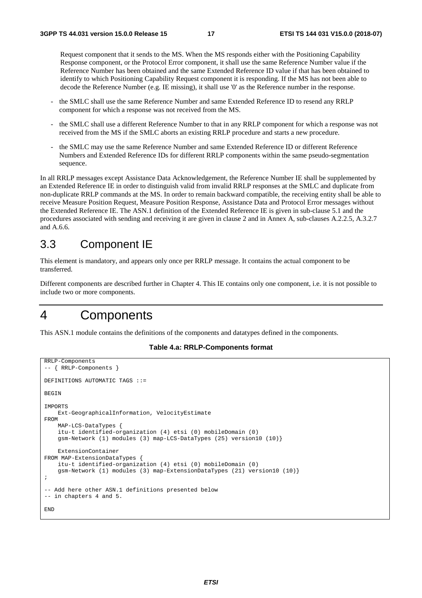Request component that it sends to the MS. When the MS responds either with the Positioning Capability Response component, or the Protocol Error component, it shall use the same Reference Number value if the Reference Number has been obtained and the same Extended Reference ID value if that has been obtained to identify to which Positioning Capability Request component it is responding. If the MS has not been able to decode the Reference Number (e.g. IE missing), it shall use '0' as the Reference number in the response.

- the SMLC shall use the same Reference Number and same Extended Reference ID to resend any RRLP component for which a response was not received from the MS.
- the SMLC shall use a different Reference Number to that in any RRLP component for which a response was not received from the MS if the SMLC aborts an existing RRLP procedure and starts a new procedure.
- the SMLC may use the same Reference Number and same Extended Reference ID or different Reference Numbers and Extended Reference IDs for different RRLP components within the same pseudo-segmentation sequence.

In all RRLP messages except Assistance Data Acknowledgement, the Reference Number IE shall be supplemented by an Extended Reference IE in order to distinguish valid from invalid RRLP responses at the SMLC and duplicate from non-duplicate RRLP commands at the MS. In order to remain backward compatible, the receiving entity shall be able to receive Measure Position Request, Measure Position Response, Assistance Data and Protocol Error messages without the Extended Reference IE. The ASN.1 definition of the Extended Reference IE is given in sub-clause 5.1 and the procedures associated with sending and receiving it are given in clause 2 and in Annex A, sub-clauses A.2.2.5, A.3.2.7 and A.6.6.

#### 3.3 Component IE

This element is mandatory, and appears only once per RRLP message. It contains the actual component to be transferred.

Different components are described further in Chapter 4. This IE contains only one component, i.e. it is not possible to include two or more components.

# 4 Components

This ASN.1 module contains the definitions of the components and datatypes defined in the components.

#### **Table 4.a: RRLP-Components format**

```
RRLP-Components 
-- { RRLP-Components } 
DEFINITIONS AUTOMATIC TAGS ::= 
BEGIN 
IMPORTS 
    Ext-GeographicalInformation, VelocityEstimate 
FROM 
     MAP-LCS-DataTypes { 
     itu-t identified-organization (4) etsi (0) mobileDomain (0) 
     gsm-Network (1) modules (3) map-LCS-DataTypes (25) version10 (10)} 
    ExtensionContainer 
FROM MAP-ExtensionDataTypes { 
     itu-t identified-organization (4) etsi (0) mobileDomain (0) 
     gsm-Network (1) modules (3) map-ExtensionDataTypes (21) version10 (10)} 
; 
-- Add here other ASN.1 definitions presented below 
-- in chapters 4 and 5. 
END
```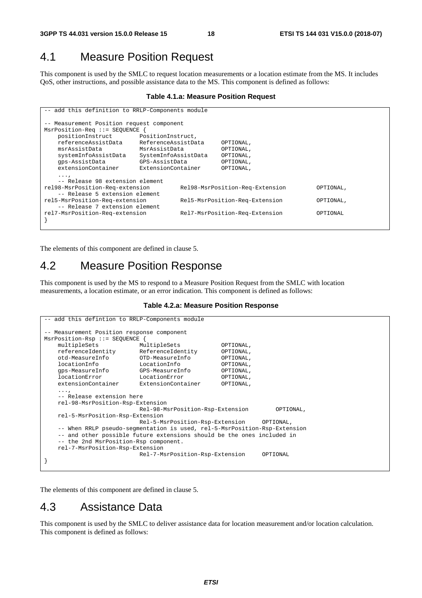#### 4.1 Measure Position Request

This component is used by the SMLC to request location measurements or a location estimate from the MS. It includes QoS, other instructions, and possible assistance data to the MS. This component is defined as follows:

```
Table 4.1.a: Measure Position Request
```

| -- add this definition to RRLP-Components module |                                 |                                |           |           |  |  |  |
|--------------------------------------------------|---------------------------------|--------------------------------|-----------|-----------|--|--|--|
| -- Measurement Position request component        |                                 |                                |           |           |  |  |  |
| $MsrPosition-Req :: = SEOUENCE$                  |                                 |                                |           |           |  |  |  |
| positionInstruct                                 | PositionInstruct,               |                                |           |           |  |  |  |
| referenceAssistData                              | ReferenceAssistData             |                                | OPTIONAL, |           |  |  |  |
| msrAssistData                                    | MsrAssistData                   |                                | OPTIONAL, |           |  |  |  |
| systemInfoAssistData                             | SystemInfoAssistData            |                                | OPTIONAL, |           |  |  |  |
| qps-AssistData                                   | GPS-AssistData                  |                                | OPTIONAL, |           |  |  |  |
| extensionContainer                               | ExtensionContainer              |                                | OPTIONAL, |           |  |  |  |
| $\cdots$                                         |                                 |                                |           |           |  |  |  |
|                                                  | -- Release 98 extension element |                                |           |           |  |  |  |
| rel98-MsrPosition-Req-extension                  | Rel98-MsrPosition-Req-Extension |                                | OPTIONAL, |           |  |  |  |
| -- Release 5 extension element                   |                                 |                                |           |           |  |  |  |
| rel5-MsrPosition-Req-extension                   |                                 | Rel5-MsrPosition-Req-Extension |           | OPTIONAL, |  |  |  |
| -- Release 7 extension element                   |                                 |                                |           |           |  |  |  |
| rel7-MsrPosition-Req-extension                   |                                 | Rel7-MsrPosition-Req-Extension |           | OPTIONAL  |  |  |  |
|                                                  |                                 |                                |           |           |  |  |  |
|                                                  |                                 |                                |           |           |  |  |  |

The elements of this component are defined in clause 5.

### 4.2 Measure Position Response

This component is used by the MS to respond to a Measure Position Request from the SMLC with location measurements, a location estimate, or an error indication. This component is defined as follows:

**Table 4.2.a: Measure Position Response** 

```
add this defintion to RRLP-Components module
-- Measurement Position response component 
MsrPosition-Rsp ::= SEQUENCE { 
    multipleSets MultipleSets OPTIONAL, 
    referenceIdentity ReferenceIdentity OPTIONAL, 
    otd-MeasureInfo OTD-MeasureInfo OPTIONAL, 
    locationInfo LocationInfo OPTIONAL, 
   gps-MeasureInfo GPS-MeasureInfo OPTIONAL,<br>locationError LocationError OPTIONAL.
                           locationError LocationError OPTIONAL, 
    extensionContainer ExtensionContainer OPTIONAL, 
 ..., 
     -- Release extension here 
    rel-98-MsrPosition-Rsp-Extension 
                           Rel-98-MsrPosition-Rsp-Extension OPTIONAL, 
    rel-5-MsrPosition-Rsp-Extension 
                           Rel-5-MsrPosition-Rsp-Extension OPTIONAL, 
    -- When RRLP pseudo-segmentation is used, rel-5-MsrPosition-Rsp-Extension 
    -- and other possible future extensions should be the ones included in 
    -- the 2nd MsrPosition-Rsp component. 
    rel-7-MsrPosition-Rsp-Extension 
                           Rel-7-MsrPosition-Rsp-Extension OPTIONAL 
}
```
The elements of this component are defined in clause 5.

#### 4.3 Assistance Data

This component is used by the SMLC to deliver assistance data for location measurement and/or location calculation. This component is defined as follows: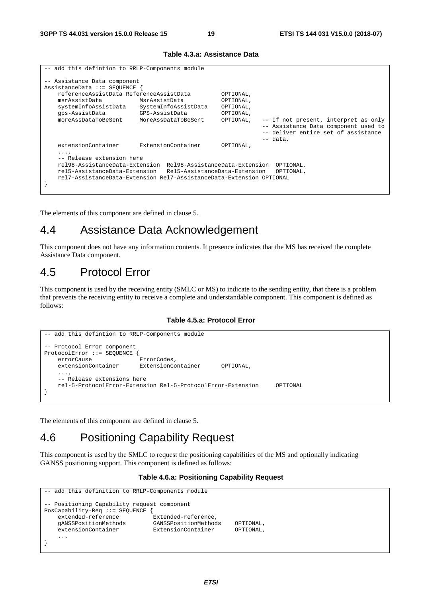#### **Table 4.3.a: Assistance Data**

| -- add this defintion to RRLP-Components module |                                                                          |                                                                      |           |  |                                      |  |  |  |
|-------------------------------------------------|--------------------------------------------------------------------------|----------------------------------------------------------------------|-----------|--|--------------------------------------|--|--|--|
| -- Assistance Data component                    |                                                                          |                                                                      |           |  |                                      |  |  |  |
|                                                 | AssistanceData ::= SEQUENCE                                              |                                                                      |           |  |                                      |  |  |  |
|                                                 | referenceAssistData ReferenceAssistData                                  |                                                                      |           |  |                                      |  |  |  |
|                                                 | msrAssistData<br>MsrAssistData                                           |                                                                      | OPTIONAL, |  |                                      |  |  |  |
|                                                 | systemInfoAssistData                                                     | SystemInfoAssistData                                                 | OPTIONAL, |  |                                      |  |  |  |
|                                                 | qps-AssistData                                                           | GPS-AssistData                                                       | OPTIONAL, |  |                                      |  |  |  |
|                                                 | moreAssDataToBeSent                                                      | MoreAssDataToBeSent                                                  | OPTIONAL, |  | -- If not present, interpret as only |  |  |  |
|                                                 |                                                                          |                                                                      |           |  | -- Assistance Data component used to |  |  |  |
|                                                 |                                                                          |                                                                      |           |  | -- deliver entire set of assistance  |  |  |  |
|                                                 |                                                                          |                                                                      |           |  | -- data.                             |  |  |  |
|                                                 | extensionContainer                                                       | ExtensionContainer                                                   | OPTIONAL, |  |                                      |  |  |  |
|                                                 | .                                                                        |                                                                      |           |  |                                      |  |  |  |
|                                                 | -- Release extension here                                                |                                                                      |           |  |                                      |  |  |  |
|                                                 | rel98-AssistanceData-Extension Rel98-AssistanceData-Extension OPTIONAL,  |                                                                      |           |  |                                      |  |  |  |
|                                                 | rel5-AssistanceData-Extension Rel5-AssistanceData-Extension<br>OPTIONAL, |                                                                      |           |  |                                      |  |  |  |
|                                                 |                                                                          | rel7-AssistanceData-Extension Rel7-AssistanceData-Extension OPTIONAL |           |  |                                      |  |  |  |
|                                                 |                                                                          |                                                                      |           |  |                                      |  |  |  |

The elements of this component are defined in clause 5.

### 4.4 Assistance Data Acknowledgement

This component does not have any information contents. It presence indicates that the MS has received the complete Assistance Data component.

#### 4.5 Protocol Error

This component is used by the receiving entity (SMLC or MS) to indicate to the sending entity, that there is a problem that prevents the receiving entity to receive a complete and understandable component. This component is defined as follows:

#### **Table 4.5.a: Protocol Error**

```
-- add this defintion to RRLP-Components module 
 -- Protocol Error component 
ProtocolError ::= SEQUENCE { 
    errorCause ErrorCodes, 
     extensionContainer ExtensionContainer OPTIONAL, 
     ..., 
     -- Release extensions here 
    rel-5-ProtocolError-Extension Rel-5-ProtocolError-Extension OPTIONAL 
}
```
The elements of this component are defined in clause 5.

### 4.6 Positioning Capability Request

This component is used by the SMLC to request the positioning capabilities of the MS and optionally indicating GANSS positioning support. This component is defined as follows:

#### **Table 4.6.a: Positioning Capability Request**

```
-- add this definition to RRLP-Components module 
-- Positioning Capability request component 
PosCapability-Req ::= SEQUENCE { 
   extended-reference Extended-reference.
    gANSSPositionMethods GANSSPositionMethods OPTIONAL, 
    extensionContainer ExtensionContainer OPTIONAL, 
     ... 
}
```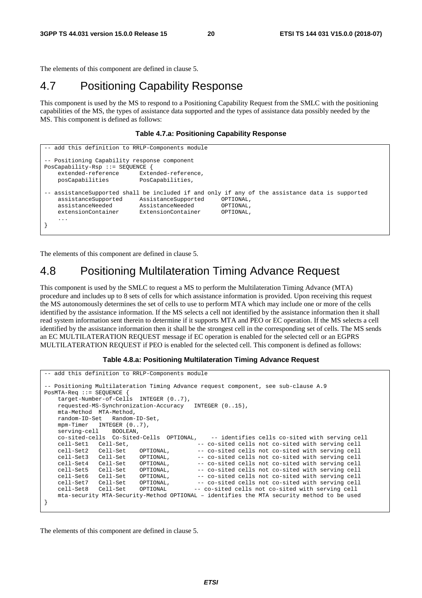The elements of this component are defined in clause 5.

### 4.7 Positioning Capability Response

This component is used by the MS to respond to a Positioning Capability Request from the SMLC with the positioning capabilities of the MS, the types of assistance data supported and the types of assistance data possibly needed by the MS. This component is defined as follows:

#### **Table 4.7.a: Positioning Capability Response**

```
-- add this definition to RRLP-Components module
-- Positioning Capability response component 
PosCapability-Rsp ::= SEQUENCE { 
   extended-reference Extended-reference,
    posCapabilities PosCapabilities, 
-- assistanceSupported shall be included if and only if any of the assistance data is supported 
    assistanceSupported AssistanceSupported OPTIONAL, 
    assistanceNeeded AssistanceNeeded OPTIONAL, 
    extensionContainer ExtensionContainer OPTIONAL, 
 ... 
}
```
The elements of this component are defined in clause 5.

### 4.8 Positioning Multilateration Timing Advance Request

This component is used by the SMLC to request a MS to perform the Multilateration Timing Advance (MTA) procedure and includes up to 8 sets of cells for which assistance information is provided. Upon receiving this request the MS autonomously determines the set of cells to use to perform MTA which may include one or more of the cells identified by the assistance information. If the MS selects a cell not identified by the assistance information then it shall read system information sent therein to determine if it supports MTA and PEO or EC operation. If the MS selects a cell identified by the assistance information then it shall be the strongest cell in the corresponding set of cells. The MS sends an EC MULTILATERATION REQUEST message if EC operation is enabled for the selected cell or an EGPRS MULTILATERATION REQUEST if PEO is enabled for the selected cell. This component is defined as follows:

#### **Table 4.8.a: Positioning Multilateration Timing Advance Request**

```
-- add this definition to RRLP-Components module 
-- Positioning Multilateration Timing Advance request component, see sub-clause A.9 
PosMTA-Req ::= SEQUENCE { 
      target-Number-of-Cells INTEGER (0..7), 
      requested-MS-Synchronization-Accuracy INTEGER (0..15), 
      mta-Method MTA-Method, 
      random-ID-Set Random-ID-Set, 
     mpm-Timer INTEGER (0.7),
     serving-cell BOOLEAN,<br>co-sited-cells Co-Sited-Cells OPTIONAL,
      co-sited-cells Co-Sited-Cells OPTIONAL, -- identifies cells co-sited with serving cell 
     cell-Set1 Cell-Set, -- co-sited cells not co-sited with serving cell<br>cell-Set2 Cell-Set OPTIONAL, -- co-sited cells not co-sited with serving cell<br>cell-Set3 Cell-Set OPTIONAL, -- co-sited cells not co-sited with serving ce
                                                              -- co-sited cells not co-sited with serving cell
                                                             -- co-sited cells not co-sited with serving cell
     cell-Set4 Cell-Set OPTIONAL, -- co-sited cells not co-sited with serving cell<br>cell-Set5 Cell-Set OPTIONAL, -- co-sited cells not co-sited with serving cell
     cell-Set5 Cell-Set OPTIONAL, -- co-sited cells not co-sited with serving cell<br>cell-Set6 Cell-Set OPTIONAL, -- co-sited cells not co-sited with serving cell
     cell-Set6 Cell-Set OPTIONAL, -- co-sited cells not co-sited with serving cell<br>cell-Set7 Cell-Set OPTIONAL, -- co-sited cells not co-sited with serving cell<br>cell-Set8 Cell-Set OPTIONAL -- co-sited cells not co-sited with se
                                                             -- co-sited cells not co-sited with serving cell
                                                            -- co-sited cells not co-sited with serving cell
      mta-security MTA-Security-Method OPTIONAL – identifies the MTA security method to be used 
}
```
The elements of this component are defined in clause 5.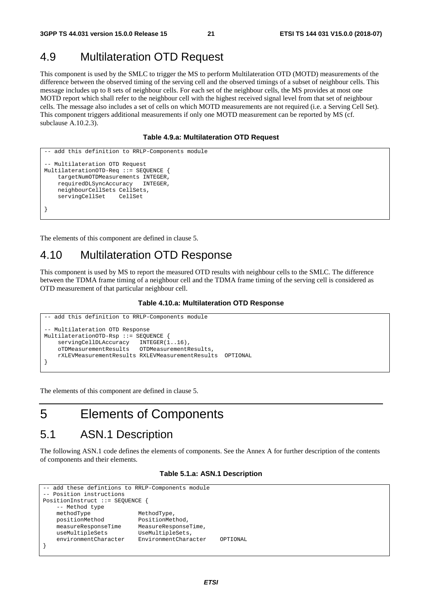### 4.9 Multilateration OTD Request

This component is used by the SMLC to trigger the MS to perform Multilateration OTD (MOTD) measurements of the difference between the observed timing of the serving cell and the observed timings of a subset of neighbour cells. This message includes up to 8 sets of neighbour cells. For each set of the neighbour cells, the MS provides at most one MOTD report which shall refer to the neighbour cell with the highest received signal level from that set of neighbour cells. The message also includes a set of cells on which MOTD measurements are not required (i.e. a Serving Cell Set). This component triggers additional measurements if only one MOTD measurement can be reported by MS (cf. subclause A.10.2.3).

#### **Table 4.9.a: Multilateration OTD Request**

```
add this definition to RRLP-Components module
-- Multilateration OTD Request 
MultilaterationOTD-Req ::= SEQUENCE { 
     targetNumOTDMeasurements INTEGER, 
     requiredDLSyncAccuracy INTEGER, 
    neighbourCellSets CellSets, 
     servingCellSet CellSet 
}
```
The elements of this component are defined in clause 5.

### 4.10 Multilateration OTD Response

This component is used by MS to report the measured OTD results with neighbour cells to the SMLC. The difference between the TDMA frame timing of a neighbour cell and the TDMA frame timing of the serving cell is considered as OTD measurement of that particular neighbour cell.

#### **Table 4.10.a: Multilateration OTD Response**

```
-- add this definition to RRLP-Components module
-- Multilateration OTD Response 
MultilaterationOTD-Rsp ::= SEQUENCE { 
     servingCellDLAccuracy INTEGER(1..16), 
     oTDMeasurementResults OTDMeasurementResults, 
     rXLEVMeasurementResults RXLEVMeasurementResults OPTIONAL 
}
```
The elements of this component are defined in clause 5.

# 5 Elements of Components

### 5.1 ASN.1 Description

The following ASN.1 code defines the elements of components. See the Annex A for further description of the contents of components and their elements.

#### **Table 5.1.a: ASN.1 Description**

```
-- add these defintions to RRLP-Components module 
 -- Position instructions 
PositionInstruct ::= SEQUENCE { 
    -- Method type 
   methodType MethodType,
    positionMethod PositionMethod, 
    measureResponseTime MeasureResponseTime, 
    useMultipleSets UseMultipleSets, 
    environmentCharacter EnvironmentCharacter OPTIONAL 
}
```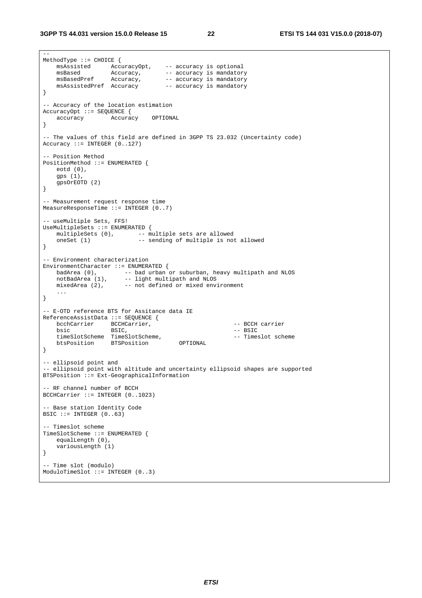--

```
MethodType ::= CHOICE { 
 msAssisted AccuracyOpt, -- accuracy is optional 
msBased Mccuracy, The accuracy is mandatory
msBasedPref Accuracy, -- accuracy is mandatory
 msAssistedPref Accuracy -- accuracy is mandatory 
} 
-- Accuracy of the location estimation 
AccuracyOpt ::= SEQUENCE { 
   accuracy Accuracy OPTIONAL 
} 
-- The values of this field are defined in 3GPP TS 23.032 (Uncertainty code) 
Accuracy ::= INTEGER (0..127) 
-- Position Method 
PositionMethod ::= ENUMERATED { 
    eotd (0), 
    gps (1), 
    gpsOrEOTD (2) 
} 
-- Measurement request response time 
MeasureResponseTime ::= INTEGER (0..7) 
-- useMultiple Sets, FFS! 
UseMultipleSets ::= ENUMERATED { 
  multipleSets (0), -- multiple sets are allowed
   oneSet (1) -- sending of multiple is not allowed
} 
-- Environment characterization 
EnvironmentCharacter ::= ENUMERATED { 
 badArea (0), -- bad urban or suburban, heavy multipath and NLOS 
notBadArea (1), -- light multipath and NLOS
 mixedArea (2), -- not defined or mixed environment 
    ... 
} 
-- E-OTD reference BTS for Assitance data IE 
ReferenceAssistData ::= SEQUENCE { 
    bcchCarrier BCCHCarrier, -- BCCH carrier 
bsic BSIC, - BSIC,
 timeSlotScheme TimeSlotScheme, -- Timeslot scheme 
 btsPosition BTSPosition OPTIONAL 
} 
-- ellipsoid point and 
-- ellipsoid point with altitude and uncertainty ellipsoid shapes are supported 
BTSPosition ::= Ext-GeographicalInformation 
-- RF channel number of BCCH 
BCCHCarrier ::= INTEGER (0..1023) 
-- Base station Identity Code 
BSIC ::= INTEGER (0..63)-- Timeslot scheme 
TimeSlotScheme ::= ENUMERATED { 
   equalLength (0), 
    variousLength (1) 
} 
-- Time slot (modulo) 
ModuloTimeSlot ::= INTEGER (0..3)
```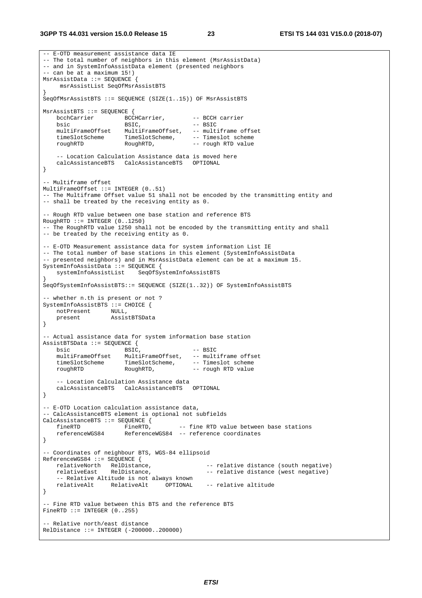**3GPP TS 44.031 version 15.0.0 Release 15 23 ETSI TS 144 031 V15.0.0 (2018-07)**

-- E-OTD measurement assistance data IE -- The total number of neighbors in this element (MsrAssistData) -- and in SystemInfoAssistData element (presented neighbors -- can be at a maximum 15!) MsrAssistData ::= SEQUENCE { msrAssistList SeqOfMsrAssistBTS } SeqOfMsrAssistBTS ::= SEQUENCE (SIZE(1..15)) OF MsrAssistBTS MsrAssistBTS ::= SEQUENCE { bcchCarrier BCCHCarrier, -- BCCH carrier bsic BSIC,  $-$  BSIC multiFrameOffset MultiFrameOffset, -- multiframe offset timeSlotScheme TimeSlotScheme, -- Timeslot scheme roughRTD RoughRTD, -- rough RTD value -- Location Calculation Assistance data is moved here calcAssistanceBTS CalcAssistanceBTS OPTIONAL } -- Multiframe offset MultiFrameOffset ::= INTEGER (0..51) -- The Multiframe Offset value 51 shall not be encoded by the transmitting entity and -- shall be treated by the receiving entity as 0. -- Rough RTD value between one base station and reference BTS RoughRTD ::= INTEGER (0..1250) -- The RoughRTD value 1250 shall not be encoded by the transmitting entity and shall -- be treated by the receiving entity as 0. -- E-OTD Measurement assistance data for system information List IE -- The total number of base stations in this element (SystemInfoAssistData -- presented neighbors) and in MsrAssistData element can be at a maximum 15. SystemInfoAssistData ::= SEQUENCE { systemInfoAssistList SeqOfSystemInfoAssistBTS } SeqOfSystemInfoAssistBTS::= SEQUENCE (SIZE(1..32)) OF SystemInfoAssistBTS -- whether n.th is present or not ? SystemInfoAssistBTS ::= CHOICE { notPresent NULL, present AssistBTSData } -- Actual assistance data for system information base station AssistBTSData ::= SEQUENCE { bsic -- BSIC, -- BSIC<br>multiFrameOffset MultiFrameOffset, -- mult  $MultiframeOffset, -- multiframe offset$  timeSlotScheme TimeSlotScheme, -- Timeslot scheme roughRTD RoughRTD, -- rough RTD value -- Location Calculation Assistance data calcAssistanceBTS CalcAssistanceBTS OPTIONAL } -- E-OTD Location calculation assistance data, -- CalcAssistanceBTS element is optional not subfields CalcAssistanceBTS ::= SEQUENCE {<br>fineRTD FineRTD, -- fine RTD value between base stations referenceWGS84 ReferenceWGS84 -- reference coordinates } -- Coordinates of neighbour BTS, WGS-84 ellipsoid ReferenceWGS84 ::= SEQUENCE { relativeNorth RelDistance,  $\begin{array}{ccc} - & - & \text{relative distance (south negative)} \\ \text{relative distance (west negative)} \end{array}$ -- relative distance (west negative) -- Relative Altitude is not always known relativeAlt RelativeAlt OPTIONAL -- relative altitude } -- Fine RTD value between this BTS and the reference BTS FineRTD  $:=$  INTEGER  $(0.1255)$ -- Relative north/east distance RelDistance ::= INTEGER (-200000..200000)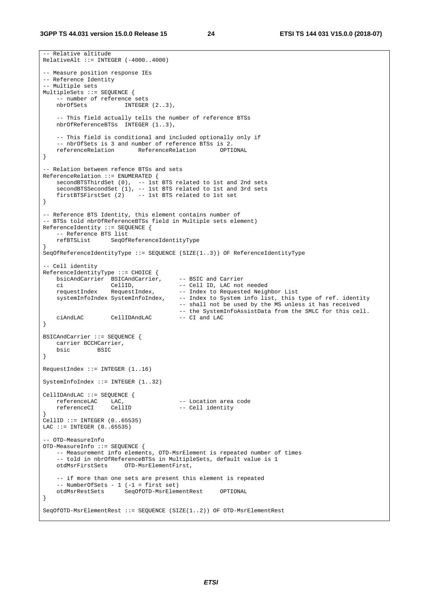-- Relative altitude

```
RelativeAlt ::= INTEGR (-4000..4000)-- Measure position response IEs 
-- Reference Identity 
-- Multiple sets 
MultipleSets ::= SEQUENCE { 
    -- number of reference sets 
                       INTEGER (2..3),
     -- This field actually tells the number of reference BTSs 
    nbrOfReferenceBTSs INTEGER (1..3), 
    -- This field is conditional and included optionally only if 
     -- nbrOfSets is 3 and number of reference BTSs is 2. 
    referenceRelation ReferenceRelation OPTIONAL 
} 
-- Relation between refence BTSs and sets 
ReferenceRelation ::= ENUMERATED { 
    secondBTSThirdSet (0), -- 1st BTS related to 1st and 2nd sets 
    secondBTSSecondSet (1), -- 1st BTS related to 1st and 3rd sets
    firstBTSFirstSet (2) -- 1st BTS related to 1st set 
} 
-- Reference BTS Identity, this element contains number of 
-- BTSs told nbrOfReferenceBTSs field in Multiple sets element) 
ReferenceIdentity ::= SEQUENCE { 
    -- Reference BTS list 
    refBTSList SeqOfReferenceIdentityType 
} 
SeqOfReferenceIdentityType ::= SEQUENCE (SIZE(1..3)) OF ReferenceIdentityType 
-- Cell identity 
ReferenceIdentityType ::= CHOICE { 
   bsicAndCarrier BSICAndCarrier, -- BSIC and Carrier
 ci CellID, -- Cell ID, LAC not needed 
 requestIndex RequestIndex, -- Index to Requested Neighbor List 
    systemInfoIndex SystemInfoIndex, -- Index to System info list, this type of ref. identity 
                                        -- shall not be used by the MS unless it has received 
                 -- the SystemInfoAssistData from the SMLC for this cell.<br>CellIDAndLAC -- CI and LAC
   ciAndLAC
} 
BSICAndCarrier ::= SEQUENCE { 
    carrier BCCHCarrier, 
    bsic BSIC 
} 
RequestIndex ::= INTEGER (1..16)SystemInfoIndex ::= INTEGER (1..32) 
CellIDAndLAC ::= SEQUENCE { 
   referenceLAC LAC, -- Location area code<br>referenceCI CellID -- Cell identity
                    referenceCI CellID -- Cell identity 
} 
\text{CellID} ::= INTEGER (0..65535)LAC ::= INTEGER (0..65535)-- OTD-MeasureInfo 
OTD-MeasureInfo ::= SEQUENCE { 
    -- Measurement info elements, OTD-MsrElement is repeated number of times 
    -- told in nbrOfReferenceBTSs in MultipleSets, default value is 1 
    otdMsrFirstSets OTD-MsrElementFirst, 
     -- if more than one sets are present this element is repeated 
   -- NumberOfSets - 1 (-1 = first set)
    otdMsrRestSets SeqOfOTD-MsrElementRest OPTIONAL 
} 
SeqOfOTD-MsrElementRest ::= SEQUENCE (SIZE(1..2)) OF OTD-MsrElementRest
```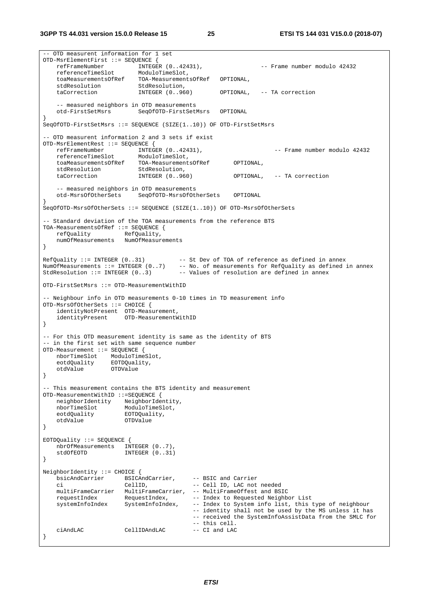-- OTD measurent information for 1 set OTD-MsrElementFirst ::= SEQUENCE {<br>refFrameNumber INTEGER (0..42431), refFrameNumber INTEGER (0..42431), -- Frame number modulo 42432<br>referenceTimeSlot ModuloTimeSlot,<br>toaMessurementsOfRef To: Y referenceTimeSlot ModuloTimeSlot, toaMeasurementsOfRef TOA-MeasurementsOfRef OPTIONAL, stdResolution StdResolution, taCorrection INTEGER (0..960) OPTIONAL, -- TA correction -- measured neighbors in OTD measurements SeqOfOTD-FirstSetMsrs OPTIONAL } SeqOfOTD-FirstSetMsrs ::= SEQUENCE (SIZE(1..10)) OF OTD-FirstSetMsrs -- OTD measurent information 2 and 3 sets if exist OTD-MsrElementRest ::= SEQUENCE { refFrameNumber INTEGER (0..42431), -- Frame number modulo 42432 referenceTimeSlot ModuloTimeSlot, toaMeasurementsOfRef TOA-MeasurementsOfRef OPTIONAL, stdResolution<br>taCorrection INTEGER (0..960) OPTIONAL, -- TA correction -- measured neighbors in OTD measurements otd-MsrsOfOtherSets SeqOfOTD-MsrsOfOtherSets OPTIONAL } SeqOfOTD-MsrsOfOtherSets ::= SEQUENCE (SIZE(1..10)) OF OTD-MsrsOfOtherSets -- Standard deviation of the TOA measurements from the reference BTS TOA-MeasurementsOfRef ::= SEQUENCE { refQuality RefQuality, numOfMeasurements NumOfMeasurements } RefQuality ::= INTEGER (0..31) -- St Dev of TOA of reference as defined in annex NumOfMeasurements ::= INTEGER (0..7) -- No. of measurements for RefQuality as defined in annex StdResolution  $\cdot :=$  INTEGER  $(0..3)$  -- Values of resolution are defined in annex OTD-FirstSetMsrs ::= OTD-MeasurementWithID -- Neighbour info in OTD measurements 0-10 times in TD measurement info OTD-MsrsOfOtherSets ::= CHOICE { identityNotPresent OTD-Measurement, identityPresent OTD-MeasurementWithID } -- For this OTD measurement identity is same as the identity of BTS -- in the first set with same sequence number OTD-Measurement ::= SEQUENCE { nborTimeSlot ModuloTimeSlot, eotdQuality EOTDQuality, otdValue OTDValue } -- This measurement contains the BTS identity and measurement OTD-MeasurementWithID ::=SEQUENCE { neighborIdentity NeighborIdentity, nborTimeSlot ModuloTimeSlot, eotdQuality EOTDQuality, otdValue OTDValue } EOTDQuality ::= SEQUENCE { nbrOfMeasurements INTEGER (0..7), stdOfEOTD INTEGER (0..31) } NeighborIdentity ::= CHOICE { bsicAndCarrier BSICAndCarrier, -- BSIC and Carrier -- Cell ID, LAC not needed multiFrameCarrier MultiFrameCarrier, -- MultiFrameOffest and BSIC requestIndex RequestIndex, -- Index to Requested Neighbor List<br>systemInfoIndex SystemInfoIndex, -- Index to System info list, this -- Index to System info list, this type of neighbour -- identity shall not be used by the MS unless it has -- received the SystemInfoAssistData from the SMLC for -- this cell. ciAndLAC CellIDAndLAC -- CI and LAC }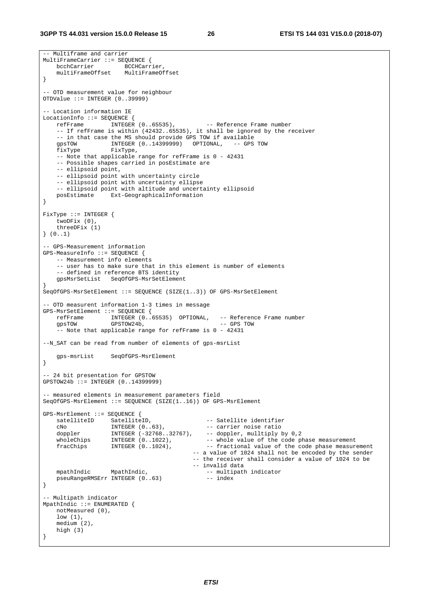```
-- Multiframe and carrier 
MultiFrameCarrier ::= SEQUENCE { 
    bcchCarrier BCCHCarrier, 
     multiFrameOffset MultiFrameOffset 
} 
-- OTD measurement value for neighbour 
OTDValue ::= INTEGER (0..39999) 
 -- Location information IE 
LocationInfo ::= SEQUENCE { 
    refFrame INTEGER (0..65535), -- Reference Frame number
     -- If refFrame is within (42432..65535), it shall be ignored by the receiver 
     -- in that case the MS should provide GPS TOW if available 
 gpsTOW INTEGER (0..14399999) OPTIONAL, -- GPS TOW 
 fixType FixType, 
     -- Note that applicable range for refFrame is 0 - 42431 
     -- Possible shapes carried in posEstimate are 
     -- ellipsoid point, 
     -- ellipsoid point with uncertainty circle 
     -- ellipsoid point with uncertainty ellipse 
   -- ellipsoid point with altitude and uncertainty ellipsoid posEstimate Ext-GeographicalInformation
                 Ext-GeographicalInformation
} 
FixType ::= INTEGER { 
    twoDFix (0), 
     threeDFix (1) 
} (0..1) 
-- GPS-Measurement information 
GPS-MeasureInfo ::= SEQUENCE { 
     -- Measurement info elements 
     -- user has to make sure that in this element is number of elements 
     -- defined in reference BTS identity 
     gpsMsrSetList SeqOfGPS-MsrSetElement 
} 
SeqOfGPS-MsrSetElement ::= SEQUENCE (SIZE(1..3)) OF GPS-MsrSetElement 
 -- OTD measurent information 1-3 times in message 
GPS-MsrSetElement ::= SEQUENCE { 
 refFrame INTEGER (0..65535) OPTIONAL, -- Reference Frame number 
 gpsTOW GPSTOW24b, -- GPS TOW 
      -- Note that applicable range for refFrame is 0 - 42431 
--N_SAT can be read from number of elements of gps-msrList 
    gps-msrList SeqOfGPS-MsrElement 
} 
-- 24 bit presentation for GPSTOW 
GPSTOW24b ::= INTEGER (0..14399999) 
 -- measured elements in measurement parameters field 
SeqOfGPS-MsrElement ::= SEQUENCE (SIZE(1..16)) OF GPS-MsrElement 
GPS-MsrElement ::= SEQUENCE { 
 satelliteID SatelliteID, -- Satellite identifier 
 cNo INTEGER (0..63), -- carrier noise ratio 
 doppler INTEGER (-32768..32767), -- doppler, mulltiply by 0,2 
   wholeChips INTEGER (0..63), -- carrier noise ratio<br>doppler INTEGER (0..63), -- carrier noise ratio<br>wholeChips INTEGER (0..1022), -- whole value of the code phase measurement
    fracChips INTEGER (0..1024), -- fractional value of the code phase measurement
                                             -- a value of 1024 shall not be encoded by the sender 
                                             -- the receiver shall consider a value of 1024 to be 
   -- invalid data<br>mpathIndic MpathIndic, 1999 -- multipatl
                                                -- multipath indicator<br>-- index
   pseuRangeRMSErr INTEGER (0..63)
} 
-- Multipath indicator 
MpathIndic ::= ENUMERATED { 
    notMeasured (0), 
     low (1), 
     medium (2), 
    high (3) 
}
```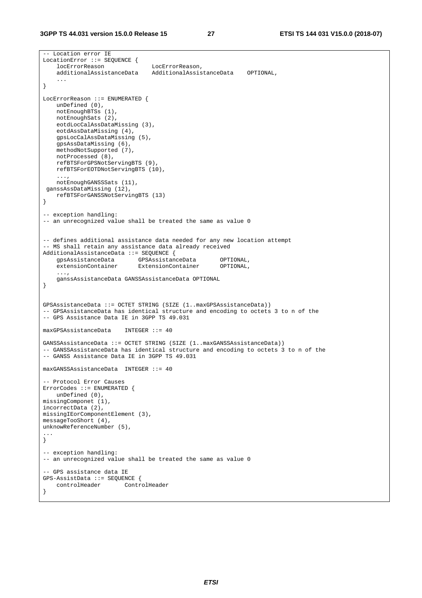```
-- Location error IE 
LocationError ::= SEQUENCE { 
     locErrorReason LocErrorReason, 
     additionalAssistanceData AdditionalAssistanceData OPTIONAL, 
     ... 
} 
LocErrorReason ::= ENUMERATED { 
    unDefined (0), 
     notEnoughBTSs (1), 
    notEnoughSats (2), 
     eotdLocCalAssDataMissing (3), 
     eotdAssDataMissing (4), 
     gpsLocCalAssDataMissing (5), 
     gpsAssDataMissing (6), 
    methodNotSupported (7), 
    notProcessed (8), 
    refBTSForGPSNotServingBTS (9), 
    refBTSForEOTDNotServingBTS (10), 
     ..., 
    notEnoughGANSSSats (11), 
 ganssAssDataMissing (12), 
    refBTSForGANSSNotServingBTS (13) 
} 
-- exception handling: 
-- an unrecognized value shall be treated the same as value 0
-- defines additional assistance data needed for any new location attempt 
-- MS shall retain any assistance data already received 
AdditionalAssistanceData ::= SEQUENCE { 
 gpsAssistanceData GPSAssistanceData OPTIONAL, 
 extensionContainer ExtensionContainer OPTIONAL, 
 ..., 
    ganssAssistanceData GANSSAssistanceData OPTIONAL 
} 
GPSAssistanceData ::= OCTET STRING (SIZE (1..maxGPSAssistanceData)) 
-- GPSAssistanceData has identical structure and encoding to octets 3 to n of the 
-- GPS Assistance Data IE in 3GPP TS 49.031 
maxGPSAssistanceData INTEGER ::= 40 
GANSSAssistanceData ::= OCTET STRING (SIZE (1..maxGANSSAssistanceData)) 
-- GANSSAssistanceData has identical structure and encoding to octets 3 to n of the 
-- GANSS Assistance Data IE in 3GPP TS 49.031 
maxGANSSAssistanceData INTEGER ::= 40 
-- Protocol Error Causes 
ErrorCodes ::= ENUMERATED { 
    unDefined (0), 
missingComponet (1), 
incorrectData (2), 
missingIEorComponentElement (3), 
messageTooShort (4), 
unknowReferenceNumber (5), 
... 
} 
-- exception handling: 
-- an unrecognized value shall be treated the same as value 0 
-- GPS assistance data IE 
GPS-AssistData ::= SEQUENCE { 
    controlHeader ControlHeader 
}
```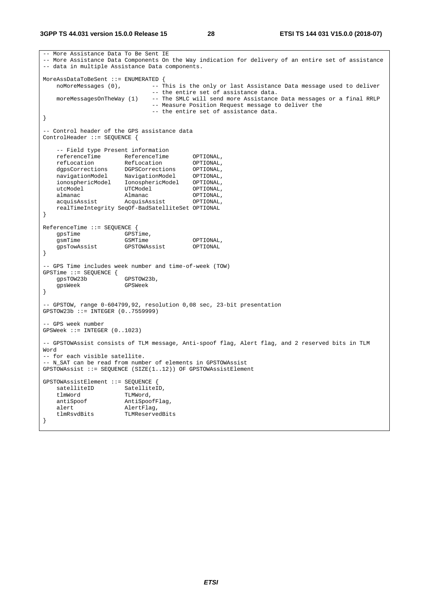-- More Assistance Data To Be Sent IE -- More Assistance Data Components On the Way indication for delivery of an entire set of assistance -- data in multiple Assistance Data components. MoreAssDataToBeSent ::= ENUMERATED { noMoreMessages (0), --- This is the only or last Assistance Data message used to deliver -- the entire set of assistance data.<br>moreMessagesOnTheWay (1) -- The SMLC will send more Assistance -- The SMLC will send more Assistance Data messages or a final RRLP -- Measure Position Request message to deliver the -- the entire set of assistance data. } -- Control header of the GPS assistance data ControlHeader ::= SEQUENCE { -- Field type Present information referenceTime ReferenceTime OPTIONAL, refLocation RefLocation OPTIONAL, dgpsCorrections DGPSCorrections OPTIONAL, navigationModel NavigationModel OPTIONAL, ionosphericModel IonosphericModel OPTIONAL, utcModel UTCModel OPTIONAL,<br>almanac Almanac OPTIONAL, almanac Almanac OPTIONAL, acquisAssist AcquisAssist OPTIONAL, realTimeIntegrity SeqOf-BadSatelliteSet OPTIONAL } ReferenceTime ::= SEQUENCE { gpsTime GPSTime, gsmTime GSMTime GSMTime OPTIONAL. gpsTowAssist GPSTOWAssist OPTIONAL } -- GPS Time includes week number and time-of-week (TOW) GPSTime ::= SEQUENCE { gpsTOW23b GPSTOW23b, gpsWeek GPSWeek } -- GPSTOW, range 0-604799,92, resolution 0,08 sec, 23-bit presentation GPSTOW23b ::= INTEGER (0..7559999) -- GPS week number GPSWeek ::= INTEGER (0..1023) -- GPSTOWAssist consists of TLM message, Anti-spoof flag, Alert flag, and 2 reserved bits in TLM Word -- for each visible satellite. -- N\_SAT can be read from number of elements in GPSTOWAssist GPSTOWAssist ::= SEQUENCE (SIZE(1..12)) OF GPSTOWAssistElement GPSTOWAssistElement ::= SEQUENCE { satelliteID SatelliteID,<br>tlmWord TLMWord, tlmWord TLMWord,<br>antiSpoof AntiSpoo AntiSpoofFlag, alert AlertFlag,<br>tlmRsvdBits TLMReserve TLMReservedBits }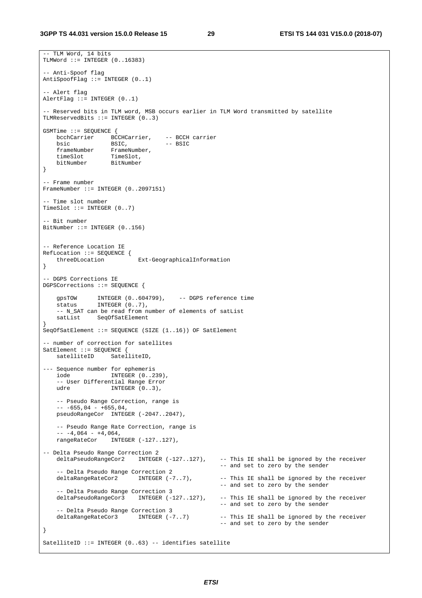```
-- TLM Word, 14 bits 
TLMWord ::= INTEGER (0..16383) 
-- Anti-Spoof flag 
AntiSpoofFlag ::= INTEGER (0..1) 
-- Alert flag 
\text{AlertFlag} ::= INTEGER (0..1)-- Reserved bits in TLM word, MSB occurs earlier in TLM Word transmitted by satellite 
TLMReservedBits ::= INTEGER (0..3) 
GSMTime ::= SEQUENCE { 
    bcchCarrier BCCHCarrier, -- BCCH carrier 
bsic BSIC, -- BSIC
 frameNumber FrameNumber, 
 timeSlot TimeSlot, 
 bitNumber BitNumber 
} 
-- Frame number 
FrameNumber ::= INTEGER (0..2097151) 
 -- Time slot number 
TimeSlot ::= INTEGER (0.7)-- Bit number 
BitNumber ::= INTEGER (0..156) 
-- Reference Location IE 
RefLocation ::= SEQUENCE {<br>threeDLocation
                            Ext-GeographicalInformation
} 
-- DGPS Corrections IE 
DGPSCorrections ::= SEQUENCE { 
     gpsTOW INTEGER (0..604799), -- DGPS reference time 
   status INTEGER (0..7),
    -- N_SAT can be read from number of elements of satList
    satList SeqOfSatElement 
} 
SeqOfSatElement ::= SEQUENCE (SIZE (1..16)) OF SatElement 
-- number of correction for satellites 
SatElement ::= SEQUENCE {
   satelliteID SatelliteID,
--- Sequence number for ephemeris<br>iode INTEGER (0..2)
                    INTEGER (0..239),
   -- User Differential Range Error<br>udre                   INTEGER (0..3),
                   INTER (0..3), -- Pseudo Range Correction, range is 
    --- 655,04 - +655,04,pseudoRangeCor INTEGER (-2047..2047),
     -- Pseudo Range Rate Correction, range is 
    -- -4,064 - +4,064, rangeRateCor INTEGER (-127..127), 
-- Delta Pseudo Range Correction 2 
   deltaPseudoRangeCor2 INTEGER (-127..127), -- This IE shall be ignored by the receiver
                                                      -- and set to zero by the sender 
   -- Delta Pseudo Range Correction 2<br>deltaRangeRateCor2       INTEGER (-7..7),
                                                     -- This IE shall be ignored by the receiver
                                                      -- and set to zero by the sender 
     -- Delta Pseudo Range Correction 3 
    deltaPseudoRangeCor3 INTEGER (-127..127), -- This IE shall be ignored by the receiver 
                                                      -- and set to zero by the sender 
     -- Delta Pseudo Range Correction 3 
    deltaRangeRateCor3 INTEGER (-7..7) -- This IE shall be ignored by the receiver 
                                                      -- and set to zero by the sender 
} 
SatelliteID ::= INTEGER (0..63) -- identifies satellite
```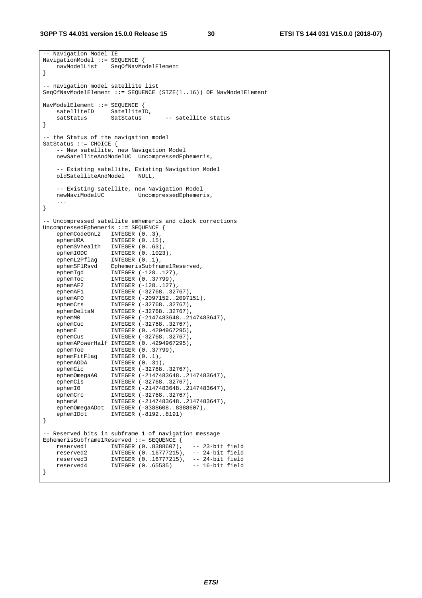```
-- Navigation Model IE 
NavigationModel ::= SEQUENCE { 
    navModelList SeqOfNavModelElement 
} 
-- navigation model satellite list 
SeqOfNavModelElement ::= SEQUENCE (SIZE(1..16)) OF NavModelElement 
NavModelElement ::= SEQUENCE { 
   satelliteID SatelliteID,<br>satStatus SatStatus
                                -- satellite status
} 
-- the Status of the navigation model 
SatStatus ::= CHOICE {
    -- New satellite, new Navigation Model 
    newSatelliteAndModelUC UncompressedEphemeris, 
   -- Existing satellite, Existing Navigation Model<br>oldSatelliteAndModel NULL,
   oldSatelliteAndModel
   -- Existing satellite, new Navigation Model<br>newNaviModelUC UncompressedEphemer
                         UncompressedEphemeris,
 ... 
} 
-- Uncompressed satellite emhemeris and clock corrections 
UncompressedEphemeris ::= SEQUENCE { 
 ephemCodeOnL2 INTEGER (0..3), 
 ephemURA INTEGER (0..15), 
 ephemSVhealth INTEGER (0..63), 
ephemIODC INTEGER (0..1023),
 ephemL2Pflag INTEGER (0..1), 
 ephemSF1Rsvd EphemerisSubframe1Reserved, 
ephemTgd INTEGER (-128..127),
 ephemToc INTEGER (0..37799), 
ephemAF2 INTEGER (-128..127),
ephemAF1 INTEGER (-32768..32767),
 ephemAF0 INTEGER (-2097152..2097151), 
 ephemCrs INTEGER (-32768..32767), 
 ephemDeltaN INTEGER (-32768..32767), 
 ephemM0 INTEGER (-2147483648..2147483647), 
ephemCuc INTEGER (-32768..32767),
 ephemE INTEGER (0..4294967295), 
 ephemCus INTEGER (-32768..32767), 
 ephemAPowerHalf INTEGER (0..4294967295), 
 ephemToe INTEGER (0..37799), 
 ephemFitFlag INTEGER (0..1), 
 ephemAODA INTEGER (0..31), 
 ephemCic INTEGER (-32768..32767), 
 ephemOmegaA0 INTEGER (-2147483648..2147483647), 
 ephemCis INTEGER (-32768..32767), 
 ephemI0 INTEGER (-2147483648..2147483647), 
ephemCrc INTEGER (-32768..32767),
 ephemW INTEGER (-2147483648..2147483647), 
   ephemOmegaADot INTEGER (-8388608..8388607),<br>ephemIDot INTEGER (-8192..8191)
                  INTEGER (-8192..8191)
} 
-- Reserved bits in subframe 1 of navigation message 
EphemerisSubframe1Reserved ::= SEQUENCE { 
 reserved1 INTEGER (0..8388607), -- 23-bit field 
 reserved2 INTEGER (0..16777215), -- 24-bit field 
 reserved3 INTEGER (0..16777215), -- 24-bit field 
 reserved4 INTEGER (0..65535) -- 16-bit field 
}
```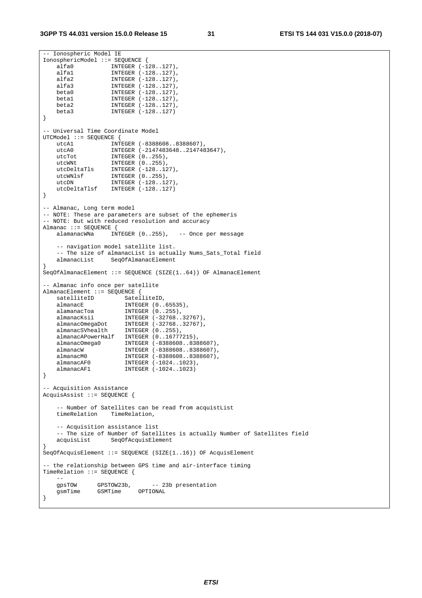```
-- Ionospheric Model IE 
IonosphericModel ::= SEQUENCE { 
 alfa0 INTEGER (-128..127), 
 alfa1 INTEGER (-128..127), 
 alfa2 INTEGER (-128..127), 
 alfa3 INTEGER (-128..127), 
beta0 INTEGER (-128..127),
 beta1 INTEGER (-128..127), 
 beta2 INTEGER (-128..127), 
    beta3 INTEGER (-128..127) 
} 
-- Universal Time Coordinate Model 
UTCModel ::= SEQUENCE { 
 utcA1 INTEGER (-8388608..8388607), 
 utcA0 INTEGER (-2147483648..2147483647), 
utcTot INTEGER (0..255),
utcWNt INTEGER (0..255),
 utcDeltaTls INTEGER (-128..127), 
 utcWNlsf INTEGER (0..255), 
utcDN INTEGER (-128..127),
    utcDeltaTlsf INTEGER (-128..127) 
} 
-- Almanac, Long term model 
-- NOTE: These are parameters are subset of the ephemeris 
-- NOTE: But with reduced resolution and accuracy 
Almanac ::= SEQUENCE { 
    alamanacWNa INTEGER (0..255), -- Once per message 
    -- navigation model satellite list. 
    -- The size of almanacList is actually Nums_Sats_Total field 
              SeqOfAlmanacElement
} 
SeqOfAlmanacElement ::= SEQUENCE (SIZE(1..64)) OF AlmanacElement
-- Almanac info once per satellite 
AlmanacElement ::= SEQUENCE { 
satelliteID SatelliteID,
 almanacE INTEGER (0..65535), 
 alamanacToa INTEGER (0..255), 
 almanacKsii INTEGER (-32768..32767), 
 almanacOmegaDot INTEGER (-32768..32767), 
 almanacSVhealth INTEGER (0..255), 
 almanacAPowerHalf INTEGER (0..16777215), 
 almanacOmega0 INTEGER (-8388608..8388607), 
 almanacW INTEGER (-8388608..8388607), 
 almanacM0 INTEGER (-8388608..8388607), 
 almanacAF0 INTEGER (-1024..1023), 
almanacAF1 INTEGER (-1024..1023)
} 
-- Acquisition Assistance 
AcquisAssist ::= SEQUENCE { 
   -- Number of Satellites can be read from acquistList<br>timeRelation TimeRelation.
                TimeRelation.
    -- Acquisition assistance list 
    -- The size of Number of Satellites is actually Number of Satellites field 
    acquisList SeqOfAcquisElement 
} 
SeqOfAcquisElement ::= SEQUENCE (SIZE(1..16)) OF AcquisElement 
-- the relationship between GPS time and air-interface timing 
TimeRelation ::= SEQUENCE { 
-gpsTOW GPSTOW23b, -- 23b presentation<br>qsmTime GSMTime OPTIONAL
   gsmTime GSMTime
}
```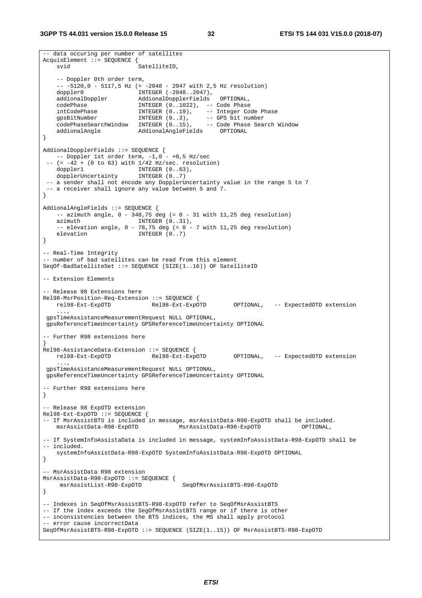```
-- data occuring per number of satellites 
AcquisElement ::= SEQUENCE {
    svid SatelliteID,
     -- Doppler 0th order term, 
     -- -5120,0 - 5117,5 Hz (= -2048 - 2047 with 2,5 Hz resolution) 
doppler0 INTEGER (-2048..2047),
 addionalDoppler AddionalDopplerFields OPTIONAL, 
 codePhase INTEGER (0..1022), -- Code Phase 
 intCodePhase INTEGER (0..19), -- Integer Code Phase 
 gpsBitNumber INTEGER (0..3), -- GPS bit number 
 codePhaseSearchWindow INTEGER (0..15), -- Code Phase Search Window 
   addionalangle CodePhaseSearchWindow INTEGER (0..15), -- CodePhaseSearchWindow INTEGER (0..15), -- CodePhase
} 
AddionalDopplerFields ::= SEQUENCE { 
   -- Doppler 1st order term, -1,0 - +0,5 Hz/sec
 -- (= -42 + (0 \text{ to } 63) with 1/42 Hz/sec. resolution)<br>doppler1 INTEGER (0..63),
                      INTEGER (0..63),<br>INTEGER (0..7)
   dopplerUncertainty
  -- a sender shall not encode any DopplerUncertainty value in the range 5 to 7 
  -- a receiver shall ignore any value between 5 and 7. 
} 
AddionalAngleFields ::= SEQUENCE { 
   -- azimuth angle, 0 - 348,75 deg (= 0 - 31 with 11,25 deg resolution)
   azimuth INTEGER (0..31),
   -- elevation angle, 0 - 78,75 deg (= 0 - 7 with 11,25 deg resolution)
   elevation INTEGER (0..7)
} 
-- Real-Time Integrity 
-- number of bad satellites can be read from this element
SeqOf-BadSatelliteSet ::= SEQUENCE (SIZE(1..16)) OF SatelliteID 
 -- Extension Elements 
-- Release 98 Extensions here 
Rel98-MsrPosition-Req-Extension ::= SEQUENCE { 
 rel98-Ext-ExpOTD Rel98-Ext-ExpOTD OPTIONAL, -- ExpectedOTD extension 
 ..., 
 gpsTimeAssistanceMeasurementRequest NULL OPTIONAL, 
 gpsReferenceTimeUncertainty GPSReferenceTimeUncertainty OPTIONAL 
 -- Further R98 extensions here 
} 
Rel98-AssistanceData-Extension ::= SEQUENCE { 
   rel98-Ext-ExpOTD Rel98-Ext-ExpOTD OPTIONAL, -- ExpectedOTD extension 
 ..., 
 gpsTimeAssistanceMeasurementRequest NULL OPTIONAL, 
 gpsReferenceTimeUncertainty GPSReferenceTimeUncertainty OPTIONAL 
-- Further R98 extensions here 
} 
-- Release 98 ExpOTD extension 
Rel98-Ext-ExpOTD ::= SEQUENCE { 
-- If MsrAssistBTS is included in message, msrAssistData-R98-ExpOTD shall be included.<br>msrAssistData-R98-ExpOTD MsrAssistData-R98-ExpOTD OPTIONAL.
    msrAssistData-R98-ExpOTD MsrAssistData-R98-ExpOTD OPTIONAL, 
-- If SystemInfoAssistaData is included in message, systemInfoAssistData-R98-ExpOTD shall be 
-- included. 
    systemInfoAssistData-R98-ExpOTD SystemInfoAssistData-R98-ExpOTD OPTIONAL 
} 
-- MsrAssistData R98 extension 
MsrAssistData-R98-ExpOTD ::= SEQUENCE { 
    msrAssistList-R98-ExpOTD SeqOfMsrAssistBTS-R98-ExpOTD 
} 
-- Indexes in SeqOfMsrAssistBTS-R98-ExpOTD refer to SeqOfMsrAssistBTS 
-- If the index exceeds the SegOfMsrAssistBTS range or if there is other
-- inconsistencies between the BTS indices, the MS shall apply protocol 
-- error cause incorrectData 
SeqOfMsrAssistBTS-R98-ExpOTD ::= SEQUENCE (SIZE(1..15)) OF MsrAssistBTS-R98-ExpOTD
```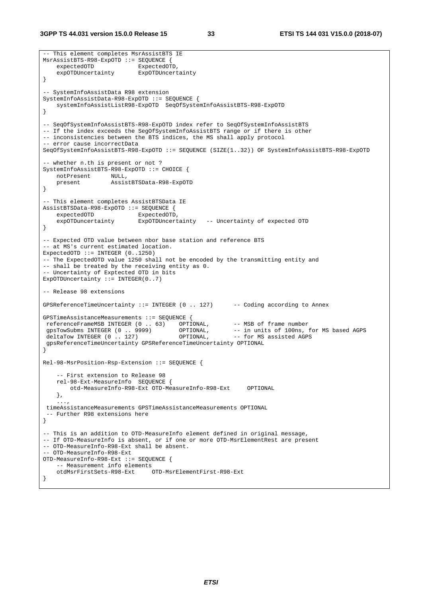**3GPP TS 44.031 version 15.0.0 Release 15 33 ETSI TS 144 031 V15.0.0 (2018-07)**

```
-- This element completes MsrAssistBTS IE 
MsrAssistBTS-R98-ExpOTD ::= SEQUENCE { 
    expectedOTD ExpectedOTD,
     expOTDUncertainty ExpOTDUncertainty 
} 
-- SystemInfoAssistData R98 extension 
SystemInfoAssistData-R98-ExpOTD ::= SEQUENCE { 
    systemInfoAssistListR98-ExpOTD SeqOfSystemInfoAssistBTS-R98-ExpOTD 
} 
-- SeqOfSystemInfoAssistBTS-R98-ExpOTD index refer to SeqOfSystemInfoAssistBTS 
-- If the index exceeds the SegOfSystemInfoAssistBTS range or if there is other
-- inconsistencies between the BTS indices, the MS shall apply protocol 
-- error cause incorrectData 
SeqOfSystemInfoAssistBTS-R98-ExpOTD ::= SEQUENCE (SIZE(1..32)) OF SystemInfoAssistBTS-R98-ExpOTD 
 -- whether n.th is present or not ? 
SystemInfoAssistBTS-R98-ExpOTD ::= CHOICE { 
   notPresent NULL,<br>present Assis
                     present AssistBTSData-R98-ExpOTD 
} 
-- This element completes AssistBTSData IE 
AssistBTSData-R98-ExpOTD ::= SEQUENCE { 
   expectedOTD ExpectedOTD ExpectedOTD,<br>expOTDuncertainty
    expOTDuncertainty ExpOTDUncertainty -- Uncertainty of expected OTD 
} 
-- Expected OTD value between nbor base station and reference BTS 
-- at MS's current estimated location. 
ExpectedOTD ::= INTEGER (0..1250)-- The ExpectedOTD value 1250 shall not be encoded by the transmitting entity and 
-- shall be treated by the receiving entity as 0. 
-- Uncertainty of Exptected OTD in bits 
ExpOTDUncertainty := INTEGER(0..7)
-- Release 98 extensions 
GPSReferenceTimeUncertainty ::= INTEGER (0 .. 127) -- Coding according to Annex 
GPSTimeAssistanceMeasurements ::= SEQUENCE {<br>referenceFrameMSB INTEGER (0 .. 63) OPTIONAL,<br>constowSubms INTEGER (0 .. 9999) OPTIONAL,
referenceFrameMSB INTEGER (0 . . 63) OPTIONAL, -- MSB of frame number
gpsTowSubms INTEGER (0 .. 9999) OPTIONAL, -- in units of 100ns, for MS based AGPS
deltaTow INTEGER (0 .. 127) OPTIONAL, -- for MS assisted AGPS
 gpsReferenceTimeUncertainty GPSReferenceTimeUncertainty OPTIONAL 
} 
Rel-98-MsrPosition-Rsp-Extension ::= SEQUENCE { 
     -- First extension to Release 98 
     rel-98-Ext-MeasureInfo SEQUENCE { 
         otd-MeasureInfo-R98-Ext OTD-MeasureInfo-R98-Ext OPTIONAL 
     }, 
 ..., 
  timeAssistanceMeasurements GPSTimeAssistanceMeasurements OPTIONAL 
  -- Further R98 extensions here 
} 
-- This is an addition to OTD-MeasureInfo element defined in original message, 
-- If OTD-MeasureInfo is absent, or if one or more OTD-MsrElementRest are present 
-- OTD-MeasureInfo-R98-Ext shall be absent. 
-- OTD-MeasureInfo-R98-Ext 
OTD-MeasureInfo-R98-Ext ::= SEQUENCE { 
    -- Measurement info elements<br>otdMsrFirstSets-R98-Ext
                                 OTD-MsrElementFirst-R98-Ext
}
```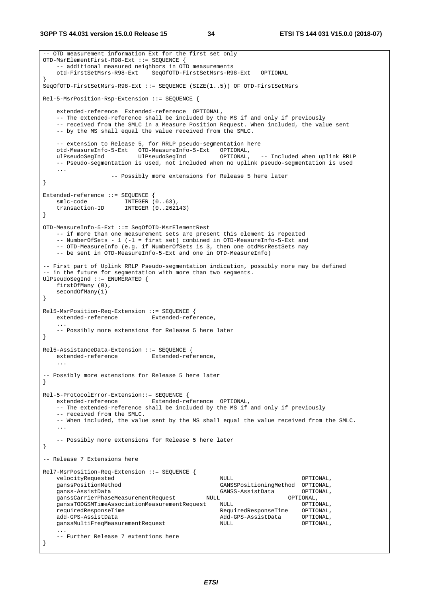**3GPP TS 44.031 version 15.0.0 Release 15 34 ETSI TS 144 031 V15.0.0 (2018-07)**

```
-- OTD measurement information Ext for the first set only 
OTD-MsrElementFirst-R98-Ext ::= SEQUENCE { 
     -- additional measured neighbors in OTD measurements 
     otd-FirstSetMsrs-R98-Ext SeqOfOTD-FirstSetMsrs-R98-Ext OPTIONAL 
} 
SeqOfOTD-FirstSetMsrs-R98-Ext ::= SEQUENCE (SIZE(1..5)) OF OTD-FirstSetMsrs 
Rel-5-MsrPosition-Rsp-Extension ::= SEQUENCE { 
    extended-reference Extended-reference OPTIONAL, 
    -- The extended-reference shall be included by the MS if and only if previously 
     -- received from the SMLC in a Measure Position Request. When included, the value sent 
    -- by the MS shall equal the value received from the SMLC. 
     -- extension to Release 5, for RRLP pseudo-segmentation here 
    otd-MeasureInfo-5-Ext OTD-MeasureInfo-5-Ext OPTIONAL, 
    ulPseudoSegInd UlPseudoSegInd OPTIONAL, -- Included when uplink RRLP 
     -- Pseudo-segmentation is used, not included when no uplink pseudo-segmentation is used 
     ... 
                   -- Possibly more extensions for Release 5 here later 
} 
Extended-reference ::= SEQUENCE { 
   smlc-code INTEGER (0..63),
    transaction-ID INTEGER (0..262143) 
} 
OTD-MeasureInfo-5-Ext ::= SeqOfOTD-MsrElementRest 
    -- if more than one measurement sets are present this element is repeated 
     -- NumberOfSets - 1 (-1 = first set) combined in OTD-MeasureInfo-5-Ext and 
     -- OTD-MeasureInfo (e.g. if NumberOfSets is 3, then one otdMsrRestSets may 
     -- be sent in OTD-MeasureInfo-5-Ext and one in OTD-MeasureInfo) 
-- First part of Uplink RRLP Pseudo-segmentation indication, possibly more may be defined 
-- in the future for segmentation with more than two segments. 
UlPseudoSegInd ::= ENUMERATED { 
    firstOfMany (0), 
    secondOfMany(1) 
} 
Rel5-MsrPosition-Req-Extension ::= SEQUENCE { 
    extended-reference Extended-reference, 
 ... 
     -- Possibly more extensions for Release 5 here later 
} 
Rel5-AssistanceData-Extension ::= SEOUENCE {
   extended-reference Extended-reference, 
 ... 
-- Possibly more extensions for Release 5 here later 
} 
Rel-5-ProtocolError-Extension::= SEQUENCE { 
    extended-reference Extended-reference OPTIONAL, 
     -- The extended-reference shall be included by the MS if and only if previously 
     -- received from the SMLC. 
     -- When included, the value sent by the MS shall equal the value received from the SMLC. 
 ... 
    -- Possibly more extensions for Release 5 here later 
} 
-- Release 7 Extensions here 
Rel7-MsrPosition-Req-Extension ::= SEQUENCE { 
   velocityRequested \sim NULL NULL OPTIONAL,
    ganssPositionMethod GANSSPositioningMethod OPTIONAL, 
    ganss-AssistData GANSS-AssistData OPTIONAL, 
   ganssCarrierPhaseMeasurementRequest NULL NULL OPTIONAL,
   ganssTODGSMTimeAssociationMeasurementRequest NULL (OPTIONAL, requiredResponseTime OPTIONAL,
                                                  requiredResponseTime RequiredResponseTime OPTIONAL, 
   add-GPS-AssistData and CPS-AssistData OPTIONAL,
    ganssMultiFreqMeasurementRequest NULL OPTIONAL, 
 ... 
     -- Further Release 7 extentions here 
}
```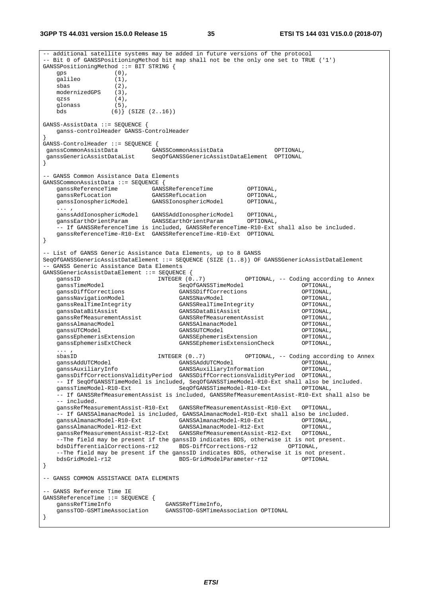-- additional satellite systems may be added in future versions of the protocol -- Bit 0 of GANSSPositioningMethod bit map shall not be the only one set to TRUE ('1') GANSSPositioningMethod ::= BIT STRING { gps (0), galileo (1), sbas (2), modernizedGPS (3), qzss  $(4)$ ,<br>glonass  $(5)$ , glonass<br>bds  $(6)$  (SIZE  $(2..16)$ ) GANSS-AssistData ::= SEQUENCE { ganss-controlHeader GANSS-ControlHeader } GANSS-ControlHeader ::= SEQUENCE { ganssCommonAssistData GANSSCommonAssistData OPTIONAL, ganssGenericAssistDataList SeqOfGANSSGenericAssistDataElement OPTIONAL } -- GANSS Common Assistance Data Elements GANSSCommonAssistData ::= SEQUENCE { ganssReferenceTime GANSSReferenceTime OPTIONAL, ganssRefLocation GANSSRefLocation OPTIONAL, ganssIonosphericModel GANSSIonosphericModel OPTIONAL,  $\mathbf{r}$  ,  $\mathbf{r}$  ,  $\mathbf{r}$  ,  $\mathbf{r}$  ganssAddIonosphericModel GANSSAddIonosphericModel OPTIONAL, ganssEarthOrientParam GANSSEarthOrientParam OPTIONAL, -- If GANSSReferenceTime is included, GANSSReferenceTime-R10-Ext shall also be included. ganssReferenceTime-R10-Ext GANSSReferenceTime-R10-Ext OPTIONAL } -- List of GANSS Generic Assistance Data Elements, up to 8 GANSS SeqOfGANSSGenericAssistDataElement ::= SEQUENCE (SIZE (1..8)) OF GANSSGenericAssistDataElement -- GANSS Generic Assistance Data Elements GANSSGenericAssistDataElement ::= SEQUENCE {<br>ganssID<br>INTEGER  $(0..7)$ ganssID **INTEGER** (0..7) OPTIONAL, -- Coding according to Annex ganssTimeModel SeqOfGANSSTimeModel OPTIONAL, ganssDiffCorrections GANSSDiffCorrections OPTIONAL, ganssNavigationModel GANSSNavModel OPTIONAL, ganssRealTimeIntegrity GANSSRealTimeIntegrity OPTIONAL, ganssDataBitAssist GANSSDataBitAssist OPTIONAL, ganssRefMeasurementAssist GANSSRefMeasurementAssist OPTIONAL, ganssAlmanacModel GANSSAlmanacModel OPTIONAL, ganssUTCModel GANSSUTCModel OPTIONAL, ganssEphemerisExtension<br>ganssEphemerisExtCheck GANSSEphemerisExtensionCheck OPTIONAL, ... , sbasID **INTEGER** (0..7) OPTIONAL, -- Coding according to Annex ganssAddUTCModel GANSSAddUTCModel OPTIONAL, ganssAuxiliaryInfo GANSSAuxiliaryInformation OPTIONAL, ganssDiffCorrectionsValidityPeriod GANSSDiffCorrectionsValidityPeriod OPTIONAL, -- If SeqOfGANSSTimeModel is included, SeqOfGANSSTimeModel-R10-Ext shall also be included. ganssTimeModel-R10-Ext SeqOfGANSSTimeModel-R10-Ext OPTIONAL, -- If GANSSRefMeasurementAssist is included, GANSSRefMeasurementAssist-R10-Ext shall also be -- included. ganssRefMeasurementAssist-R10-Ext GANSSRefMeasurementAssist-R10-Ext OPTIONAL, -- If GANSSAlmanacModel is included, GANSSAlmanacModel-R10-Ext shall also be included. ganssAlmanacModel-R10-Ext GANSSAlmanacModel-R10-Ext OPTIONAL, ganssAlmanacModel-R12-Ext GANSSAlmanacModel-R12-Ext OPTIONAL, ganssRefMeasurementAssist-R12-Ext GANSSRefMeasurementAssist-R12-Ext OPTIONAL, --The field may be present if the ganssID indicates BDS, otherwise it is not present. bdsDifferentialCorrections-r12 BDS-DiffCorrections-r12 OPTIONAL, --The field may be present if the ganssID indicates BDS, otherwise it is not present. bdsGridModel-r12 BDS-GridModelParameter-r12 OPTIONAL } -- GANSS COMMON ASSISTANCE DATA ELEMENTS -- GANSS Reference Time IE GANSSReferenceTime ::= SEQUENCE { ganssRefTimeInfo GANSSRefTimeInfo, ganssTOD-GSMTimeAssociation GANSSTOD-GSMTimeAssociation OPTIONAL }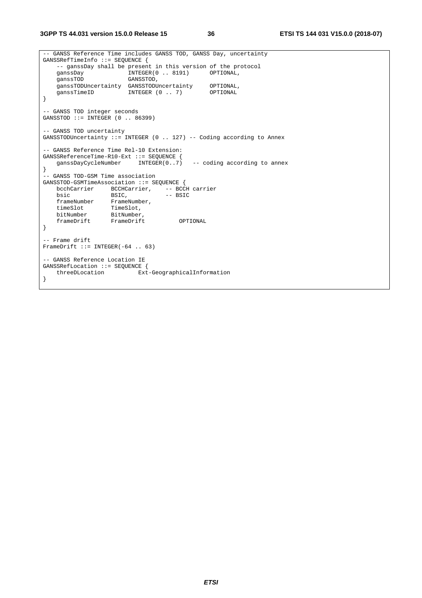**3GPP TS 44.031 version 15.0.0 Release 15 36 ETSI TS 144 031 V15.0.0 (2018-07)**

```
-- GANSS Reference Time includes GANSS TOD, GANSS Day, uncertainty 
GANSSRefTimeInfo ::= SEQUENCE { 
    -- ganssDay shall be present in this version of the protocol 
 ganssDay INTEGER(0 .. 8191) OPTIONAL, 
 ganssTOD GANSSTOD, 
 ganssTODUncertainty GANSSTODUncertainty OPTIONAL, 
ganssTimeID INTEGER (0 .. 7) OPTIONAL
} 
-- GANSS TOD integer seconds 
GANSSTOD ::= INTEGER (0 .. 86399) 
-- GANSS TOD uncertainty 
GANSSTODUncertainty := INTEGER (0 .. 127) -- Coding according to Annex
-- GANSS Reference Time Rel-10 Extension: 
GANSSReferenceTime-R10-Ext ::= SEQUENCE { 
   ganssDayCycleNumber INTEGER(0..7) -- coding according to annex
} 
-- GANSS TOD-GSM Time association 
GANSSTOD-GSMTimeAssociation ::= SEQUENCE { 
  bcchCarrier BCCHCarrier, -- BCCH carrier<br>bsic BSIC, -- BSIC
bsic BSIC, - BSIC
 frameNumber FrameNumber, 
 timeSlot TimeSlot, 
 bitNumber BitNumber, 
 frameDrift FrameDrift OPTIONAL 
} 
-- Frame drift 
FrameDrift ::= INTEGER(-64 .. 63)
-- GANSS Reference Location IE 
GANSSRefLocation ::= SEQUENCE { 
    threeDLocation Ext-GeographicalInformation 
}
```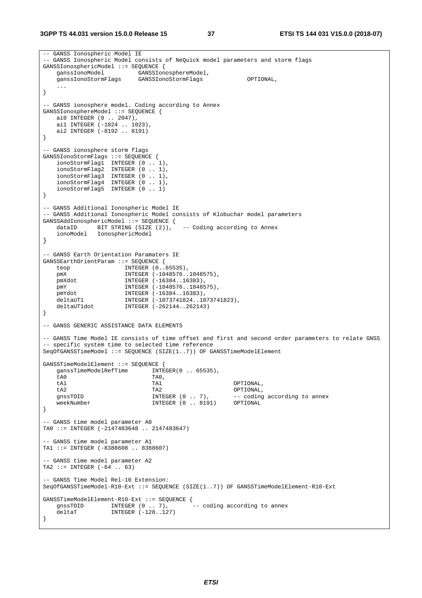```
-- GANSS Ionospheric Model IE 
-- GANSS Ionospheric Model consists of NeQuick model parameters and storm flags 
GANSSIonosphericModel ::= SEQUENCE { 
    ganssIonoModel GANSSIonosphereModel, 
    ganssIonoStormFlags GANSSIonoStormFlags OPTIONAL, 
    ... 
} 
-- GANSS ionosphere model. Coding according to Annex 
GANSSIonosphereModel ::= SEQUENCE { 
   ai0 INTEGER (0 .. 2047), 
 ai1 INTEGER (-1024 .. 1023), 
 ai2 INTEGER (-8192 .. 8191) 
} 
-- GANSS ionosphere storm flags 
GANSSIonoStormFlags ::= SEQUENCE { 
 ionoStormFlag1 INTEGER (0 .. 1), 
 ionoStormFlag2 INTEGER (0 .. 1), 
 ionoStormFlag3 INTEGER (0 .. 1), 
 ionoStormFlag4 INTEGER (0 .. 1), 
 ionoStormFlag5 INTEGER (0 .. 1) 
} 
-- GANSS Additional Ionospheric Model IE 
-- GANSS Additional Ionospheric Model consists of Klobuchar model parameters 
GANSSAddIonosphericModel ::= SEQUENCE { 
 dataID BIT STRING (SIZE (2)), -- Coding according to Annex 
 ionoModel IonosphericModel 
} 
-- GANSS Earth Orientation Paramaters IE 
GANSSEarthOrientParam ::= SEQUENCE { 
 teop INTEGER (0..65535), 
 pmX INTEGER (-1048576..1048575), 
    pmXdot INTEGER (-16384..16383), 
 pmY INTEGER (-1048576..1048575), 
 pmYdot INTEGER (-16384..16383), 
 deltaUT1 INTEGER (-1073741824..1073741823), 
 deltaUT1dot INTEGER (-262144..262143) 
} 
-- GANSS GENERIC ASSISTANCE DATA ELEMENTS 
 -- GANSS Time Model IE consists of time offset and first and second order parameters to relate GNSS 
-- specific system time to selected time reference 
SeqOfGANSSTimeModel ::= SEQUENCE (SIZE(1..7)) OF GANSSTimeModelElement 
GANSSTimeModelElement ::= SEQUENCE { 
  ganssTimeModelRefTime INTEGER(0 .. 65535),
    tA0 TA0, 
    tA1 TA1 OPTIONAL, 
    tA2 TA2 OPTIONAL, 
   gnssTOID                            INTEGER (0 .. 7),      -- coding according to annex weekNumber               INTEGER (0 .. 8191)     OPTIONAL
                             INTEGER (0 .. 8191)
} 
 -- GANSS time model parameter A0 
TA0 ::= INTEGER (-2147483648 .. 2147483647) 
-- GANSS time model parameter A1 
TA1 ::= INTEGER (-8388608 .. 8388607) 
-- GANSS time model parameter A2 
TA2 ::= INTEGER (-64 \ldots 63)-- GANSS Time Model Rel-10 Extension: 
SeqOfGANSSTimeModel-R10-Ext ::= SEQUENCE (SIZE(1..7)) OF GANSSTimeModelElement-R10-Ext 
GANSSTimeModelElement-R10-Ext ::= SEQUENCE { 
 gnssTOID INTEGER (0 .. 7), -- coding according to annex 
deltaT INTEGER (-128..127)
}
```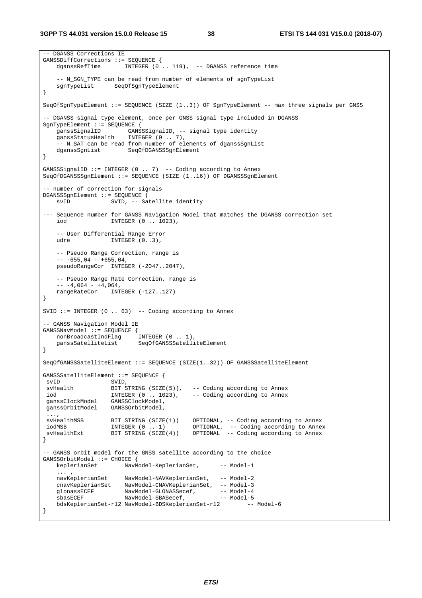```
-- DGANSS Corrections IE 
GANSSDiffCorrections ::= SEQUENCE { 
   dganssRefTime INTEGER (0.. 119), -- DGANSS reference time
      -- N_SGN_TYPE can be read from number of elements of sgnTypeList 
    sgnTypeList SeqOfSgnTypeElement 
} 
SeqOfSgnTypeElement ::= SEQUENCE (SIZE (1..3)) OF SgnTypeElement -- max three signals per GNSS 
-- DGANSS signal type element, once per GNSS signal type included in DGANSS 
SgnTypeElement ::= SEQUENCE { 
 ganssSignalID GANSSSignalID, -- signal type identity 
 ganssStatusHealth INTEGER (0 .. 7), 
    -- N_SAT can be read from number of elements of dganssSgnList
    dganssSgnList SeqOfDGANSSSgnElement 
} 
GANSSSignalID ::= INTEGER (0 .. 7) -- Coding according to Annex 
SeqOfDGANSSSgnElement ::= SEQUENCE (SIZE (1..16)) OF DGANSSSgnElement 
-- number of correction for signals 
DGANSSSgnElement ::= SEQUENCE { 
   svID SVID, -- Satellite identity
--- Sequence number for GANSS Navigation Model that matches the DGANSS correction set 
   iod INTEGER (0 .. 1023), 
    -- User Differential Range Error 
   udre INTEGER (0..3),
    -- Pseudo Range Correction, range is 
   - - 655,04 - 655,04, pseudoRangeCor INTEGER (-2047..2047), 
     -- Pseudo Range Rate Correction, range is 
   -- -4,064 - +4,064, rangeRateCor INTEGER (-127..127) 
} 
SVID ::= INTEGER (0 \ldots 63) -- Coding according to Annex
-- GANSS Navigation Model IE 
GANSSNavModel ::= SEQUENCE { 
   nonBroadcastIndFlag INTEGER (0 .. 1),<br>qanssSatelliteList SeqOfGANSSSatelli
                          SeqOfGANSSSatelliteElement
} 
SeqOfGANSSSatelliteElement ::= SEQUENCE (SIZE(1..32)) OF GANSSSatelliteElement 
GANSSSatelliteElement ::= SEQUENCE { 
svID SVID,<br>svHealth BIT S'
                   BIT STRING (SIZE(5)), -- Coding according to Annex<br>INTEGER (0 .. 1023), -- Coding according to Annex
 iod INTEGER (0 .. 1023), -- Coding according to Annex 
 ganssClockModel GANSSClockModel, 
 ganssOrbitModel GANSSOrbitModel, 
 ...,<br>svHealthMSB
                BIT STRING (SIZE(1)) OPTIONAL, -- Coding according to Annex
iodMSB           INTEGER (0 . . 1)       OPTIONAL, -- Coding according to Annex
 svHealthExt BIT STRING (SIZE(4)) OPTIONAL -- Coding according to Annex 
} 
-- GANSS orbit model for the GNSS satellite according to the choice 
GANSSOrbitModel ::= CHOICE { 
   keplerianSet NavModel-KeplerianSet, -- Model-1
\mathbf{r} , \mathbf{r} , \mathbf{r} , \mathbf{r} navKeplerianSet NavModel-NAVKeplerianSet, -- Model-2 
 cnavKeplerianSet NavModel-CNAVKeplerianSet, -- Model-3 
glonassECEF NavModel-GLONASSecef, -- Model-4
sbasECEF MavModel-SBASecef, -- Model-5
    bdsKeplerianSet-r12 NavModel-BDSKeplerianSet-r12 -- Model-6 
}
```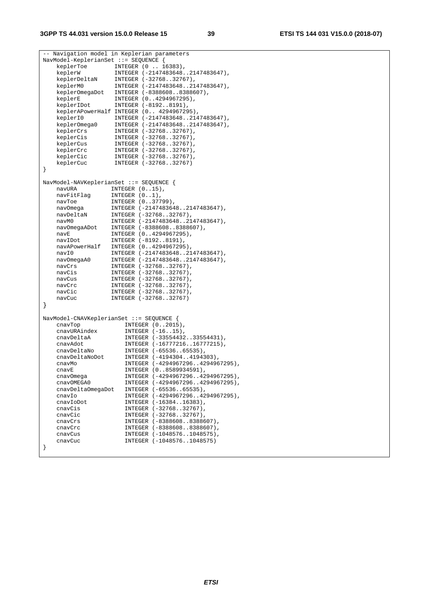|                   | -- Navigation model in Keplerian parameters |  |  |  |
|-------------------|---------------------------------------------|--|--|--|
|                   | NavModel-KeplerianSet ::= SEQUENCE {        |  |  |  |
| keplerToe         | INTEGER (0  16383),                         |  |  |  |
| keplerW           | INTEGER (-21474836482147483647),            |  |  |  |
| keplerDeltaN      | INTEGER (-3276832767),                      |  |  |  |
| keplerM0          | INTEGER (-21474836482147483647),            |  |  |  |
| keplerOmegaDot    | INTEGER (-83886088388607),                  |  |  |  |
| keplerE           | INTEGER (04294967295),                      |  |  |  |
| keplerIDot        | INTEGER (-81928191),                        |  |  |  |
|                   | keplerAPowerHalf INTEGER (0 4294967295),    |  |  |  |
| keplerI0          | INTEGER (-21474836482147483647),            |  |  |  |
| keplerOmega0      | INTEGER (-21474836482147483647),            |  |  |  |
| keplerCrs         | INTEGER (-3276832767),                      |  |  |  |
| keplerCis         | INTEGER (-3276832767),                      |  |  |  |
| keplerCus         | INTEGER (-3276832767),                      |  |  |  |
| keplerCrc         | INTEGER (-3276832767),                      |  |  |  |
| keplerCic         | INTEGER (-3276832767),                      |  |  |  |
| keplerCuc         | INTEGER (-3276832767)                       |  |  |  |
| }                 |                                             |  |  |  |
|                   |                                             |  |  |  |
|                   | NavModel-NAVKeplerianSet ::= SEQUENCE {     |  |  |  |
| navURA            | INTEGER $(015)$ ,                           |  |  |  |
| navFitFlag        | INTEGER $(01)$ ,                            |  |  |  |
| navToe            | INTEGER (037799),                           |  |  |  |
| nav0mega          | INTEGER (-21474836482147483647),            |  |  |  |
| navDeltaN         | INTEGER (-3276832767),                      |  |  |  |
| navM0             | INTEGER (-21474836482147483647),            |  |  |  |
| navOmegaADot      | INTEGER (-83886088388607),                  |  |  |  |
| navE              | INTEGER (04294967295),                      |  |  |  |
| navIDot           | INTEGER (-81928191),                        |  |  |  |
|                   | INTEGER (04294967295),                      |  |  |  |
| navAPowerHalf     |                                             |  |  |  |
| navI0             | INTEGER (-21474836482147483647),            |  |  |  |
| nav0megaA0        | INTEGER (-21474836482147483647),            |  |  |  |
| navCrs            | INTEGER (-3276832767),                      |  |  |  |
| navCis            | INTEGER (-3276832767),                      |  |  |  |
| navCus            | INTEGER (-3276832767),                      |  |  |  |
| navCrc            | INTEGER (-3276832767),                      |  |  |  |
| navCic            | INTEGER (-3276832767),                      |  |  |  |
| navCuc            | INTEGER (-3276832767)                       |  |  |  |
| }                 |                                             |  |  |  |
|                   |                                             |  |  |  |
|                   | NavModel-CNAVKeplerianSet ::= SEQUENCE {    |  |  |  |
| cnavTop           | INTEGER $(02015)$ ,                         |  |  |  |
| cnavURAindex      | INTEGER $(-1615)$ ,                         |  |  |  |
| cnavDeltaA        | INTEGER (-3355443233554431),                |  |  |  |
| cnavAdot          | INTEGER (-1677721616777215),                |  |  |  |
| cnavDeltaNo       | INTEGER (-6553665535),                      |  |  |  |
| cnavDeltaNoDot    | INTEGER (-41943044194303),                  |  |  |  |
| cnavMo            | INTEGER (-42949672964294967295),            |  |  |  |
| cnavE             | INTEGER (08589934591),                      |  |  |  |
| cnavOmega         | INTEGER (-42949672964294967295),            |  |  |  |
| cnavOMEGA0        | INTEGER (-42949672964294967295),            |  |  |  |
| cnavDeltaOmegaDot | INTEGER (-6553665535),                      |  |  |  |
| cnavIo            | INTEGER (-42949672964294967295),            |  |  |  |
| cnavIoDot         | INTEGER (-1638416383),                      |  |  |  |
| cnavCis           | INTEGER (-3276832767),                      |  |  |  |
| cnavCic           | INTEGER (-3276832767),                      |  |  |  |
| cnavCrs           | INTEGER (-83886088388607),                  |  |  |  |
| cnavCrc           | INTEGER (-83886088388607),                  |  |  |  |
| cnavCus           | INTEGER (-10485761048575),                  |  |  |  |
| cnavCuc           | INTEGER (-10485761048575)                   |  |  |  |
|                   |                                             |  |  |  |

}

*ETSI*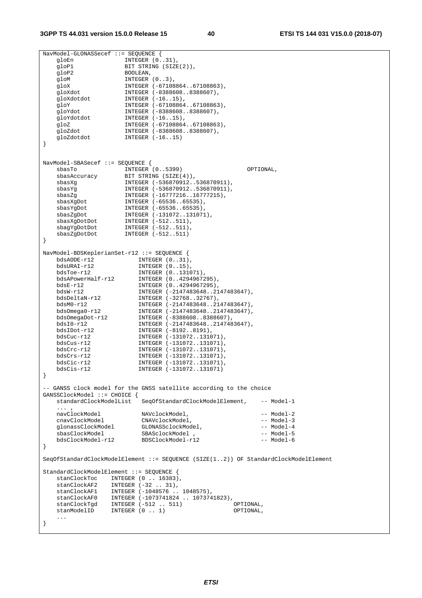NavModel-GLONASSecef ::= SEQUENCE { gloEn INTEGER (0..31), gloP1 BIT STRING (SIZE(2)), gloP2 BOOLEAN, gloM INTEGER  $(0..3)$ , gloX INTEGER (-67108864..67108863), gloXdot INTEGER (-8388608..8388607), gloXdotdot INTEGER (-16..15), gloY INTEGER (-67108864..67108863), gloYdot INTEGER (-8388608..8388607), gloYdotdot INTEGER (-16..15), gloZ INTEGER (-67108864..67108863), gloZdot INTEGER (-8388608..8388607), gloZdot INTEGER (-8388608<br>gloZdotdot INTEGER (-16..15) } NavModel-SBASecef ::= SEQUENCE { sbasTo INTEGER (0..5399) OPTIONAL, sbasAccuracy BIT STRING (SIZE(4)), sbasXg INTEGER (-536870912..536870911), sbasYg INTEGER (-536870912..536870911), sbasZg INTEGER (-16777216..16777215), sbasXgDot INTEGER (-65536..65535), sbasYgDot INTEGER (-65536..65535), sbasZgDot INTEGER (-131072..131071), sbasXgDotDot INTEGER (-512..511), sbagYgDotDot INTEGER (-512..511), sbasZgDotDot INTEGER (-512..511) } NavModel-BDSKeplerianSet-r12 ::= SEQUENCE { bdsAODE-r12 INTEGER (0..31), bdsURAI-r12 INTEGER (0..15), bdsToe-r12 INTEGER (0..131071), bdsAPowerHalf-r12 INTEGER (0..4294967295), bdsE-r12 INTEGER (0..4294967295), bdsW-r12 INTEGER (-2147483648..2147483647), bdsDeltaN-r12 INTEGER (-32768..32767), bdsM0-r12 INTEGER (-2147483648..2147483647), bdsOmega0-r12 INTEGER (-2147483648..2147483647), bdsOmegaDot-r12 INTEGER (-8388608..8388607), bdsI0-r12 INTEGER (-2147483648..2147483647), bdsIDot-r12 INTEGER (-8192..8191), bdsCuc-r12 INTEGER (-131072..131071), bdsCus-r12 INTEGER (-131072..131071), bdsCrc-r12 INTEGER (-131072..131071), bdsCrs-r12 INTEGER (-131072..131071), bdsCic-r12 INTEGER (-131072..131071), bdsCis-r12 INTEGER (-131072..131071) } -- GANSS clock model for the GNSS satellite according to the choice GANSSClockModel ::= CHOICE { standardClockModelList SeqOfStandardClockModelElement, -- Model-1 ... , navClockModel NAVclockModel, -- Model-2 cnavClockModel CNAVclockModel, -- Model-3 glonassClockModel GLONASSclockModel, -- Model-4 sbasClockModel SBASclockModel , -- Model-5 bdsClockModel-r12 BDSClockModel-r12 -- Model-6 } SeqOfStandardClockModelElement ::= SEQUENCE (SIZE(1..2)) OF StandardClockModelElement StandardClockModelElement ::= SEQUENCE { stanClockToc INTEGER (0 .. 16383), stanClockAF2 INTEGER (-32 .. 31), stanClockAF1 INTEGER (-1048576 .. 1048575), stanClockAF0 INTEGER (-1073741824 .. 1073741823), stanClockTgd INTEGER (-512 ... 511)<br>stanClockTgd INTEGER (-512 ... 511) OPTIONAL,<br>stanModelID INTEGER (0 ... 1) OPTIONAL.  $stanModelID$  INTEGER  $(0..1)$  ... }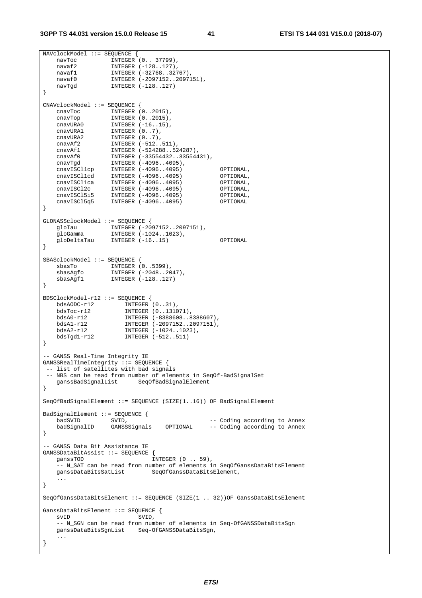```
NAVclockModel ::= SEQUENCE { 
 navToc INTEGER (0.. 37799), 
 navaf2 INTEGER (-128..127), 
    navaf1 INTEGER (-32768..32767), 
   navaf0            INTEGER (-2097152..2097151),<br>navTgd           INTEGER (-128..127)
                ----<br>INTEGER (-128..127)
} 
CNAVclockModel ::= SEQUENCE { 
  cnavToc INTEGER (0..2015),<br>cnavTop INTEGER (0..2015),
 cnavTop INTEGER (0..2015), 
cnavURA0 INTEGER (-16..15),
 cnavURA1 INTEGER (0..7), 
 cnavURA2 INTEGER (0..7), 
 cnavAf2 INTEGER (-512..511), 
 cnavAf1 INTEGER (-524288..524287), 
 cnavAf0 INTEGER (-33554432..33554431), 
 cnavTgd INTEGER (-4096..4095), 
 cnavISCl1cp INTEGER (-4096..4095) OPTIONAL, 
 cnavISCl1cd INTEGER (-4096..4095) OPTIONAL, 
 cnavISCl1ca INTEGER (-4096..4095) OPTIONAL, 
 cnavISCl2c INTEGER (-4096..4095) OPTIONAL, 
 cnavISCl5i5 INTEGER (-4096..4095) OPTIONAL, 
 cnavISCl5q5 INTEGER (-4096..4095) OPTIONAL 
} 
GLONASSclockModel ::= SEQUENCE { 
 gloTau INTEGER (-2097152..2097151), 
 gloGamma INTEGER (-1024..1023), 
    gloDeltaTau INTEGER (-16..15) OPTIONAL 
} 
SBASclockModel ::= SEQUENCE { 
 sbasTo INTEGER (0..5399), 
 sbasAgfo INTEGER (-2048..2047), 
 sbasAgf1 INTEGER (-128..127) 
} 
BDSClockModel-r12 ::= SEQUENCE { 
 bdsAODC-r12 INTEGER (0..31), 
 bdsToc-r12 INTEGER (0..131071), 
 bdsA0-r12 INTEGER (-8388608..8388607), 
 bdsA1-r12 INTEGER (-2097152..2097151), 
 bdsA2-r12 INTEGER (-1024..1023), 
 bdsTgd1-r12 INTEGER (-512..511) 
} 
-- GANSS Real-Time Integrity IE 
GANSSRealTimeIntegrity ::= SEQUENCE { 
 -- list of satellites with bad signals 
 -- NBS can be read from number of elements in SeqOf-BadSignalSet 
    ganssBadSignalList SeqOfBadSignalElement 
} 
SeqOfBadSignalElement ::= SEQUENCE (SIZE(1..16)) OF BadSignalElement 
BadSignalElement ::= SEQUENCE { 
badSVID SVID, \overline{\phantom{0}} -- Coding according to Annex
 badSignalID GANSSSignals OPTIONAL -- Coding according to Annex 
} 
-- GANSS Data Bit Assistance IE 
GANSSDataBitAssist ::= SEQUENCE { 
   ganssTOD INTEGER (0 . 59),
   -- N_SAT can be read from number of elements in SeqOfGanssDataBitsElement<br>qanssDataBitsSatList SeqOfGanssDataBitsElement,
                         SeqOfGanssDataBitsElement,
    ... 
} 
SeqOfGanssDataBitsElement ::= SEQUENCE (SIZE(1 .. 32))OF GanssDataBitsElement 
GanssDataBitsElement ::= SEQUENCE { 
  svID SVID,
    -- N_SGN can be read from number of elements in Seq-OfGANSSDataBitsSgn 
    ganssDataBitsSgnList Seq-OfGANSSDataBitsSgn, 
    ... 
}
```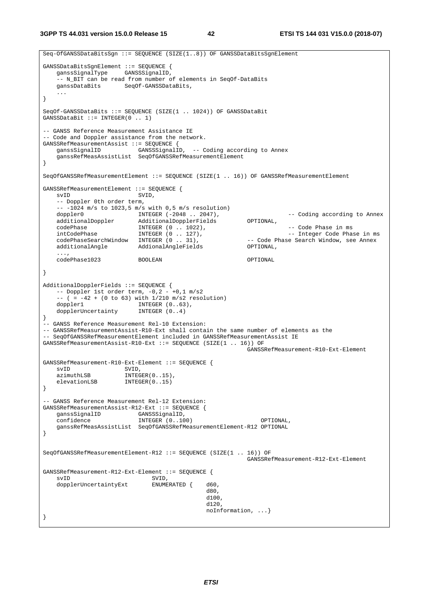**3GPP TS 44.031 version 15.0.0 Release 15 42 ETSI TS 144 031 V15.0.0 (2018-07)**

```
Seq-OfGANSSDataBitsSgn ::= SEQUENCE (SIZE(1..8)) OF GANSSDataBitsSgnElement 
GANSSDataBitsSgnElement ::= SEQUENCE { 
    ganssSignalType GANSSSignalID, 
    -- N_BIT can be read from number of elements in SeqOf-DataBits 
    ganssDataBits SeqOf-GANSSDataBits, 
    ... 
} 
SeqOf-GANSSDataBits ::= SEQUENCE (SIZE(1 .. 1024)) OF GANSSDataBit 
GANSSDataBit ::= INTEGER(0 .. 1) 
-- GANSS Reference Measurement Assistance IE 
-- Code and Doppler assistance from the network. 
GANSSRefMeasurementAssist ::= SEQUENCE { 
    ganssSignalID GANSSSignalID, -- Coding according to Annex 
    ganssRefMeasAssistList SeqOfGANSSRefMeasurementElement 
} 
SeqOfGANSSRefMeasurementElement ::= SEQUENCE (SIZE(1 .. 16)) OF GANSSRefMeasurementElement 
GANSSRefMeasurementElement ::= SEQUENCE { 
   svID SVID,
    -- Doppler 0th order term, 
   -- -1024 m/s to 1023,5 m/s with 0,5 m/s resolution)
doppler0 INTEGER (-2048 . 2047), The setting to Annex
 additionalDoppler AdditionalDopplerFields OPTIONAL, 
 codePhase INTEGER (0 .. 1022), -- Code Phase in ms 
intCodePhase INTEGER (0 . 127), The Second School Code Phase in ms
 codePhaseSearchWindow INTEGER (0 .. 31), -- Code Phase Search Window, see Annex 
 additionalAngle AddionalAngleFields OPTIONAL, 
    ..., 
    codePhase1023 BOOLEAN OPTIONAL 
} 
AdditionalDopplerFields ::= SEQUENCE { 
   -- Doppler 1st order term, -0, 2 - +0, 1 m/s2
   -- ( = -42 + (0 \text{ to } 63) with 1/210 \text{ m/s2 resolution})<br>doppler1 INTEGER (0..63),
                 INTEGER (0..63),
    dopplerUncertainty INTEGER (0..4) 
} 
-- GANSS Reference Measurement Rel-10 Extension: 
-- GANSSRefMeasurementAssist-R10-Ext shall contain the same number of elements as the 
-- SeqOfGANSSRefMeasurementElement included in GANSSRefMeasurementAssist IE 
GANSSRefMeasurementAssist-R10-Ext ::= SEQUENCE (SIZE(1 .. 16)) OF
                                                     GANSSRefMeasurement-R10-Ext-Element 
GANSSRefMeasurement-R10-Ext-Element ::= SEQUENCE { 
  svID SVID,
   azimuthLSB INTEGER(0..15),
   elevationLSB INTEGER(0..15)
} 
-- GANSS Reference Measurement Rel-12 Extension: 
GANSSRefMeasurementAssist-R12-Ext ::= SEQUENCE { 
   ganssSignalID GANSSSignalID,
    confidence INTEGER (0..100) OPTIONAL, 
    ganssRefMeasAssistList SeqOfGANSSRefMeasurementElement-R12 OPTIONAL 
} 
SeqOfGANSSRefMeasurementElement-R12 ::= SEQUENCE (SIZE(1 .. 16)) OF
                                                     GANSSRefMeasurement-R12-Ext-Element 
GANSSRefMeasurement-R12-Ext-Element ::= SEQUENCE {<br>syID.
                           SVID,<br>ENUMERATED {
   dopplerUncertaintyExt ENUMERATED { d60,
d80 ,
d100 ,
dl20 ,
                                          noInformation, ...} 
}
```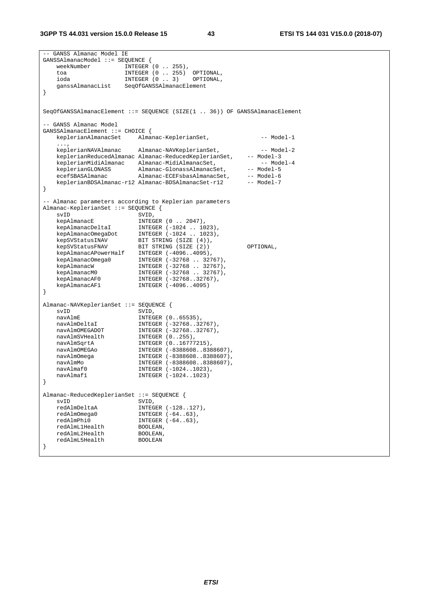-- GANSS Almanac Model IE GANSSAlmanacModel ::= SEQUENCE { weekNumber INTEGER (0.. 255), toa INTEGER (0 .. 255) OPTIONAL, ioda INTEGER (0 .. 3) OPTIONAL, ganssAlmanacList SeqOfGANSSAlmanacElement } SeqOfGANSSAlmanacElement ::= SEQUENCE (SIZE(1 .. 36)) OF GANSSAlmanacElement -- GANSS Almanac Model GANSSAlmanacElement ::= CHOICE { keplerianAlmanacSet Almanac-KeplerianSet, -- Model-1 ..., keplerianNAVAlmanac Almanac-NAVKeplerianSet, -- Model-2 keplerianReducedAlmanac Almanac-ReducedKeplerianSet, -- Model-3 keplerianMidiAlmanac Almanac-MidiAlmanacSet, -- Model-4 keplerianGLONASS Almanac-GlonassAlmanacSet, -- Model-5 ecefSBASAlmanac Almanac-ECEFsbasAlmanacSet, -- Model-6 keplerianBDSAlmanac-r12 Almanac-BDSAlmanacSet-r12 -- Model-7 } -- Almanac parameters according to Keplerian parameters Almanac-KeplerianSet ::= SEQUENCE { svID SVID, kepAlmanacE INTEGER (0.. 2047), kepAlmanacDeltaI INTEGER (-1024 .. 1023), kepAlmanacOmegaDot INTEGER (-1024 .. 1023), kepSVStatusINAV BIT STRING (SIZE (4)), kepSVStatusFNAV BIT STRING (SIZE (2)) OPTIONAL, kepAlmanacAPowerHalf INTEGER (-4096..4095), kepAlmanacOmega0 INTEGER (-32768 .. 32767), kepAlmanacW INTEGER (-32768 .. 32767), kepAlmanacM0 INTEGER (-32768 .. 32767), kepAlmanacAF0 INTEGER (-32768..32767), kepAlmanacAF1 INTEGER (-4096..4095) } Almanac-NAVKeplerianSet ::= SEQUENCE { svID SVID, navAlmE INTEGER (0..65535), navAlmDeltaI INTEGER (-32768..32767), navAlmOMEGADOT INTEGER (-32768..32767), navAlmSVHealth INTEGER (0..255), navAlmSqrtA INTEGER (0..16777215), navAlmOMEGAo INTEGER (-8388608..8388607), navAlmOmega INTEGER (-8388608..8388607), navAlmMo INTEGER (-8388608..8388607), navAlmaf0 INTEGER (-1024..1023), navAlmaf1 INTEGER (-1024..1023) } Almanac-ReducedKeplerianSet ::= SEQUENCE { svID SVID, redAlmDeltaA INTEGER (-128..127), redAlmOmega0 INTEGER (-64..63), redAlmPhi0 INTEGER (-64..63), redAlmL1Health BOOLEAN,  $\begin{tabular}{ll} \texttt{svID} & \texttt{svID} \\ \texttt{redAlmDelta} & \texttt{INTER ( -128 . 127 )}, \\ \texttt{redAlmDeltaA} & \texttt{INTER ( -64 . 63 )}, \\ \texttt{redAlmL1Health} & \texttt{BOOLEAN}, \\ \texttt{redAlmL2Health} & \texttt{BOOLEAN}, \\ \end{tabular}$  redAlmL5Health BOOLEAN }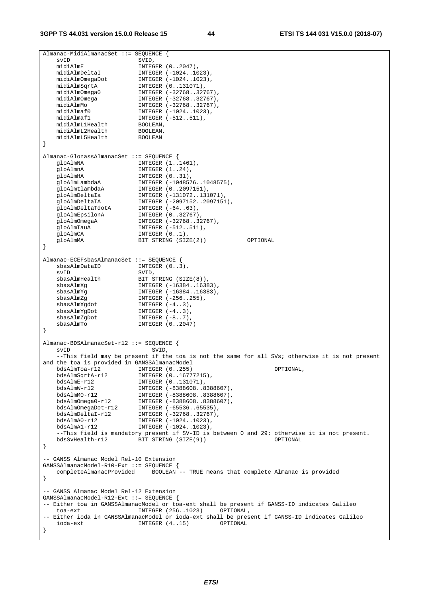```
Almanac-MidiAlmanacSet ::= SEQUENCE { 
svID SVID,
midiAlmE INTEGER (0..2047),
midiAlmDeltaI INTEGER (-1024..1023),
midiAlmOmegaDot INTEGER (-1024..1023),
midiAlmSqrtA INTEGER (0..131071),
 midiAlmOmega0 INTEGER (-32768..32767), 
 midiAlmOmega INTEGER (-32768..32767), 
 midiAlmMo INTEGER (-32768..32767), 
 midiAlmaf0 INTEGER (-1024..1023), 
midiAlmaf1 INTEGER (-512..511),
 midiAlmL1Health BOOLEAN, 
 midiAlmL2Health BOOLEAN, 
 midiAlmL5Health BOOLEAN 
} 
Almanac-GlonassAlmanacSet ::= SEQUENCE { 
  gloAlmNA INTEGER (1..1461),<br>gloAlmnA INTEGER (1..24),
gloAlmnA INTEGER (1..24),
gloAlmHA INTEGER (0..31),
 gloAlmLambdaA INTEGER (-1048576..1048575), 
 gloAlmtlambdaA INTEGER (0..2097151), 
 gloAlmDeltaIa INTEGER (-131072..131071), 
 gloAlmDeltaTA INTEGER (-2097152..2097151), 
 gloAlmDeltaTdotA INTEGER (-64..63), 
gloAlmEpsilonA INTEGER (0..32767),
gloAlmOmegaA INTEGER (-32768..32767),
gloAlmTauA INTEGER (-512..511),
gloAlmCA INTEGER (0..1),
 gloAlmMA BIT STRING (SIZE(2)) OPTIONAL 
} 
Almanac-ECEFsbasAlmanacSet ::= SEQUENCE { 
sbasAlmDataID INTEGER (0..3),
svID SVID,
sbasAlmHealth BIT STRING (SIZE(8)),
 sbasAlmXg INTEGER (-16384..16383), 
 sbasAlmYg INTEGER (-16384..16383), 
sbasAlmZg               INTEGER (-256..255),
sbasAlmXgdot MTEGER (-4..3),
sbasAlmYgDot INTEGER (-4..3),
sbasAlmZgDot INTEGER (-8..7),
sbasAlmTo INTEGER (0..2047)
} 
Almanac-BDSAlmanacSet-r12 ::= SEQUENCE { 
  svID SVID,
    --This field may be present if the toa is not the same for all SVs; otherwise it is not present 
and the toa is provided in GANSSAlmanacModel 
 bdsAlmToa-r12 INTEGER (0..255) OPTIONAL, 
 bdsAlmSqrtA-r12 INTEGER (0..16777215), 
 bdsAlmE-r12 INTEGER (0..131071), 
 bdsAlmW-r12 INTEGER (-8388608..8388607), 
 bdsAlmM0-r12 INTEGER (-8388608..8388607), 
 bdsAlmOmega0-r12 INTEGER (-8388608..8388607), 
 bdsAlmOmegaDot-r12 INTEGER (-65536..65535), 
 bdsAlmDeltaI-r12 INTEGER (-32768..32767), 
 bdsAlmA0-r12 INTEGER (-1024..1023), 
 bdsAlmA1-r12 INTEGER (-1024..1023), 
    --This field is mandatory present if SV-ID is between 0 and 29; otherwise it is not present. 
   bdsSvHealth-r12 BIT STRING (SIZE(9)) OPTIONAL 
} 
-- GANSS Almanac Model Rel-10 Extension 
GANSSAlmanacModel-R10-Ext ::= SEQUENCE { 
   completeAlmanacProvided BOOLEAN -- TRUE means that complete Almanac is provided 
} 
-- GANSS Almanac Model Rel-12 Extension 
GANSSAlmanacModel-R12-Ext ::= SEQUENCE { 
-- Either toa in GANSSAlmanacModel or toa-ext shall be present if GANSS-ID indicates Galileo 
                   INTEGER (256..1023) OPTIONAL,
-- Either ioda in GANSSAlmanacModel or ioda-ext shall be present if GANSS-ID indicates Galileo 
   ioda-ext INTEGER (4..15) OPTIONAL 
}
```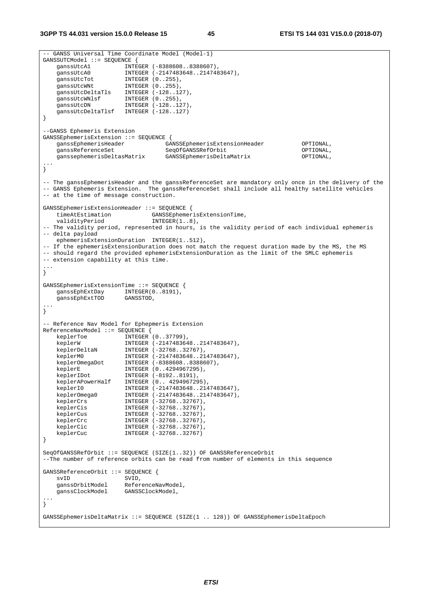```
-- GANSS Universal Time Coordinate Model (Model-1) 
GANSSUTCModel ::= SEQUENCE { 
   ganssUtcA1 INTEGER (-8388608..8388607),
    ganssUtcA0 INTEGER (-2147483648..2147483647), 
ganssUtcTot INTEGER (0..255),
ganssUtcWNt INTEGER (0..255),
 ganssUtcDeltaTls INTEGER (-128..127), 
 ganssUtcWNlsf INTEGER (0..255), 
   ganssUtcWNlsf INTEGER (0..255),<br>ganssUtcDN INTEGER (-128..127)
    ganssUtcDeltaTlsf INTEGER (-128..127) 
} 
--GANSS Ephemeris Extension 
GANSSEphemerisExtension ::= SEQUENCE { 
    ganssEphemerisHeader GANSSEphemerisExtensionHeader OPTIONAL, 
     ganssReferenceSet SeqOfGANSSRefOrbit OPTIONAL, 
    ganssephemerisDeltasMatrix GANSSEphemerisDeltaMatrix OPTIONAL, 
... 
} 
-- The ganssEphemerisHeader and the ganssReferenceSet are mandatory only once in the delivery of the 
-- GANSS Ephemeris Extension. The ganssReferenceSet shall include all healthy satellite vehicles 
-- at the time of message construction. 
GANSSEphemerisExtensionHeader ::= SEQUENCE { 
 timeAtEstimation GANSSEphemerisExtensionTime, 
validityPeriod INTEGER(1..8),
-- The validity period, represented in hours, is the validity period of each individual ephemeris 
-- delta payload 
    ephemerisExtensionDuration INTEGER(1..512), 
-- If the ephemerisExtensionDuration does not match the request duration made by the MS, the MS 
-- should regard the provided ephemerisExtensionDuration as the limit of the SMLC ephemeris 
-- extension capability at this time.
... 
} 
GANSSEphemerisExtensionTime ::= SEQUENCE { 
   ganssEphExtDay INTEGER(0..8191),
    ganssEphExtTOD GANSSTOD, 
... 
} 
-- Reference Nav Model for Ephepmeris Extension 
ReferenceNavModel ::= SEQUENCE { 
 keplerToe INTEGER (0..37799), 
 keplerW INTEGER (-2147483648..2147483647), 
 keplerDeltaN INTEGER (-32768..32767), 
 keplerM0 INTEGER (-2147483648..2147483647), 
 keplerOmegaDot INTEGER (-8388608..8388607), 
 keplerE INTEGER (0..4294967295), 
 keplerIDot INTEGER (-8192..8191), 
 keplerAPowerHalf INTEGER (0.. 4294967295), 
 keplerI0 INTEGER (-2147483648..2147483647), 
 keplerOmega0 INTEGER (-2147483648..2147483647), 
 keplerCrs INTEGER (-32768..32767), 
 keplerCis INTEGER (-32768..32767), 
 keplerCus INTEGER (-32768..32767), 
   keplerCrs<br>
keplerCrs INTEGER (-32768..32767),<br>
keplerCrc INTEGER (-32768..32767),<br>
keplerCrc INTEGER (-32768..32767),<br>
keplerCrc INTEGER (-32768..32767),<br>
keplerCrc INTEGER (-32768..32767),<br>
keplerCrc INTEGER (-32768..3276
 keplerCic INTEGER (-32768..32767), 
 keplerCuc INTEGER (-32768..32767) 
} 
SeqOfGANSSRefOrbit ::= SEQUENCE (SIZE(1..32)) OF GANSSReferenceOrbit 
--The number of reference orbits can be read from number of elements in this sequence 
GANSSReferenceOrbit ::= SEQUENCE {<br>svID SVID.
   svID SVID,<br>qanssOrbitModel Refer
                      .<br>ReferenceNavModel,
     ganssClockModel GANSSClockModel, 
... 
} 
GANSSEphemerisDeltaMatrix ::= SEQUENCE (SIZE(1 .. 128)) OF GANSSEphemerisDeltaEpoch
```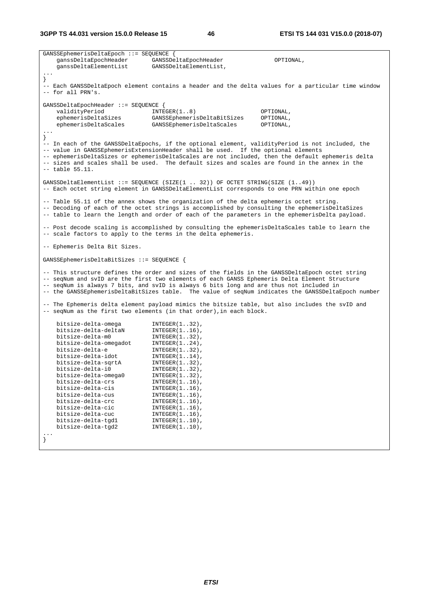**3GPP TS 44.031 version 15.0.0 Release 15 46 ETSI TS 144 031 V15.0.0 (2018-07)**

GANSSEphemerisDeltaEpoch ::= SEQUENCE { ganssDeltaEpochHeader GANSSDeltaEpochHeader OPTIONAL, ganssDeltaElementList GANSSDeltaElementList, ... } -- Each GANSSDeltaEpoch element contains a header and the delta values for a particular time window  $-$  for all PRN's. GANSSDeltaEpochHeader ::= SEQUENCE { validityPeriod INTEGER(1..8) OPTIONAL, ephemerisDeltaSizes GANSSEphemerisDeltaBitSizes OPTIONAL, ephemerisDeltaScales GANSSEphemerisDeltaScales OPTIONAL, ... } -- In each of the GANSSDeltaEpochs, if the optional element, validityPeriod is not included, the -- value in GANSSEphemerisExtensionHeader shall be used. If the optional elements -- ephemerisDeltaSizes or ephemerisDeltaScales are not included, then the default ephemeris delta -- sizes and scales shall be used. The default sizes and scales are found in the annex in the  $--$  table 55.11. GANSSDeltaElementList ::= SEQUENCE (SIZE(1 .. 32)) OF OCTET STRING(SIZE (1..49)) -- Each octet string element in GANSSDeltaElementList corresponds to one PRN within one epoch -- Table 55.11 of the annex shows the organization of the delta ephemeris octet string. -- Decoding of each of the octet strings is accomplished by consulting the ephemerisDeltaSizes -- table to learn the length and order of each of the parameters in the ephemerisDelta payload. -- Post decode scaling is accomplished by consulting the ephemerisDeltaScales table to learn the -- scale factors to apply to the terms in the delta ephemeris. -- Ephemeris Delta Bit Sizes. GANSSEphemerisDeltaBitSizes ::= SEQUENCE { -- This structure defines the order and sizes of the fields in the GANSSDeltaEpoch octet string -- seqNum and svID are the first two elements of each GANSS Ephemeris Delta Element Structure -- seqNum is always 7 bits, and svID is always 6 bits long and are thus not included in -- the GANSSEphemerisDeltaBitSizes table. The value of seqNum indicates the GANSSDeltaEpoch number -- The Ephemeris delta element payload mimics the bitsize table, but also includes the svID and -- seqNum as the first two elements (in that order),in each block. bitsize-delta-omega INTEGER(1..32), bitsize-delta-deltaN<br>bitsize-delta-m0 bitsize-delta-m0 INTEGER(1..32), bitsize-delta-omegadot bitsize-delta-omegadot INTEGER(1..24),<br>bitsize-delta-e INTEGER(1..32), bitsize-delta-idot INTEGER(1..14), bitsize-delta-sqrtA bitsize-delta-sqrtA INTEGER(1..32),<br>bitsize-delta-i0 INTEGER(1..32), bitsize-delta-omega0 INTEGER(1..32), bitsize-delta-crs INTEGER(1..16), bitsize-delta-cis INTEGER(1..16), bitsize-delta-cus INTEGER(1..16),<br>bitsize-delta-crc INTEGER(1..16), bitsize-delta-crc bitsize-delta-cic INTEGER(1..16),<br>bitsize-delta-cuc INTEGER(1..16), bitsize-delta-cuc INTEGER(1..16), bitsize-delta-tgd1 INTEGER(1..10), bitsize-delta-tgd2 INTEGER(1..10), ... }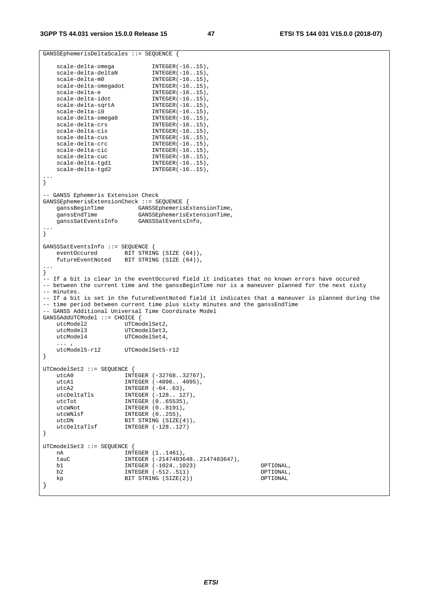```
GANSSEphemerisDeltaScales ::= SEQUENCE { 
scale-delta-omega INTEGER(-16..15),
scale-delta-deltaN INTEGER(-16..15),
scale-delta-m0 INTEGER(-16..15),
scale-delta-omegadot INTEGER(-16..15),
scale-delta-e INTEGER(-16..15),
scale-delta-idot INTEGER(-16..15),
scale-delta-sqrtA INTEGER(-16..15),
scale-delta-i0 INTEGER(-16..15),
scale-delta-omega0 INTEGER(-16..15),
scale-delta-crs INTEGER(-16..15),
scale-delta-cis INTEGER(-16..15),
scale-delta-cus INTEGER(-16..15),
scale-delta-crc INTEGER(-16..15),
scale-delta-cic INTEGER(-16..15),
scale-delta-cuc INTEGER(-16..15),
scale-delta-tgd1 INTEGER(-16..15),
 scale-delta-tgd2 INTEGER(-16..15), 
... 
} 
-- GANSS Ephemeris Extension Check 
GANSSEphemerisExtensionCheck ::= SEQUENCE { 
 ganssBeginTime GANSSEphemerisExtensionTime, 
 ganssEndTime GANSSEphemerisExtensionTime, 
   ganssEndTime GANSSEphemerisExtensionTime,<br>ganssSatEventsInfo GANSSSatEventsInfo,
... 
} 
GANSSSatEventsInfo ::= SEQUENCE {<br>eventOccured BIT STRIN
   eventOccured BIT STRING (SIZE (64)),<br>futureEventNoted BIT STRING (SIZE (64)),
                   BIT STRING (SIZE (64)),
... 
} 
-- If a bit is clear in the eventOccured field it indicates that no known errors have occured 
-- between the current time and the ganssBeginTime nor is a maneuver planned for the next sixty 
-- minutes. 
-- If a bit is set in the futureEventNoted field it indicates that a maneuver is planned during the 
-- time period between current time plus sixty minutes and the ganssEndTime
-- GANSS Additional Universal Time Coordinate Model 
GANSSAddUTCModel ::= CHOICE { 
   utcModel2 UTCmodelSet2,<br>utcModel3 UTCmodelSet3,
   utcModel3 UTCmodelSet3,<br>utcModel4 UTCmodelSet4,
                    utcModel4 UTCmodelSet4, 
    ... , 
    utcModel5-r12 UTCmodelSet5-r12 
} 
UTCmodelSet2 ::= SEQUENCE { 
   utcA0 INTEGER (-32768..32767),
   utcA1 			INTEGER (-4096.. 4095),
 utcA2 INTEGER (-64..63), 
 utcDeltaTls INTEGER (-128.. 127), 
utcTot INTEGER (0..65535),
utcWNot INTEGER (0..8191),
utcWNlsf INTEGER (0..255),
utcDN BIT STRING (SIZE(4)),
 utcDeltaTlsf INTEGER (-128..127) 
} 
UTCmodelSet3 ::= SEQUENCE { 
  nA INTEGER (1..1461),
    tauC INTEGER (-2147483648..2147483647), 
   b1 \text{INTER } (-1024..1023) OPTIONAL,<br>
b2 INTEGER (-512..511) OPTIONAL,
    b2 INTEGER (-512..511) OPTIONAL, 
                    BIT STRING (SIZE(2))}
```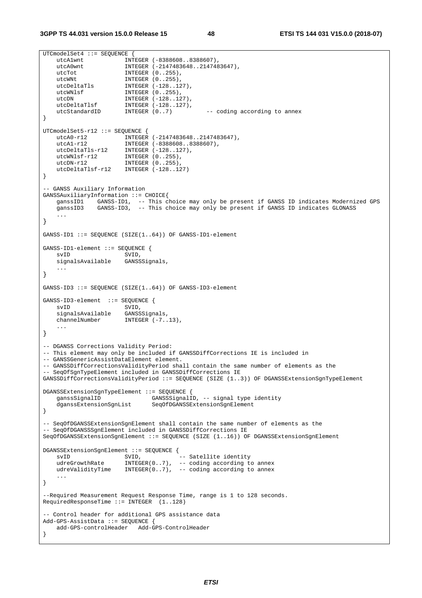```
UTCmodelSet4 ::= SEQUENCE { 
 utcA1wnt INTEGER (-8388608..8388607), 
 utcA0wnt INTEGER (-2147483648..2147483647), 
   utcTot INTEGER (0..255),
utcWNt INTEGER (0..255),
utcDeltaTls INTEGER (-128..127),
utcWNlsf INTEGER (0..255),
utcDN INTEGER (-128..127),
utcDeltaTlsf INTEGER (-128..127),
 utcStandardID INTEGER (0..7) -- coding according to annex 
} 
UTCmodelSet5-r12 ::= SEQUENCE { 
 utcA0-r12 INTEGER (-2147483648..2147483647), 
 utcA1-r12 INTEGER (-8388608..8388607), 
 utcDeltaTls-r12 INTEGER (-128..127), 
 utcWNlsf-r12 INTEGER (0..255), 
 utcDN-r12 INTEGER (0..255), 
   utcDeltaTlsf-r12 INTEGER (-128..127)
} 
-- GANSS Auxiliary Information 
GANSSAuxiliaryInformation ::= CHOICE{ 
    ganssID1 GANSS-ID1, -- This choice may only be present if GANSS ID indicates Modernized GPS 
    ganssID3 GANSS-ID3, -- This choice may only be present if GANSS ID indicates GLONASS 
    ... 
} 
GANSS-ID1 ::= SEQUENCE (SIZE(1..64)) OF GANSS-ID1-element
GANSS-ID1-element ::= SEQUENCE { 
   svID SVID,<br>signalsAvailable GANSSSignals,
   signalsAvailable
    ... 
} 
GANSS-ID3 ::= SEQUENCE (SIZE(1..64)) OF GANSS-ID3-element 
GANSS-ID3-element ::= SEQUENCE {<br>syID SVID.
                     SVID.
    signalsAvailable GANSSSignals, 
   channelNumber INTEGER (-7..13),
    ... 
} 
-- DGANSS Corrections Validity Period: 
-- This element may only be included if GANSSDiffCorrections IE is included in 
-- GANSSGenericAssistDataElement element. 
-- GANSSDiffCorrectionsValidityPeriod shall contain the same number of elements as the 
-- SeqOfSgnTypeElement included in GANSSDiffCorrections IE 
GANSSDiffCorrectionsValidityPeriod ::= SEQUENCE (SIZE (1..3)) OF DGANSSExtensionSgnTypeElement 
DGANSSExtensionSgnTypeElement ::= SEQUENCE { 
    ganssSignalID GANSSSignalID, -- signal type identity 
                            SeqOfDGANSSExtensionSgnElement
} 
-- SeqOfDGANSSExtensionSgnElement shall contain the same number of elements as the 
-- SeqOfDGANSSSgnElement included in GANSSDiffCorrections IE 
SeqOfDGANSSExtensionSgnElement ::= SEQUENCE (SIZE (1..16)) OF DGANSSExtensionSgnElement 
DGANSSExtensionSgnElement ::= SEQUENCE { 
svID SVID, -- Satellite identity
 udreGrowthRate INTEGER(0..7), -- coding according to annex 
 udreValidityTime INTEGER(0..7), -- coding according to annex 
    ... 
} 
--Required Measurement Request Response Time, range is 1 to 128 seconds. 
RequiredResponseTime ::= INTEGER (1..128) 
-- Control header for additional GPS assistance data 
Add-GPS-AssistData ::= SEQUENCE { 
    add-GPS-controlHeader Add-GPS-ControlHeader 
}
```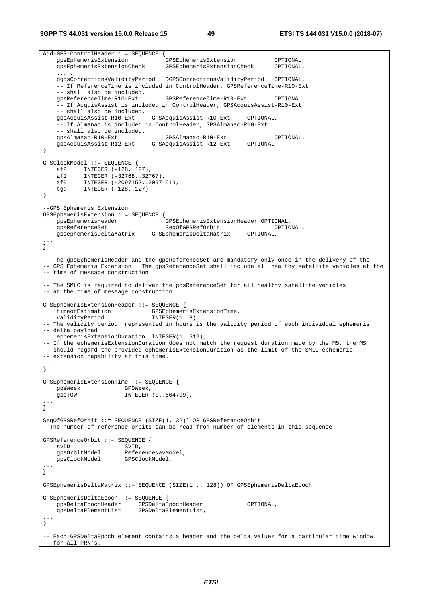**3GPP TS 44.031 version 15.0.0 Release 15 49 ETSI TS 144 031 V15.0.0 (2018-07)**

```
Add-GPS-ControlHeader ::= SEQUENCE {<br>qpsEphemerisExtension (
 gpsEphemerisExtension GPSEphemerisExtension OPTIONAL, 
 gpsEphemerisExtensionCheck GPSEphemerisExtensionCheck OPTIONAL, 
     ... , 
    dgpsCorrectionsValidityPeriod DGPSCorrectionsValidityPeriod OPTIONAL, 
    -- If ReferenceTime is included in ControlHeader, GPSReferenceTime-R10-Ext 
     -- shall also be included. 
    gpsReferenceTime-R10-Ext GPSReferenceTime-R10-Ext OPTIONAL, 
     -- If AcquisAssist is included in ControlHeader, GPSAcquisAssist-R10-Ext 
     -- shall also be included. 
    gpsAcquisAssist-R10-Ext GPSAcquisAssist-R10-Ext OPTIONAL, 
    -- If Almanac is included in ControlHeader, GPSAlmanac-R10-Ext
     -- shall also be included. 
    gpsAlmanac-R10-Ext GPSAlmanac-R10-Ext OPTIONAL, 
    gpsAcquisAssist-R12-Ext GPSAcquisAssist-R12-Ext OPTIONAL 
} 
GPSClockModel ::= SEQUENCE { 
    af2 INTEGER (-128..127), 
           INTEGER (-32768..32767),
    af0 INTEGER (-2097152..2097151), 
    tgd INTEGER (-128..127) 
} 
--GPS Ephemeris Extension 
GPSEphemerisExtension ::= SEQUENCE { 
    gpsEphemerisHeader GPSEphemerisExtensionHeader OPTIONAL, 
 gpsReferenceSet SeqOfGPSRefOrbit OPTIONAL, 
 gpsephemerisDeltaMatrix GPSEphemerisDeltaMatrix OPTIONAL, 
... 
} 
-- The gpsEphemerisHeader and the gpsReferenceSet are mandatory only once in the delivery of the 
-- GPS Ephemeris Extension. The gpsReferenceSet shall include all healthy satellite vehicles at the 
-- time of message construction 
-- The SMLC is required to deliver the gpsReferenceSet for all healthy satellite vehicles 
-- at the time of message construction. 
GPSEphemerisExtensionHeader ::= SEQUENCE { 
    timeofEstimation GPSEphemerisExtensionTime, 
   validityPeriod INTEGER(1..8)
-- The validity period, represented in hours is the validity period of each individual ephemeris 
-- delta payload 
    ephemerisExtensionDuration INTEGER(1..512), 
-- If the ephemerisExtensionDuration does not match the request duration made by the MS, the MS 
-- should regard the provided ephemerisExtensionDuration as the limit of the SMLC ephemeris 
-- extension capability at this time. 
... 
} 
GPSEphemerisExtensionTime ::= SEQUENCE {<br>gpsWeek GPSWeek,
   gpsWeek GPSWeek,<br>qpsTOW INTEGER
                      INTEGER (0..604799),
... 
} 
SeqOfGPSRefOrbit ::= SEQUENCE (SIZE(1..32)) OF GPSReferenceOrbit 
--The number of reference orbits can be read from number of elements in this sequence 
GPSReferenceOrbit ::= SEQUENCE { 
   svID SVID,
    gpsOrbitModel ReferenceNavModel, 
    gpsClockModel GPSClockModel, 
... 
} 
GPSEphemerisDeltaMatrix ::= SEQUENCE (SIZE(1 .. 128)) OF GPSEphemerisDeltaEpoch 
GPSEphemerisDeltaEpoch ::= SEQUENCE { 
 gpsDeltaEpochHeader GPSDeltaEpochHeader OPTIONAL, 
 gpsDeltaElementList GPSDeltaElementList, 
... 
} 
-- Each GPSDeltaEpoch element contains a header and the delta values for a particular time window 
-- for all PRN's.
```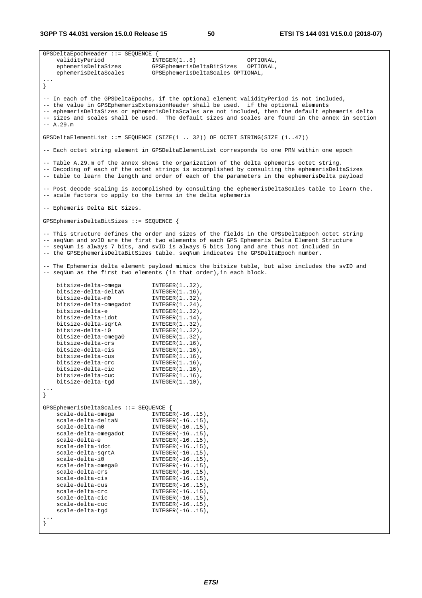**3GPP TS 44.031 version 15.0.0 Release 15 50 ETSI TS 144 031 V15.0.0 (2018-07)**

GPSDeltaEpochHeader ::= SEQUENCE { validityPeriod INTEGER(1..8) OPTIONAL, ephemerisDeltaSizes GPSEphemerisDeltaBitSizes OPTIONAL, ephemerisDeltaScales GPSEphemerisDeltaScales OPTIONAL, ... } -- In each of the GPSDeltaEpochs, if the optional element validityPeriod is not included, -- the value in GPSEphemerisExtensionHeader shall be used. if the optional elements -- ephemerisDeltaSizes or ephemerisDeltaScales are not included, then the default ephemeris delta -- sizes and scales shall be used. The default sizes and scales are found in the annex in section  $- \Delta$  29 m GPSDeltaElementList ::= SEQUENCE (SIZE(1 .. 32)) OF OCTET STRING(SIZE (1..47)) -- Each octet string element in GPSDeltaElementList corresponds to one PRN within one epoch - Table A.29.m of the annex shows the organization of the delta ephemeris octet string. -- Decoding of each of the octet strings is accomplished by consulting the ephemerisDeltaSizes -- table to learn the length and order of each of the parameters in the ephemerisDelta payload -- Post decode scaling is accomplished by consulting the ephemerisDeltaScales table to learn the. -- scale factors to apply to the terms in the delta ephemeris -- Ephemeris Delta Bit Sizes. GPSEphemerisDeltaBitSizes ::= SEQUENCE { -- This structure defines the order and sizes of the fields in the GPSsDeltaEpoch octet string -- seqNum and svID are the first two elements of each GPS Ephemeris Delta Element Structure -- seqNum is always 7 bits, and svID is always 5 bits long and are thus not included in -- the GPSEphemerisDeltaBitSizes table. seqNum indicates the GPSDeltaEpoch number. -- The Ephemeris delta element payload mimics the bitsize table, but also includes the svID and -- seqNum as the first two elements (in that order),in each block. bitsize-delta-omega INTEGER(1..32), bitsize-delta-deltaN INTEGER(1..16), bitsize-delta-m0 INTEGER(1..32), bitsize-delta-omegadot INTEGER(1..24), bitsize-delta-e INTEGER(1..32), bitsize-delta-e INTEGER(1..32),<br>bitsize-delta-idot INTEGER(1..14), bitsize-delta-sqrtA INTEGER(1..32),<br>bitsize-delta-i0 INTEGER(1..32), bitsize-delta-i0 bitsize-delta-omega0 INTEGER(1..32),<br>bitsize-delta-crs INTEGER(1..16), bitsize-delta-crs bitsize-delta-cis INTEGER(1..16),<br>bitsize-delta-cus INTEGER(1..16),<br>bitsize-delta-crc INTEGER(1..16), bitsize-delta-cus bitsize-delta-crc INTEGER(1..16),<br>bitsize-delta-cic INTEGER(1..16), bitsize-delta-cic<br>bitsize-delta-cic bitsize-delta-cuc INTEGER(1..16), bitsize-delta-tgd INTEGER(1..10), ... } GPSEphemerisDeltaScales ::= SEQUENCE { scale-delta-omega INTEGER(-16..15), scale-delta-deltaN INTEGER(-16..15), scale-delta-m0 INTEGER(-16..15), scale-delta-omegadot INTEGER(-16..15), scale-delta-e INTEGER(-16..15), scale-delta-idot INTEGER(-16..15), scale-delta-sqrtA INTEGER(-16..15), scale-delta-i0 INTEGER(-16..15), scale-delta-omega0 INTEGER(-16..15), scale-delta-crs INTEGER(-16..15), scale-delta-cis INTEGER(-16..15),<br>scale-delta-cus INTEGER(-16..15). scale-delta-cus<br>
scale-delta-cus<br>
scale-delta-crc<br>
INTEGER(-16..15), scale-delta-crc INTEGER(-16..15), scale-delta-cic INTEGER(-16..15), scale-delta-cuc INTEGER(-16..15), scale-delta-tgd INTEGER(-16..15), ... }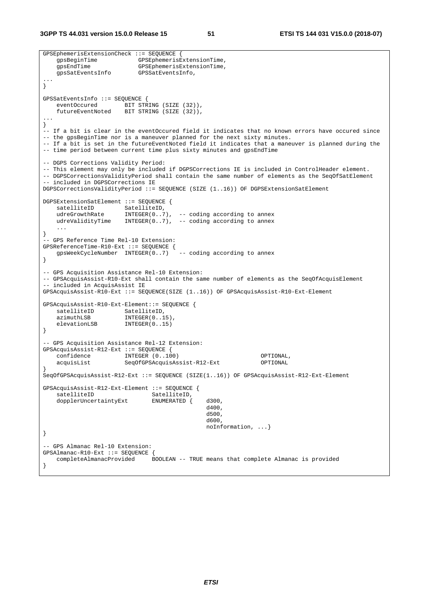**3GPP TS 44.031 version 15.0.0 Release 15 51 ETSI TS 144 031 V15.0.0 (2018-07)**

```
GPSEphemerisExtensionCheck ::= SEQUENCE { 
    gpsBeginTime GPSEphemerisExtensionTime, 
    gpsEndTime GPSEphemerisExtensionTime, 
    gpsSatEventsInfo GPSSatEventsInfo, 
... 
} 
GPSSatEventsInfo ::= SEQUENCE { 
 eventOccured BIT STRING (SIZE (32)), 
 futureEventNoted BIT STRING (SIZE (32)), 
... 
} 
-- If a bit is clear in the eventOccured field it indicates that no known errors have occured since 
-- the gpsBeginTime nor is a maneuver planned for the next sixty minutes. 
-- If a bit is set in the futureEventNoted field it indicates that a maneuver is planned during the 
-- time period between current time plus sixty minutes and gpsEndTime 
-- DGPS Corrections Validity Period: 
-- This element may only be included if DGPSCorrections IE is included in ControlHeader element. 
-- DGPSCorrectionsValidityPeriod shall contain the same number of elements as the SeqOfSatElement 
-- included in DGPSCorrections IE 
DGPSCorrectionsValidityPeriod ::= SEQUENCE (SIZE (1..16)) OF DGPSExtensionSatElement 
DGPSExtensionSatElement ::= SEQUENCE { 
   satelliteID SatelliteID,
   udreGrowthRate INTEGER(0..7), -- coding according to annex
    udreValidityTime INTEGER(0..7), -- coding according to annex 
    ... 
} 
.<br>-- GPS Reference Time Rel-10 Extension:
GPSReferenceTime-R10-Ext ::= SEQUENCE {<br>qpsWeekCycleNumber INTEGER(0..7) -- coding according to annex
   gpsWeekCycleNumber INTEGER(0..7)
} 
-- GPS Acquisition Assistance Rel-10 Extension: 
-- GPSAcquisAssist-R10-Ext shall contain the same number of elements as the SeqOfAcquisElement 
-- included in AcquisAssist IE 
GPSAcquisAssist-R10-Ext ::= SEQUENCE(SIZE (1..16)) OF GPSAcquisAssist-R10-Ext-Element 
GPSAcquisAssist-R10-Ext-Element::= SEQUENCE { 
   satelliteID SatelliteID,
   azimuthLSB INTEGER(0..15),
   elevationLSB INTEGER(0..15)
} 
-- GPS Acquisition Assistance Rel-12 Extension: 
GPSAcquisAssist-R12-Ext ::= SEQUENCE { 
   confidence N = \text{INTER } (0..100) OPTIONAL,<br>acquisList SeqOfGPSAcquisAssist-R12-Ext OPTIONAL
                      SeqOfGPSAcquisAssist-R12-Ext
} 
SeqOfGPSAcquisAssist-R12-Ext ::= SEQUENCE (SIZE(1..16)) OF GPSAcquisAssist-R12-Ext-Element 
GPSAcquisAssist-R12-Ext-Element ::= SEQUENCE { 
   satelliteID SatelliteID,<br>dopplerUncertaintyExt ENUMERATED {
   dopplerUncertaintyExt ENUMERATED { d300,
d400 ,
d500 ,
d600 ,
                                               noInformation, ...} 
} 
 - GPS Almanac Rel-10 Extension:
GPSAlmanac-R10-Ext ::= SEQUENCE { 
    completeAlmanacProvided BOOLEAN -- TRUE means that complete Almanac is provided 
}
```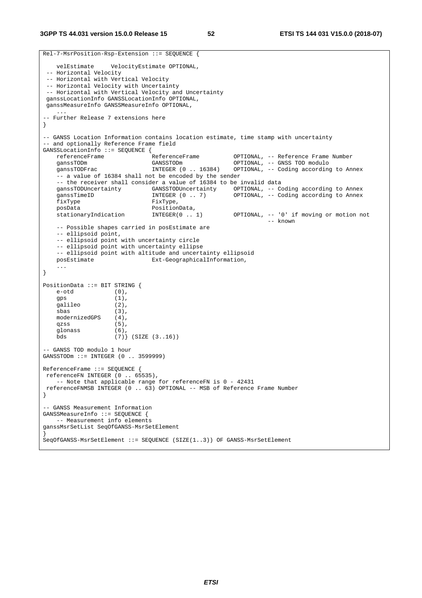```
Rel-7-MsrPosition-Rsp-Extension ::= SEQUENCE { 
    velEstimate VelocityEstimate OPTIONAL, 
  -- Horizontal Velocity 
  -- Horizontal with Vertical Velocity 
 -- Horizontal Velocity with Uncertainty 
 -- Horizontal with Vertical Velocity and Uncertainty 
  ganssLocationInfo GANSSLocationInfo OPTIONAL, 
 ganssMeasureInfo GANSSMeasureInfo OPTIONAL, 
     ... 
 -- Further Release 7 extensions here 
} 
-- GANSS Location Information contains location estimate, time stamp with uncertainty 
-- and optionally Reference Frame field 
GANSSLocationInfo ::= SEQUENCE {<br>referenceFrame ReferenceFrame
    referenceFrame ReferenceFrame OPTIONAL, -- Reference Frame Number 
    ganssTODm GANSSTODm OPTIONAL, -- GNSS TOD modulo 
                                gansstop...<br>INTEGER (0 .. 16384) OPTIONAL, -- Coding according to Annex
    -- a value of 16384 shall not be encoded by the sender
    -- the receiver shall consider a value of 16384 to be invalid data<br>ganssTODUncertainty GANSSTODUncertainty OPTIONAL, -- CO
 ganssTODUncertainty GANSSTODUncertainty OPTIONAL, -- Coding according to Annex 
 ganssTimeID INTEGER (0 .. 7) OPTIONAL, -- Coding according to Annex 
    fixType FixType,<br>posData Position
                                PositionData,<br>INTEGER(0 .. 1)
    stationaryIndication INTEGER(0 .. 1) OPTIONAL, -- '0' if moving or motion not
                                                                      -- known 
     -- Possible shapes carried in posEstimate are 
     -- ellipsoid point, 
     -- ellipsoid point with uncertainty circle 
     -- ellipsoid point with uncertainty ellipse 
    -- ellipsoid point with altitude and uncertainty ellipsoid<br>posEstimate Ext-GeographicalInformation,
                                Ext-GeographicalInformation,
 ... 
} 
PositionData ::= BIT STRING { 
     e-otd (0), 
    gps (1),
     galileo (2), 
   sbas (3),<br>modernizedGPS (4),
    modernizedGPS (4), 
    qzss (5),<br>glonass (6),
    glonass<br>bds
                    (7) (SIZE (3..16))
-- GANSS TOD modulo 1 hour 
GANSSTODm ::= INTEGER (0 .. 3599999) 
ReferenceFrame ::= SEQUENCE { 
 referenceFN INTEGER (0 .. 65535), 
     -- Note that applicable range for referenceFN is 0 - 42431 
 referenceFNMSB INTEGER (0 .. 63) OPTIONAL -- MSB of Reference Frame Number
} 
-- GANSS Measurement Information 
GANSSMeasureInfo ::= SEQUENCE { 
    -- Measurement info elements 
ganssMsrSetList SeqOfGANSS-MsrSetElement 
} 
SeqOfGANSS-MsrSetElement ::= SEQUENCE (SIZE(1..3)) OF GANSS-MsrSetElement
```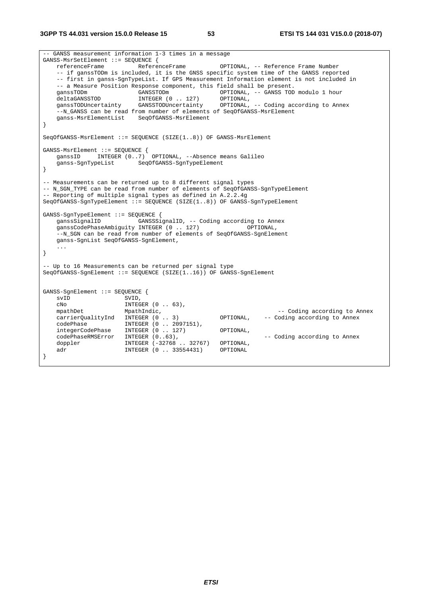**3GPP TS 44.031 version 15.0.0 Release 15 53 ETSI TS 144 031 V15.0.0 (2018-07)**

-- GANSS measurement information 1-3 times in a message GANSS-MsrSetElement ::= SEQUENCE { referenceFrame ReferenceFrame OPTIONAL, -- Reference Frame Number -- if ganssTODm is included, it is the GNSS specific system time of the GANSS reported -- first in ganss-SgnTypeList. If GPS Measurement Information element is not included in -- a Measure Position Response component, this field shall be present.<br>
ganssTODm (GANSSTODm OPTIONAL, -- GANSS TOD OPTIONAL, -- GANSS TOD modulo 1 hour deltaGANSSTOD INTEGER (0 .. 127) OPTIONAL, ganssTODUncertainty GANSSTODUncertainty OPTIONAL, -- Coding according to Annex --N\_GANSS can be read from number of elements of SeqOfGANSS-MsrElement ganss-MsrElementList SeqOfGANSS-MsrElement } SeqOfGANSS-MsrElement ::= SEQUENCE (SIZE(1..8)) OF GANSS-MsrElement GANSS-MsrElement ::= SEQUENCE { ganssID INTEGER (0..7) OPTIONAL, --Absence means Galileo<br>ganss-SgnTypeList SeqOfGANSS-SgnTypeElement SeqOfGANSS-SgnTypeElement } -- Measurements can be returned up to 8 different signal types -- N\_SGN\_TYPE can be read from number of elements of SeqOfGANSS-SgnTypeElement -- Reporting of multiple signal types as defined in A.2.2.4g SeqOfGANSS-SgnTypeElement ::= SEQUENCE (SIZE(1..8)) OF GANSS-SgnTypeElement GANSS-SgnTypeElement ::= SEQUENCE { ganssSignalID GANSSSignalID, -- Coding according to Annex ganssCodePhaseAmbiguity INTEGER (0 .. 127) OPTIONAL, --N\_SGN can be read from number of elements of SeqOfGANSS-SgnElement ganss-SgnList SeqOfGANSS-SgnElement, ... } -- Up to 16 Measurements can be returned per signal type SeqOfGANSS-SgnElement ::= SEQUENCE (SIZE(1..16)) OF GANSS-SgnElement GANSS-SgnElement ::= SEQUENCE { svID SVID, cNo INTEGER (0 . . 63),<br>mpathDet MpathIndic, mpathDet MpathIndic, -- Coding according to Annex<br>carrierQualityInd INTEGER (0 . . 3) OPTIONAL, -- Coding according to Annex carrierQualityInd INTEGER (0..3) codePhase INTEGER (0 .. 2097151), integerCodePhase INTEGER (0 .. 127) OPTIONAL, codePhaseRMSError INTEGER (0..63),  $-$  Coding according to Annex doppler INTEGER (-32768 .. 32767) OPTIONAL, doppler INTEGER (-32768 .. 32767) OPTIONAL, adr INTEGER (0 .. 33554431) OPTIONAL }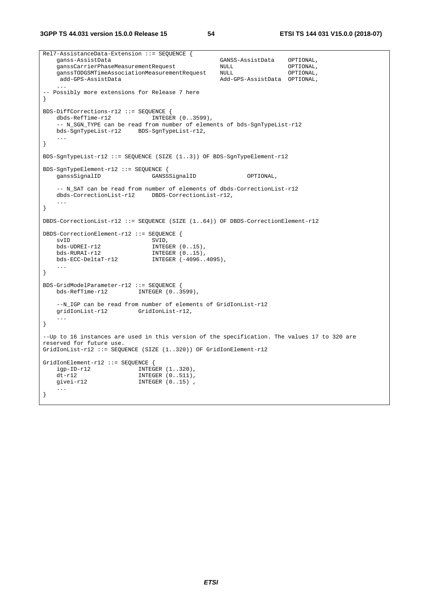**3GPP TS 44.031 version 15.0.0 Release 15 54 ETSI TS 144 031 V15.0.0 (2018-07)**

Rel7-AssistanceData-Extension ::= SEQUENCE { ganss-AssistData GANSS-AssistData OPTIONAL, ganssCarrierPhaseMeasurementRequest NULL OPTIONAL, ganssTODGSMTimeAssociationMeasurementRequest NULL OPTIONAL, add-GPS-AssistData Add-GPS-AssistData OPTIONAL, ... -- Possibly more extensions for Release 7 here } BDS-DiffCorrections-r12 ::= SEQUENCE {<br>dbds-RefTime-r12 INTEGER  $(0..3599)$ ,  $dbds-RefTime- r12$  -- N\_SGN\_TYPE can be read from number of elements of bds-SgnTypeList-r12 bds-SgnTypeList-r12 BDS-SgnTypeList-r12, ... } BDS-SgnTypeList-r12 ::= SEQUENCE (SIZE  $(1..3)$ ) OF BDS-SgnTypeElement-r12 BDS-SgnTypeElement-r12 ::= SEQUENCE { ganssSignalID GANSSSignalID OPTIONAL, -- N\_SAT can be read from number of elements of dbds-CorrectionList-r12<br>dbds-CorrectionList-r12 DBDS-CorrectionList-r12, DBDS-CorrectionList-r12, ... } DBDS-CorrectionList-r12 ::= SEQUENCE (SIZE (1..64)) OF DBDS-CorrectionElement-r12 DBDS-CorrectionElement-r12 ::= SEQUENCE { svID SVID, bds-UDREI-r12 INTEGER (0..15),<br>bds-RURAI-r12 INTEGER (0..15), bds-RURAI-r12 INTEGER (0..15),<br>bds-ECC-DeltaT-r12 INTEGER (-4096.. INTEGER (-4096..4095), ... } BDS-GridModelParameter-r12 ::= SEQUENCE {<br>bds-RefTime-r12 INTEGER (0..3 INTEGER  $(0..3599)$ , --N\_IGP can be read from number of elements of GridIonList-r12 gridIonList-r12 GridIonList-r12, ... } --Up to 16 instances are used in this version of the specification. The values 17 to 320 are reserved for future use. GridIonList-r12 ::= SEQUENCE (SIZE (1..320)) OF GridIonElement-r12 GridIonElement-r12 ::= SEQUENCE { igp-ID-r12 **INTEGER** (1..320), dt-r12 **INTEGER** (0..511), givei-r12 INTEGER (0..15), ... }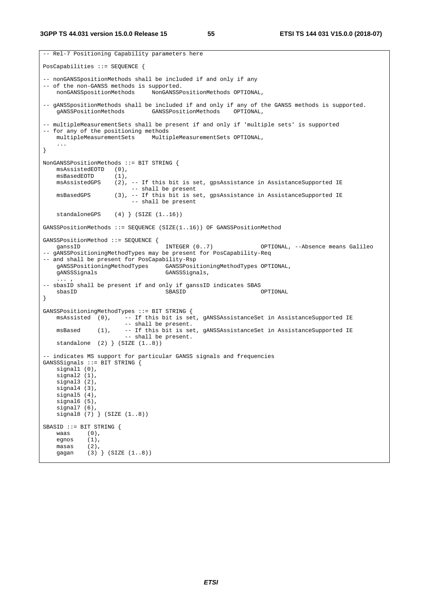```
-- Rel-7 Positioning Capability parameters here 
PosCapabilities ::= SEQUENCE { 
-- nonGANSSpositionMethods shall be included if and only if any 
-- of the non-GANSS methods is supported.<br>nonGANSSpositionMethods NonGANSSP
                                 NonGANSSPositionMethods OPTIONAL,
-- gANSSpositionMethods shall be included if and only if any of the GANSS methods is supported.<br>gANSSPositionMethods GANSSPositionMethods OPTIONAL,
                                 GANSSPositionMethods
-- multipleMeasurementSets shall be present if and only if 'multiple sets' is supported 
-- for any of the positioning methods 
    multipleMeasurementSets MultipleMeasurementSets OPTIONAL, 
     ... 
} 
NonGANSSPositionMethods ::= BIT STRING { 
    msAssistedEOTD (0), 
    msBasedEOTD (1),
    msAssistedGPS (2), -- If this bit is set, gpsAssistance in AssistanceSupported IE
                             -- shall be present 
   msBasedGPS (3), -- If this bit is set, gpsAssistance in AssistanceSupported IE
                             -- shall be present 
     standaloneGPS (4) } (SIZE (1..16)) 
GANSSPositionMethods ::= SEQUENCE (SIZE(1..16)) OF GANSSPositionMethod 
GANSSPositionMethod ::= SEQUENCE { 
   ganssID                             INTEGER (0..7)           OPTIONAL, --Absence means Galileo
-- gANSSPositioningMethodTypes may be present for PosCapability-Req 
-- and shall be present for PosCapability-Rsp<br>gANSSPositioningMethodTypes GANSSPosi
                                     gANSSPositioningMethodTypes GANSSPositioningMethodTypes OPTIONAL, 
     gANSSSignals GANSSSignals, 
\ldots , \ldots-- sbasID shall be present if and only if ganssID indicates SBAS 
 sbasID SBASID OPTIONAL 
} 
GANSSPositioningMethodTypes ::= BIT STRING { 
    msAssisted (0), -- If this bit is set, gANSSAssistanceSet in AssistanceSupported IE 
    -- shall be present.<br>msBased (1), -- If this bit is se
                         -- If this bit is set, gANSSAssistanceSet in AssistanceSupported IE
                          -- shall be present. 
     standalone (2) } (SIZE (1..8)) 
-- indicates MS support for particular GANSS signals and frequencies 
GANSSSignals ::= BIT STRING { 
    signal1 (0),
     signal2 (1), 
     signal3 (2), 
     signal4 (3), 
    signal5(4),
    signal6 (5),
 signal7 (6), 
 signal8 (7) } (SIZE (1..8)) 
SBASID ::= BIT STRING { 
    was (0),<br>egnos (1),
    egnos
     masas (2), 
    gagan (3) } (SIZE (1..8))
```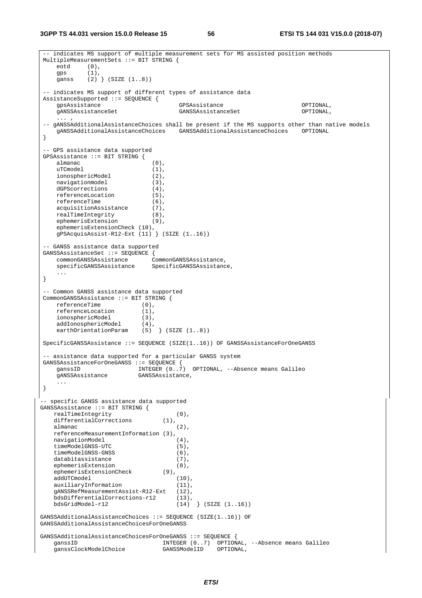```
-- indicates MS support of multiple measurement sets for MS assisted position methods 
MultipleMeasurementSets ::= BIT STRING { 
     eotd (0), 
     gps (1), 
     ganss (2) } (SIZE (1..8)) 
 -- indicates MS support of different types of assistance data 
AssistanceSupported ::= SEQUENCE {<br>gpsAssistance
    gpsAssistance CPSAssistance CPSAssistance CPSAssistance CPTIONAL,<br>gANSSAssistanceSet GANSSAssistanceSet OPTIONAL,
                                        GANSSAssistanceSet
 \ldots , \ldots , \ldots-- gANSSAdditionalAssistanceChoices shall be present if the MS supports other than native models 
     gANSSAdditionalAssistanceChoices GANSSAdditionalAssistanceChoices OPTIONAL 
} 
-- GPS assistance data supported 
GPSAssistance ::= BIT STRING { 
    almanac (0),<br>uTCmodel (1),
    uTCmodel (1),<br>ionosphericModel (2),
    ionosphericModel (2),<br>navigationmodel (3),
     navigationmodel (3), 
    dGPScorrections (4),
     referenceLocation (5), 
    referenceTime (6),<br>acquisitionAssistance (7),
     acquisitionAssistance (7), 
    realTimeIntegrity (8),
    ephemerisExtension (9),
     ephemerisExtensionCheck (10), 
     gPSAcquisAssist-R12-Ext (11) } (SIZE (1..16)) 
 -- GANSS assistance data supported 
GANSSAssistanceSet ::= SEQUENCE { 
    commonGANSSAssistance
     specificGANSSAssistance SpecificGANSSAssistance, 
     ... 
} 
-- Common GANSS assistance data supported 
CommonGANSSAssistance ::= BIT STRING { 
    referenceTime (0),
    referenceLocation (1),
  ionosphericModel (3), 
  addIonosphericModel (4), 
  earthOrientationParam (5) } (SIZE (1..8)) 
SpecificGANSSAssistance ::= SEQUENCE (SIZE(1..16)) OF GANSSAssistanceForOneGANSS 
 -- assistance data supported for a particular GANSS system 
GANSSAssistanceForOneGANSS ::= SEQUENCE { 
     ganssID INTEGER (0..7) OPTIONAL, --Absence means Galileo 
     gANSSAssistance GANSSAssistance, 
     ... 
} 
-- specific GANSS assistance data supported 
GANSSAssistance ::= BIT STRING { 
   realTimeIntegrity (0),
   differentialCorrections (1),<br>almanac (2),
   almanac
    referenceMeasurementInformation (3), 
   navigationModel (4),<br>timeModelGNSS-UTC (5),
    timeModelGNSS-UTC (5), 
    timeModelGNSS-GNSS (6), 
   databitassistance (7),
    ephemerisExtension (8),<br>ephemerisExtensionCheck (9),
    ephemerisExtensionCheck (9),<br>addUTCmodel (10),
   addUTCmodel
   auxiliaryInformation (11).
 gANSSRefMeasurementAssist-R12-Ext (12), 
 bdsDifferentialCorrections-r12 (13), 
 bdsGridModel-r12 (14) } (SIZE (1..16)) 
GANSSAdditionalAssistanceChoices ::= SEQUENCE (SIZE(1..16)) OF 
GANSSAdditionalAssistanceChoicesForOneGANSS 
GANSSAdditionalAssistanceChoicesForOneGANSS ::= SEQUENCE {<br>ganssID TRTEGER (0..7) OPTION
                                  INTEGER (0..7) OPTIONAL, --Absence means Galileo
     ganssClockModelChoice GANSSModelID OPTIONAL,
```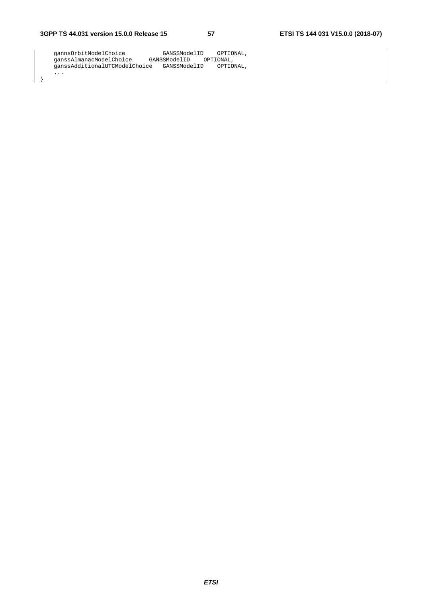gannsOrbitModelChoice GANSSModelID OPTIONAL, ganssAlmanacModelChoice GANSSModelID OPTIONAL, ganssAdditionalUTCModelChoice GANSSModelID OPTIONAL, ...

}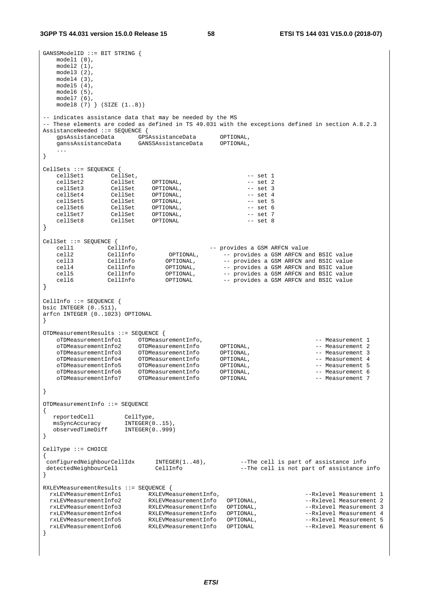#### **3GPP TS 44.031 version 15.0.0 Release 15 58 ETSI TS 144 031 V15.0.0 (2018-07)**

```
GANSSModelID ::= BIT STRING { 
   model1 (0), 
  model2(1),
    model3 (2), 
    model4 (3), 
   model5 (4), 
    model6 (5), 
  model7(6),
    model8 (7) } (SIZE (1..8)) 
-- indicates assistance data that may be needed by the MS 
-- These elements are coded as defined in TS 49.031 with the exceptions defined in section A.8.2.3 
AssistanceNeeded ::= SEQUENCE { 
 gpsAssistanceData GPSAssistanceData OPTIONAL, 
 ganssAssistanceData GANSSAssistanceData OPTIONAL, 
    ... 
} 
CellSets ::= SEQUENCE { 
   cellSet1 CellSet, -- set 1 
cellSet2 CellSet OPTIONAL, -- set 2
cellSet3 CellSet OPTIONAL, -- set 3
cellSet4 CellSet OPTIONAL, -- set 4
cellSet5 CellSet OPTIONAL, -- set 5
 cellSet6 CellSet OPTIONAL, -- set 6 
 cellSet7 CellSet OPTIONAL, -- set 7 
cellSet8 CellSet OPTIONAL -- set 8
} 
CellSet ::= SEQUENCE { 
 cell1 CellInfo, -- provides a GSM ARFCN value 
 cell2 CellInfo OPTIONAL, -- provides a GSM ARFCN and BSIC value 
 cell3 CellInfo OPTIONAL, -- provides a GSM ARFCN and BSIC value 
 cell4 CellInfo OPTIONAL, -- provides a GSM ARFCN and BSIC value 
 cell5 CellInfo OPTIONAL, -- provides a GSM ARFCN and BSIC value 
 cell6 CellInfo OPTIONAL -- provides a GSM ARFCN and BSIC value 
} 
CellInfo ::= SEQUENCE { 
bsic INTEGER (0..511), 
arfcn INTEGER (0..1023) OPTIONAL 
} 
OTDMeasurementResults ::= SEQUENCE { 
 oTDMeasurementInfo1 OTDMeasurementInfo, -- Measurement 1 
 oTDMeasurementInfo2 OTDMeasurementInfo OPTIONAL, -- Measurement 2 
 oTDMeasurementInfo3 OTDMeasurementInfo OPTIONAL, -- Measurement 3 
 oTDMeasurementInfo4 OTDMeasurementInfo OPTIONAL, -- Measurement 4 
oTDMeasurementInfo5 OTDMeasurementInfo OPTIONAL, -- Measurement 5
 oTDMeasurementInfo6 OTDMeasurementInfo OPTIONAL, -- Measurement 6 
 oTDMeasurementInfo7 OTDMeasurementInfo OPTIONAL -- Measurement 7 
} 
OTDMeasurementInfo ::= SEQUENCE 
{ 
 reportedCell CellType, 
 msSyncAccuracy INTEGER(0..15), 
 observedTimeDiff INTEGER(0..999) 
} 
CellType ::= CHOICE 
% configuredNeighbourCellIdx INTEGER(1)<br>cellInfo (2) = configured (2) = cellInfo
configuredNeighbourCellIdx INTEGER(1..48), --The cell is part of assistance info
detectedNeighbourCell \qquad \qquad CellInfo \qquad \qquad --The cell is not part of assistance info
} 
RXLEVMeasurementResults ::= SEQUENCE { 
 rxLEVMeasurementInfo1 RXLEVMeasurementInfo, --Rxlevel Measurement 1 
 rxLEVMeasurementInfo2 RXLEVMeasurementInfo OPTIONAL, --Rxlevel Measurement 2 
rxLEVMeasurementInfo3 RXLEVMeasurementInfo OPTIONAL, ---Rxlevel Measurement 3
rxLEVMeasurementInfo4 RXLEVMeasurementInfo OPTIONAL, --Rxlevel Measurement 4
rxLEVMeasurementInfo5 RXLEVMeasurementInfo OPTIONAL, --Rxlevel Measurement 5
rxLEVMeasurementInfo6 RXLEVMeasurementInfo OPTIONAL --Rxlevel Measurement 6
}
```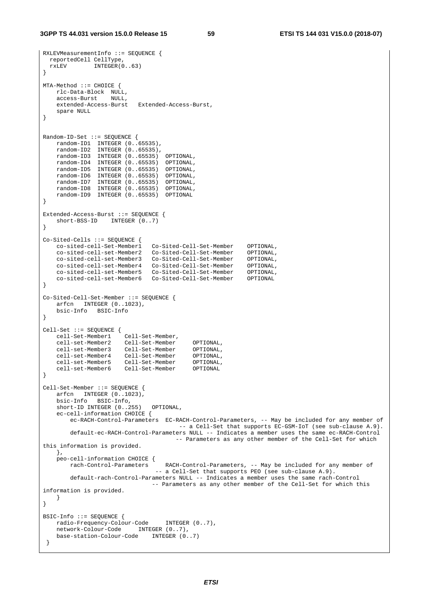RXLEVMeasurementInfo ::= SEQUENCE {

```
 reportedCell CellType, 
  rxLEV INTEGER(0..63) 
} 
MTA-Method ::= CHOICE { 
    rlc-Data-Block NULL, 
    access-Burst NULL, 
     extended-Access-Burst Extended-Access-Burst, 
    spare NULL 
} 
Random-ID-Set ::= SEQUENCE { 
 random-ID1 INTEGER (0..65535), 
 random-ID2 INTEGER (0..65535), 
 random-ID3 INTEGER (0..65535) OPTIONAL, 
 random-ID4 INTEGER (0..65535) OPTIONAL, 
 random-ID5 INTEGER (0..65535) OPTIONAL, 
 random-ID6 INTEGER (0..65535) OPTIONAL, 
 random-ID7 INTEGER (0..65535) OPTIONAL, 
    random-ID8 INTEGER (0..65535) OPTIONAL, 
    random-ID9 INTEGER (0..65535) OPTIONAL 
} 
Extended-Access-Burst ::= SEQUENCE { 
    short-BSS-ID INTEGER (0..7) 
} 
Co-Sited-Cells ::= SEQUENCE { 
    co-sited-cell-Set-Member1 Co-Sited-Cell-Set-Member OPTIONAL, 
     co-sited-cell-set-Member2 Co-Sited-Cell-Set-Member OPTIONAL, 
   co-sited-cell-set-Member3
    co-sited-cell-set-Member4 Co-Sited-Cell-Set-Member OPTIONAL, 
    co-sited-cell-set-Member5 Co-Sited-Cell-Set-Member OPTIONAL, 
    co-sited-cell-set-Member6 Co-Sited-Cell-Set-Member OPTIONAL 
} 
Co-Sited-Cell-Set-Member ::= SEQUENCE { 
    arfcn INTEGER (0..1023), 
    bsic-Info BSIC-Info 
} 
Cell-Set ::= SEQUENCE { 
    cell-Set-Member1 Cell-Set-Member, 
    cell-set-Member2 Cell-Set-Member OPTIONAL, 
    cell-set-Member3 Cell-Set-Member OPTIONAL, 
   cell-set-Member4 Cell-Set-Member
     cell-set-Member5 Cell-Set-Member OPTIONAL, 
    cell-set-Member6 Cell-Set-Member OPTIONAL 
} 
Cell-Set-Member ::= SEQUENCE { 
     arfcn INTEGER (0..1023), 
    bsic-Info BSIC-Info, 
     short-ID INTEGER (0..255) OPTIONAL, 
     ec-cell-information CHOICE { 
        ec-RACH-Control-Parameters EC-RACH-Control-Parameters, -- May be included for any member of 
                                        -- a Cell-Set that supports EC-GSM-IoT (see sub-clause A.9). 
        default-ec-RACH-Control-Parameters NULL -- Indicates a member uses the same ec-RACH-Control 
                                       -- Parameters as any other member of the Cell-Set for which 
this information is provided. 
  \},
    peo-cell-information CHOICE { 
        rach-Control-Parameters RACH-Control-Parameters, -- May be included for any member of 
                                 -- a Cell-Set that supports PEO (see sub-clause A.9). 
        default-rach-Control-Parameters NULL -- Indicates a member uses the same rach-Control 
                                -- Parameters as any other member of the Cell-Set for which this 
information is provided. 
    } 
} 
BSIC-Info ::= SEQUENCE { 
    radio-Frequency-Colour-Code INTEGER (0..7), 
    network-Colour-Code INTEGER (0..7), 
    base-station-Colour-Code INTEGER (0..7) 
 }
```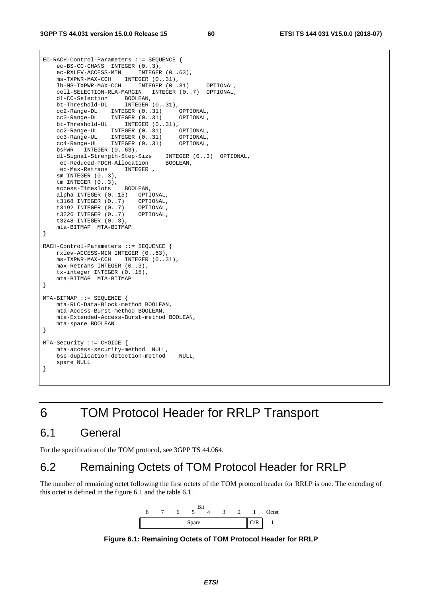```
EC-RACH-Control-Parameters ::= SEQUENCE { 
    ec-BS-CC-CHANS INTEGER (0..3),
    ec-RXLEV-ACCESS-MIN INTEGER (0..63)
    ms-TXPWR-MAX-CCH INTEGER (0..31), 
    lb-MS-TXPWR-MAX-CCH INTEGER (0..31) OPTIONAL, 
    cell-SELECTION-RLA-MARGIN INTEGER (0..7) OPTIONAL, 
 dl-CC-Selection BOOLEAN, 
 bt-Threshold-DL INTEGER (0..31), 
 cc2-Range-DL INTEGER (0..31) OPTIONAL, 
 cc3-Range-DL INTEGER (0..31) OPTIONAL, 
    bt-Threshold-UL INTEGER (0..31), 
 cc2-Range-UL INTEGER (0..31) OPTIONAL, 
 cc3-Range-UL INTEGER (0..31) OPTIONAL, 
 cc4-Range-UL INTEGER (0..31) OPTIONAL, 
    bsPWR INTEGER (0..63), 
 dl-Signal-Strength-Step-Size INTEGER (0..3) OPTIONAL, 
ec-Reduced-PDCH-Allocation BOOLEAN,
     ec-Max-Retrans INTEGER , 
     sm INTEGER (0..3), 
   tm INTEGER (0..3),
     access-Timeslots BOOLEAN, 
     alpha INTEGER (0..15) OPTIONAL, 
     t3168 INTEGER (0..7) OPTIONAL, 
     t3192 INTEGER (0..7) OPTIONAL, 
     t3226 INTEGER (0..7) OPTIONAL, 
     t3248 INTEGER (0..3), 
    mta-BITMAP MTA-BITMAP 
} 
RACH-Control-Parameters ::= SEQUENCE { 
   rxlev-ACCESS-MIN INTEGER (0..63),<br>ms-TXPWR-MAX-CCH INTEGER (0..3
                     INTEGER (0..31),
    max-Retrans INTEGER (0..3), 
     tx-integer INTEGER (0..15), 
    mta-BITMAP MTA-BITMAP 
} 
MTA-BITMAP ::= SEQUENCE { 
    mta-RLC-Data-Block-method BOOLEAN, 
    mta-Access-Burst-method BOOLEAN, 
    mta-Extended-Access-Burst-method BOOLEAN, 
    mta-spare BOOLEAN 
} 
MTA-Security ::= CHOICE { 
    mta-access-security-method NULL, 
    bss-duplication-detection-method NULL, 
     spare NULL 
}
```
6 TOM Protocol Header for RRLP Transport

# 6.1 General

For the specification of the TOM protocol, see 3GPP TS 44.064.

# 6.2 Remaining Octets of TOM Protocol Header for RRLP

The number of remaining octet following the first octets of the TOM protocol header for RRLP is one. The encoding of this octet is defined in the figure 6.1 and the table 6.1.



**Figure 6.1: Remaining Octets of TOM Protocol Header for RRLP**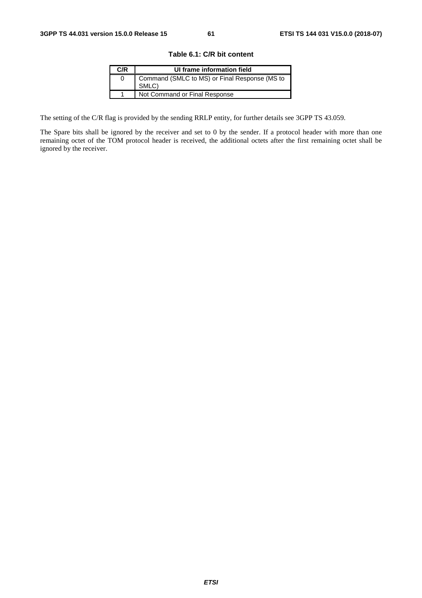**Table 6.1: C/R bit content** 

| C/R | UI frame information field                             |
|-----|--------------------------------------------------------|
|     | Command (SMLC to MS) or Final Response (MS to<br>SMLC) |
|     | Not Command or Final Response                          |

The setting of the C/R flag is provided by the sending RRLP entity, for further details see 3GPP TS 43.059.

The Spare bits shall be ignored by the receiver and set to 0 by the sender. If a protocol header with more than one remaining octet of the TOM protocol header is received, the additional octets after the first remaining octet shall be ignored by the receiver.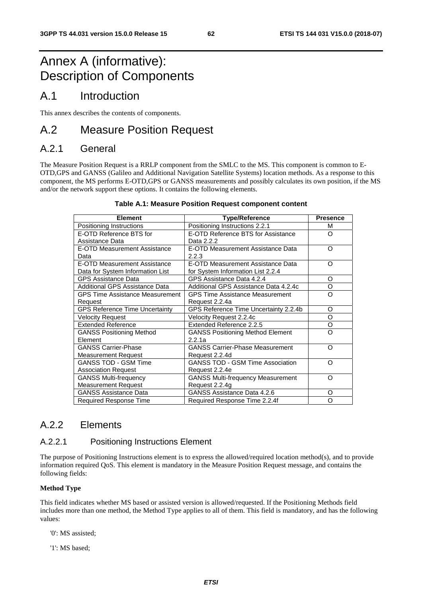# Annex A (informative): Description of Components

# A.1 Introduction

This annex describes the contents of components.

# A.2 Measure Position Request

# A.2.1 General

The Measure Position Request is a RRLP component from the SMLC to the MS. This component is common to E-OTD,GPS and GANSS (Galileo and Additional Navigation Satellite Systems) location methods. As a response to this component, the MS performs E-OTD,GPS or GANSS measurements and possibly calculates its own position, if the MS and/or the network support these options. It contains the following elements.

| <b>Element</b>                         | <b>Type/Reference</b>                    | <b>Presence</b> |
|----------------------------------------|------------------------------------------|-----------------|
| Positioning Instructions               | Positioning Instructions 2.2.1           | М               |
| E-OTD Reference BTS for                | E-OTD Reference BTS for Assistance       | $\Omega$        |
| Assistance Data                        | Data 2.2.2                               |                 |
| E-OTD Measurement Assistance           | E-OTD Measurement Assistance Data        | O               |
| Data                                   | 2.2.3                                    |                 |
| <b>E-OTD Measurement Assistance</b>    | E-OTD Measurement Assistance Data        | Ω               |
| Data for System Information List       | for System Information List 2.2.4        |                 |
| <b>GPS Assistance Data</b>             | GPS Assistance Data 4.2.4                | Ω               |
| Additional GPS Assistance Data         | Additional GPS Assistance Data 4.2.4c    | O               |
| <b>GPS Time Assistance Measurement</b> | <b>GPS Time Assistance Measurement</b>   | O               |
| Request                                | Request 2.2.4a                           |                 |
| <b>GPS Reference Time Uncertainty</b>  | GPS Reference Time Uncertainty 2.2.4b    | O               |
| <b>Velocity Request</b>                | Velocity Request 2.2.4c                  | O               |
| <b>Extended Reference</b>              | Extended Reference 2.2.5                 | O               |
| <b>GANSS Positioning Method</b>        | <b>GANSS Positioning Method Element</b>  | Ω               |
| Element                                | 2.2.1a                                   |                 |
| <b>GANSS Carrier-Phase</b>             | <b>GANSS Carrier-Phase Measurement</b>   | ∩               |
| <b>Measurement Request</b>             | Request 2.2.4d                           |                 |
| <b>GANSS TOD - GSM Time</b>            | <b>GANSS TOD - GSM Time Association</b>  | ∩               |
| <b>Association Request</b>             | Request 2.2.4e                           |                 |
| <b>GANSS Multi-frequency</b>           | <b>GANSS Multi-frequency Measurement</b> | O               |
| <b>Measurement Request</b>             | Request 2.2.4g                           |                 |
| <b>GANSS Assistance Data</b>           | GANSS Assistance Data 4.2.6              | O               |
| Required Response Time                 | Required Response Time 2.2.4f            | O               |

#### **Table A.1: Measure Position Request component content**

# A.2.2 Elements

# A.2.2.1 Positioning Instructions Element

The purpose of Positioning Instructions element is to express the allowed/required location method(s), and to provide information required QoS. This element is mandatory in the Measure Position Request message, and contains the following fields:

### **Method Type**

This field indicates whether MS based or assisted version is allowed/requested. If the Positioning Methods field includes more than one method, the Method Type applies to all of them. This field is mandatory, and has the following values:

'0': MS assisted;

'1': MS based;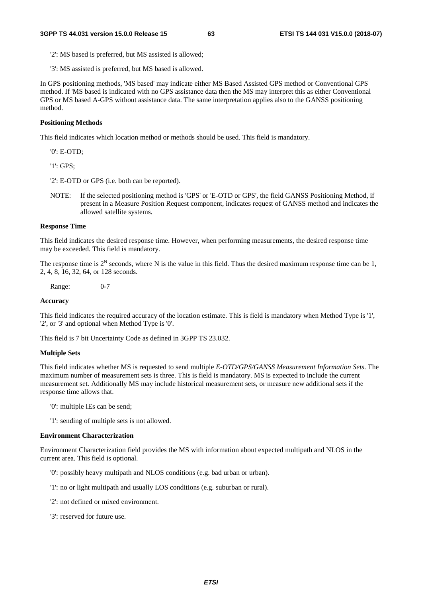- '2': MS based is preferred, but MS assisted is allowed;
- '3': MS assisted is preferred, but MS based is allowed.

In GPS positioning methods, 'MS based' may indicate either MS Based Assisted GPS method or Conventional GPS method. If 'MS based is indicated with no GPS assistance data then the MS may interpret this as either Conventional GPS or MS based A-GPS without assistance data. The same interpretation applies also to the GANSS positioning method.

#### **Positioning Methods**

This field indicates which location method or methods should be used. This field is mandatory.

'0': E-OTD;

'1': GPS;

'2': E-OTD or GPS (i.e. both can be reported).

NOTE: If the selected positioning method is 'GPS' or 'E-OTD or GPS', the field GANSS Positioning Method, if present in a Measure Position Request component, indicates request of GANSS method and indicates the allowed satellite systems.

#### **Response Time**

This field indicates the desired response time. However, when performing measurements, the desired response time may be exceeded. This field is mandatory.

The response time is  $2^N$  seconds, where N is the value in this field. Thus the desired maximum response time can be 1. 2, 4, 8, 16, 32, 64, or 128 seconds.

Range: 0-7

#### **Accuracy**

This field indicates the required accuracy of the location estimate. This is field is mandatory when Method Type is '1', '2', or '3' and optional when Method Type is '0'.

This field is 7 bit Uncertainty Code as defined in 3GPP TS 23.032.

#### **Multiple Sets**

This field indicates whether MS is requested to send multiple *E-OTD/GPS/GANSS Measurement Information Sets*. The maximum number of measurement sets is three. This is field is mandatory. MS is expected to include the current measurement set. Additionally MS may include historical measurement sets, or measure new additional sets if the response time allows that.

- '0': multiple IEs can be send;
- '1': sending of multiple sets is not allowed.

#### **Environment Characterization**

Environment Characterization field provides the MS with information about expected multipath and NLOS in the current area. This field is optional.

- '0': possibly heavy multipath and NLOS conditions (e.g. bad urban or urban).
- '1': no or light multipath and usually LOS conditions (e.g. suburban or rural).
- '2': not defined or mixed environment.
- '3': reserved for future use.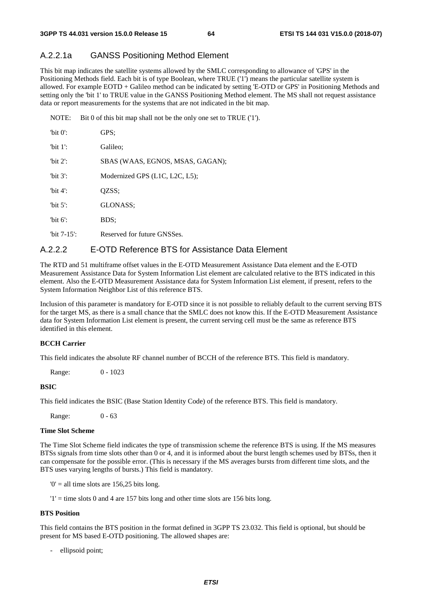# A.2.2.1a GANSS Positioning Method Element

This bit map indicates the satellite systems allowed by the SMLC corresponding to allowance of 'GPS' in the Positioning Methods field. Each bit is of type Boolean, where TRUE ('1') means the particular satellite system is allowed. For example EOTD + Galileo method can be indicated by setting 'E-OTD or GPS' in Positioning Methods and setting only the 'bit 1' to TRUE value in the GANSS Positioning Method element. The MS shall not request assistance data or report measurements for the systems that are not indicated in the bit map.

| NOTE:          | Bit 0 of this bit map shall not be the only one set to TRUE ('1'). |
|----------------|--------------------------------------------------------------------|
| "bit $0$ ":    | GPS:                                                               |
| 'bit $1$ ':    | Galileo:                                                           |
| "bit $2$ ":    | SBAS (WAAS, EGNOS, MSAS, GAGAN);                                   |
| "bit $3$ ":    | Modernized GPS (L1C, L2C, L5);                                     |
| 'bit $4$ ':    | OZSS:                                                              |
| "bit $5$ ":    | GLONASS;                                                           |
| "bit $6$ ":    | BDS:                                                               |
| "bit $7-15$ ": | Reserved for future GNSSes.                                        |

## A.2.2.2 E-OTD Reference BTS for Assistance Data Element

The RTD and 51 multiframe offset values in the E-OTD Measurement Assistance Data element and the E-OTD Measurement Assistance Data for System Information List element are calculated relative to the BTS indicated in this element. Also the E-OTD Measurement Assistance data for System Information List element, if present, refers to the System Information Neighbor List of this reference BTS.

Inclusion of this parameter is mandatory for E-OTD since it is not possible to reliably default to the current serving BTS for the target MS, as there is a small chance that the SMLC does not know this. If the E-OTD Measurement Assistance data for System Information List element is present, the current serving cell must be the same as reference BTS identified in this element.

### **BCCH Carrier**

This field indicates the absolute RF channel number of BCCH of the reference BTS. This field is mandatory.

Range: 0 - 1023

#### **BSIC**

This field indicates the BSIC (Base Station Identity Code) of the reference BTS. This field is mandatory.

Range: 0 - 63

#### **Time Slot Scheme**

The Time Slot Scheme field indicates the type of transmission scheme the reference BTS is using. If the MS measures BTSs signals from time slots other than 0 or 4, and it is informed about the burst length schemes used by BTSs, then it can compensate for the possible error. (This is necessary if the MS averages bursts from different time slots, and the BTS uses varying lengths of bursts.) This field is mandatory.

 $0'$  = all time slots are 156,25 bits long.

 $'1'$  = time slots 0 and 4 are 157 bits long and other time slots are 156 bits long.

## **BTS Position**

This field contains the BTS position in the format defined in 3GPP TS 23.032. This field is optional, but should be present for MS based E-OTD positioning. The allowed shapes are:

- ellipsoid point;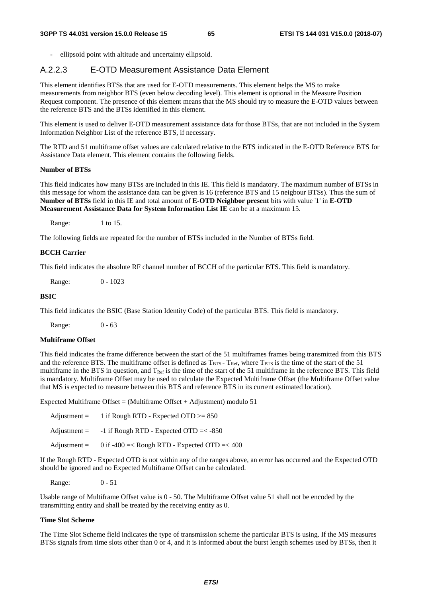ellipsoid point with altitude and uncertainty ellipsoid.

# A.2.2.3 E-OTD Measurement Assistance Data Element

This element identifies BTSs that are used for E-OTD measurements. This element helps the MS to make measurements from neighbor BTS (even below decoding level). This element is optional in the Measure Position Request component. The presence of this element means that the MS should try to measure the E-OTD values between the reference BTS and the BTSs identified in this element.

This element is used to deliver E-OTD measurement assistance data for those BTSs, that are not included in the System Information Neighbor List of the reference BTS, if necessary.

The RTD and 51 multiframe offset values are calculated relative to the BTS indicated in the E-OTD Reference BTS for Assistance Data element. This element contains the following fields.

## **Number of BTSs**

This field indicates how many BTSs are included in this IE. This field is mandatory. The maximum number of BTSs in this message for whom the assistance data can be given is 16 (reference BTS and 15 neigbour BTSs). Thus the sum of **Number of BTSs** field in this IE and total amount of **E-OTD Neighbor present** bits with value '1' in **E-OTD Measurement Assistance Data for System Information List IE** can be at a maximum 15.

Range: 1 to 15.

The following fields are repeated for the number of BTSs included in the Number of BTSs field.

#### **BCCH Carrier**

This field indicates the absolute RF channel number of BCCH of the particular BTS. This field is mandatory.

Range: 0 - 1023

#### **BSIC**

This field indicates the BSIC (Base Station Identity Code) of the particular BTS. This field is mandatory.

Range: 0 - 63

### **Multiframe Offset**

This field indicates the frame difference between the start of the 51 multiframes frames being transmitted from this BTS and the reference BTS. The multiframe offset is defined as  $T_{\text{BTS}}$  -  $T_{\text{Ref}}$ , where  $T_{\text{BTS}}$  is the time of the start of the 51 multiframe in the BTS in question, and T<sub>Ref</sub> is the time of the start of the 51 multiframe in the reference BTS. This field is mandatory. Multiframe Offset may be used to calculate the Expected Multiframe Offset (the Multiframe Offset value that MS is expected to measure between this BTS and reference BTS in its current estimated location).

Expected Multiframe Offset = (Multiframe Offset + Adjustment) modulo  $51$ 

| Adjustment $=$        | 1 if Rough RTD - Expected OTD $>= 850$            |
|-----------------------|---------------------------------------------------|
| $\text{Adjustment} =$ | $-1$ if Rough RTD - Expected OTD $=< -850$        |
| $\text{Adjustment} =$ | 0 if $-400 = <$ Rough RTD - Expected OTD $=< 400$ |

If the Rough RTD - Expected OTD is not within any of the ranges above, an error has occurred and the Expected OTD should be ignored and no Expected Multiframe Offset can be calculated.

Range: 0 - 51

Usable range of Multiframe Offset value is 0 - 50. The Multiframe Offset value 51 shall not be encoded by the transmitting entity and shall be treated by the receiving entity as 0.

#### **Time Slot Scheme**

The Time Slot Scheme field indicates the type of transmission scheme the particular BTS is using. If the MS measures BTSs signals from time slots other than 0 or 4, and it is informed about the burst length schemes used by BTSs, then it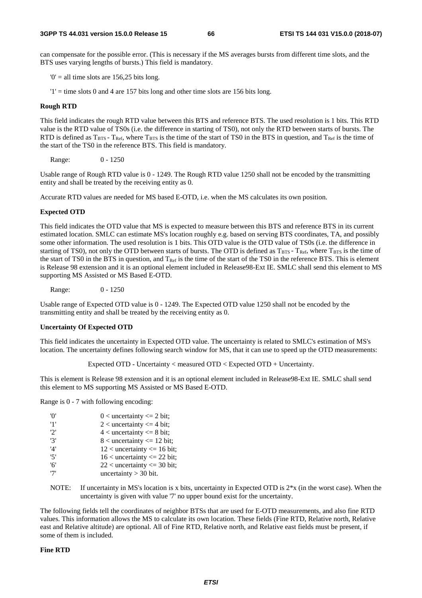can compensate for the possible error. (This is necessary if the MS averages bursts from different time slots, and the BTS uses varying lengths of bursts.) This field is mandatory.

 $0'$  = all time slots are 156,25 bits long.

 $'1'$  = time slots 0 and 4 are 157 bits long and other time slots are 156 bits long.

#### **Rough RTD**

This field indicates the rough RTD value between this BTS and reference BTS. The used resolution is 1 bits. This RTD value is the RTD value of TS0s (i.e. the difference in starting of TS0), not only the RTD between starts of bursts. The RTD is defined as  $T_{BTS}$  -  $T_{Ref}$ , where  $T_{BTS}$  is the time of the start of TS0 in the BTS in question, and  $T_{Ref}$  is the time of the start of the TS0 in the reference BTS. This field is mandatory.

Range: 0 - 1250

Usable range of Rough RTD value is 0 - 1249. The Rough RTD value 1250 shall not be encoded by the transmitting entity and shall be treated by the receiving entity as 0.

Accurate RTD values are needed for MS based E-OTD, i.e. when the MS calculates its own position.

#### **Expected OTD**

This field indicates the OTD value that MS is expected to measure between this BTS and reference BTS in its current estimated location. SMLC can estimate MS's location roughly e.g. based on serving BTS coordinates, TA, and possibly some other information. The used resolution is 1 bits. This OTD value is the OTD value of TS0s (i.e. the difference in starting of TS0), not only the OTD between starts of bursts. The OTD is defined as  $T_{\rm BTS}$  -  $T_{\rm Ref}$ , where  $T_{\rm BTS}$  is the time of the start of TS0 in the BTS in question, and  $T_{Ref}$  is the time of the start of the TS0 in the reference BTS. This is element is Release 98 extension and it is an optional element included in Release98-Ext IE. SMLC shall send this element to MS supporting MS Assisted or MS Based E-OTD.

Range: 0 - 1250

Usable range of Expected OTD value is 0 - 1249. The Expected OTD value 1250 shall not be encoded by the transmitting entity and shall be treated by the receiving entity as 0.

#### **Uncertainty Of Expected OTD**

This field indicates the uncertainty in Expected OTD value. The uncertainty is related to SMLC's estimation of MS's location. The uncertainty defines following search window for MS, that it can use to speed up the OTD measurements:

Expected OTD - Uncertainty < measured OTD < Expected OTD + Uncertainty.

This is element is Release 98 extension and it is an optional element included in Release98-Ext IE. SMLC shall send this element to MS supporting MS Assisted or MS Based E-OTD.

Range is 0 - 7 with following encoding:

| 'O' | $0$ < uncertainty $\leq 2$ bit; |
|-----|---------------------------------|
| '1' | $2$ < uncertainty $\leq$ 4 bit; |
| 2'  | $4$ < uncertainty $\leq 8$ bit; |
| '3' | $8$ < uncertainty <= 12 bit;    |
| '4' | $12$ < uncertainty <= 16 bit;   |
| '5' | $16$ < uncertainty <= 22 bit;   |
| '6' | $22$ < uncertainty <= 30 bit;   |
| '7' | uncertainty $>$ 30 bit.         |

NOTE: If uncertainty in MS's location is x bits, uncertainty in Expected OTD is  $2*x$  (in the worst case). When the uncertainty is given with value '7' no upper bound exist for the uncertainty.

The following fields tell the coordinates of neighbor BTSs that are used for E-OTD measurements, and also fine RTD values. This information allows the MS to calculate its own location. These fields (Fine RTD, Relative north, Relative east and Relative altitude) are optional. All of Fine RTD, Relative north, and Relative east fields must be present, if some of them is included.

#### **Fine RTD**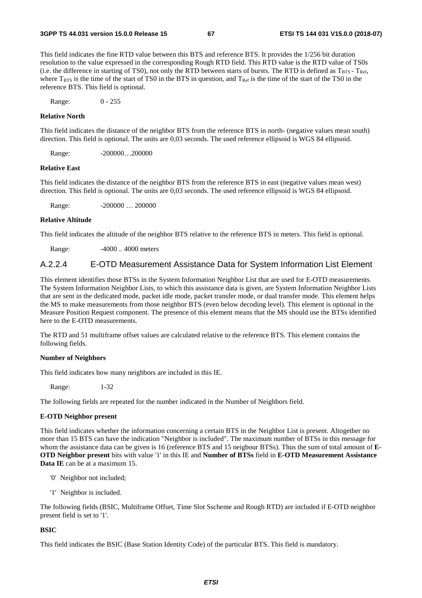This field indicates the fine RTD value between this BTS and reference BTS. It provides the 1/256 bit duration resolution to the value expressed in the corresponding Rough RTD field. This RTD value is the RTD value of TS0s (i.e. the difference in starting of TS0), not only the RTD between starts of bursts. The RTD is defined as  $T_{\rm BTS}$  -  $T_{\rm Ref}$ , where  $T_{\rm BTS}$  is the time of the start of TS0 in the BTS in question, and  $T_{\rm Ref}$  is the time of the start of the TS0 in the reference BTS. This field is optional.

Range: 0 - 255

### **Relative North**

This field indicates the distance of the neighbor BTS from the reference BTS in north- (negative values mean south) direction. This field is optional. The units are 0,03 seconds. The used reference ellipsoid is WGS 84 ellipsoid.

Range: -200000...200000

#### **Relative East**

This field indicates the distance of the neighbor BTS from the reference BTS in east (negative values mean west) direction. This field is optional. The units are 0,03 seconds. The used reference ellipsoid is WGS 84 ellipsoid.

Range: -200000 ... 200000

#### **Relative Altitude**

This field indicates the altitude of the neighbor BTS relative to the reference BTS in meters. This field is optional.

Range: -4000 ... 4000 meters

### A.2.2.4 E-OTD Measurement Assistance Data for System Information List Element

This element identifies those BTSs in the System Information Neighbor List that are used for E-OTD measurements. The System Information Neighbor Lists, to which this assistance data is given, are System Information Neighbor Lists that are sent in the dedicated mode, packet idle mode, packet transfer mode, or dual transfer mode. This element helps the MS to make measurements from those neighbor BTS (even below decoding level). This element is optional in the Measure Position Request component. The presence of this element means that the MS should use the BTSs identified here to the E-OTD measurements.

The RTD and 51 multiframe offset values are calculated relative to the reference BTS. This element contains the following fields.

#### **Number of Neighbors**

This field indicates how many neighbors are included in this IE.

Range: 1-32

The following fields are repeated for the number indicated in the Number of Neighbors field.

#### **E-OTD Neighbor present**

This field indicates whether the information concerning a certain BTS in the Neighbor List is present. Altogether no more than 15 BTS can have the indication "Neighbor is included". The maximum number of BTSs in this message for whom the assistance data can be given is 16 (reference BTS and 15 neigbour BTSs). Thus the sum of total amount of **E-OTD Neighbor present** bits with value '1' in this IE and **Number of BTSs** field in **E-OTD Measurement Assistance Data IE** can be at a maximum 15.

- '0' Neighbor not included;
- '1' Neighbor is included.

The following fields (BSIC, Multiframe Offset, Time Slot Sscheme and Rough RTD) are included if E-OTD neighbor present field is set to '1'.

#### **BSIC**

This field indicates the BSIC (Base Station Identity Code) of the particular BTS. This field is mandatory.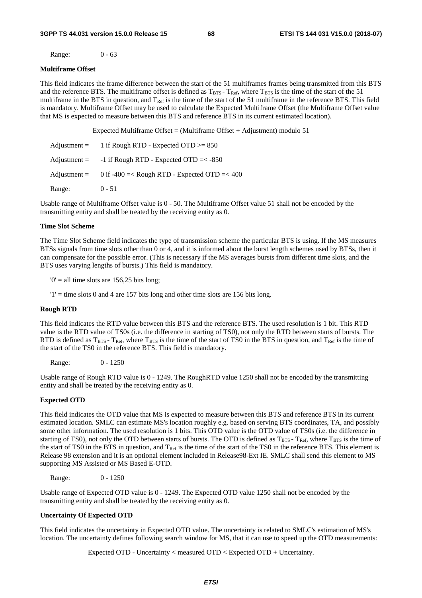Range: 0 - 63

#### **Multiframe Offset**

This field indicates the frame difference between the start of the 51 multiframes frames being transmitted from this BTS and the reference BTS. The multiframe offset is defined as  $T_{BTS}$  -  $T_{Ref}$ , where  $T_{BTS}$  is the time of the start of the 51 multiframe in the BTS in question, and T<sub>Ref</sub> is the time of the start of the 51 multiframe in the reference BTS. This field is mandatory. Multiframe Offset may be used to calculate the Expected Multiframe Offset (the Multiframe Offset value that MS is expected to measure between this BTS and reference BTS in its current estimated location).

Expected Multiframe Offset = (Multiframe Offset + Adjustment) modulo 51

| $\text{Adjustment} =$ | 1 if Rough RTD - Expected OTD $>= 850$                      |
|-----------------------|-------------------------------------------------------------|
|                       | Adjustment = $-1$ if Rough RTD - Expected OTD =< $-850$     |
|                       | Adjustment = $0$ if -400 =< Rough RTD - Expected OTD =< 400 |
| Range:                | $0 - 51$                                                    |

Usable range of Multiframe Offset value is 0 - 50. The Multiframe Offset value 51 shall not be encoded by the transmitting entity and shall be treated by the receiving entity as 0.

#### **Time Slot Scheme**

The Time Slot Scheme field indicates the type of transmission scheme the particular BTS is using. If the MS measures BTSs signals from time slots other than 0 or 4, and it is informed about the burst length schemes used by BTSs, then it can compensate for the possible error. (This is necessary if the MS averages bursts from different time slots, and the BTS uses varying lengths of bursts.) This field is mandatory.

 $0'$  = all time slots are 156,25 bits long;

 $'1'$  = time slots 0 and 4 are 157 bits long and other time slots are 156 bits long.

#### **Rough RTD**

This field indicates the RTD value between this BTS and the reference BTS. The used resolution is 1 bit. This RTD value is the RTD value of TS0s (i.e. the difference in starting of TS0), not only the RTD between starts of bursts. The RTD is defined as  $T_{\text{BTS}}$  -  $T_{\text{Ref}}$ , where  $T_{\text{BTS}}$  is the time of the start of TS0 in the BTS in question, and  $T_{\text{Ref}}$  is the time of the start of the TS0 in the reference BTS. This field is mandatory.

Range: 0 - 1250

Usable range of Rough RTD value is 0 - 1249. The RoughRTD value 1250 shall not be encoded by the transmitting entity and shall be treated by the receiving entity as 0.

#### **Expected OTD**

This field indicates the OTD value that MS is expected to measure between this BTS and reference BTS in its current estimated location. SMLC can estimate MS's location roughly e.g. based on serving BTS coordinates, TA, and possibly some other information. The used resolution is 1 bits. This OTD value is the OTD value of TS0s (i.e. the difference in starting of TS0), not only the OTD between starts of bursts. The OTD is defined as  $T_{\rm BTS}$  -  $T_{\rm Ref}$ , where  $T_{\rm BTS}$  is the time of the start of TS0 in the BTS in question, and  $T_{\text{Ref}}$  is the time of the start of the TS0 in the reference BTS. This element is Release 98 extension and it is an optional element included in Release98-Ext IE. SMLC shall send this element to MS supporting MS Assisted or MS Based E-OTD.

Range: 0 - 1250

Usable range of Expected OTD value is 0 - 1249. The Expected OTD value 1250 shall not be encoded by the transmitting entity and shall be treated by the receiving entity as 0.

#### **Uncertainty Of Expected OTD**

This field indicates the uncertainty in Expected OTD value. The uncertainty is related to SMLC's estimation of MS's location. The uncertainty defines following search window for MS, that it can use to speed up the OTD measurements:

Expected OTD - Uncertainty < measured OTD < Expected OTD + Uncertainty.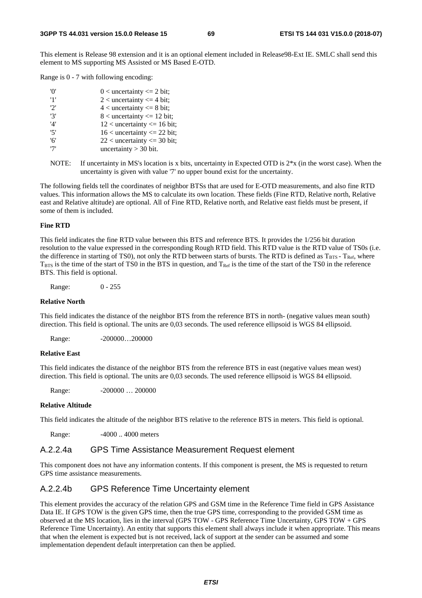This element is Release 98 extension and it is an optional element included in Release98-Ext IE. SMLC shall send this element to MS supporting MS Assisted or MS Based E-OTD.

Range is 0 - 7 with following encoding:

| 'N' | $0$ < uncertainty <= 2 bit;       |
|-----|-----------------------------------|
| '1' | $2$ < uncertainty $\leq$ 4 bit;   |
| 2'  | $4$ < uncertainty $\leq 8$ bit;   |
| '3' | $8$ < uncertainty $\leq 12$ bit;  |
| '4' | $12$ < uncertainty $\leq 16$ bit; |
| '5' | $16$ < uncertainty <= 22 bit;     |
| '6' | $22$ < uncertainty <= 30 bit;     |
| '7' | uncertainty $>$ 30 bit.           |

NOTE: If uncertainty in MS's location is x bits, uncertainty in Expected OTD is  $2*x$  (in the worst case). When the uncertainty is given with value '7' no upper bound exist for the uncertainty.

The following fields tell the coordinates of neighbor BTSs that are used for E-OTD measurements, and also fine RTD values. This information allows the MS to calculate its own location. These fields (Fine RTD, Relative north, Relative east and Relative altitude) are optional. All of Fine RTD, Relative north, and Relative east fields must be present, if some of them is included.

#### **Fine RTD**

This field indicates the fine RTD value between this BTS and reference BTS. It provides the 1/256 bit duration resolution to the value expressed in the corresponding Rough RTD field. This RTD value is the RTD value of TS0s (i.e. the difference in starting of TS0), not only the RTD between starts of bursts. The RTD is defined as T<sub>BTS</sub> - T<sub>Ref</sub>, where  $T_{\text{BTS}}$  is the time of the start of TS0 in the BTS in question, and  $T_{\text{Ref}}$  is the time of the start of the TS0 in the reference BTS. This field is optional.

Range: 0 - 255

#### **Relative North**

This field indicates the distance of the neighbor BTS from the reference BTS in north- (negative values mean south) direction. This field is optional. The units are 0,03 seconds. The used reference ellipsoid is WGS 84 ellipsoid.

Range: -200000...200000

### **Relative East**

This field indicates the distance of the neighbor BTS from the reference BTS in east (negative values mean west) direction. This field is optional. The units are 0,03 seconds. The used reference ellipsoid is WGS 84 ellipsoid.

Range: -200000 ... 200000

#### **Relative Altitude**

This field indicates the altitude of the neighbor BTS relative to the reference BTS in meters. This field is optional.

Range: -4000 ... 4000 meters

## A.2.2.4a GPS Time Assistance Measurement Request element

This component does not have any information contents. If this component is present, the MS is requested to return GPS time assistance measurements.

### A.2.2.4b GPS Reference Time Uncertainty element

This element provides the accuracy of the relation GPS and GSM time in the Reference Time field in GPS Assistance Data IE. If GPS TOW is the given GPS time, then the true GPS time, corresponding to the provided GSM time as observed at the MS location, lies in the interval (GPS TOW - GPS Reference Time Uncertainty, GPS TOW + GPS Reference Time Uncertainty). An entity that supports this element shall always include it when appropriate. This means that when the element is expected but is not received, lack of support at the sender can be assumed and some implementation dependent default interpretation can then be applied.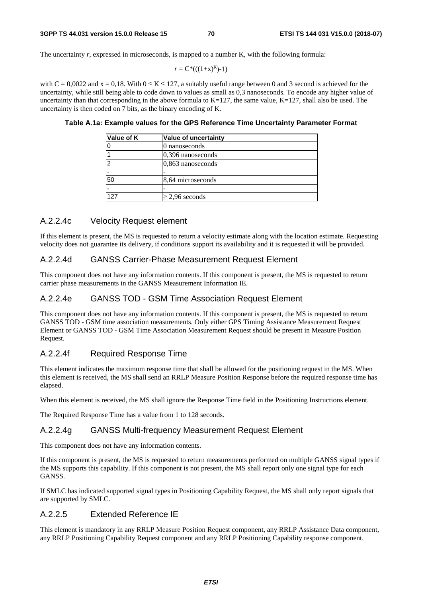The uncertainty *r*, expressed in microseconds, is mapped to a number K, with the following formula:

$$
r = C^*(( (1+x)^K) - 1)
$$

with  $C = 0.0022$  and  $x = 0.18$ . With  $0 \le K \le 127$ , a suitably useful range between 0 and 3 second is achieved for the uncertainty, while still being able to code down to values as small as 0,3 nanoseconds. To encode any higher value of uncertainty than that corresponding in the above formula to  $K=127$ , the same value,  $K=127$ , shall also be used. The uncertainty is then coded on 7 bits, as the binary encoding of K.

| Value of K | Value of uncertainty     |
|------------|--------------------------|
|            | 0 nanoseconds            |
|            | 0,396 nanoseconds        |
| 2          | $0,863$ nanoseconds      |
|            |                          |
| 50         | 8,64 microseconds        |
|            | $\overline{\phantom{0}}$ |
| 127        | $>$ 2.96 seconds         |

#### **Table A.1a: Example values for the GPS Reference Time Uncertainty Parameter Format**

## A.2.2.4c Velocity Request element

If this element is present, the MS is requested to return a velocity estimate along with the location estimate. Requesting velocity does not guarantee its delivery, if conditions support its availability and it is requested it will be provided.

### A.2.2.4d GANSS Carrier-Phase Measurement Request Element

This component does not have any information contents. If this component is present, the MS is requested to return carrier phase measurements in the GANSS Measurement Information IE.

## A.2.2.4e GANSS TOD - GSM Time Association Request Element

This component does not have any information contents. If this component is present, the MS is requested to return GANSS TOD - GSM time association measurements. Only either GPS Timing Assistance Measurement Request Element or GANSS TOD - GSM Time Association Measurement Request should be present in Measure Position Request.

## A.2.2.4f Required Response Time

This element indicates the maximum response time that shall be allowed for the positioning request in the MS. When this element is received, the MS shall send an RRLP Measure Position Response before the required response time has elapsed.

When this element is received, the MS shall ignore the Response Time field in the Positioning Instructions element.

The Required Response Time has a value from 1 to 128 seconds.

### A.2.2.4g GANSS Multi-frequency Measurement Request Element

This component does not have any information contents.

If this component is present, the MS is requested to return measurements performed on multiple GANSS signal types if the MS supports this capability. If this component is not present, the MS shall report only one signal type for each GANSS.

If SMLC has indicated supported signal types in Positioning Capability Request, the MS shall only report signals that are supported by SMLC.

# A.2.2.5 Extended Reference IE

This element is mandatory in any RRLP Measure Position Request component, any RRLP Assistance Data component, any RRLP Positioning Capability Request component and any RRLP Positioning Capability response component.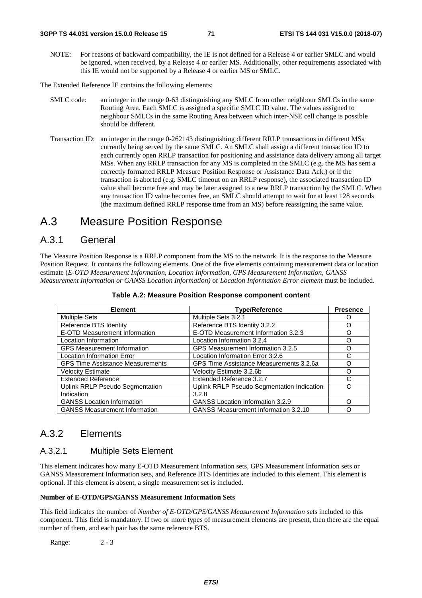NOTE: For reasons of backward compatibility, the IE is not defined for a Release 4 or earlier SMLC and would be ignored, when received, by a Release 4 or earlier MS. Additionally, other requirements associated with this IE would not be supported by a Release 4 or earlier MS or SMLC.

The Extended Reference IE contains the following elements:

- SMLC code: an integer in the range 0-63 distinguishing any SMLC from other neighbour SMLCs in the same Routing Area. Each SMLC is assigned a specific SMLC ID value. The values assigned to neighbour SMLCs in the same Routing Area between which inter-NSE cell change is possible should be different.
- Transaction ID: an integer in the range 0-262143 distinguishing different RRLP transactions in different MSs currently being served by the same SMLC. An SMLC shall assign a different transaction ID to each currently open RRLP transaction for positioning and assistance data delivery among all target MSs. When any RRLP transaction for any MS is completed in the SMLC (e.g. the MS has sent a correctly formatted RRLP Measure Position Response or Assistance Data Ack.) or if the transaction is aborted (e.g. SMLC timeout on an RRLP response), the associated transaction ID value shall become free and may be later assigned to a new RRLP transaction by the SMLC. When any transaction ID value becomes free, an SMLC should attempt to wait for at least 128 seconds (the maximum defined RRLP response time from an MS) before reassigning the same value.

# A.3 Measure Position Response

# A.3.1 General

The Measure Position Response is a RRLP component from the MS to the network. It is the response to the Measure Position Request. It contains the following elements. One of the five elements containing measurement data or location estimate (*E-OTD Measurement Information*, *Location Information*, *GPS Measurement Information, GANSS Measurement Information or GANSS Location Information)* or *Location Information Error element* must be included.

| <b>Element</b>                          | <b>Type/Reference</b>                      | <b>Presence</b> |
|-----------------------------------------|--------------------------------------------|-----------------|
| <b>Multiple Sets</b>                    | Multiple Sets 3.2.1                        |                 |
| Reference BTS Identity                  | Reference BTS Identity 3.2.2               |                 |
| E-OTD Measurement Information           | E-OTD Measurement Information 3.2.3        | O               |
| Location Information                    | Location Information 3.2.4                 | ∩               |
| <b>GPS Measurement Information</b>      | GPS Measurement Information 3.2.5          | ∩               |
| <b>Location Information Error</b>       | Location Information Error 3.2.6           |                 |
| <b>GPS Time Assistance Measurements</b> | GPS Time Assistance Measurements 3.2.6a    | ∩               |
| <b>Velocity Estimate</b>                | Velocity Estimate 3.2.6b                   | ( )             |
| <b>Extended Reference</b>               | Extended Reference 3.2.7                   | C               |
| Uplink RRLP Pseudo Segmentation         | Uplink RRLP Pseudo Segmentation Indication | C               |
| Indication                              | 3.2.8                                      |                 |
| <b>GANSS Location Information</b>       | <b>GANSS Location Information 3.2.9</b>    |                 |
| <b>GANSS Measurement Information</b>    | GANSS Measurement Information 3.2.10       |                 |

#### **Table A.2: Measure Position Response component content**

# A.3.2 Elements

# A.3.2.1 Multiple Sets Element

This element indicates how many E-OTD Measurement Information sets, GPS Measurement Information sets or GANSS Measurement Information sets, and Reference BTS Identities are included to this element. This element is optional. If this element is absent, a single measurement set is included.

### **Number of E-OTD/GPS/GANSS Measurement Information Sets**

This field indicates the number of *Number of E-OTD/GPS/GANSS Measurement Information* sets included to this component. This field is mandatory. If two or more types of measurement elements are present, then there are the equal number of them, and each pair has the same reference BTS.

Range: 2 - 3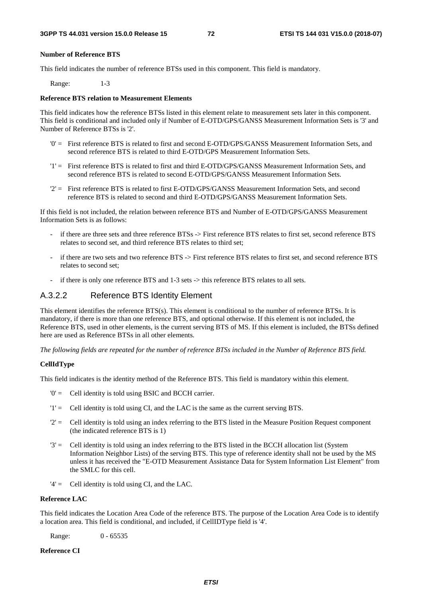## **Number of Reference BTS**

This field indicates the number of reference BTSs used in this component. This field is mandatory.

Range: 1-3

# **Reference BTS relation to Measurement Elements**

This field indicates how the reference BTSs listed in this element relate to measurement sets later in this component. This field is conditional and included only if Number of E-OTD/GPS/GANSS Measurement Information Sets is '3' and Number of Reference BTSs is '2'.

- '0' = First reference BTS is related to first and second E-OTD/GPS/GANSS Measurement Information Sets, and second reference BTS is related to third E-OTD/GPS Measurement Information Sets.
- '1' = First reference BTS is related to first and third E-OTD/GPS/GANSS Measurement Information Sets, and second reference BTS is related to second E-OTD/GPS/GANSS Measurement Information Sets.
- '2' = First reference BTS is related to first E-OTD/GPS/GANSS Measurement Information Sets, and second reference BTS is related to second and third E-OTD/GPS/GANSS Measurement Information Sets.

If this field is not included, the relation between reference BTS and Number of E-OTD/GPS/GANSS Measurement Information Sets is as follows:

- if there are three sets and three reference BTSs -> First reference BTS relates to first set, second reference BTS relates to second set, and third reference BTS relates to third set;
- if there are two sets and two reference BTS -> First reference BTS relates to first set, and second reference BTS relates to second set;
- if there is only one reference BTS and 1-3 sets -> this reference BTS relates to all sets.

# A.3.2.2 Reference BTS Identity Element

This element identifies the reference BTS(s). This element is conditional to the number of reference BTSs. It is mandatory, if there is more than one reference BTS, and optional otherwise. If this element is not included, the Reference BTS, used in other elements, is the current serving BTS of MS. If this element is included, the BTSs defined here are used as Reference BTSs in all other elements.

*The following fields are repeated for the number of reference BTSs included in the Number of Reference BTS field.* 

### **CellIdType**

This field indicates is the identity method of the Reference BTS. This field is mandatory within this element.

- '0' = Cell identity is told using BSIC and BCCH carrier.
- '1' = Cell identity is told using CI, and the LAC is the same as the current serving BTS.
- '2' = Cell identity is told using an index referring to the BTS listed in the Measure Position Request component (the indicated reference BTS is 1)
- '3' = Cell identity is told using an index referring to the BTS listed in the BCCH allocation list (System Information Neighbor Lists) of the serving BTS. This type of reference identity shall not be used by the MS unless it has received the "E-OTD Measurement Assistance Data for System Information List Element" from the SMLC for this cell.
- '4' = Cell identity is told using CI, and the LAC.

# **Reference LAC**

This field indicates the Location Area Code of the reference BTS. The purpose of the Location Area Code is to identify a location area. This field is conditional, and included, if CellIDType field is '4'.

Range: 0 - 65535

### **Reference CI**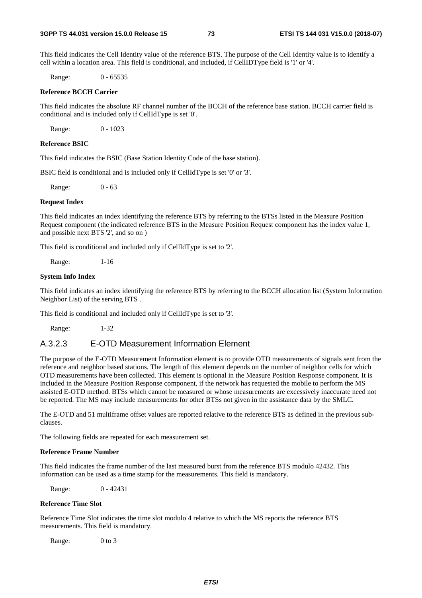This field indicates the Cell Identity value of the reference BTS. The purpose of the Cell Identity value is to identify a cell within a location area. This field is conditional, and included, if CellIDType field is '1' or '4'.

Range: 0 - 65535

### **Reference BCCH Carrier**

This field indicates the absolute RF channel number of the BCCH of the reference base station. BCCH carrier field is conditional and is included only if CellIdType is set '0'.

Range: 0 - 1023

### **Reference BSIC**

This field indicates the BSIC (Base Station Identity Code of the base station).

BSIC field is conditional and is included only if CellIdType is set '0' or '3'.

Range: 0 - 63

### **Request Index**

This field indicates an index identifying the reference BTS by referring to the BTSs listed in the Measure Position Request component (the indicated reference BTS in the Measure Position Request component has the index value 1, and possible next BTS '2', and so on )

This field is conditional and included only if CellIdType is set to '2'.

Range: 1-16

### **System Info Index**

This field indicates an index identifying the reference BTS by referring to the BCCH allocation list (System Information Neighbor List) of the serving BTS .

This field is conditional and included only if CellIdType is set to '3'.

Range: 1-32

# A.3.2.3 E-OTD Measurement Information Element

The purpose of the E-OTD Measurement Information element is to provide OTD measurements of signals sent from the reference and neighbor based stations. The length of this element depends on the number of neighbor cells for which OTD measurements have been collected. This element is optional in the Measure Position Response component. It is included in the Measure Position Response component, if the network has requested the mobile to perform the MS assisted E-OTD method. BTSs which cannot be measured or whose measurements are excessively inaccurate need not be reported. The MS may include measurements for other BTSs not given in the assistance data by the SMLC.

The E-OTD and 51 multiframe offset values are reported relative to the reference BTS as defined in the previous subclauses.

The following fields are repeated for each measurement set.

#### **Reference Frame Number**

This field indicates the frame number of the last measured burst from the reference BTS modulo 42432. This information can be used as a time stamp for the measurements. This field is mandatory.

Range: 0 - 42431

### **Reference Time Slot**

Reference Time Slot indicates the time slot modulo 4 relative to which the MS reports the reference BTS measurements. This field is mandatory.

Range: 0 to 3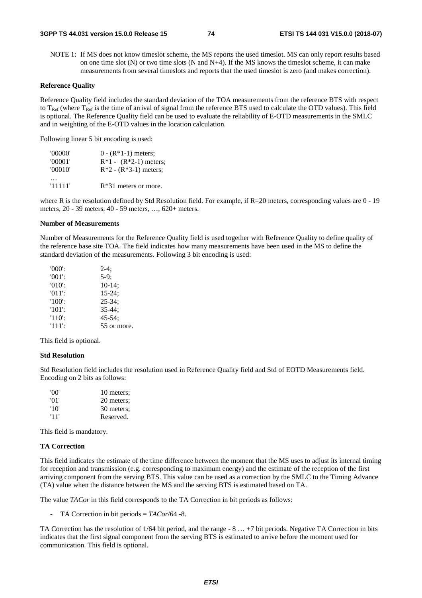NOTE 1: If MS does not know timeslot scheme, the MS reports the used timeslot. MS can only report results based on one time slot  $(N)$  or two time slots  $(N \text{ and } N+4)$ . If the MS knows the timeslot scheme, it can make measurements from several timeslots and reports that the used timeslot is zero (and makes correction).

### **Reference Quality**

Reference Quality field includes the standard deviation of the TOA measurements from the reference BTS with respect to  $T_{\text{Ref}}$  (where  $T_{\text{Ref}}$  is the time of arrival of signal from the reference BTS used to calculate the OTD values). This field is optional. The Reference Quality field can be used to evaluate the reliability of E-OTD measurements in the SMLC and in weighting of the E-OTD values in the location calculation.

Following linear 5 bit encoding is used:

| '00000' | $0 - (R*1-1)$ meters;   |
|---------|-------------------------|
| '00001' | $R*1 - (R*2-1)$ meters; |
| '00010' | $R*2 - (R*3-1)$ meters; |
|         |                         |
| '11111' | $R*31$ meters or more.  |

where R is the resolution defined by Std Resolution field. For example, if R=20 meters, corresponding values are 0 - 19 meters, 20 - 39 meters, 40 - 59 meters, …, 620+ meters.

### **Number of Measurements**

Number of Measurements for the Reference Quality field is used together with Reference Quality to define quality of the reference base site TOA. The field indicates how many measurements have been used in the MS to define the standard deviation of the measurements. Following 3 bit encoding is used:

| $'000$ .  | $2-4$ ;     |
|-----------|-------------|
| $'001'$ : | $5-9:$      |
| $'010'$ : | $10-14$ ;   |
| $'011'$ : | $15 - 24$ ; |
| $'100'$ : | $25 - 34$ ; |
| $'101'$ : | $35 - 44$ ; |
| $'110'$ : | $45 - 54$ : |
| $'111'$ : | 55 or more. |

This field is optional.

### **Std Resolution**

Std Resolution field includes the resolution used in Reference Quality field and Std of EOTD Measurements field. Encoding on 2 bits as follows:

| 'OO' | 10 meters; |
|------|------------|
| '01' | 20 meters; |
| '10' | 30 meters; |
| '11' | Reserved.  |

This field is mandatory.

#### **TA Correction**

This field indicates the estimate of the time difference between the moment that the MS uses to adjust its internal timing for reception and transmission (e.g. corresponding to maximum energy) and the estimate of the reception of the first arriving component from the serving BTS. This value can be used as a correction by the SMLC to the Timing Advance (TA) value when the distance between the MS and the serving BTS is estimated based on TA.

The value *TACor* in this field corresponds to the TA Correction in bit periods as follows:

- TA Correction in bit periods = *TACor*/64 -8.

TA Correction has the resolution of 1/64 bit period, and the range - 8 … +7 bit periods. Negative TA Correction in bits indicates that the first signal component from the serving BTS is estimated to arrive before the moment used for communication. This field is optional.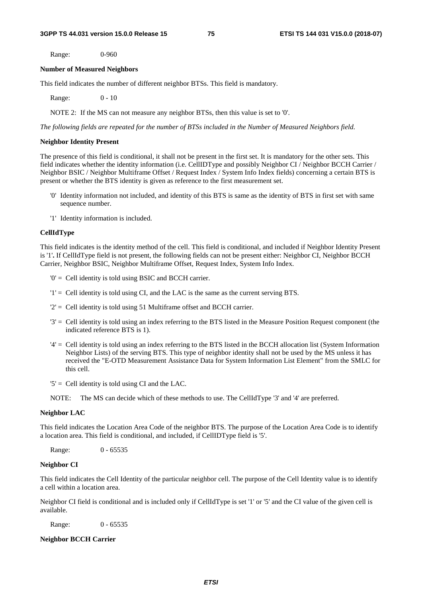Range: 0-960

#### **Number of Measured Neighbors**

This field indicates the number of different neighbor BTSs. This field is mandatory.

Range: 0 - 10

NOTE 2: If the MS can not measure any neighbor BTSs, then this value is set to '0'.

*The following fields are repeated for the number of BTSs included in the Number of Measured Neighbors field.* 

#### **Neighbor Identity Present**

The presence of this field is conditional, it shall not be present in the first set. It is mandatory for the other sets. This field indicates whether the identity information (i.e. CellIDType and possibly Neighbor CI / Neighbor BCCH Carrier / Neighbor BSIC / Neighbor Multiframe Offset / Request Index / System Info Index fields) concerning a certain BTS is present or whether the BTS identity is given as reference to the first measurement set.

- '0' Identity information not included, and identity of this BTS is same as the identity of BTS in first set with same sequence number.
- '1' Identity information is included.

#### **CellIdType**

This field indicates is the identity method of the cell. This field is conditional, and included if Neighbor Identity Present is '1'**.** If CellIdType field is not present, the following fields can not be present either: Neighbor CI, Neighbor BCCH Carrier, Neighbor BSIC, Neighbor Multiframe Offset, Request Index, System Info Index.

- '0' = Cell identity is told using BSIC and BCCH carrier.
- '1' = Cell identity is told using CI, and the LAC is the same as the current serving BTS.
- $2'$  = Cell identity is told using 51 Multiframe offset and BCCH carrier.
- '3' = Cell identity is told using an index referring to the BTS listed in the Measure Position Request component (the indicated reference BTS is 1).
- '4' = Cell identity is told using an index referring to the BTS listed in the BCCH allocation list (System Information Neighbor Lists) of the serving BTS. This type of neighbor identity shall not be used by the MS unless it has received the "E-OTD Measurement Assistance Data for System Information List Element" from the SMLC for this cell.
- '5' = Cell identity is told using CI and the LAC.
- NOTE: The MS can decide which of these methods to use. The CellIdType '3' and '4' are preferred.

#### **Neighbor LAC**

This field indicates the Location Area Code of the neighbor BTS. The purpose of the Location Area Code is to identify a location area. This field is conditional, and included, if CellIDType field is '5'.

Range: 0 - 65535

### **Neighbor CI**

This field indicates the Cell Identity of the particular neighbor cell. The purpose of the Cell Identity value is to identify a cell within a location area.

Neighbor CI field is conditional and is included only if CellIdType is set '1' or '5' and the CI value of the given cell is available.

Range: 0 - 65535

**Neighbor BCCH Carrier**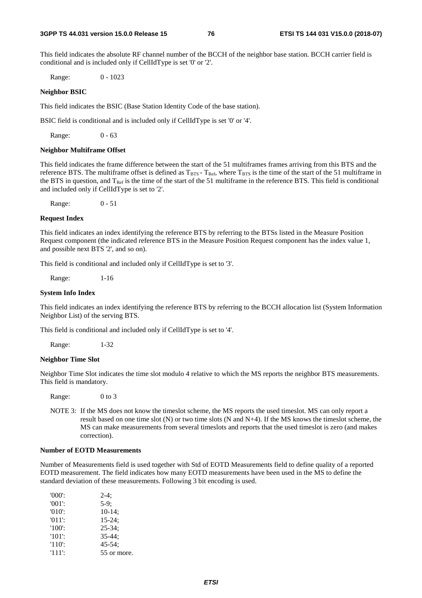This field indicates the absolute RF channel number of the BCCH of the neighbor base station. BCCH carrier field is conditional and is included only if CellIdType is set '0' or '2'.

Range: 0 - 1023

### **Neighbor BSIC**

This field indicates the BSIC (Base Station Identity Code of the base station).

BSIC field is conditional and is included only if CellIdType is set '0' or '4'.

Range: 0 - 63

### **Neighbor Multiframe Offset**

This field indicates the frame difference between the start of the 51 multiframes frames arriving from this BTS and the reference BTS. The multiframe offset is defined as  $T_{\text{BTS}}$  -  $T_{\text{Ref}}$ , where  $T_{\text{BTS}}$  is the time of the start of the 51 multiframe in the BTS in question, and  $T_{Ref}$  is the time of the start of the 51 multiframe in the reference BTS. This field is conditional and included only if CellIdType is set to '2'.

Range: 0 - 51

#### **Request Index**

This field indicates an index identifying the reference BTS by referring to the BTSs listed in the Measure Position Request component (the indicated reference BTS in the Measure Position Request component has the index value 1, and possible next BTS '2', and so on).

This field is conditional and included only if CellIdType is set to '3'.

Range: 1-16

### **System Info Index**

This field indicates an index identifying the reference BTS by referring to the BCCH allocation list (System Information Neighbor List) of the serving BTS.

This field is conditional and included only if CellIdType is set to '4'.

Range: 1-32

### **Neighbor Time Slot**

Neighbor Time Slot indicates the time slot modulo 4 relative to which the MS reports the neighbor BTS measurements. This field is mandatory.

Range: 0 to 3

NOTE 3: If the MS does not know the timeslot scheme, the MS reports the used timeslot. MS can only report a result based on one time slot (N) or two time slots (N and N+4). If the MS knows the timeslot scheme, the MS can make measurements from several timeslots and reports that the used timeslot is zero (and makes correction).

#### **Number of EOTD Measurements**

Number of Measurements field is used together with Std of EOTD Measurements field to define quality of a reported EOTD measurement. The field indicates how many EOTD measurements have been used in the MS to define the standard deviation of these measurements. Following 3 bit encoding is used.

| $'000'$ : | $2-4:$      |
|-----------|-------------|
| $'001'$ : | $5-9$ ;     |
| $'010'$ : | $10-14;$    |
| $'011'$ : | $15 - 24$ : |
| $'100'$ : | $25 - 34$ ; |
| $'101'$ : | $35 - 44:$  |
| $'110'$ : | $45 - 54$ : |
| $'111'$ : | 55 or more. |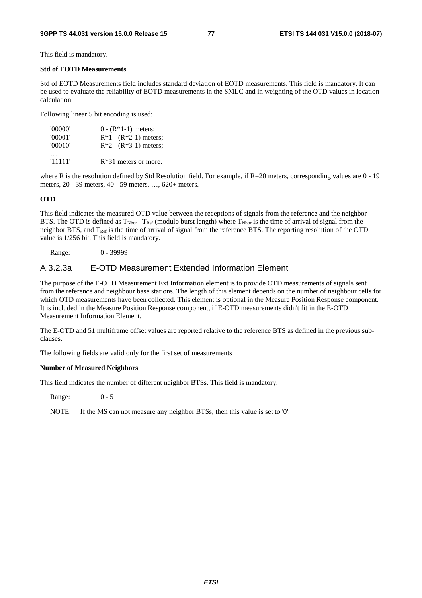This field is mandatory.

### **Std of EOTD Measurements**

Std of EOTD Measurements field includes standard deviation of EOTD measurements. This field is mandatory. It can be used to evaluate the reliability of EOTD measurements in the SMLC and in weighting of the OTD values in location calculation.

Following linear 5 bit encoding is used:

| '00000' | $0 - (R*1-1)$ meters;   |
|---------|-------------------------|
| '00001' | $R*1 - (R*2-1)$ meters; |
| '00010' | $R*2 - (R*3-1)$ meters; |
|         |                         |
| '11111' | $R*31$ meters or more.  |

where R is the resolution defined by Std Resolution field. For example, if R=20 meters, corresponding values are 0 - 19 meters, 20 - 39 meters, 40 - 59 meters, …, 620+ meters.

### **OTD**

This field indicates the measured OTD value between the receptions of signals from the reference and the neighbor BTS. The OTD is defined as  $T_{Nbor} - T_{Ref}$  (modulo burst length) where  $T_{Nbor}$  is the time of arrival of signal from the neighbor BTS, and  $T_{Ref}$  is the time of arrival of signal from the reference BTS. The reporting resolution of the OTD value is 1/256 bit. This field is mandatory.

Range: 0 - 39999

# A.3.2.3a E-OTD Measurement Extended Information Element

The purpose of the E-OTD Measurement Ext Information element is to provide OTD measurements of signals sent from the reference and neighbour base stations. The length of this element depends on the number of neighbour cells for which OTD measurements have been collected. This element is optional in the Measure Position Response component. It is included in the Measure Position Response component, if E-OTD measurements didn't fit in the E-OTD Measurement Information Element.

The E-OTD and 51 multiframe offset values are reported relative to the reference BTS as defined in the previous subclauses.

The following fields are valid only for the first set of measurements

# **Number of Measured Neighbors**

This field indicates the number of different neighbor BTSs. This field is mandatory.

Range: 0 - 5

NOTE: If the MS can not measure any neighbor BTSs, then this value is set to '0'.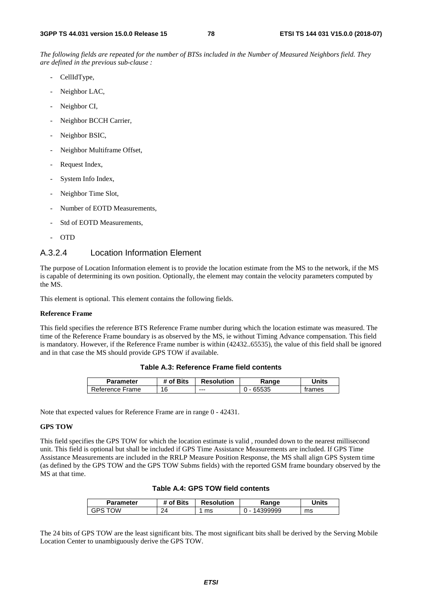*The following fields are repeated for the number of BTSs included in the Number of Measured Neighbors field. They are defined in the previous sub-clause :*

- CellIdType,
- Neighbor LAC,
- Neighbor CI,
- Neighbor BCCH Carrier,
- Neighbor BSIC,
- Neighbor Multiframe Offset,
- Request Index,
- System Info Index,
- Neighbor Time Slot,
- Number of EOTD Measurements,
- Std of EOTD Measurements,
- OTD

# A.3.2.4 Location Information Element

The purpose of Location Information element is to provide the location estimate from the MS to the network, if the MS is capable of determining its own position. Optionally, the element may contain the velocity parameters computed by the MS.

This element is optional. This element contains the following fields.

### **Reference Frame**

This field specifies the reference BTS Reference Frame number during which the location estimate was measured. The time of the Reference Frame boundary is as observed by the MS, ie without Timing Advance compensation. This field is mandatory. However, if the Reference Frame number is within (42432..65535), the value of this field shall be ignored and in that case the MS should provide GPS TOW if available.

## **Table A.3: Reference Frame field contents**

| <b>Parameter</b> | of Bits | <b>Resolution</b> | Ranqe | Jnits  |
|------------------|---------|-------------------|-------|--------|
| Reference Frame  | 16      | $--$              | 65535 | trames |

Note that expected values for Reference Frame are in range 0 - 42431.

### **GPS TOW**

This field specifies the GPS TOW for which the location estimate is valid , rounded down to the nearest millisecond unit. This field is optional but shall be included if GPS Time Assistance Measurements are included. If GPS Time Assistance Measurements are included in the RRLP Measure Position Response, the MS shall align GPS System time (as defined by the GPS TOW and the GPS TOW Subms fields) with the reported GSM frame boundary observed by the MS at that time.

| Table A.4: GPS TOW field contents |  |  |  |  |  |
|-----------------------------------|--|--|--|--|--|
|-----------------------------------|--|--|--|--|--|

| Parameter        | # of Bits | <b>Resolution</b> | Range          | Units |
|------------------|-----------|-------------------|----------------|-------|
| ∩W<br>1 D⊾<br>ات | 24        | ms                | 4399999<br>. . | ms    |

The 24 bits of GPS TOW are the least significant bits. The most significant bits shall be derived by the Serving Mobile Location Center to unambiguously derive the GPS TOW.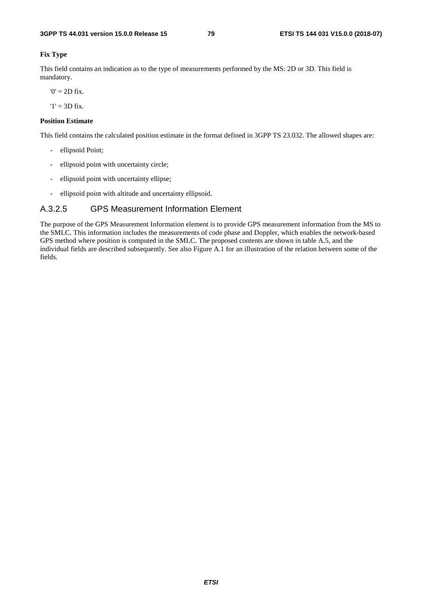## **Fix Type**

This field contains an indication as to the type of measurements performed by the MS: 2D or 3D. This field is mandatory.

 $0' = 2D$  fix.

 $'1' = 3D$  fix.

# **Position Estimate**

This field contains the calculated position estimate in the format defined in 3GPP TS 23.032. The allowed shapes are:

- ellipsoid Point;
- ellipsoid point with uncertainty circle;
- ellipsoid point with uncertainty ellipse;
- ellipsoid point with altitude and uncertainty ellipsoid.

# A.3.2.5 GPS Measurement Information Element

The purpose of the GPS Measurement Information element is to provide GPS measurement information from the MS to the SMLC. This information includes the measurements of code phase and Doppler, which enables the network-based GPS method where position is computed in the SMLC. The proposed contents are shown in table A.5, and the individual fields are described subsequently. See also Figure A.1 for an illustration of the relation between some of the fields.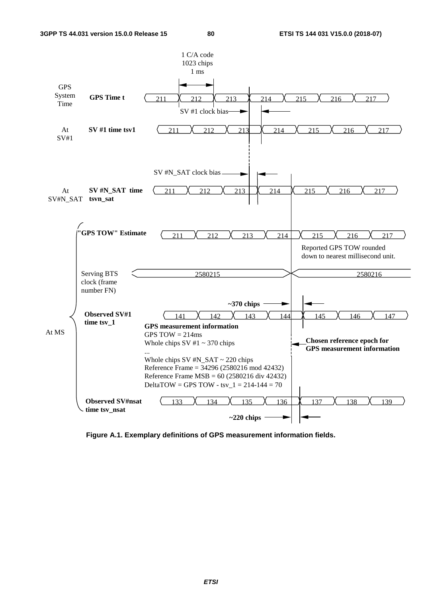

**Figure A.1. Exemplary definitions of GPS measurement information fields.**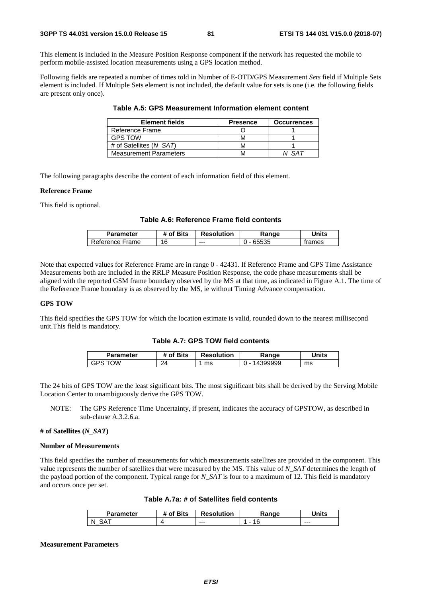This element is included in the Measure Position Response component if the network has requested the mobile to perform mobile-assisted location measurements using a GPS location method.

Following fields are repeated a number of times told in Number of E-OTD/GPS Measurement *Sets* field if Multiple Sets element is included. If Multiple Sets element is not included, the default value for sets is one (i.e. the following fields are present only once).

| <b>Element fields</b>         | <b>Presence</b> | <b>Occurrences</b> |
|-------------------------------|-----------------|--------------------|
| Reference Frame               |                 |                    |
| <b>GPS TOW</b>                |                 |                    |
| # of Satellites (N SAT)       | M               |                    |
| <b>Measurement Parameters</b> |                 | S47                |

**Table A.5: GPS Measurement Information element content** 

The following paragraphs describe the content of each information field of this element.

### **Reference Frame**

This field is optional.

### **Table A.6: Reference Frame field contents**

| Parameter       | # of Bits | <b>Resolution</b> | Range | <b>Jnits</b> |
|-----------------|-----------|-------------------|-------|--------------|
| Reference Frame | 16        | $- - -$           |       | trames       |

Note that expected values for Reference Frame are in range 0 - 42431. If Reference Frame and GPS Time Assistance Measurements both are included in the RRLP Measure Position Response, the code phase measurements shall be aligned with the reported GSM frame boundary observed by the MS at that time, as indicated in Figure A.1. The time of the Reference Frame boundary is as observed by the MS, ie without Timing Advance compensation.

### **GPS TOW**

This field specifies the GPS TOW for which the location estimate is valid, rounded down to the nearest millisecond unit.This field is mandatory.

**Table A.7: GPS TOW field contents** 

| Parameter | f Bits<br>of. | <b>Resolution</b> | Range                             | Units |
|-----------|---------------|-------------------|-----------------------------------|-------|
| ٦W        | 2Δ            | ms                | 99999<br>$\overline{\phantom{a}}$ | ms    |

The 24 bits of GPS TOW are the least significant bits. The most significant bits shall be derived by the Serving Mobile Location Center to unambiguously derive the GPS TOW.

NOTE: The GPS Reference Time Uncertainty, if present, indicates the accuracy of GPSTOW, as described in sub-clause A.3.2.6.a.

### **# of Satellites (***N\_SAT***)**

### **Number of Measurements**

This field specifies the number of measurements for which measurements satellites are provided in the component. This value represents the number of satellites that were measured by the MS. This value of *N\_SAT* determines the length of the payload portion of the component. Typical range for *N\_SAT* is four to a maximum of 12. This field is mandatory and occurs once per set.

| Table A.7a: # of Satellites field contents |
|--------------------------------------------|
|--------------------------------------------|

| Parameter | # of Bits | <b>Resolution</b> | .⊀anqe | Units   |
|-----------|-----------|-------------------|--------|---------|
| SA.<br>N  |           | $- - -$           | . U    | $- - -$ |

#### **Measurement Parameters**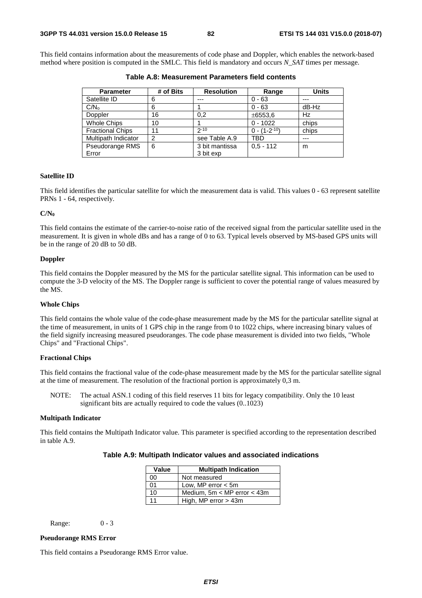This field contains information about the measurements of code phase and Doppler, which enables the network-based method where position is computed in the SMLC. This field is mandatory and occurs *N\_SAT* times per message.

| <b>Parameter</b>        | # of Bits | <b>Resolution</b> | Range               | <b>Units</b> |
|-------------------------|-----------|-------------------|---------------------|--------------|
| Satellite ID            | 6         | ---               | $0 - 63$            | $- - -$      |
| C/N <sub>o</sub>        | 6         |                   | $0 - 63$            | dB-Hz        |
| Doppler                 | 16        | 0,2               | ±6553,6             | Hz           |
| <b>Whole Chips</b>      | 10        |                   | $0 - 1022$          | chips        |
| <b>Fractional Chips</b> | 11        | $2 - 10$          | $0 - (1 - 2^{-10})$ | chips        |
| Multipath Indicator     | 2         | see Table A.9     | TBD                 | $---$        |
| Pseudorange RMS         | 6         | 3 bit mantissa    | $0.5 - 112$         | m            |
| Error                   |           | 3 bit exp         |                     |              |

**Table A.8: Measurement Parameters field contents** 

### **Satellite ID**

This field identifies the particular satellite for which the measurement data is valid. This values 0 - 63 represent satellite PRNs 1 - 64, respectively.

## **C/N0**

This field contains the estimate of the carrier-to-noise ratio of the received signal from the particular satellite used in the measurement. It is given in whole dBs and has a range of 0 to 63. Typical levels observed by MS-based GPS units will be in the range of 20 dB to 50 dB.

### **Doppler**

This field contains the Doppler measured by the MS for the particular satellite signal. This information can be used to compute the 3-D velocity of the MS. The Doppler range is sufficient to cover the potential range of values measured by the MS.

### **Whole Chips**

This field contains the whole value of the code-phase measurement made by the MS for the particular satellite signal at the time of measurement, in units of 1 GPS chip in the range from 0 to 1022 chips, where increasing binary values of the field signify increasing measured pseudoranges. The code phase measurement is divided into two fields, "Whole Chips" and "Fractional Chips".

#### **Fractional Chips**

This field contains the fractional value of the code-phase measurement made by the MS for the particular satellite signal at the time of measurement. The resolution of the fractional portion is approximately 0,3 m.

NOTE: The actual ASN.1 coding of this field reserves 11 bits for legacy compatibility. Only the 10 least significant bits are actually required to code the values (0..1023)

### **Multipath Indicator**

This field contains the Multipath Indicator value. This parameter is specified according to the representation described in table A.9.

|  |  | Table A.9: Multipath Indicator values and associated indications |
|--|--|------------------------------------------------------------------|
|--|--|------------------------------------------------------------------|

| Value | <b>Multipath Indication</b>     |
|-------|---------------------------------|
| 00    | Not measured                    |
| 01    | Low, MP error $<$ 5m            |
| 10    | Medium, $5m < MP$ error $<$ 43m |
| 11    | High, MP error > 43m            |

Range: 0 - 3

### **Pseudorange RMS Error**

This field contains a Pseudorange RMS Error value.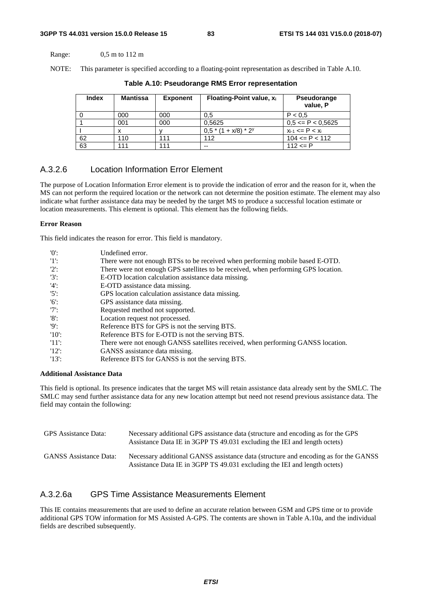Range: 0,5 m to 112 m

NOTE: This parameter is specified according to a floating-point representation as described in Table A.10.

| <b>Index</b> | <b>Mantissa</b> | <b>Exponent</b> | Floating-Point value, x <sub>i</sub> | <b>Pseudorange</b><br>value, P |
|--------------|-----------------|-----------------|--------------------------------------|--------------------------------|
|              | 000             | 000             | 0.5                                  | P < 0.5                        |
|              | 001             | 000             | 0.5625                               | $0.5 \leq P \leq 0.5625$       |
|              |                 |                 | $0.5*(1 + x/8)*2^y$                  | $X_{i-1}$ <= $P$ < $X_i$       |
| 62           | 110             | 111             | 112                                  | $104 \leq P \leq 112$          |
| 63           |                 | 111             | $-$                                  | $112 \le P$                    |

**Table A.10: Pseudorange RMS Error representation** 

# A.3.2.6 Location Information Error Element

The purpose of Location Information Error element is to provide the indication of error and the reason for it, when the MS can not perform the required location or the network can not determine the position estimate. The element may also indicate what further assistance data may be needed by the target MS to produce a successful location estimate or location measurements. This element is optional. This element has the following fields.

### **Error Reason**

This field indicates the reason for error. This field is mandatory.

| '0             | Undefined error.                                                                   |
|----------------|------------------------------------------------------------------------------------|
| -1':           | There were not enough BTSs to be received when performing mobile based E-OTD.      |
| $'2$ :         | There were not enough GPS satellites to be received, when performing GPS location. |
| $'3'$ :        | E-OTD location calculation assistance data missing.                                |
| $'4$ :         | E-OTD assistance data missing.                                                     |
| $'5$ :         | GPS location calculation assistance data missing.                                  |
| $^{\prime}6$ . | GPS assistance data missing.                                                       |
| "7             | Requested method not supported.                                                    |
| $'8$ :         | Location request not processed.                                                    |
| '9'            | Reference BTS for GPS is not the serving BTS.                                      |
| $'10'$ :       | Reference BTS for E-OTD is not the serving BTS.                                    |
| -'11':         | There were not enough GANSS satellites received, when performing GANSS location.   |
| $'12$ :        | GANSS assistance data missing.                                                     |
| $'13$ :        | Reference BTS for GANSS is not the serving BTS.                                    |

## **Additional Assistance Data**

This field is optional. Its presence indicates that the target MS will retain assistance data already sent by the SMLC. The SMLC may send further assistance data for any new location attempt but need not resend previous assistance data. The field may contain the following:

| GPS Assistance Data:          | Necessary additional GPS assistance data (structure and encoding as for the GPS<br>Assistance Data IE in 3GPP TS 49.031 excluding the IEI and length octets)     |
|-------------------------------|------------------------------------------------------------------------------------------------------------------------------------------------------------------|
| <b>GANSS</b> Assistance Data: | Necessary additional GANSS assistance data (structure and encoding as for the GANSS<br>Assistance Data IE in 3GPP TS 49.031 excluding the IEI and length octets) |

# A.3.2.6a GPS Time Assistance Measurements Element

This IE contains measurements that are used to define an accurate relation between GSM and GPS time or to provide additional GPS TOW information for MS Assisted A-GPS. The contents are shown in Table A.10a, and the individual fields are described subsequently.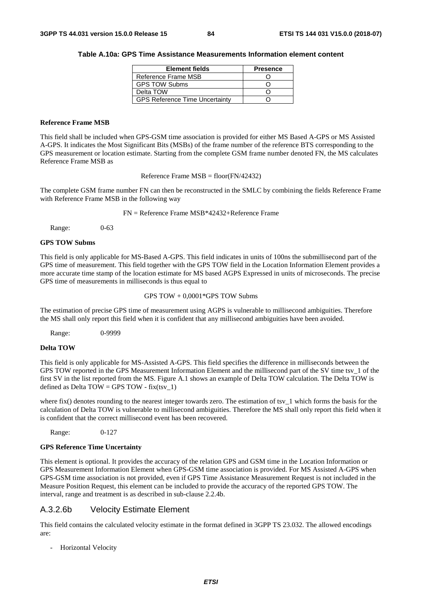|  |  | Table A.10a: GPS Time Assistance Measurements Information element content |
|--|--|---------------------------------------------------------------------------|
|--|--|---------------------------------------------------------------------------|

| <b>Element fields</b>                 | <b>Presence</b> |
|---------------------------------------|-----------------|
| Reference Frame MSB                   |                 |
| <b>GPS TOW Subms</b>                  |                 |
| Delta TOW                             |                 |
| <b>GPS Reference Time Uncertainty</b> |                 |

### **Reference Frame MSB**

This field shall be included when GPS-GSM time association is provided for either MS Based A-GPS or MS Assisted A-GPS. It indicates the Most Significant Bits (MSBs) of the frame number of the reference BTS corresponding to the GPS measurement or location estimate. Starting from the complete GSM frame number denoted FN, the MS calculates Reference Frame MSB as

Reference Frame MSB = floor(FN/42432)

The complete GSM frame number FN can then be reconstructed in the SMLC by combining the fields Reference Frame with Reference Frame MSB in the following way

FN = Reference Frame MSB\*42432+Reference Frame

Range: 0-63

#### **GPS TOW Subms**

This field is only applicable for MS-Based A-GPS. This field indicates in units of 100ns the submillisecond part of the GPS time of measurement. This field together with the GPS TOW field in the Location Information Element provides a more accurate time stamp of the location estimate for MS based AGPS Expressed in units of microseconds. The precise GPS time of measurements in milliseconds is thus equal to

GPS TOW + 0,0001\*GPS TOW Subms

The estimation of precise GPS time of measurement using AGPS is vulnerable to millisecond ambiguities. Therefore the MS shall only report this field when it is confident that any millisecond ambiguities have been avoided.

Range: 0-9999

### **Delta TOW**

This field is only applicable for MS-Assisted A-GPS. This field specifies the difference in milliseconds between the GPS TOW reported in the GPS Measurement Information Element and the millisecond part of the SV time tsv\_1 of the first SV in the list reported from the MS. Figure A.1 shows an example of Delta TOW calculation. The Delta TOW is defined as Delta TOW = GPS TOW - fix(tsy\_1)

where fix() denotes rounding to the nearest integer towards zero. The estimation of tsv $1$  which forms the basis for the calculation of Delta TOW is vulnerable to millisecond ambiguities. Therefore the MS shall only report this field when it is confident that the correct millisecond event has been recovered.

Range: 0-127

### **GPS Reference Time Uncertainty**

This element is optional. It provides the accuracy of the relation GPS and GSM time in the Location Information or GPS Measurement Information Element when GPS-GSM time association is provided. For MS Assisted A-GPS when GPS-GSM time association is not provided, even if GPS Time Assistance Measurement Request is not included in the Measure Position Request, this element can be included to provide the accuracy of the reported GPS TOW. The interval, range and treatment is as described in sub-clause 2.2.4b.

# A.3.2.6b Velocity Estimate Element

This field contains the calculated velocity estimate in the format defined in 3GPP TS 23.032. The allowed encodings are:

Horizontal Velocity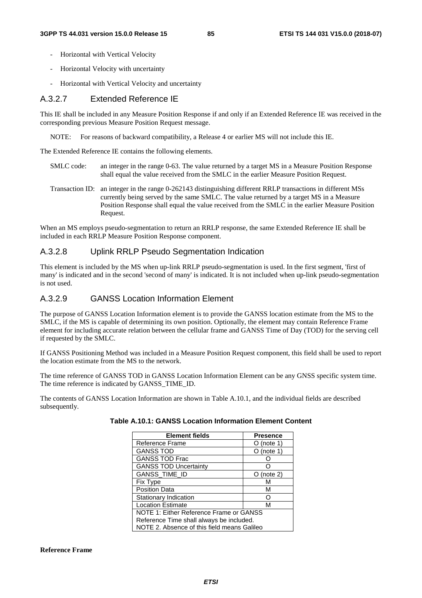- Horizontal with Vertical Velocity
- Horizontal Velocity with uncertainty
- Horizontal with Vertical Velocity and uncertainty

# A.3.2.7 Extended Reference IE

This IE shall be included in any Measure Position Response if and only if an Extended Reference IE was received in the corresponding previous Measure Position Request message.

NOTE: For reasons of backward compatibility, a Release 4 or earlier MS will not include this IE.

The Extended Reference IE contains the following elements.

- SMLC code: an integer in the range 0-63. The value returned by a target MS in a Measure Position Response shall equal the value received from the SMLC in the earlier Measure Position Request.
- Transaction ID: an integer in the range 0-262143 distinguishing different RRLP transactions in different MSs currently being served by the same SMLC. The value returned by a target MS in a Measure Position Response shall equal the value received from the SMLC in the earlier Measure Position Request.

When an MS employs pseudo-segmentation to return an RRLP response, the same Extended Reference IE shall be included in each RRLP Measure Position Response component.

# A.3.2.8 Uplink RRLP Pseudo Segmentation Indication

This element is included by the MS when up-link RRLP pseudo-segmentation is used. In the first segment, 'first of many' is indicated and in the second 'second of many' is indicated. It is not included when up-link pseudo-segmentation is not used.

# A.3.2.9 GANSS Location Information Element

The purpose of GANSS Location Information element is to provide the GANSS location estimate from the MS to the SMLC, if the MS is capable of determining its own position. Optionally, the element may contain Reference Frame element for including accurate relation between the cellular frame and GANSS Time of Day (TOD) for the serving cell if requested by the SMLC.

If GANSS Positioning Method was included in a Measure Position Request component, this field shall be used to report the location estimate from the MS to the network.

The time reference of GANSS TOD in GANSS Location Information Element can be any GNSS specific system time. The time reference is indicated by GANSS\_TIME\_ID.

The contents of GANSS Location Information are shown in Table A.10.1, and the individual fields are described subsequently.

| <b>Element fields</b>                       | Presence      |  |  |
|---------------------------------------------|---------------|--|--|
| Reference Frame                             | (note 1)      |  |  |
| <b>GANSS TOD</b>                            | (note 1)<br>Ő |  |  |
| <b>GANSS TOD Frac</b>                       |               |  |  |
| <b>GANSS TOD Uncertainty</b>                |               |  |  |
| GANSS_TIME_ID                               | (note 2)      |  |  |
| Fix Type                                    | М             |  |  |
| <b>Position Data</b>                        | м             |  |  |
| Stationary Indication                       |               |  |  |
| <b>Location Estimate</b>                    | м             |  |  |
| NOTE 1: Either Reference Frame or GANSS     |               |  |  |
| Reference Time shall always be included.    |               |  |  |
| NOTE 2. Absence of this field means Galileo |               |  |  |

### **Table A.10.1: GANSS Location Information Element Content**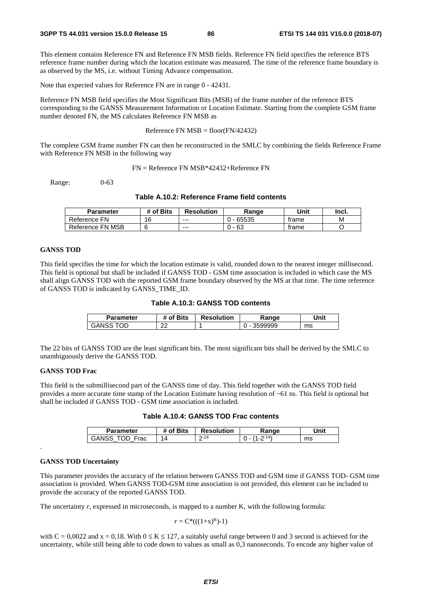This element contains Reference FN and Reference FN MSB fields. Reference FN field specifies the reference BTS reference frame number during which the location estimate was measured. The time of the reference frame boundary is as observed by the MS, i.e. without Timing Advance compensation.

Note that expected values for Reference FN are in range 0 - 42431.

Reference FN MSB field specifies the Most Significant Bits (MSB) of the frame number of the reference BTS corresponding to the GANSS Measurement Information or Location Estimate. Starting from the complete GSM frame number denoted FN, the MS calculates Reference FN MSB as

#### Reference FN  $MSB = floor(FN/42432)$

The complete GSM frame number FN can then be reconstructed in the SMLC by combining the fields Reference Frame with Reference FN MSB in the following way

## FN = Reference FN MSB\*42432+Reference FN

Range: 0-63

# **Table A.10.2: Reference Frame field contents**

| <b>Parameter</b> | # of Bits | <b>Resolution</b> | Range | Unit  | Incl. |
|------------------|-----------|-------------------|-------|-------|-------|
| Reference FN     | 16        | $- - -$           | 65535 | trame | M     |
| Reference FN MSB | G         | $--$              | 63    | trame |       |

### **GANSS TOD**

This field specifies the time for which the location estimate is valid, rounded down to the nearest integer millisecond. This field is optional but shall be included if GANSS TOD - GSM time association is included in which case the MS shall align GANSS TOD with the reported GSM frame boundary observed by the MS at that time. The time reference of GANSS TOD is indicated by GANSS\_TIME\_ID.

| Table A.10.3: GANSS TOD contents |  |  |  |
|----------------------------------|--|--|--|
|----------------------------------|--|--|--|

| Parameter         | <b>Bits</b><br>0f | <b>Resolution</b> | Range  | Unit |
|-------------------|-------------------|-------------------|--------|------|
| ЮD<br>GAN:<br>- ה | ົ<br>ے            |                   | ;99999 | ms   |

The 22 bits of GANSS TOD are the least significant bits. The most significant bits shall be derived by the SMLC to unambiguously derive the GANSS TOD.

### **GANSS TOD Frac**

This field is the submillisecond part of the GANSS time of day. This field together with the GANSS TOD field provides a more accurate time stamp of the Location Estimate having resolution of ~61 ns. This field is optional but shall be included if GANSS TOD - GSM time association is included.

| Table A.10.4: GANSS TOD Frac contents |  |
|---------------------------------------|--|
|---------------------------------------|--|

| Parameter           | # of Bits | <b>Resolution</b> | Ranqe     | Unit |
|---------------------|-----------|-------------------|-----------|------|
| Frac<br>)D<br>GANSS | $\Delta$  | າ-14<br>-         | ′-14<br>и | ms   |

#### **GANSS TOD Uncertainty**

.

This parameter provides the accuracy of the relation between GANSS TOD and GSM time if GANSS TOD- GSM time association is provided. When GANSS TOD-GSM time association is not provided, this element can be included to provide the accuracy of the reported GANSS TOD.

The uncertainty *r*, expressed in microseconds, is mapped to a number K, with the following formula:

$$
r = C^*(( (1+x)^K) - 1)
$$

with  $C = 0.0022$  and  $x = 0.18$ . With  $0 \le K \le 127$ , a suitably useful range between 0 and 3 second is achieved for the uncertainty, while still being able to code down to values as small as 0,3 nanoseconds. To encode any higher value of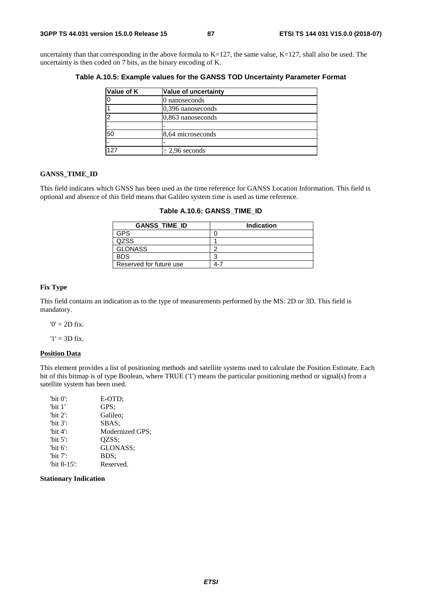uncertainty than that corresponding in the above formula to  $K=127$ , the same value,  $K=127$ , shall also be used. The uncertainty is then coded on 7 bits, as the binary encoding of K.

**Table A.10.5: Example values for the GANSS TOD Uncertainty Parameter Format** 

| Value of K | <b>Value of uncertainty</b> |
|------------|-----------------------------|
|            | 0 nanoseconds               |
|            | $ 0,396$ nanoseconds        |
|            | $ 0,863 $ nanoseconds       |
|            |                             |
| 50         | 8,64 microseconds           |
|            |                             |
| 127        | $\geq$ 2,96 seconds         |

## **GANSS\_TIME\_ID**

This field indicates which GNSS has been used as the time reference for GANSS Location Information. This field is optional and absence of this field means that Galileo system time is used as time reference.

|  | Table A.10.6: GANSS TIME ID |
|--|-----------------------------|
|  |                             |

| <b>GANSS TIME ID</b>    | <b>Indication</b> |
|-------------------------|-------------------|
| <b>GPS</b>              |                   |
| <b>QZSS</b>             |                   |
| <b>GLONASS</b>          | ◠                 |
| <b>BDS</b>              | ◠                 |
| Reserved for future use | $4 - 7$           |
|                         |                   |

# **Fix Type**

This field contains an indication as to the type of measurements performed by the MS: 2D or 3D. This field is mandatory.

 $0' = 2D$  fix.

 $'1' = 3D$  fix.

# **Position Data**

This element provides a list of positioning methods and satellite systems used to calculate the Position Estimate. Each bit of this bitmap is of type Boolean, where TRUE ('1') means the particular positioning method or signal(s) from a satellite system has been used.

| "bit $0$ ":    | E-OTD:          |
|----------------|-----------------|
| "bit $1$ "     | GPS:            |
| 'bit $2$ ':    | Galileo;        |
| "bit $3$ ":    | SBAS:           |
| 'bit $4$ ':    | Modernized GPS; |
| "bit $5$ ":    | OZSS:           |
| 'bit $6$ ':    | GLONASS;        |
| "bit $7$ ":    | BDS:            |
| "bit $8-15$ ": | Reserved.       |

## **Stationary Indication**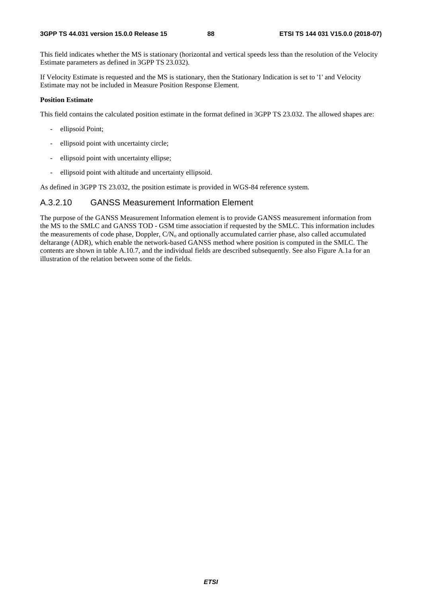This field indicates whether the MS is stationary (horizontal and vertical speeds less than the resolution of the Velocity Estimate parameters as defined in 3GPP TS 23.032).

If Velocity Estimate is requested and the MS is stationary, then the Stationary Indication is set to '1' and Velocity Estimate may not be included in Measure Position Response Element.

### **Position Estimate**

This field contains the calculated position estimate in the format defined in 3GPP TS 23.032. The allowed shapes are:

- ellipsoid Point;
- ellipsoid point with uncertainty circle;
- ellipsoid point with uncertainty ellipse;
- ellipsoid point with altitude and uncertainty ellipsoid.

As defined in 3GPP TS 23.032, the position estimate is provided in WGS-84 reference system.

# A.3.2.10 GANSS Measurement Information Element

The purpose of the GANSS Measurement Information element is to provide GANSS measurement information from the MS to the SMLC and GANSS TOD - GSM time association if requested by the SMLC. This information includes the measurements of code phase, Doppler, C/N<sub>o</sub> and optionally accumulated carrier phase, also called accumulated deltarange (ADR), which enable the network-based GANSS method where position is computed in the SMLC. The contents are shown in table A.10.7, and the individual fields are described subsequently. See also Figure A.1a for an illustration of the relation between some of the fields.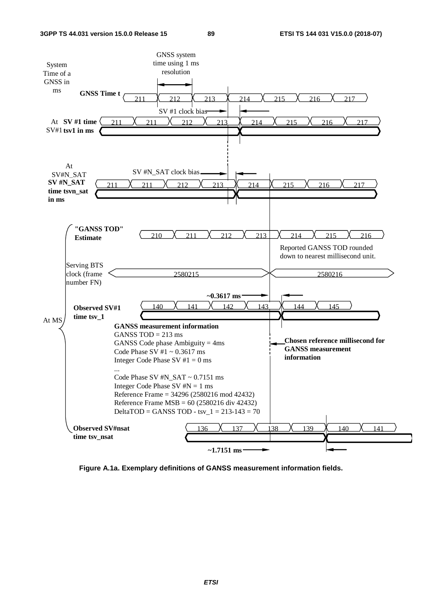

**Figure A.1a. Exemplary definitions of GANSS measurement information fields.**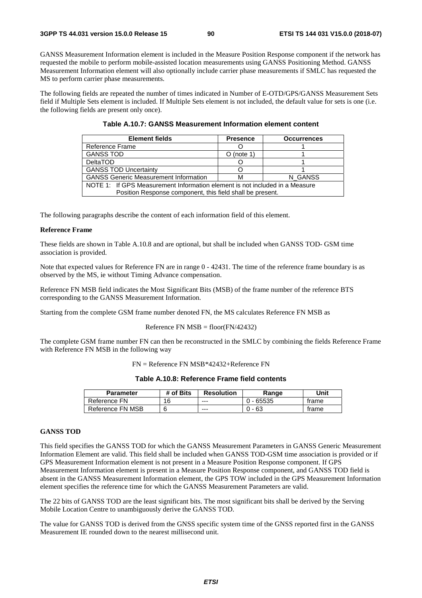GANSS Measurement Information element is included in the Measure Position Response component if the network has requested the mobile to perform mobile-assisted location measurements using GANSS Positioning Method. GANSS Measurement Information element will also optionally include carrier phase measurements if SMLC has requested the MS to perform carrier phase measurements.

The following fields are repeated the number of times indicated in Number of E-OTD/GPS/GANSS Measurement Sets field if Multiple Sets element is included. If Multiple Sets element is not included, the default value for sets is one (i.e. the following fields are present only once).

| <b>Element fields</b>                                                       | <b>Presence</b> | <b>Occurrences</b> |  |  |
|-----------------------------------------------------------------------------|-----------------|--------------------|--|--|
| Reference Frame                                                             |                 |                    |  |  |
| <b>GANSS TOD</b>                                                            | $O$ (note 1)    |                    |  |  |
| <b>DeltaTOD</b>                                                             |                 |                    |  |  |
| <b>GANSS TOD Uncertainty</b>                                                |                 |                    |  |  |
| <b>GANSS Generic Measurement Information</b>                                |                 | N GANSS            |  |  |
| NOTE 1: If GPS Measurement Information element is not included in a Measure |                 |                    |  |  |
| Position Response component, this field shall be present.                   |                 |                    |  |  |

| Table A.10.7: GANSS Measurement Information element content |  |
|-------------------------------------------------------------|--|
|-------------------------------------------------------------|--|

The following paragraphs describe the content of each information field of this element.

### **Reference Frame**

These fields are shown in Table A.10.8 and are optional, but shall be included when GANSS TOD- GSM time association is provided.

Note that expected values for Reference FN are in range  $0 - 42431$ . The time of the reference frame boundary is as observed by the MS, ie without Timing Advance compensation.

Reference FN MSB field indicates the Most Significant Bits (MSB) of the frame number of the reference BTS corresponding to the GANSS Measurement Information.

Starting from the complete GSM frame number denoted FN, the MS calculates Reference FN MSB as

$$
Reference FN MSB = floor(FN/42432)
$$

The complete GSM frame number FN can then be reconstructed in the SMLC by combining the fields Reference Frame with Reference FN MSB in the following way

FN = Reference FN MSB\*42432+Reference FN

**Table A.10.8: Reference Frame field contents** 

| <b>Parameter</b> | # of Bits | <b>Resolution</b> | Range   | Unit  |
|------------------|-----------|-------------------|---------|-------|
| Reference FN     | 16        | $---$             | - 65535 | trame |
| Reference FN MSB |           | $--$              | -63     | trame |

# **GANSS TOD**

This field specifies the GANSS TOD for which the GANSS Measurement Parameters in GANSS Generic Measurement Information Element are valid. This field shall be included when GANSS TOD-GSM time association is provided or if GPS Measurement Information element is not present in a Measure Position Response component. If GPS Measurement Information element is present in a Measure Position Response component, and GANSS TOD field is absent in the GANSS Measurement Information element, the GPS TOW included in the GPS Measurement Information element specifies the reference time for which the GANSS Measurement Parameters are valid.

The 22 bits of GANSS TOD are the least significant bits. The most significant bits shall be derived by the Serving Mobile Location Centre to unambiguously derive the GANSS TOD.

The value for GANSS TOD is derived from the GNSS specific system time of the GNSS reported first in the GANSS Measurement IE rounded down to the nearest millisecond unit.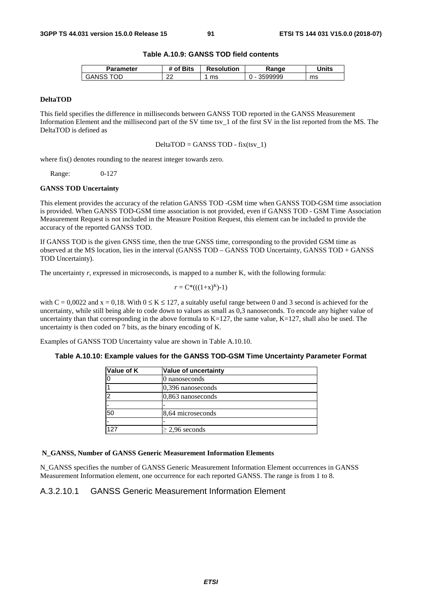# **Table A.10.9: GANSS TOD field contents**

| Parameter    | f Bits<br>. ot | <b>Resolution</b> | Range          | Units |
|--------------|----------------|-------------------|----------------|-------|
| тог<br>GANSS | co<br>∼        | ms                | 599999<br>ם כד | ms    |

### **DeltaTOD**

This field specifies the difference in milliseconds between GANSS TOD reported in the GANSS Measurement Information Element and the millisecond part of the SV time tsv\_1 of the first SV in the list reported from the MS. The DeltaTOD is defined as

 $DeltaTOP = GANSS TOP - fix(tsv_1)$ 

where fix() denotes rounding to the nearest integer towards zero.

Range: 0-127

### **GANSS TOD Uncertainty**

This element provides the accuracy of the relation GANSS TOD -GSM time when GANSS TOD-GSM time association is provided. When GANSS TOD-GSM time association is not provided, even if GANSS TOD - GSM Time Association Measurement Request is not included in the Measure Position Request, this element can be included to provide the accuracy of the reported GANSS TOD.

If GANSS TOD is the given GNSS time, then the true GNSS time, corresponding to the provided GSM time as observed at the MS location, lies in the interval (GANSS TOD – GANSS TOD Uncertainty, GANSS TOD + GANSS TOD Uncertainty).

The uncertainty *r*, expressed in microseconds, is mapped to a number K, with the following formula:

$$
r = C^*(( (1+x)^K) - 1)
$$

with  $C = 0.0022$  and  $x = 0.18$ . With  $0 \le K \le 127$ , a suitably useful range between 0 and 3 second is achieved for the uncertainty, while still being able to code down to values as small as 0,3 nanoseconds. To encode any higher value of uncertainty than that corresponding in the above formula to  $K=127$ , the same value,  $K=127$ , shall also be used. The uncertainty is then coded on 7 bits, as the binary encoding of K.

Examples of GANSS TOD Uncertainty value are shown in Table A.10.10.

|  |  | Table A.10.10: Example values for the GANSS TOD-GSM Time Uncertainty Parameter Format |
|--|--|---------------------------------------------------------------------------------------|
|--|--|---------------------------------------------------------------------------------------|

| <b>Value of K</b> | Value of uncertainty |
|-------------------|----------------------|
|                   | 0 nanoseconds        |
|                   | 0,396 nanoseconds    |
|                   | 0,863 nanoseconds    |
|                   |                      |
| 50                | 8,64 microseconds    |
|                   |                      |
| 127               | $\geq$ 2,96 seconds  |

### **N\_GANSS, Number of GANSS Generic Measurement Information Elements**

N\_GANSS specifies the number of GANSS Generic Measurement Information Element occurrences in GANSS Measurement Information element, one occurrence for each reported GANSS. The range is from 1 to 8.

# A.3.2.10.1 GANSS Generic Measurement Information Element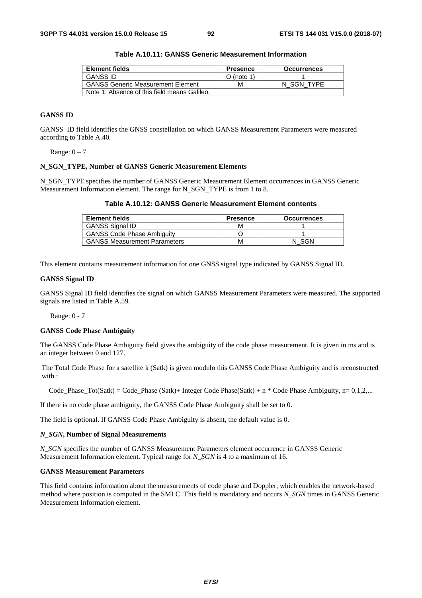| <b>Element fields</b>                        | <b>Presence</b> | <b>Occurrences</b> |
|----------------------------------------------|-----------------|--------------------|
| <b>GANSS ID</b>                              | $O$ (note 1)    |                    |
| <b>GANSS Generic Measurement Element</b>     | м               | N SGN TYPE         |
| Note 1: Absence of this field means Galileo. |                 |                    |

**Table A.10.11: GANSS Generic Measurement Information** 

# **GANSS ID**

GANSS ID field identifies the GNSS constellation on which GANSS Measurement Parameters were measured according to Table A.40.

Range:  $0 - 7$ 

### **N\_SGN\_TYPE, Number of GANSS Generic Measurement Elements**

N\_SGN\_TYPE specifies the number of GANSS Generic Measurement Element occurrences in GANSS Generic Measurement Information element. The range for N\_SGN\_TYPE is from 1 to 8.

|  | Table A.10.12: GANSS Generic Measurement Element contents |  |
|--|-----------------------------------------------------------|--|
|--|-----------------------------------------------------------|--|

| <b>Element fields</b>               | <b>Presence</b> | <b>Occurrences</b> |
|-------------------------------------|-----------------|--------------------|
| <b>GANSS Signal ID</b>              | м               |                    |
| <b>GANSS Code Phase Ambiguity</b>   |                 |                    |
| <b>GANSS Measurement Parameters</b> | М               | SGN                |

This element contains measurement information for one GNSS signal type indicated by GANSS Signal ID.

### **GANSS Signal ID**

GANSS Signal ID field identifies the signal on which GANSS Measurement Parameters were measured. The supported signals are listed in Table A.59.

Range: 0 - 7

### **GANSS Code Phase Ambiguity**

The GANSS Code Phase Ambiguity field gives the ambiguity of the code phase measurement. It is given in ms and is an integer between 0 and 127.

The Total Code Phase for a satellite k (Satk) is given modulo this GANSS Code Phase Ambiguity and is reconstructed with :

Code\_Phase\_Tot(Satk) = Code\_Phase (Satk)+ Integer Code Phase(Satk) + n \* Code Phase Ambiguity, n=  $0,1,2,...$ 

If there is no code phase ambiguity, the GANSS Code Phase Ambiguity shall be set to 0.

The field is optional. If GANSS Code Phase Ambiguity is absent, the default value is 0.

### *N\_SGN***, Number of Signal Measurements**

*N\_SGN* specifies the number of GANSS Measurement Parameters element occurrence in GANSS Generic Measurement Information element. Typical range for *N\_SGN* is 4 to a maximum of 16.

### **GANSS Measurement Parameters**

This field contains information about the measurements of code phase and Doppler, which enables the network-based method where position is computed in the SMLC. This field is mandatory and occurs *N\_SGN* times in GANSS Generic Measurement Information element.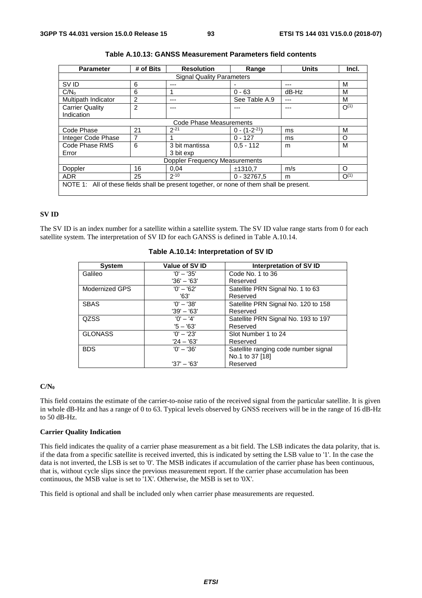| <b>Parameter</b>                                                                         | # of Bits      | <b>Resolution</b>                     | Range               | <b>Units</b> | Incl.            |  |
|------------------------------------------------------------------------------------------|----------------|---------------------------------------|---------------------|--------------|------------------|--|
| <b>Signal Quality Parameters</b>                                                         |                |                                       |                     |              |                  |  |
| SV ID                                                                                    | 6              | ---                                   |                     |              | М                |  |
| $C/N_0$                                                                                  | 6              |                                       | $0 - 63$            | $dB-Hz$      | М                |  |
| Multipath Indicator                                                                      | 2              |                                       | See Table A.9       | ---          | M                |  |
| <b>Carrier Quality</b>                                                                   | $\overline{2}$ |                                       |                     |              | $O^{(1)}$        |  |
| Indication                                                                               |                |                                       |                     |              |                  |  |
| Code Phase Measurements                                                                  |                |                                       |                     |              |                  |  |
| Code Phase                                                                               | 21             | $2 - 21$                              | $0 - (1 - 2^{-21})$ | ms           | М                |  |
| Integer Code Phase                                                                       | 7              |                                       | $0 - 127$           | ms           | O                |  |
| Code Phase RMS                                                                           | 6              | 3 bit mantissa                        | $0,5 - 112$         | m            | м                |  |
| Error                                                                                    |                | 3 bit exp                             |                     |              |                  |  |
|                                                                                          |                | <b>Doppler Frequency Measurements</b> |                     |              |                  |  |
| Doppler                                                                                  | 16             | 0.04                                  | ±1310.7             | m/s          | O                |  |
| <b>ADR</b>                                                                               | 25             | $2 - 10$                              | $0 - 32767.5$       | m            | O <sup>(1)</sup> |  |
| NOTE 1: All of these fields shall be present together, or none of them shall be present. |                |                                       |                     |              |                  |  |

| Table A.10.13: GANSS Measurement Parameters field contents |  |
|------------------------------------------------------------|--|
|------------------------------------------------------------|--|

# **SV ID**

The SV ID is an index number for a satellite within a satellite system. The SV ID value range starts from 0 for each satellite system. The interpretation of SV ID for each GANSS is defined in Table A.10.14.

| <b>System</b>  | Value of SV ID | Interpretation of SV ID              |
|----------------|----------------|--------------------------------------|
| Galileo        | $'0' - '35'$   | Code No. 1 to 36                     |
|                | $'36' - '63'$  | Reserved                             |
| Modernized GPS | $'0' - '62'$   | Satellite PRN Signal No. 1 to 63     |
|                | '63'           | Reserved                             |
| <b>SBAS</b>    | $'0' - '38'$   | Satellite PRN Signal No. 120 to 158  |
|                | $'39' - '63'$  | Reserved                             |
| <b>QZSS</b>    | $'0' - '4'$    | Satellite PRN Signal No. 193 to 197  |
|                | $5 - 63'$      | Reserved                             |
| <b>GLONASS</b> | $'0' - '23'$   | Slot Number 1 to 24                  |
|                | $'24 - '63'$   | Reserved                             |
| <b>BDS</b>     | $'0' - '36'$   | Satellite ranging code number signal |
|                |                | No.1 to 37 [18]                      |
|                | $'37' - '63'$  | Reserved                             |

# **Table A.10.14: Interpretation of SV ID**

## **C/N0**

This field contains the estimate of the carrier-to-noise ratio of the received signal from the particular satellite. It is given in whole dB-Hz and has a range of 0 to 63. Typical levels observed by GNSS receivers will be in the range of 16 dB-Hz to 50 dB-Hz.

### **Carrier Quality Indication**

This field indicates the quality of a carrier phase measurement as a bit field. The LSB indicates the data polarity, that is. if the data from a specific satellite is received inverted, this is indicated by setting the LSB value to '1'. In the case the data is not inverted, the LSB is set to '0'. The MSB indicates if accumulation of the carrier phase has been continuous, that is, without cycle slips since the previous measurement report. If the carrier phase accumulation has been continuous, the MSB value is set to '1X'. Otherwise, the MSB is set to '0X'.

This field is optional and shall be included only when carrier phase measurements are requested.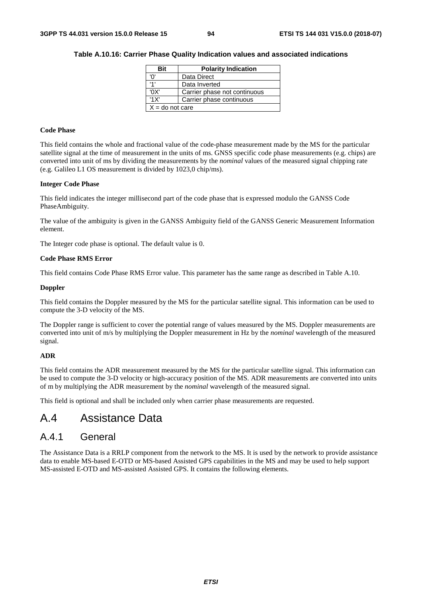| Bit               | <b>Polarity Indication</b>   |  |
|-------------------|------------------------------|--|
| 'ח'               | Data Direct                  |  |
| '1'               | Data Inverted                |  |
| '0X'              | Carrier phase not continuous |  |
| '1X'              | Carrier phase continuous     |  |
| $X =$ do not care |                              |  |

# **Table A.10.16: Carrier Phase Quality Indication values and associated indications**

### **Code Phase**

This field contains the whole and fractional value of the code-phase measurement made by the MS for the particular satellite signal at the time of measurement in the units of ms. GNSS specific code phase measurements (e.g. chips) are converted into unit of ms by dividing the measurements by the *nominal* values of the measured signal chipping rate (e.g. Galileo L1 OS measurement is divided by 1023,0 chip/ms).

### **Integer Code Phase**

This field indicates the integer millisecond part of the code phase that is expressed modulo the GANSS Code PhaseAmbiguity.

The value of the ambiguity is given in the GANSS Ambiguity field of the GANSS Generic Measurement Information element.

The Integer code phase is optional. The default value is 0.

### **Code Phase RMS Error**

This field contains Code Phase RMS Error value. This parameter has the same range as described in Table A.10.

### **Doppler**

This field contains the Doppler measured by the MS for the particular satellite signal. This information can be used to compute the 3-D velocity of the MS.

The Doppler range is sufficient to cover the potential range of values measured by the MS. Doppler measurements are converted into unit of m/s by multiplying the Doppler measurement in Hz by the *nominal* wavelength of the measured signal.

# **ADR**

This field contains the ADR measurement measured by the MS for the particular satellite signal. This information can be used to compute the 3-D velocity or high-accuracy position of the MS. ADR measurements are converted into units of m by multiplying the ADR measurement by the *nominal* wavelength of the measured signal.

This field is optional and shall be included only when carrier phase measurements are requested.

# A.4 Assistance Data

# A.4.1 General

The Assistance Data is a RRLP component from the network to the MS. It is used by the network to provide assistance data to enable MS-based E-OTD or MS-based Assisted GPS capabilities in the MS and may be used to help support MS-assisted E-OTD and MS-assisted Assisted GPS. It contains the following elements.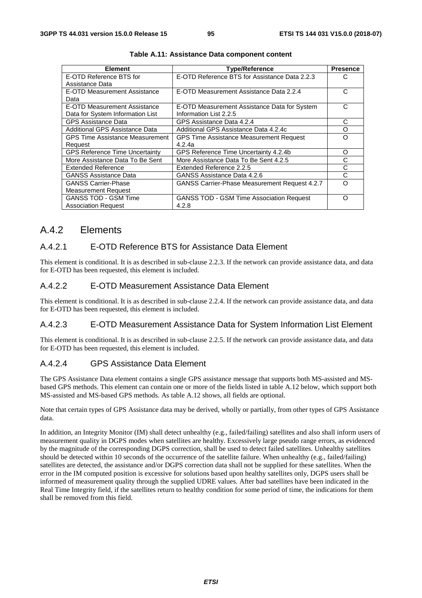| <b>Element</b>                         | <b>Type/Reference</b>                                | <b>Presence</b> |
|----------------------------------------|------------------------------------------------------|-----------------|
| E-OTD Reference BTS for                | E-OTD Reference BTS for Assistance Data 2.2.3        | C               |
| Assistance Data                        |                                                      |                 |
| E-OTD Measurement Assistance           | E-OTD Measurement Assistance Data 2.2.4              | C               |
| Data                                   |                                                      |                 |
| E-OTD Measurement Assistance           | E-OTD Measurement Assistance Data for System         | C               |
| Data for System Information List       | Information List 2.2.5                               |                 |
| <b>GPS Assistance Data</b>             | GPS Assistance Data 4.2.4                            | С               |
| Additional GPS Assistance Data         | Additional GPS Assistance Data 4.2.4c                | Ω               |
| <b>GPS Time Assistance Measurement</b> | <b>GPS Time Assistance Measurement Request</b>       | Ω               |
| Request                                | 4.2.4a                                               |                 |
| <b>GPS Reference Time Uncertainty</b>  | GPS Reference Time Uncertainty 4.2.4b                | O               |
| More Assistance Data To Be Sent        | More Assistance Data To Be Sent 4.2.5                | C               |
| Extended Reference                     | Extended Reference 2.2.5                             | С               |
| <b>GANSS Assistance Data</b>           | GANSS Assistance Data 4.2.6                          | С               |
| <b>GANSS Carrier-Phase</b>             | <b>GANSS Carrier-Phase Measurement Request 4.2.7</b> | Ω               |
| <b>Measurement Request</b>             |                                                      |                 |
| <b>GANSS TOD - GSM Time</b>            | <b>GANSS TOD - GSM Time Association Request</b>      | Ω               |
| <b>Association Request</b>             | 4.2.8                                                |                 |

**Table A.11: Assistance Data component content** 

# A.4.2 Elements

# A.4.2.1 E-OTD Reference BTS for Assistance Data Element

This element is conditional. It is as described in sub-clause 2.2.3. If the network can provide assistance data, and data for E-OTD has been requested, this element is included.

# A.4.2.2 E-OTD Measurement Assistance Data Element

This element is conditional. It is as described in sub-clause 2.2.4. If the network can provide assistance data, and data for E-OTD has been requested, this element is included.

# A.4.2.3 E-OTD Measurement Assistance Data for System Information List Element

This element is conditional. It is as described in sub-clause 2.2.5. If the network can provide assistance data, and data for E-OTD has been requested, this element is included.

# A.4.2.4 GPS Assistance Data Element

The GPS Assistance Data element contains a single GPS assistance message that supports both MS-assisted and MSbased GPS methods. This element can contain one or more of the fields listed in table A.12 below, which support both MS-assisted and MS-based GPS methods. As table A.12 shows, all fields are optional.

Note that certain types of GPS Assistance data may be derived, wholly or partially, from other types of GPS Assistance data.

In addition, an Integrity Monitor (IM) shall detect unhealthy (e.g., failed/failing) satellites and also shall inform users of measurement quality in DGPS modes when satellites are healthy. Excessively large pseudo range errors, as evidenced by the magnitude of the corresponding DGPS correction, shall be used to detect failed satellites. Unhealthy satellites should be detected within 10 seconds of the occurrence of the satellite failure. When unhealthy (e.g., failed/failing) satellites are detected, the assistance and/or DGPS correction data shall not be supplied for these satellites. When the error in the IM computed position is excessive for solutions based upon healthy satellites only, DGPS users shall be informed of measurement quality through the supplied UDRE values. After bad satellites have been indicated in the Real Time Integrity field, if the satellites return to healthy condition for some period of time, the indications for them shall be removed from this field.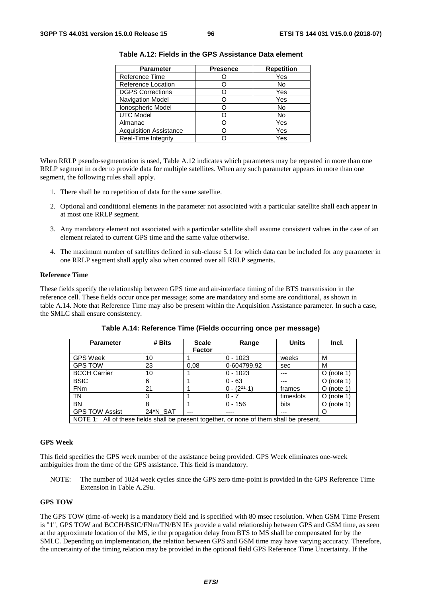| <b>Parameter</b>              | <b>Presence</b> | <b>Repetition</b> |
|-------------------------------|-----------------|-------------------|
| Reference Time                |                 | Yes               |
| Reference Location            |                 | No                |
| <b>DGPS Corrections</b>       |                 | Yes               |
| Navigation Model              |                 | Yes               |
| Ionospheric Model             |                 | No                |
| <b>UTC Model</b>              |                 | No                |
| Almanac                       |                 | Yes               |
| <b>Acquisition Assistance</b> |                 | Yes               |
| Real-Time Integrity           |                 | Yes               |

**Table A.12: Fields in the GPS Assistance Data element** 

When RRLP pseudo-segmentation is used, Table A.12 indicates which parameters may be repeated in more than one RRLP segment in order to provide data for multiple satellites. When any such parameter appears in more than one segment, the following rules shall apply.

- 1. There shall be no repetition of data for the same satellite.
- 2. Optional and conditional elements in the parameter not associated with a particular satellite shall each appear in at most one RRLP segment.
- 3. Any mandatory element not associated with a particular satellite shall assume consistent values in the case of an element related to current GPS time and the same value otherwise.
- 4. The maximum number of satellites defined in sub-clause 5.1 for which data can be included for any parameter in one RRLP segment shall apply also when counted over all RRLP segments.

### **Reference Time**

These fields specify the relationship between GPS time and air-interface timing of the BTS transmission in the reference cell. These fields occur once per message; some are mandatory and some are conditional, as shown in table A.14. Note that Reference Time may also be present within the Acquisition Assistance parameter. In such a case, the SMLC shall ensure consistency.

| <b>Parameter</b>                                                                         | # Bits   | <b>Scale</b>  | Range              | <b>Units</b> | Incl.        |  |
|------------------------------------------------------------------------------------------|----------|---------------|--------------------|--------------|--------------|--|
|                                                                                          |          | <b>Factor</b> |                    |              |              |  |
| <b>GPS Week</b>                                                                          | 10       |               | $0 - 1023$         | weeks        | м            |  |
| <b>GPS TOW</b>                                                                           | 23       | 0.08          | 0-604799,92        | sec          | M            |  |
| <b>BCCH Carrier</b>                                                                      | 10       |               | $0 - 1023$         | ---          | $O$ (note 1) |  |
| <b>BSIC</b>                                                                              | 6        |               | $0 - 63$           | ---          | $O$ (note 1) |  |
| <b>FNm</b>                                                                               | 21       |               | $0 - (2^{21} - 1)$ | frames       | $O$ (note 1) |  |
| TN                                                                                       | 3        |               | $0 - 7$            | timeslots    | $O$ (note 1) |  |
| <b>BN</b>                                                                                | 8        |               | $0 - 156$          | bits         | $O$ (note 1) |  |
| <b>GPS TOW Assist</b>                                                                    | 24*N_SAT |               | ----               | ---          | O            |  |
| NOTE 1: All of these fields shall be present together, or none of them shall be present. |          |               |                    |              |              |  |

**Table A.14: Reference Time (Fields occurring once per message)** 

#### **GPS Week**

This field specifies the GPS week number of the assistance being provided. GPS Week eliminates one-week ambiguities from the time of the GPS assistance. This field is mandatory.

NOTE: The number of 1024 week cycles since the GPS zero time-point is provided in the GPS Reference Time Extension in Table A.29u.

### **GPS TOW**

The GPS TOW (time-of-week) is a mandatory field and is specified with 80 msec resolution. When GSM Time Present is "1", GPS TOW and BCCH/BSIC/FNm/TN/BN IEs provide a valid relationship between GPS and GSM time, as seen at the approximate location of the MS, ie the propagation delay from BTS to MS shall be compensated for by the SMLC. Depending on implementation, the relation between GPS and GSM time may have varying accuracy. Therefore, the uncertainty of the timing relation may be provided in the optional field GPS Reference Time Uncertainty. If the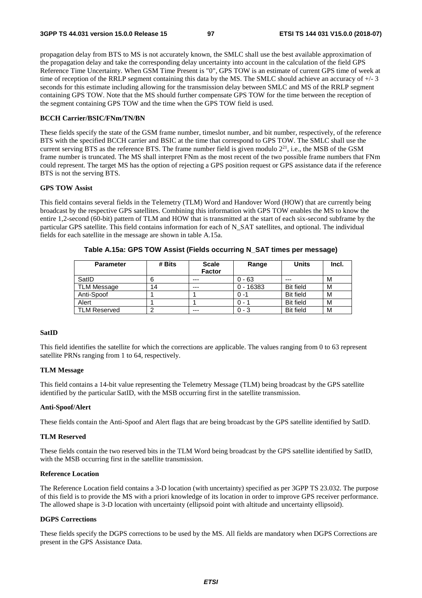propagation delay from BTS to MS is not accurately known, the SMLC shall use the best available approximation of the propagation delay and take the corresponding delay uncertainty into account in the calculation of the field GPS Reference Time Uncertainty. When GSM Time Present is "0", GPS TOW is an estimate of current GPS time of week at time of reception of the RRLP segment containing this data by the MS. The SMLC should achieve an accuracy of +/- 3 seconds for this estimate including allowing for the transmission delay between SMLC and MS of the RRLP segment containing GPS TOW. Note that the MS should further compensate GPS TOW for the time between the reception of the segment containing GPS TOW and the time when the GPS TOW field is used.

## **BCCH Carrier/BSIC/FNm/TN/BN**

These fields specify the state of the GSM frame number, timeslot number, and bit number, respectively, of the reference BTS with the specified BCCH carrier and BSIC at the time that correspond to GPS TOW. The SMLC shall use the current serving BTS as the reference BTS. The frame number field is given modulo  $2^{21}$ , i.e., the MSB of the GSM frame number is truncated. The MS shall interpret FNm as the most recent of the two possible frame numbers that FNm could represent. The target MS has the option of rejecting a GPS position request or GPS assistance data if the reference BTS is not the serving BTS.

# **GPS TOW Assist**

This field contains several fields in the Telemetry (TLM) Word and Handover Word (HOW) that are currently being broadcast by the respective GPS satellites. Combining this information with GPS TOW enables the MS to know the entire 1,2-second (60-bit) pattern of TLM and HOW that is transmitted at the start of each six-second subframe by the particular GPS satellite. This field contains information for each of N\_SAT satellites, and optional. The individual fields for each satellite in the message are shown in table A.15a.

| <b>Parameter</b>    | # Bits | <b>Scale</b><br><b>Factor</b> | Range       | <b>Units</b>     | Incl. |
|---------------------|--------|-------------------------------|-------------|------------------|-------|
| SatID               |        | $- - -$                       | $0 - 63$    | ---              | M     |
| <b>TLM Message</b>  | 14     | $---$                         | $0 - 16383$ | <b>Bit field</b> | M     |
| Anti-Spoof          |        |                               | $0 - 1$     | <b>Bit field</b> | M     |
| Alert               |        |                               | $0 - 1$     | <b>Bit field</b> | M     |
| <b>TLM Reserved</b> |        | $---$                         | $0 - 3$     | <b>Bit field</b> | M     |

**Table A.15a: GPS TOW Assist (Fields occurring N\_SAT times per message)** 

### **SatID**

This field identifies the satellite for which the corrections are applicable. The values ranging from 0 to 63 represent satellite PRNs ranging from 1 to 64, respectively.

### **TLM Message**

This field contains a 14-bit value representing the Telemetry Message (TLM) being broadcast by the GPS satellite identified by the particular SatID, with the MSB occurring first in the satellite transmission.

### **Anti-Spoof/Alert**

These fields contain the Anti-Spoof and Alert flags that are being broadcast by the GPS satellite identified by SatID.

### **TLM Reserved**

These fields contain the two reserved bits in the TLM Word being broadcast by the GPS satellite identified by SatID, with the MSB occurring first in the satellite transmission.

# **Reference Location**

The Reference Location field contains a 3-D location (with uncertainty) specified as per 3GPP TS 23.032. The purpose of this field is to provide the MS with a priori knowledge of its location in order to improve GPS receiver performance. The allowed shape is 3-D location with uncertainty (ellipsoid point with altitude and uncertainty ellipsoid).

### **DGPS Corrections**

These fields specify the DGPS corrections to be used by the MS. All fields are mandatory when DGPS Corrections are present in the GPS Assistance Data.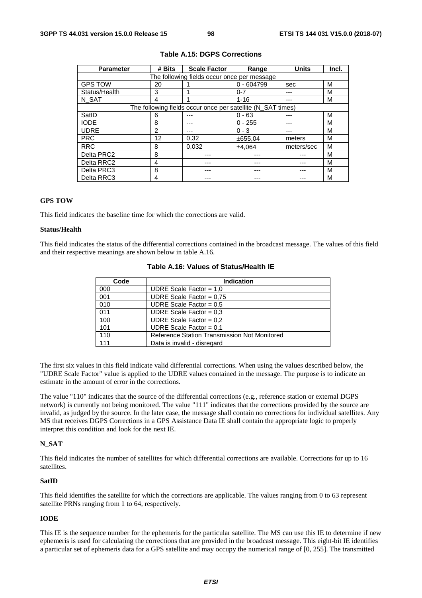| <b>Parameter</b>                            | # Bits        | <b>Scale Factor</b><br>Range                                |              | <b>Units</b> | Incl. |  |
|---------------------------------------------|---------------|-------------------------------------------------------------|--------------|--------------|-------|--|
| The following fields occur once per message |               |                                                             |              |              |       |  |
| <b>GPS TOW</b>                              | 20            |                                                             | $0 - 604799$ | sec          | М     |  |
| Status/Health                               | 3             |                                                             | $0 - 7$      | ---          | М     |  |
| N SAT                                       | 4             |                                                             | $1 - 16$     |              | М     |  |
|                                             |               | The following fields occur once per satellite (N_SAT times) |              |              |       |  |
| SatID                                       | 6             |                                                             | $0 - 63$     | ---          | М     |  |
| <b>IODE</b>                                 | 8             |                                                             | $0 - 255$    | ---          | М     |  |
| <b>UDRE</b>                                 | $\mathcal{P}$ |                                                             | $0 - 3$      | ---          | М     |  |
| <b>PRC</b>                                  | 12            | 0.32                                                        | ±655,04      | meters       | М     |  |
| <b>RRC</b>                                  | 8             | 0.032                                                       | ±4.064       | meters/sec   | М     |  |
| Delta PRC2                                  | 8             |                                                             |              |              | М     |  |
| Delta RRC2                                  | 4             |                                                             |              |              | М     |  |
| Delta PRC3                                  | 8             |                                                             |              |              | М     |  |
| Delta RRC3                                  | 4             |                                                             |              |              | М     |  |

### **Table A.15: DGPS Corrections**

# **GPS TOW**

This field indicates the baseline time for which the corrections are valid.

### **Status/Health**

This field indicates the status of the differential corrections contained in the broadcast message. The values of this field and their respective meanings are shown below in table A.16.

| Code | <b>Indication</b>                            |  |  |
|------|----------------------------------------------|--|--|
| 000  | UDRE Scale Factor = $1,0$                    |  |  |
| 001  | UDRE Scale Factor = $0.75$                   |  |  |
| 010  | UDRE Scale Factor = $0.5$                    |  |  |
| 011  | UDRE Scale Factor = $0.3$                    |  |  |
| 100  | UDRE Scale Factor = $0.2$                    |  |  |
| 101  | UDRE Scale Factor = $0.1$                    |  |  |
| 110  | Reference Station Transmission Not Monitored |  |  |
| 111  | Data is invalid - disregard                  |  |  |

### **Table A.16: Values of Status/Health IE**

The first six values in this field indicate valid differential corrections. When using the values described below, the "UDRE Scale Factor" value is applied to the UDRE values contained in the message. The purpose is to indicate an estimate in the amount of error in the corrections.

The value "110" indicates that the source of the differential corrections (e.g., reference station or external DGPS network) is currently not being monitored. The value "111" indicates that the corrections provided by the source are invalid, as judged by the source. In the later case, the message shall contain no corrections for individual satellites. Any MS that receives DGPS Corrections in a GPS Assistance Data IE shall contain the appropriate logic to properly interpret this condition and look for the next IE.

#### **N\_SAT**

This field indicates the number of satellites for which differential corrections are available. Corrections for up to 16 satellites.

### **SatID**

This field identifies the satellite for which the corrections are applicable. The values ranging from 0 to 63 represent satellite PRNs ranging from 1 to 64, respectively.

## **IODE**

This IE is the sequence number for the ephemeris for the particular satellite. The MS can use this IE to determine if new ephemeris is used for calculating the corrections that are provided in the broadcast message. This eight-bit IE identifies a particular set of ephemeris data for a GPS satellite and may occupy the numerical range of [0, 255]. The transmitted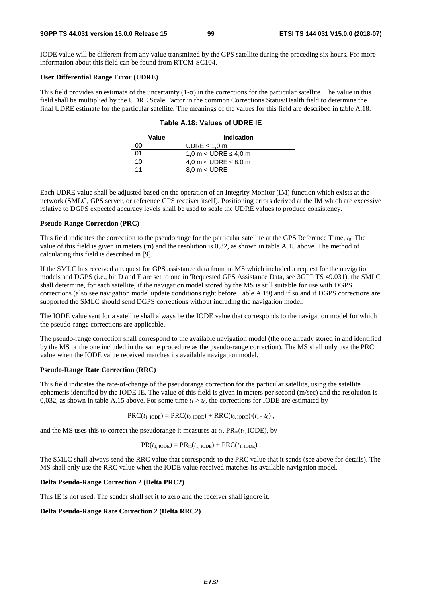IODE value will be different from any value transmitted by the GPS satellite during the preceding six hours. For more information about this field can be found from RTCM-SC104.

### **User Differential Range Error (UDRE)**

This field provides an estimate of the uncertainty  $(1-\sigma)$  in the corrections for the particular satellite. The value in this field shall be multiplied by the UDRE Scale Factor in the common Corrections Status/Health field to determine the final UDRE estimate for the particular satellite. The meanings of the values for this field are described in table A.18.

| Value | Indication                    |
|-------|-------------------------------|
| ററ    | UDRE $\leq$ 1,0 m             |
| 01    | 1,0 m $<$ UDRE $\leq$ 4,0 m   |
| 10    | 4,0 m < UDRE $\leq$ 8,0 m     |
|       | $8.0 \text{ m} < \text{UDRE}$ |

|  |  |  | Table A.18: Values of UDRE IE |  |
|--|--|--|-------------------------------|--|
|--|--|--|-------------------------------|--|

Each UDRE value shall be adjusted based on the operation of an Integrity Monitor (IM) function which exists at the network (SMLC, GPS server, or reference GPS receiver itself). Positioning errors derived at the IM which are excessive relative to DGPS expected accuracy levels shall be used to scale the UDRE values to produce consistency.

# **Pseudo-Range Correction (PRC)**

This field indicates the correction to the pseudorange for the particular satellite at the GPS Reference Time, *t*0. The value of this field is given in meters (m) and the resolution is 0,32, as shown in table A.15 above. The method of calculating this field is described in [9].

If the SMLC has received a request for GPS assistance data from an MS which included a request for the navigation models and DGPS (i.e., bit D and E are set to one in 'Requested GPS Assistance Data, see 3GPP TS 49.031), the SMLC shall determine, for each satellite, if the navigation model stored by the MS is still suitable for use with DGPS corrections (also see navigation model update conditions right before Table A.19) and if so and if DGPS corrections are supported the SMLC should send DGPS corrections without including the navigation model.

The IODE value sent for a satellite shall always be the IODE value that corresponds to the navigation model for which the pseudo-range corrections are applicable.

The pseudo-range correction shall correspond to the available navigation model (the one already stored in and identified by the MS or the one included in the same procedure as the pseudo-range correction). The MS shall only use the PRC value when the IODE value received matches its available navigation model.

#### **Pseudo-Range Rate Correction (RRC)**

This field indicates the rate-of-change of the pseudorange correction for the particular satellite, using the satellite ephemeris identified by the IODE IE. The value of this field is given in meters per second (m/sec) and the resolution is 0,032, as shown in table A.15 above. For some time  $t_1 > t_0$ , the corrections for IODE are estimated by

$$
PRC(t_{1,\text{IODE}}) = PRC(t_{0,\text{IODE}}) + RRC(t_{0,\text{IODE}})(t_1 - t_0),
$$

and the MS uses this to correct the pseudorange it measures at  $t_1$ ,  $PR_m(t_1, IODE)$ , by

$$
PR(t_{1,\text{IODE}}) = PR_m(t_{1,\text{IODE}}) + PRC(t_{1,\text{IODE}}).
$$

The SMLC shall always send the RRC value that corresponds to the PRC value that it sends (see above for details). The MS shall only use the RRC value when the IODE value received matches its available navigation model.

### **Delta Pseudo-Range Correction 2 (Delta PRC2)**

This IE is not used. The sender shall set it to zero and the receiver shall ignore it.

### **Delta Pseudo-Range Rate Correction 2 (Delta RRC2)**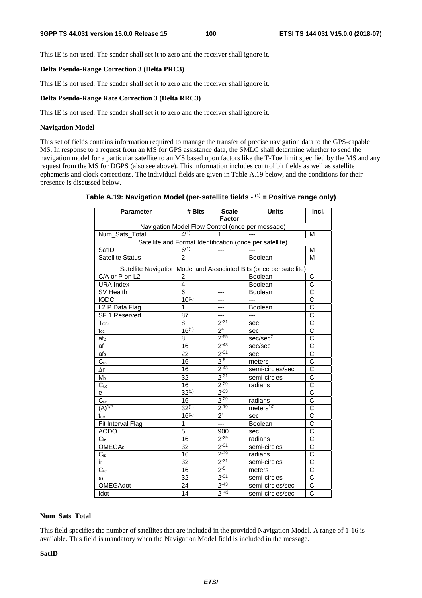This IE is not used. The sender shall set it to zero and the receiver shall ignore it.

### **Delta Pseudo-Range Correction 3 (Delta PRC3)**

This IE is not used. The sender shall set it to zero and the receiver shall ignore it.

# **Delta Pseudo-Range Rate Correction 3 (Delta RRC3)**

This IE is not used. The sender shall set it to zero and the receiver shall ignore it.

### **Navigation Model**

This set of fields contains information required to manage the transfer of precise navigation data to the GPS-capable MS. In response to a request from an MS for GPS assistance data, the SMLC shall determine whether to send the navigation model for a particular satellite to an MS based upon factors like the T-Toe limit specified by the MS and any request from the MS for DGPS (also see above). This information includes control bit fields as well as satellite ephemeris and clock corrections. The individual fields are given in Table A.19 below, and the conditions for their presence is discussed below.

| <b>Parameter</b>                                         | # Bits          | <b>Scale</b><br><b>Factor</b> | <b>Units</b>                                                        | Incl.                               |  |  |  |
|----------------------------------------------------------|-----------------|-------------------------------|---------------------------------------------------------------------|-------------------------------------|--|--|--|
| Navigation Model Flow Control (once per message)         |                 |                               |                                                                     |                                     |  |  |  |
| Num_Sats_Total                                           | $4^{(1)}$       | 1                             |                                                                     | M                                   |  |  |  |
| Satellite and Format Identification (once per satellite) |                 |                               |                                                                     |                                     |  |  |  |
| SatID                                                    | $6^{(1)}$       | ---                           | $\overline{a}$                                                      | M                                   |  |  |  |
| <b>Satellite Status</b>                                  | $\mathfrak{p}$  | ---                           | Boolean                                                             | M                                   |  |  |  |
|                                                          |                 |                               | Satellite Navigation Model and Associated Bits (once per satellite) |                                     |  |  |  |
| $\overline{C/A}$ or P on L2                              | $\overline{2}$  | $\overline{a}$                | Boolean                                                             | C                                   |  |  |  |
| <b>URA Index</b>                                         | 4               | ---                           | Boolean                                                             | $\overline{c}$                      |  |  |  |
| SV Health                                                | 6               | ---                           | <b>Boolean</b>                                                      | $\frac{1}{2}$                       |  |  |  |
| <b>IODC</b>                                              | $10^{(1)}$      | ---                           | $---$                                                               |                                     |  |  |  |
| L <sub>2</sub> P Data Flag                               | 1               | ---                           | <b>Boolean</b>                                                      |                                     |  |  |  |
| <b>SF 1 Reserved</b>                                     | 87              | ---                           | $---$                                                               | $\frac{\overline{C}}{\overline{C}}$ |  |  |  |
| TGD                                                      | 8               | $2 - 31$                      | sec                                                                 |                                     |  |  |  |
| $t_{\rm oc}$                                             | $16^{(1)}$      | 2 <sup>4</sup>                | sec                                                                 | $\overline{\text{c}}$               |  |  |  |
| af <sub>2</sub>                                          | 8               | $2 - 55$                      | sec/sec <sup>2</sup>                                                | $\overline{\overline{\text{c}}}$    |  |  |  |
| af <sub>1</sub>                                          | 16              | $2 - 43$                      | sec/sec                                                             | $\overline{\text{c}}$               |  |  |  |
| af <sub>0</sub>                                          | $\overline{22}$ | $2 - 31$                      | sec                                                                 | $\overline{\text{c}}$               |  |  |  |
| $C_{rs}$                                                 | 16              | $2 - 5$                       | meters                                                              | $\overline{\text{c}}$               |  |  |  |
| Δn                                                       | 16              | $2 - 43$                      | semi-circles/sec                                                    | $\overline{\text{c}}$               |  |  |  |
| Mo                                                       | $\overline{32}$ | $2 - 31$                      | semi-circles                                                        | $\overline{\text{c}}$               |  |  |  |
| $C_{uc}$                                                 | 16              | $2 - 29$                      | radians                                                             | $\overline{\text{c}}$               |  |  |  |
| e                                                        | $32^{(1)}$      | $2 - 33$                      | $\overline{a}$                                                      | $\overline{C}$                      |  |  |  |
| $C_{us}$                                                 | 16              | $2 - 29$                      | radians                                                             | $\overline{\text{c}}$               |  |  |  |
| $(A)^{1/2}$                                              | $32^{(1)}$      | $2 - 19$                      | meters $\frac{1}{2}$                                                | $\overline{\text{c}}$               |  |  |  |
| $t_{oe}$                                                 | $16^{(1)}$      | $\overline{2^4}$              | sec                                                                 | $\overline{\text{c}}$               |  |  |  |
| Fit Interval Flag                                        | 1               | ---                           | Boolean                                                             | $\overline{\text{c}}$               |  |  |  |
| <b>AODO</b>                                              | $\overline{5}$  | 900                           | sec                                                                 | $\overline{\text{c}}$               |  |  |  |
| $C_{ic}$                                                 | 16              | $2 - 29$                      | radians                                                             | $\overline{\text{c}}$               |  |  |  |
| OMEGA <sub>0</sub>                                       | $\overline{32}$ | $2 - 31$                      | semi-circles                                                        | $\overline{\text{c}}$               |  |  |  |
| $C_{is}$                                                 | $\overline{16}$ | $2 - 29$                      | radians                                                             | $\overline{\text{c}}$               |  |  |  |
| $i_{0}$                                                  | 32              | $2 - 31$                      | semi-circles                                                        | $\overline{\text{c}}$               |  |  |  |
| $C_{rc}$                                                 | 16              | $2 - 5$                       | meters                                                              | $\overline{\text{c}}$               |  |  |  |
| $\omega$                                                 | $\overline{32}$ | $2 - 31$                      | semi-circles                                                        | $\overline{\text{c}}$               |  |  |  |
| <b>OMEGAdot</b>                                          | 24              | $2^{-43}$                     | semi-circles/sec                                                    | $\overline{\text{c}}$               |  |  |  |
| Idot                                                     | 14              | $2 - 43$                      | semi-circles/sec                                                    | $\overline{\text{c}}$               |  |  |  |

# **Table A.19: Navigation Model (per-satellite fields - (1) = Positive range only)**

### **Num\_Sats\_Total**

This field specifies the number of satellites that are included in the provided Navigation Model. A range of 1-16 is available. This field is mandatory when the Navigation Model field is included in the message.

#### **SatID**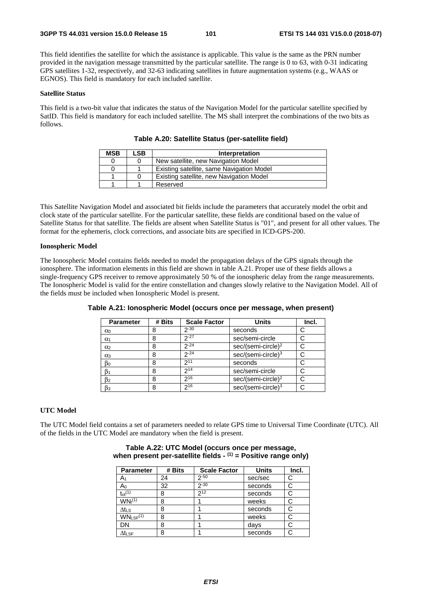This field identifies the satellite for which the assistance is applicable. This value is the same as the PRN number provided in the navigation message transmitted by the particular satellite. The range is 0 to 63, with 0-31 indicating GPS satellites 1-32, respectively, and 32-63 indicating satellites in future augmentation systems (e.g., WAAS or EGNOS). This field is mandatory for each included satellite.

### **Satellite Status**

This field is a two-bit value that indicates the status of the Navigation Model for the particular satellite specified by SatID. This field is mandatory for each included satellite. The MS shall interpret the combinations of the two bits as follows.

| <b>MSB</b> | LSB. | Interpretation                            |
|------------|------|-------------------------------------------|
|            |      | New satellite, new Navigation Model       |
|            |      | Existing satellite, same Navigation Model |
|            |      | Existing satellite, new Navigation Model  |
|            |      | Reserved                                  |

**Table A.20: Satellite Status (per-satellite field)** 

This Satellite Navigation Model and associated bit fields include the parameters that accurately model the orbit and clock state of the particular satellite. For the particular satellite, these fields are conditional based on the value of Satellite Status for that satellite. The fields are absent when Satellite Status is "01", and present for all other values. The format for the ephemeris, clock corrections, and associate bits are specified in ICD-GPS-200.

### **Ionospheric Model**

The Ionospheric Model contains fields needed to model the propagation delays of the GPS signals through the ionosphere. The information elements in this field are shown in table A.21. Proper use of these fields allows a single-frequency GPS receiver to remove approximately 50 % of the ionospheric delay from the range measurements. The Ionospheric Model is valid for the entire constellation and changes slowly relative to the Navigation Model. All of the fields must be included when Ionospheric Model is present.

| <b>Parameter</b>      | # Bits | <b>Scale Factor</b> | <b>Units</b>                   | Incl. |
|-----------------------|--------|---------------------|--------------------------------|-------|
| $\alpha$              | 8      | $2 - 30$            | seconds                        |       |
| $\alpha_1$            | 8      | $2 - 27$            | sec/semi-circle                |       |
| $\alpha$ <sub>2</sub> | 8      | $2 - 24$            | sec/(semi-circle) <sup>2</sup> |       |
| $\alpha_3$            | 8      | $2 - 24$            | $sec/(semi-circle)^3$          |       |
| $\beta_0$             | 8      | $2^{11}$            | seconds                        |       |
| ß1                    | 8      | $2^{14}$            | sec/semi-circle                |       |
| $\beta$ <sub>2</sub>  | 8      | $2^{16}$            | sec/(semi-circle) <sup>2</sup> |       |
| ßз                    | 8      | $2^{16}$            | $sec/(semi-circle)^3$          |       |

**Table A.21: Ionospheric Model (occurs once per message, when present)** 

### **UTC Model**

The UTC Model field contains a set of parameters needed to relate GPS time to Universal Time Coordinate (UTC). All of the fields in the UTC Model are mandatory when the field is present.

# **Table A.22: UTC Model (occurs once per message,**  when present per-satellite fields - <sup>(1)</sup> = Positive range only)

| <b>Parameter</b>               | # Bits | <b>Scale Factor</b> | <b>Units</b> | Incl. |
|--------------------------------|--------|---------------------|--------------|-------|
| A1                             | 24     | $2 - 50$            | sec/sec      | C     |
| A٥                             | 32     | $2 - 30$            | seconds      |       |
| $t_{ot}$ <sup>(1)</sup>        | 8      | $2^{12}$            | seconds      |       |
| WN <sub>t</sub> <sup>(1)</sup> | 8      |                     | weeks        |       |
| ∆t∟s                           | 8      |                     | seconds      | C     |
| $WN_{LSF}$ <sup>(1)</sup>      | 8      |                     | weeks        |       |
| DN                             | 8      |                     | days         |       |
| $\Delta t_{\text{LSF}}$        | 8      |                     | seconds      |       |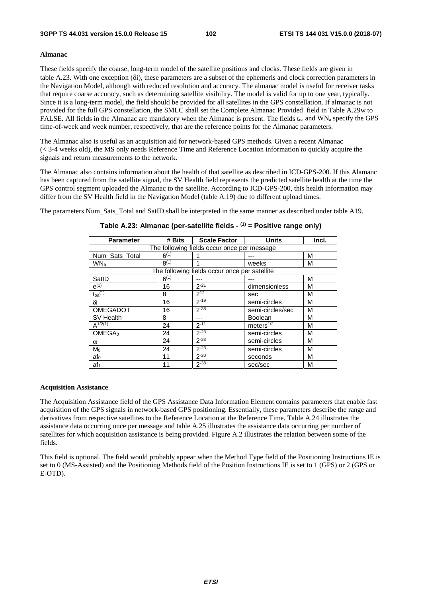### **Almanac**

These fields specify the coarse, long-term model of the satellite positions and clocks. These fields are given in table A.23. With one exception (δi), these parameters are a subset of the ephemeris and clock correction parameters in the Navigation Model, although with reduced resolution and accuracy. The almanac model is useful for receiver tasks that require coarse accuracy, such as determining satellite visibility. The model is valid for up to one year, typically. Since it is a long-term model, the field should be provided for all satellites in the GPS constellation. If almanac is not provided for the full GPS constellation, the SMLC shall set the Complete Almanac Provided field in Table A.29w to FALSE. All fields in the Almanac are mandatory when the Almanac is present. The fields t<sub>oa</sub> and WN<sub>a</sub> specify the GPS time-of-week and week number, respectively, that are the reference points for the Almanac parameters.

The Almanac also is useful as an acquisition aid for network-based GPS methods. Given a recent Almanac (< 3-4 weeks old), the MS only needs Reference Time and Reference Location information to quickly acquire the signals and return measurements to the network.

The Almanac also contains information about the health of that satellite as described in ICD-GPS-200. If this Alamanc has been captured from the satellite signal, the SV Health field represents the predicted satellite health at the time the GPS control segment uploaded the Almanac to the satellite. According to ICD-GPS-200, this health information may differ from the SV Health field in the Navigation Model (table A.19) due to different upload times.

The parameters Num Sats Total and SatID shall be interpreted in the same manner as described under table A19.

| <b>Parameter</b>                            | # Bits    | <b>Scale Factor</b>                           | <b>Units</b>     | Incl. |  |
|---------------------------------------------|-----------|-----------------------------------------------|------------------|-------|--|
| The following fields occur once per message |           |                                               |                  |       |  |
| Num Sats Total                              | $6^{(1)}$ |                                               |                  | М     |  |
| <b>WN<sub>a</sub></b>                       | $8^{(1)}$ |                                               | weeks            | M     |  |
|                                             |           | The following fields occur once per satellite |                  |       |  |
| SatID                                       | $6^{(1)}$ |                                               |                  | М     |  |
| $e^{(1)}$                                   | 16        | $2 - 21$                                      | dimensionless    | M     |  |
| $t_{oa}$ $(1)$                              | 8         | $2^{12}$                                      | sec              | М     |  |
| δi                                          | 16        | $2 - 19$                                      | semi-circles     | м     |  |
| <b>OMEGADOT</b>                             | 16        | $2 - 38$                                      | semi-circles/sec | M     |  |
| SV Health                                   | 8         | ---                                           | <b>Boolean</b>   | M     |  |
| $A^{1/2(1)}$                                | 24        | $2 - 11$                                      | meters $1/2$     | M     |  |
| OMEGA <sub>0</sub>                          | 24        | $2 - 23$                                      | semi-circles     | M     |  |
| ω                                           | 24        | $2 - 23$                                      | semi-circles     | M     |  |
| Mo                                          | 24        | $2 - 23$                                      | semi-circles     | M     |  |
| $a f_0$                                     | 11        | $2 - 20$                                      | seconds          | М     |  |
| af <sub>1</sub>                             | 11        | $2^{-38}$                                     | sec/sec          | M     |  |

## **Table A.23: Almanac (per-satellite fields - (1) = Positive range only)**

### **Acquisition Assistance**

The Acquisition Assistance field of the GPS Assistance Data Information Element contains parameters that enable fast acquisition of the GPS signals in network-based GPS positioning. Essentially, these parameters describe the range and derivatives from respective satellites to the Reference Location at the Reference Time. Table A.24 illustrates the assistance data occurring once per message and table A.25 illustrates the assistance data occurring per number of satellites for which acquisition assistance is being provided. Figure A.2 illustrates the relation between some of the fields.

This field is optional. The field would probably appear when the Method Type field of the Positioning Instructions IE is set to 0 (MS-Assisted) and the Positioning Methods field of the Position Instructions IE is set to 1 (GPS) or 2 (GPS or E-OTD).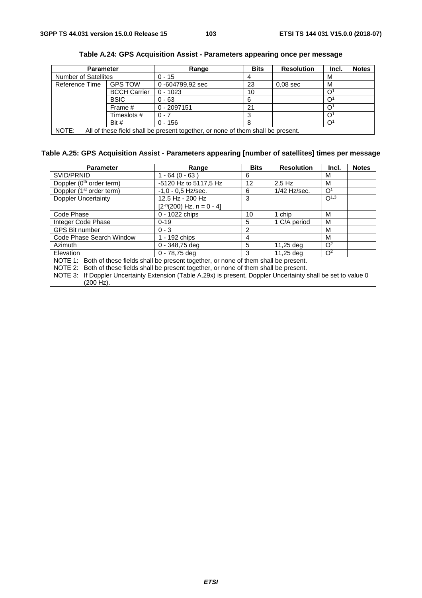| <b>Parameter</b>                                                                         |                     | Range           | <b>Bits</b> | <b>Resolution</b> | Incl.        | <b>Notes</b> |
|------------------------------------------------------------------------------------------|---------------------|-----------------|-------------|-------------------|--------------|--------------|
| <b>Number of Satellites</b>                                                              |                     | $0 - 15$        |             |                   | M            |              |
| Reference Time                                                                           | <b>GPS TOW</b>      | 0-604799,92 sec | 23          | $0.08$ sec        | M            |              |
|                                                                                          | <b>BCCH Carrier</b> | $0 - 1023$      | 10          |                   | $O^{\prime}$ |              |
|                                                                                          | <b>BSIC</b>         | $0 - 63$        | 6           |                   | $O^{\prime}$ |              |
|                                                                                          | Frame #             | $0 - 2097151$   | 21          |                   | $\Omega$     |              |
|                                                                                          | Timeslots #         | $0 - 7$         |             |                   | $\Omega$     |              |
|                                                                                          | Bit #               | $0 - 156$       | 8           |                   | $O^{\prime}$ |              |
| NOTE:<br>All of these field shall be present together, or none of them shall be present. |                     |                 |             |                   |              |              |

**Table A.24: GPS Acquisition Assist - Parameters appearing once per message** 

# **Table A.25: GPS Acquisition Assist - Parameters appearing [number of satellites] times per message**

| <b>Parameter</b>                                                                                               | Range                         | <b>Bits</b> | <b>Resolution</b> | Incl.          | <b>Notes</b> |  |
|----------------------------------------------------------------------------------------------------------------|-------------------------------|-------------|-------------------|----------------|--------------|--|
| SVID/PRNID                                                                                                     | $1 - 64 (0 - 63)$             | 6           |                   | м              |              |  |
| Doppler (0 <sup>th</sup> order term)                                                                           | -5120 Hz to 5117,5 Hz         | 12          | $2.5$ Hz          | м              |              |  |
| Doppler (1 <sup>st</sup> order term)                                                                           | $-1.0 - 0.5$ Hz/sec.          | 6           | $1/42$ Hz/sec.    | O <sup>1</sup> |              |  |
| <b>Doppler Uncertainty</b>                                                                                     | 12.5 Hz - 200 Hz              | 3           |                   | $O^{1,3}$      |              |  |
|                                                                                                                | $[2^{-n}(200)$ Hz, n = 0 - 4] |             |                   |                |              |  |
| Code Phase                                                                                                     | 0 - 1022 chips                | 10          | 1 chip            | М              |              |  |
| Integer Code Phase                                                                                             | $0 - 19$                      | 5           | 1 C/A period      | М              |              |  |
| <b>GPS Bit number</b>                                                                                          | $0 - 3$                       | 2           |                   | M              |              |  |
| Code Phase Search Window                                                                                       | 1 - 192 chips                 | 4           |                   | М              |              |  |
| Azimuth                                                                                                        | $0 - 348,75$ deg              | 5           | 11,25 deg         | O <sup>2</sup> |              |  |
| Elevation                                                                                                      | 0 - 78.75 dea                 | з           | 11.25 dea         | O <sup>2</sup> |              |  |
| NOTE 1: Both of these fields shall be present together, or none of them shall be present.                      |                               |             |                   |                |              |  |
| NOTE 2: Both of these fields shall be present together, or none of them shall be present.                      |                               |             |                   |                |              |  |
| NOTE 3: If Doppler Uncertainty Extension (Table A.29x) is present, Doppler Uncertainty shall be set to value 0 |                               |             |                   |                |              |  |
| (200 Hz).                                                                                                      |                               |             |                   |                |              |  |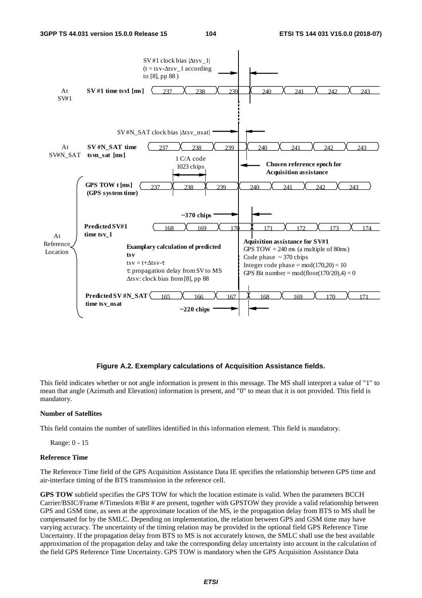

# **Figure A.2. Exemplary calculations of Acquisition Assistance fields.**

This field indicates whether or not angle information is present in this message. The MS shall interpret a value of "1" to mean that angle (Azimuth and Elevation) information is present, and "0" to mean that it is not provided. This field is mandatory.

### **Number of Satellites**

This field contains the number of satellites identified in this information element. This field is mandatory.

Range: 0 - 15

### **Reference Time**

The Reference Time field of the GPS Acquisition Assistance Data IE specifies the relationship between GPS time and air-interface timing of the BTS transmission in the reference cell.

**GPS TOW** subfield specifies the GPS TOW for which the location estimate is valid. When the parameters BCCH Carrier/BSIC/Frame #/Timeslots #/Bit # are present, together with GPSTOW they provide a valid relationship between GPS and GSM time, as seen at the approximate location of the MS, ie the propagation delay from BTS to MS shall be compensated for by the SMLC. Depending on implementation, the relation between GPS and GSM time may have varying accuracy. The uncertainty of the timing relation may be provided in the optional field GPS Reference Time Uncertainty. If the propagation delay from BTS to MS is not accurately known, the SMLC shall use the best available approximation of the propagation delay and take the corresponding delay uncertainty into account in the calculation of the field GPS Reference Time Uncertainty. GPS TOW is mandatory when the GPS Acquisition Assistance Data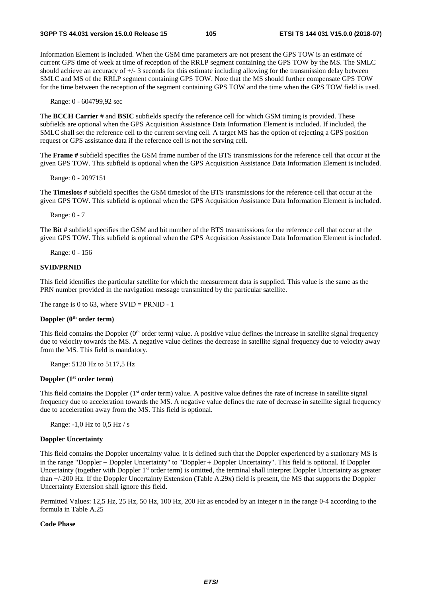Information Element is included. When the GSM time parameters are not present the GPS TOW is an estimate of current GPS time of week at time of reception of the RRLP segment containing the GPS TOW by the MS. The SMLC should achieve an accuracy of +/- 3 seconds for this estimate including allowing for the transmission delay between SMLC and MS of the RRLP segment containing GPS TOW. Note that the MS should further compensate GPS TOW for the time between the reception of the segment containing GPS TOW and the time when the GPS TOW field is used.

Range: 0 - 604799,92 sec

The **BCCH Carrier** # and **BSIC** subfields specify the reference cell for which GSM timing is provided. These subfields are optional when the GPS Acquisition Assistance Data Information Element is included. If included, the SMLC shall set the reference cell to the current serving cell. A target MS has the option of rejecting a GPS position request or GPS assistance data if the reference cell is not the serving cell.

The **Frame #** subfield specifies the GSM frame number of the BTS transmissions for the reference cell that occur at the given GPS TOW. This subfield is optional when the GPS Acquisition Assistance Data Information Element is included.

Range: 0 - 2097151

The **Timeslots #** subfield specifies the GSM timeslot of the BTS transmissions for the reference cell that occur at the given GPS TOW. This subfield is optional when the GPS Acquisition Assistance Data Information Element is included.

Range: 0 - 7

The **Bit #** subfield specifies the GSM and bit number of the BTS transmissions for the reference cell that occur at the given GPS TOW. This subfield is optional when the GPS Acquisition Assistance Data Information Element is included.

Range: 0 - 156

### **SVID/PRNID**

This field identifies the particular satellite for which the measurement data is supplied. This value is the same as the PRN number provided in the navigation message transmitted by the particular satellite.

The range is 0 to 63, where  $SVID = PRNID - 1$ 

### Doppler (0<sup>th</sup> order term)

This field contains the Doppler  $(0<sup>th</sup>$  order term) value. A positive value defines the increase in satellite signal frequency due to velocity towards the MS. A negative value defines the decrease in satellite signal frequency due to velocity away from the MS. This field is mandatory.

Range: 5120 Hz to 5117,5 Hz

## **Doppler (1st order term**)

This field contains the Doppler  $(1<sup>st</sup> order term)$  value. A positive value defines the rate of increase in satellite signal frequency due to acceleration towards the MS. A negative value defines the rate of decrease in satellite signal frequency due to acceleration away from the MS. This field is optional.

Range: -1,0 Hz to 0,5 Hz / s

### **Doppler Uncertainty**

This field contains the Doppler uncertainty value. It is defined such that the Doppler experienced by a stationary MS is in the range "Doppler − Doppler Uncertainty" to "Doppler + Doppler Uncertainty". This field is optional. If Doppler Uncertainty (together with Doppler 1<sup>st</sup> order term) is omitted, the terminal shall interpret Doppler Uncertainty as greater than +/-200 Hz. If the Doppler Uncertainty Extension (Table A.29x) field is present, the MS that supports the Doppler Uncertainty Extension shall ignore this field.

Permitted Values: 12,5 Hz, 25 Hz, 50 Hz, 100 Hz, 200 Hz as encoded by an integer n in the range 0-4 according to the formula in Table A.25

## **Code Phase**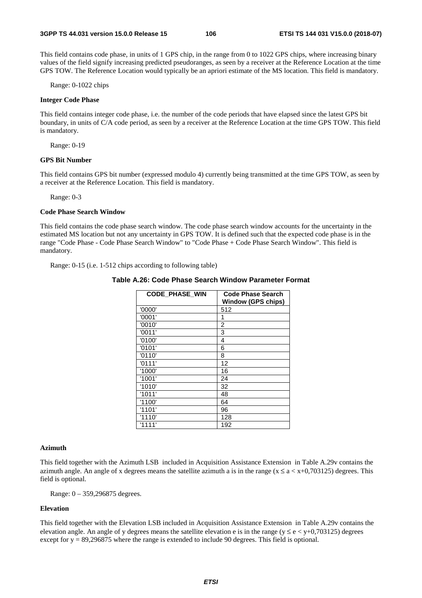This field contains code phase, in units of 1 GPS chip, in the range from 0 to 1022 GPS chips, where increasing binary values of the field signify increasing predicted pseudoranges, as seen by a receiver at the Reference Location at the time GPS TOW. The Reference Location would typically be an apriori estimate of the MS location. This field is mandatory.

Range: 0-1022 chips

#### **Integer Code Phase**

This field contains integer code phase, i.e. the number of the code periods that have elapsed since the latest GPS bit boundary, in units of C/A code period, as seen by a receiver at the Reference Location at the time GPS TOW. This field is mandatory.

Range: 0-19

### **GPS Bit Number**

This field contains GPS bit number (expressed modulo 4) currently being transmitted at the time GPS TOW, as seen by a receiver at the Reference Location. This field is mandatory.

Range: 0-3

## **Code Phase Search Window**

This field contains the code phase search window. The code phase search window accounts for the uncertainty in the estimated MS location but not any uncertainty in GPS TOW. It is defined such that the expected code phase is in the range "Code Phase - Code Phase Search Window" to "Code Phase + Code Phase Search Window". This field is mandatory.

Range: 0-15 (i.e. 1-512 chips according to following table)

| <b>CODE PHASE WIN</b> | Code Phase Search<br>Window (GPS chips) |
|-----------------------|-----------------------------------------|
| '0000'                | 512                                     |
| '0001'                | 1                                       |
| '0010'                | 2                                       |
| '0011'                | 3                                       |
| '0100'                | 4                                       |
| '0101'                | 6                                       |
| '0110'                | 8                                       |
| '0111'                | 12                                      |
| '1000'                | 16                                      |
| '1001'                | 24                                      |
| '1010'                | 32                                      |
| '1011'                | 48                                      |
| '1100'                | 64                                      |
| '1101'                | 96                                      |
| '1110'                | 128                                     |
| '1111'                | 192                                     |

**Table A.26: Code Phase Search Window Parameter Format** 

### **Azimuth**

This field together with the Azimuth LSB included in Acquisition Assistance Extension in Table A.29v contains the azimuth angle. An angle of x degrees means the satellite azimuth a is in the range ( $x \le a \lt x+0.703125$ ) degrees. This field is optional.

Range: 0 – 359,296875 degrees.

# **Elevation**

This field together with the Elevation LSB included in Acquisition Assistance Extension in Table A.29v contains the elevation angle. An angle of y degrees means the satellite elevation e is in the range ( $y \le e \lt y+0,703125$ ) degrees except for  $y = 89,296875$  where the range is extended to include 90 degrees. This field is optional.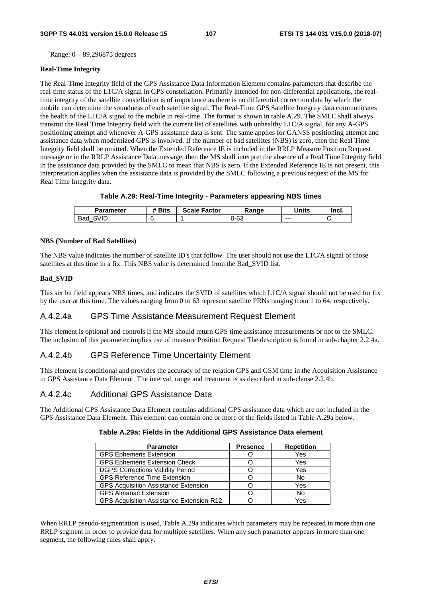Range: 0 – 89,296875 degrees

### **Real-Time Integrity**

The Real-Time Integrity field of the GPS Assistance Data Information Element contains parameters that describe the real-time status of the L1C/A signal in GPS constellation. Primarily intended for non-differential applications, the realtime integrity of the satellite constellation is of importance as there is no differential correction data by which the mobile can determine the soundness of each satellite signal. The Real-Time GPS Satellite Integrity data communicates the health of the L1C/A signal to the mobile in real-time. The format is shown in table A.29. The SMLC shall always transmit the Real Time Integrity field with the current list of satellites with unhealthy L1C/A signal, for any A-GPS positioning attempt and whenever A-GPS assistance data is sent. The same applies for GANSS positioning attempt and assistance data when modernized GPS is involved. If the number of bad satellites (NBS) is zero, then the Real Time Integrity field shall be omitted. When the Extended Reference IE is included in the RRLP Measure Position Request message or in the RRLP Assistance Data message, then the MS shall interpret the absence of a Real Time Integrity field in the assistance data provided by the SMLC to mean that NBS is zero. If the Extended Reference IE is not present, this interpretation applies when the assistance data is provided by the SMLC following a previous request of the MS for Real Time Integrity data.

## **Table A.29: Real-Time Integrity - Parameters appearing NBS times**

| Parameter   | <b>Bits</b><br>$\mathbf{u}$ | Factor<br><b>Scale</b> | ₹anαe | Units   | Incl. |
|-------------|-----------------------------|------------------------|-------|---------|-------|
| :VID<br>Bad |                             |                        | 0-63  | $- - -$ | ∼     |

### **NBS (Number of Bad Satellites)**

The NBS value indicates the number of satellite ID's that follow. The user should not use the L1C/A signal of those satellites at this time in a fix. This NBS value is determined from the Bad\_SVID list.

## **Bad\_SVID**

This six bit field appears NBS times, and indicates the SVID of satellites which L1C/A signal should not be used for fix by the user at this time. The values ranging from 0 to 63 represent satellite PRNs ranging from 1 to 64, respectively.

# A.4.2.4a GPS Time Assistance Measurement Request Element

This element is optional and controls if the MS should return GPS time assistance measurements or not to the SMLC. The inclusion of this parameter implies use of measure Position Request The description is found in sub-chapter 2.2.4a.

# A.4.2.4b GPS Reference Time Uncertainty Element

This element is conditional and provides the accuracy of the relation GPS and GSM time in the Acquisition Assistance in GPS Assistance Data Element. The interval, range and treatment is as described in sub-clause 2.2.4b.

# A.4.2.4c Additional GPS Assistance Data

The Additional GPS Assistance Data Element contains additional GPS assistance data which are not included in the GPS Assistance Data Element. This element can contain one or more of the fields listed in Table A.29a below.

| <b>Parameter</b>                                | <b>Presence</b> | <b>Repetition</b> |
|-------------------------------------------------|-----------------|-------------------|
| <b>GPS Ephemeris Extension</b>                  |                 | Yes               |
| <b>GPS Ephemeris Extension Check</b>            |                 | Yes               |
| <b>DGPS Corrections Validity Period</b>         |                 | Yes               |
| <b>GPS Reference Time Extension</b>             |                 | <b>No</b>         |
| <b>GPS Acquisition Assistance Extension</b>     |                 | Yes               |
| <b>GPS Almanac Extension</b>                    |                 | No                |
| <b>GPS Acquisition Assistance Extension-R12</b> |                 | Yes               |

# **Table A.29a: Fields in the Additional GPS Assistance Data element**

When RRLP pseudo-segmentation is used, Table A.29a indicates which parameters may be repeated in more than one RRLP segment in order to provide data for multiple satellites. When any such parameter appears in more than one segment, the following rules shall apply.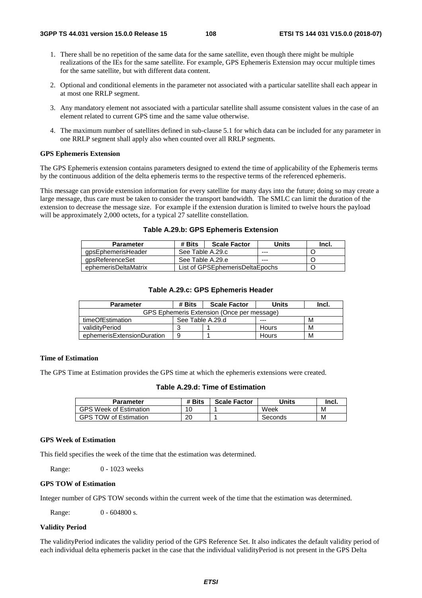- 1. There shall be no repetition of the same data for the same satellite, even though there might be multiple realizations of the IEs for the same satellite. For example, GPS Ephemeris Extension may occur multiple times for the same satellite, but with different data content.
- 2. Optional and conditional elements in the parameter not associated with a particular satellite shall each appear in at most one RRLP segment.
- 3. Any mandatory element not associated with a particular satellite shall assume consistent values in the case of an element related to current GPS time and the same value otherwise.
- 4. The maximum number of satellites defined in sub-clause 5.1 for which data can be included for any parameter in one RRLP segment shall apply also when counted over all RRLP segments.

#### **GPS Ephemeris Extension**

The GPS Ephemeris extension contains parameters designed to extend the time of applicability of the Ephemeris terms by the continuous addition of the delta ephemeris terms to the respective terms of the referenced ephemeris.

This message can provide extension information for every satellite for many days into the future; doing so may create a large message, thus care must be taken to consider the transport bandwidth. The SMLC can limit the duration of the extension to decrease the message size. For example if the extension duration is limited to twelve hours the payload will be approximately 2,000 octets, for a typical 27 satellite constellation.

| <b>Parameter</b>     | # Bits           | <b>Scale Factor</b>             | Units | Incl. |
|----------------------|------------------|---------------------------------|-------|-------|
| gpsEphemerisHeader   | See Table A.29.c |                                 | $--$  |       |
| gpsReferenceSet      | See Table A.29.e |                                 | $--$  |       |
| ephemerisDeltaMatrix |                  | List of GPSEphemerisDeltaEpochs |       |       |

#### **Table A.29.c: GPS Ephemeris Header**

| <b>Parameter</b>                           | # Bits           | <b>Scale Factor</b> | Units | Incl. |  |  |
|--------------------------------------------|------------------|---------------------|-------|-------|--|--|
| GPS Ephemeris Extension (Once per message) |                  |                     |       |       |  |  |
| timeOfEstimation                           | See Table A.29.d |                     | ---   | M     |  |  |
| validitvPeriod                             |                  |                     | Hours | М     |  |  |
| ephemerisExtensionDuration                 | 9                |                     | Hours | М     |  |  |

#### **Time of Estimation**

The GPS Time at Estimation provides the GPS time at which the ephemeris extensions were created.

# **Table A.29.d: Time of Estimation**

| Parameter                     | # Bits   | <b>Scale Factor</b> | Units   | Incl. |
|-------------------------------|----------|---------------------|---------|-------|
| <b>GPS Week of Estimation</b> |          |                     | Week    | м     |
| <b>GPS TOW of Estimation</b>  | ററ<br>∠∪ |                     | Seconds | M     |

#### **GPS Week of Estimation**

This field specifies the week of the time that the estimation was determined.

Range: 0 - 1023 weeks

#### **GPS TOW of Estimation**

Integer number of GPS TOW seconds within the current week of the time that the estimation was determined.

Range: 0 - 604800 s.

#### **Validity Period**

The validityPeriod indicates the validity period of the GPS Reference Set. It also indicates the default validity period of each individual delta ephemeris packet in the case that the individual validityPeriod is not present in the GPS Delta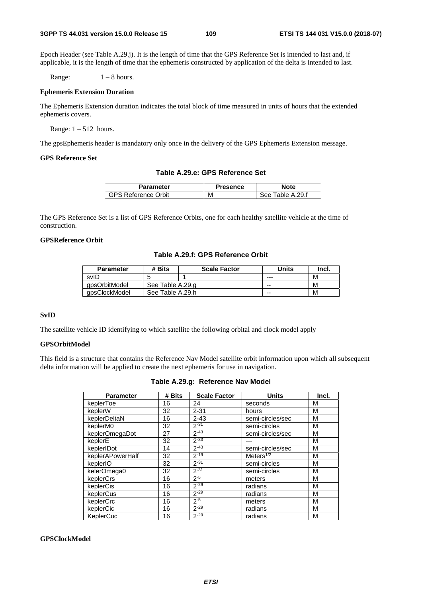Epoch Header (see Table A.29.j). It is the length of time that the GPS Reference Set is intended to last and, if applicable, it is the length of time that the ephemeris constructed by application of the delta is intended to last.

Range:  $1 - 8$  hours.

#### **Ephemeris Extension Duration**

The Ephemeris Extension duration indicates the total block of time measured in units of hours that the extended ephemeris covers.

Range:  $1 - 512$  hours.

The gpsEphemeris header is mandatory only once in the delivery of the GPS Ephemeris Extension message.

# **GPS Reference Set**

#### **Table A.29.e: GPS Reference Set**

| Parameter                  | Presence | <b>Note</b>          |
|----------------------------|----------|----------------------|
| <b>GPS Reference Orbit</b> | м        | Table A.29.f<br>See. |

The GPS Reference Set is a list of GPS Reference Orbits, one for each healthy satellite vehicle at the time of construction.

# **GPSReference Orbit**

# **Table A.29.f: GPS Reference Orbit**

| <b>Parameter</b> | # Bits           | <b>Scale Factor</b> | Units   | Incl. |
|------------------|------------------|---------------------|---------|-------|
| svID             |                  |                     | $- - -$ | M     |
| qpsOrbitModel    |                  | See Table A.29.g    |         | M     |
| gpsClockModel    | See Table A.29.h |                     | $- -$   | M     |

### **SvID**

The satellite vehicle ID identifying to which satellite the following orbital and clock model apply

#### **GPSOrbitModel**

This field is a structure that contains the Reference Nav Model satellite orbit information upon which all subsequent delta information will be applied to create the next ephemeris for use in navigation.

#### **Table A.29.g: Reference Nav Model**

| <b>Parameter</b> | # Bits | <b>Scale Factor</b> | <b>Units</b>          | Incl. |
|------------------|--------|---------------------|-----------------------|-------|
| keplerToe        | 16     | 24                  | seconds               | M     |
| keplerW          | 32     | $2 - 31$            | hours                 | M     |
| keplerDeltaN     | 16     | $2 - 43$            | semi-circles/sec      | М     |
| keplerM0         | 32     | $2 - 31$            | semi-circles          | M     |
| keplerOmegaDot   | 27     | $2 - 43$            | semi-circles/sec      | M     |
| keplerE          | 32     | $2^{-33}$           |                       | M     |
| keplerIDot       | 14     | $2 - 43$            | semi-circles/sec      | M     |
| keplerAPowerHalf | 32     | $2 - 19$            | Meters <sup>1/2</sup> | M     |
| keplerIO         | 32     | $2 - 31$            | semi-circles          | M     |
| kelerOmega0      | 32     | $2 - 31$            | semi-circles          | M     |
| keplerCrs        | 16     | $2 - 5$             | meters                | M     |
| keplerCis        | 16     | $2 - 29$            | radians               | M     |
| keplerCus        | 16     | $2 - 29$            | radians               | M     |
| keplerCrc        | 16     | $2^{5}$             | meters                | M     |
| keplerCic        | 16     | $2 - 29$            | radians               | M     |
| KeplerCuc        | 16     | $2 - 29$            | radians               | M     |

### **GPSClockModel**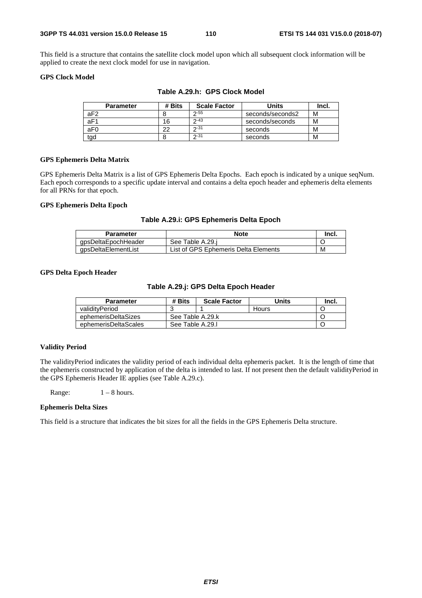This field is a structure that contains the satellite clock model upon which all subsequent clock information will be applied to create the next clock model for use in navigation.

### **GPS Clock Model**

| <b>Parameter</b> | # Bits | <b>Scale Factor</b> | Units            | Incl. |
|------------------|--------|---------------------|------------------|-------|
| aF <sub>2</sub>  |        | $2 - 55$            | seconds/seconds2 | м     |
| aF1              | 16     | $2 - 43$            | seconds/seconds  | м     |
| aF <sub>0</sub>  | つつ     | $2 - 31$            | seconds          | м     |
| tad              |        | $2 - 31$            | seconds          | м     |

**Table A.29.h: GPS Clock Model** 

# **GPS Ephemeris Delta Matrix**

GPS Ephemeris Delta Matrix is a list of GPS Ephemeris Delta Epochs. Each epoch is indicated by a unique seqNum. Each epoch corresponds to a specific update interval and contains a delta epoch header and ephemeris delta elements for all PRNs for that epoch.

### **GPS Ephemeris Delta Epoch**

### **Table A.29.i: GPS Ephemeris Delta Epoch**

| Parameter           | <b>Note</b>                          | Incl. |
|---------------------|--------------------------------------|-------|
| qpsDeltaEpochHeader | See Table A.29.i                     |       |
| gpsDeltaElementList | List of GPS Ephemeris Delta Elements | M     |

### **GPS Delta Epoch Header**

### **Table A.29.j: GPS Delta Epoch Header**

| <b>Parameter</b>     | # Bits           | <b>Scale Factor</b> | Units | -Incl. |  |
|----------------------|------------------|---------------------|-------|--------|--|
| validityPeriod       |                  |                     | Hours |        |  |
| ephemerisDeltaSizes  |                  | See Table A.29.k    |       |        |  |
| ephemerisDeltaScales | See Table A.29.I |                     |       |        |  |

# **Validity Period**

The validityPeriod indicates the validity period of each individual delta ephemeris packet. It is the length of time that the ephemeris constructed by application of the delta is intended to last. If not present then the default validityPeriod in the GPS Ephemeris Header IE applies (see Table A.29.c).

Range:  $1 - 8$  hours.

#### **Ephemeris Delta Sizes**

This field is a structure that indicates the bit sizes for all the fields in the GPS Ephemeris Delta structure.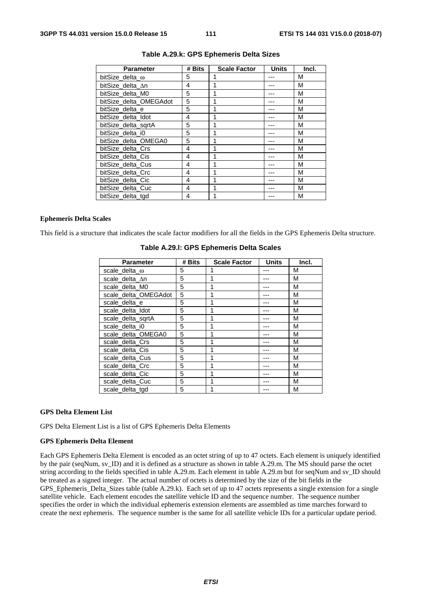| <b>Parameter</b>       | # Bits | <b>Scale Factor</b> | <b>Units</b> | Incl. |
|------------------------|--------|---------------------|--------------|-------|
| bitSize delta $\omega$ | 5      | 1                   |              | M     |
| bitSize_delta_∆n       | 4      | 1                   |              | M     |
| bitSize_delta_M0       | 5      |                     |              | M     |
| bitSize_delta_OMEGAdot | 5      | 1                   |              | M     |
| bitSize delta e        | 5      | 1                   |              | M     |
| bitSize_delta_Idot     | 4      | 1                   |              | M     |
| bitSize delta sgrtA    | 5      | 1                   |              | М     |
| bitSize_delta_i0       | 5      | 1                   |              | M     |
| bitSize_delta_OMEGA0   | 5      |                     |              | M     |
| bitSize delta Crs      | 4      | 1                   |              | M     |
| bitSize_delta_Cis      | 4      | 1                   |              | M     |
| bitSize_delta_Cus      | 4      | 1                   |              | M     |
| bitSize delta Crc      | 4      | 1                   |              | М     |
| bitSize delta Cic      | 4      | 1                   |              | M     |
| bitSize_delta_Cuc      | 4      | 1                   |              | M     |
| bitSize_delta_tgd      | 4      | 1                   |              | M     |

### **Table A.29.k: GPS Ephemeris Delta Sizes**

#### **Ephemeris Delta Scales**

This field is a structure that indicates the scale factor modifiers for all the fields in the GPS Ephemeris Delta structure.

| Parameter            | # Bits | <b>Scale Factor</b> | <b>Units</b> | Incl. |
|----------------------|--------|---------------------|--------------|-------|
| scale delta $\omega$ | 5      |                     |              | М     |
| scale delta An       | 5      |                     |              | M     |
| scale delta M0       | 5      |                     |              | М     |
| scale_delta_OMEGAdot | 5      |                     |              | М     |
| scale delta e        | 5      |                     |              | М     |
| scale_delta_Idot     | 5      |                     |              | M     |
| scale_delta_sqrtA    | 5      |                     |              | М     |
| scale delta i0       | 5      |                     |              | М     |
| scale_delta_OMEGA0   | 5      |                     |              | М     |
| scale delta Crs      | 5      |                     |              | М     |
| scale_delta_Cis      | 5      |                     |              | М     |
| scale_delta_Cus      | 5      |                     |              | M     |
| scale delta Crc      | 5      |                     |              | M     |
| scale delta Cic      | 5      |                     |              | М     |
| scale_delta_Cuc      | 5      |                     |              | М     |
| scale delta tgd      | 5      |                     |              | М     |

# **Table A.29.l: GPS Ephemeris Delta Scales**

#### **GPS Delta Element List**

GPS Delta Element List is a list of GPS Ephemeris Delta Elements

#### **GPS Ephemeris Delta Element**

Each GPS Ephemeris Delta Element is encoded as an octet string of up to 47 octets. Each element is uniquely identified by the pair (seqNum, sv\_ID) and it is defined as a structure as shown in table A.29.m. The MS should parse the octet string according to the fields specified in table A.29.m. Each element in table A.29.m but for seqNum and sv\_ID should be treated as a signed integer. The actual number of octets is determined by the size of the bit fields in the GPS\_Ephemeris\_Delta\_Sizes table (table A.29.k). Each set of up to 47 octets represents a single extension for a single satellite vehicle. Each element encodes the satellite vehicle ID and the sequence number. The sequence number specifies the order in which the individual ephemeris extension elements are assembled as time marches forward to create the next ephemeris. The sequence number is the same for all satellite vehicle IDs for a particular update period.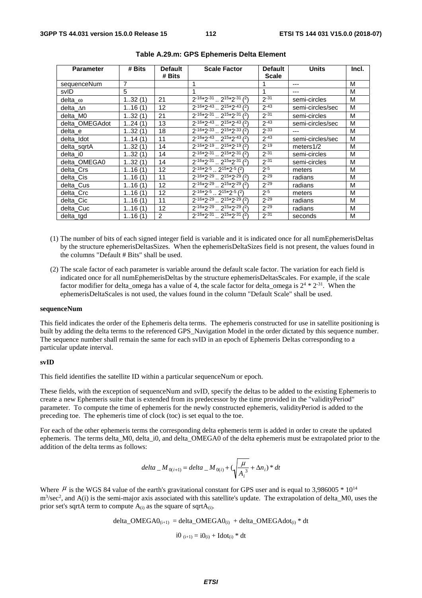| <b>Parameter</b> | # Bits | <b>Default</b><br># Bits | <b>Scale Factor</b>                                          | <b>Default</b><br>Scale | <b>Units</b>     | Incl. |
|------------------|--------|--------------------------|--------------------------------------------------------------|-------------------------|------------------|-------|
| sequenceNum      | 7      |                          | 1                                                            |                         | ---              | M     |
| svID             | 5      |                          | 1                                                            | 1                       | ---              | M     |
| delta $\omega$   | 132(1) | 21                       | $2^{-16*}2^{-31}$ $2^{15*}2^{-31}$ ( <sup>2</sup> )          | $2 - 31$                | semi-circles     | M     |
| delta_∆n         | 116(1) | 12                       | $2^{-16*}2^{-43}$ $2^{15*}2^{-43}$ (2)                       | $2 - 43$                | semi-circles/sec | M     |
| delta M0         | 132(1) | 21                       | $2^{-16*}2^{-31}$ $2^{15*}2^{-31}$ (2)                       | $2 - 31$                | semi-circles     | M     |
| delta OMEGAdot   | 124(1) | 13                       | $2^{-16*}2^{-43}$ $2^{15*}2^{-43}$ (2)                       | $2 - 43$                | semi-circles/sec | M     |
| delta_e          | 132(1) | 18                       | $2^{-16*}2^{-33}$ $\ldots$ $2^{15*}2^{-33}$ ( <sup>2</sup> ) | $2 - 33$                | ---              | M     |
| delta Idot       | 114(1) | 11                       | $2^{-16*}2^{-43}$ $2^{15*}2^{-43}$ (2)                       | $2 - 43$                | semi-circles/sec | M     |
| delta_sqrtA      | 132(1) | 14                       | $2^{-16*}2^{-19}$ $2^{15*}2^{-19}$ (2)                       | $2 - 19$                | meters $1/2$     | M     |
| delta i0         | 132(1) | 14                       | $2^{-16*}2^{-31}$ $2^{15*}2^{-31}$ (2)                       | $2 - 31$                | semi-circles     | M     |
| delta OMEGA0     | 132(1) | 14                       | $2^{-16*}2^{-31}$ $2^{15*}2^{-31}$ (2)                       | $2 - 31$                | semi-circles     | M     |
| delta_Crs        | 116(1) | 12                       | $\sqrt{2^{-16*}}2^{-5}$ $2^{15*}2^{-5}$ ( <sup>2</sup> )     | $2^{-5}$                | meters           | M     |
| delta_Cis        | 116(1) | 11                       | $2^{-16*}2^{-29}$ $\ldots$ $2^{15*}2^{-29}$ ( <sup>2</sup> ) | $2 - 29$                | radians          | M     |
| delta_Cus        | 116(1) | 12                       | $2^{-16*}2^{-29}$ $2^{15*}2^{-29}$ $(2)$                     | $2^{-29}$               | radians          | M     |
| delta Crc        | 116(1) | 12                       | $2^{-16*}2^{-5}$ . $2^{15*}2^{-5}$ ( <sup>2</sup> )          | $2^{-5}$                | meters           | M     |
| delta Cic        | 116(1) | 11                       | $2^{-16*}2^{-29}$ $2^{15*}2^{-29}$ (2)                       | $2 - 29$                | radians          | M     |
| delta Cuc        | 116(1) | 12                       | $2^{-16*}2^{-29}$ $2^{15*}2^{-29}$ (2)                       | $2 - 29$                | radians          | М     |
| delta_tgd        | 116(1) | 2                        | $2^{-16*}2^{-31}$ $2^{15*}2^{-31}$ (2)                       | $2 - 31$                | seconds          | м     |

**Table A.29.m: GPS Ephemeris Delta Element** 

- (1) The number of bits of each signed integer field is variable and it is indicated once for all numEphemerisDeltas by the structure ephemerisDeltasSizes. When the ephemerisDeltaSizes field is not present, the values found in the columns "Default # Bits" shall be used.
- (2) The scale factor of each parameter is variable around the default scale factor. The variation for each field is indicated once for all numEphemerisDeltas by the structure ephemerisDeltasScales. For example, if the scale factor modifier for delta\_omega has a value of 4, the scale factor for delta\_omega is  $2^4 * 2^{-31}$ . When the ephemerisDeltaScales is not used, the values found in the column "Default Scale" shall be used.

#### **sequenceNum**

This field indicates the order of the Ephemeris delta terms. The ephemeris constructed for use in satellite positioning is built by adding the delta terms to the referenced GPS\_Navigation Model in the order dictated by this sequence number. The sequence number shall remain the same for each svID in an epoch of Ephemeris Deltas corresponding to a particular update interval.

#### **svID**

This field identifies the satellite ID within a particular sequenceNum or epoch.

These fields, with the exception of sequenceNum and svID, specify the deltas to be added to the existing Ephemeris to create a new Ephemeris suite that is extended from its predecessor by the time provided in the "validityPeriod" parameter. To compute the time of ephemeris for the newly constructed ephemeris, validityPeriod is added to the preceding toe. The ephemeris time of clock (toc) is set equal to the toe.

For each of the other ephemeris terms the corresponding delta ephemeris term is added in order to create the updated ephemeris. The terms delta M0, delta i0, and delta OMEGA0 of the delta ephemeris must be extrapolated prior to the addition of the delta terms as follows:

$$
delta_{-}M_{0(i+1)} = delta_{-}M_{0(i)} + (\sqrt{\frac{\mu}{A_i^3}} + \Delta n_i)^* dt
$$

Where  $\mu$  is the WGS 84 value of the earth's gravitational constant for GPS user and is equal to 3,986005  $*$  10<sup>14</sup> m<sup>3</sup>/sec<sup>2</sup>, and A(i) is the semi-major axis associated with this satellite's update. The extrapolation of delta\_M0, uses the prior set's sqrtA term to compute  $A_{(i)}$  as the square of sqrt $A_{(i)}$ .

delta\_OMEGA<sub>(i+1)</sub> = delta\_OMEGA<sub>(i)</sub> + delta\_OMEGAdot<sub>(i)</sub> \* dt  
 
$$
i0_{(i+1)} = i0_{(i)} + Idot(i) * dt
$$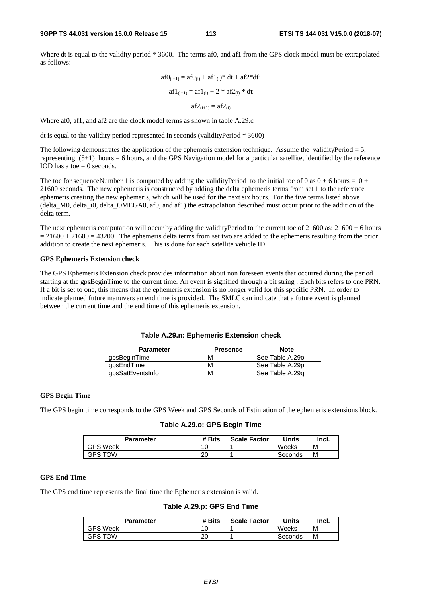Where dt is equal to the validity period \* 3600. The terms af0, and af1 from the GPS clock model must be extrapolated as follows:

$$
af0_{(i+1)} = af0_{(i)} + af1_{(i)} * dt + af2 * dt^{2}
$$

$$
af1_{(i+1)} = af1_{(i)} + 2 * af2_{(i)} * dt
$$

$$
af2_{(i+1)} = af2_{(i)}
$$

Where af0, af1, and af2 are the clock model terms as shown in table A.29.c

dt is equal to the validity period represented in seconds (validityPeriod \* 3600)

The following demonstrates the application of the ephemeris extension technique. Assume the validityPeriod  $= 5$ , representing: (5+1) hours = 6 hours, and the GPS Navigation model for a particular satellite, identified by the reference IOD has a toe  $= 0$  seconds.

The toe for sequenceNumber 1 is computed by adding the validityPeriod to the initial toe of 0 as  $0 + 6$  hours =  $0 +$ 21600 seconds. The new ephemeris is constructed by adding the delta ephemeris terms from set 1 to the reference ephemeris creating the new ephemeris, which will be used for the next six hours. For the five terms listed above (delta\_M0, delta\_i0, delta\_OMEGA0, af0, and af1) the extrapolation described must occur prior to the addition of the delta term.

The next ephemeris computation will occur by adding the validityPeriod to the current toe of  $21600$  as:  $21600 + 6$  hours  $= 21600 + 21600 = 43200$ . The ephemeris delta terms from set two are added to the ephemeris resulting from the prior addition to create the next ephemeris. This is done for each satellite vehicle ID.

#### **GPS Ephemeris Extension check**

The GPS Ephemeris Extension check provides information about non foreseen events that occurred during the period starting at the gpsBeginTime to the current time. An event is signified through a bit string . Each bits refers to one PRN. If a bit is set to one, this means that the ephemeris extension is no longer valid for this specific PRN. In order to indicate planned future manuvers an end time is provided. The SMLC can indicate that a future event is planned between the current time and the end time of this ephemeris extension.

| <b>Parameter</b> | <b>Presence</b> | <b>Note</b>     |
|------------------|-----------------|-----------------|
| qpsBeginTime     | м               | See Table A.29o |
| qpsEndTime       | м               | See Table A.29p |
| qpsSatEventsInfo | м               | See Table A.29g |

## **Table A.29.n: Ephemeris Extension check**

#### **GPS Begin Time**

The GPS begin time corresponds to the GPS Week and GPS Seconds of Estimation of the ephemeris extensions block.

# **Table A.29.o: GPS Begin Time**

| Parameter       | # Bits | <b>Scale Factor</b> | Units   | Incl. |
|-----------------|--------|---------------------|---------|-------|
| <b>GPS Week</b> | 10     |                     | Weeks   | М     |
| GPS TOW         | 20     |                     | Seconds | М     |

# **GPS End Time**

The GPS end time represents the final time the Ephemeris extension is valid.

**Table A.29.p: GPS End Time** 

| Parameter       | # Bits | <b>Scale Factor</b> | <b>Units</b> | Incl. |
|-----------------|--------|---------------------|--------------|-------|
| <b>GPS Week</b> | 10     |                     | Weeks        | M     |
| GPS TOW         | 20     |                     | Seconds      | М     |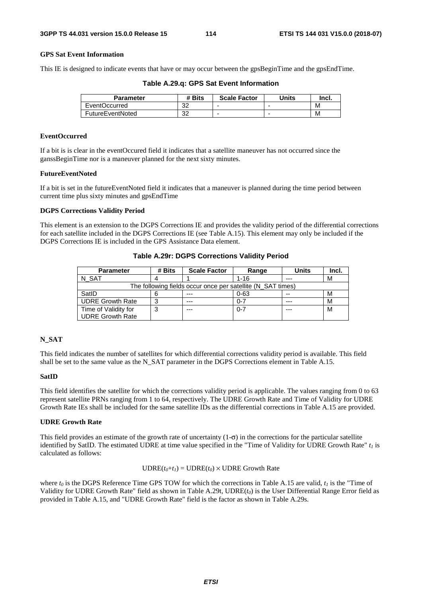## **GPS Sat Event Information**

This IE is designed to indicate events that have or may occur between the gpsBeginTime and the gpsEndTime.

**Table A.29.q: GPS Sat Event Information** 

| Parameter        | # Bits   | <b>Scale Factor</b> | Units | Incl. |
|------------------|----------|---------------------|-------|-------|
| EventOccurred    | ົ<br>ےں  |                     | -     | M     |
| FutureEventNoted | ົດ<br>ےں |                     |       | M     |

# **EventOccurred**

If a bit is is clear in the eventOccured field it indicates that a satellite maneuver has not occurred since the ganssBeginTime nor is a maneuver planned for the next sixty minutes.

#### **FutureEventNoted**

If a bit is set in the futureEventNoted field it indicates that a maneuver is planned during the time period between current time plus sixty minutes and gpsEndTime

#### **DGPS Corrections Validity Period**

This element is an extension to the DGPS Corrections IE and provides the validity period of the differential corrections for each satellite included in the DGPS Corrections IE (see Table A.15). This element may only be included if the DGPS Corrections IE is included in the GPS Assistance Data element.

| <b>Parameter</b>        | # Bits | <b>Scale Factor</b>                                         | Range    | <b>Units</b> | Incl |
|-------------------------|--------|-------------------------------------------------------------|----------|--------------|------|
| N SAT                   |        |                                                             | $1 - 16$ | ---          | M    |
|                         |        | The following fields occur once per satellite (N SAT times) |          |              |      |
| SatID                   |        | $- - -$                                                     | $0 - 63$ | --           | м    |
| <b>UDRE Growth Rate</b> |        | $- - -$                                                     | $0 - 7$  | ---          | M    |
| Time of Validity for    |        | ---                                                         | $0 - 7$  | ---          | М    |
| <b>UDRE Growth Rate</b> |        |                                                             |          |              |      |

**Table A.29r: DGPS Corrections Validity Period** 

# **N\_SAT**

This field indicates the number of satellites for which differential corrections validity period is available. This field shall be set to the same value as the N\_SAT parameter in the DGPS Corrections element in Table A.15.

#### **SatID**

This field identifies the satellite for which the corrections validity period is applicable. The values ranging from 0 to 63 represent satellite PRNs ranging from 1 to 64, respectively. The UDRE Growth Rate and Time of Validity for UDRE Growth Rate IEs shall be included for the same satellite IDs as the differential corrections in Table A.15 are provided.

#### **UDRE Growth Rate**

This field provides an estimate of the growth rate of uncertainty  $(1-\sigma)$  in the corrections for the particular satellite identified by SatID. The estimated UDRE at time value specified in the "Time of Validity for UDRE Growth Rate"  $t_1$  is calculated as follows:

#### $\text{UDRE}(t_0 + t_1) = \text{UDRE}(t_0) \times \text{UDRE}$  Growth Rate

where  $t_0$  is the DGPS Reference Time GPS TOW for which the corrections in Table A.15 are valid,  $t_1$  is the "Time of Validity for UDRE Growth Rate" field as shown in Table A.29t, UDRE(*t0*) is the User Differential Range Error field as provided in Table A.15, and "UDRE Growth Rate" field is the factor as shown in Table A.29s.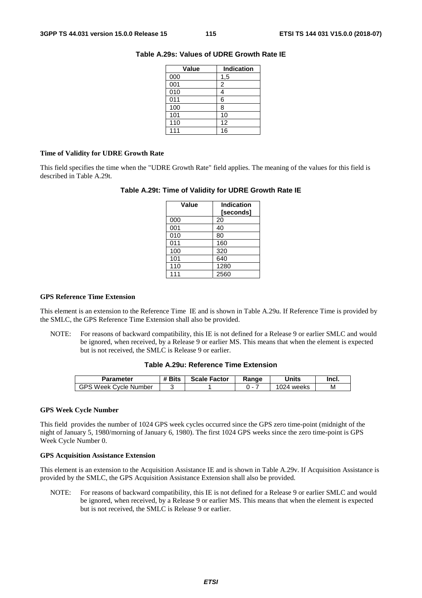| <b>Value</b>     | <b>Indication</b> |
|------------------|-------------------|
| 000              | 1,5               |
| 001              | 2                 |
| $\overline{010}$ | 4                 |
| $\overline{011}$ | 6                 |
| $\overline{100}$ | 8                 |
| 101              | 10                |
| 110              | 12                |
| 111              | 16                |

# **Table A.29s: Values of UDRE Growth Rate IE**

### **Time of Validity for UDRE Growth Rate**

This field specifies the time when the "UDRE Growth Rate" field applies. The meaning of the values for this field is described in Table A.29t.

# **Table A.29t: Time of Validity for UDRE Growth Rate IE**

| Value | <b>Indication</b><br>[seconds] |
|-------|--------------------------------|
| 000   | 20                             |
| 001   | 40                             |
| 010   | 80                             |
| 011   | 160                            |
| 100   | 320                            |
| 101   | 640                            |
| 110   | 1280                           |
| 111   | 2560                           |

#### **GPS Reference Time Extension**

This element is an extension to the Reference Time IE and is shown in Table A.29u. If Reference Time is provided by the SMLC, the GPS Reference Time Extension shall also be provided.

NOTE: For reasons of backward compatibility, this IE is not defined for a Release 9 or earlier SMLC and would be ignored, when received, by a Release 9 or earlier MS. This means that when the element is expected but is not received, the SMLC is Release 9 or earlier.

## **Table A.29u: Reference Time Extension**

| Parameter                      | <b># Bits</b> | <b>Scale Factor</b> | Ranɑe | <b>'Jnits</b> | Incl. |
|--------------------------------|---------------|---------------------|-------|---------------|-------|
| GPS<br>Week (.<br>Cvcle Number |               |                     | -     | 024<br>weeks  | м     |

#### **GPS Week Cycle Number**

This field provides the number of 1024 GPS week cycles occurred since the GPS zero time-point (midnight of the night of January 5, 1980/morning of January 6, 1980). The first 1024 GPS weeks since the zero time-point is GPS Week Cycle Number 0.

#### **GPS Acquisition Assistance Extension**

This element is an extension to the Acquisition Assistance IE and is shown in Table A.29v. If Acquisition Assistance is provided by the SMLC, the GPS Acquisition Assistance Extension shall also be provided.

NOTE: For reasons of backward compatibility, this IE is not defined for a Release 9 or earlier SMLC and would be ignored, when received, by a Release 9 or earlier MS. This means that when the element is expected but is not received, the SMLC is Release 9 or earlier.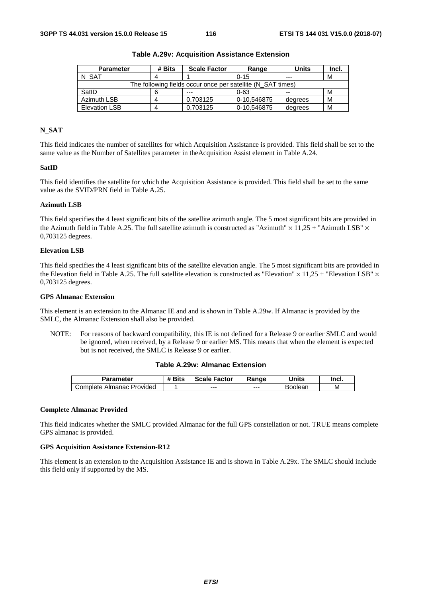| <b>Parameter</b>     | # Bits | <b>Scale Factor</b>                                         | Range       | <b>Units</b> | Incl. |
|----------------------|--------|-------------------------------------------------------------|-------------|--------------|-------|
| N SAT                |        |                                                             | $0 - 15$    | $- - -$      | M     |
|                      |        | The following fields occur once per satellite (N SAT times) |             |              |       |
| SatID                |        | $- - -$                                                     | $0 - 63$    | $- -$        | M     |
| <b>Azimuth LSB</b>   |        | 0.703125                                                    | 0-10,546875 | degrees      | M     |
| <b>Elevation LSB</b> | Δ      | 0.703125                                                    | 0-10.546875 | degrees      | M     |

**Table A.29v: Acquisition Assistance Extension** 

# **N\_SAT**

This field indicates the number of satellites for which Acquisition Assistance is provided. This field shall be set to the same value as the Number of Satellites parameter in theAcquisition Assist element in Table A.24.

#### **SatID**

This field identifies the satellite for which the Acquisition Assistance is provided. This field shall be set to the same value as the SVID/PRN field in Table A.25.

### **Azimuth LSB**

This field specifies the 4 least significant bits of the satellite azimuth angle. The 5 most significant bits are provided in the Azimuth field in Table A.25. The full satellite azimuth is constructed as "Azimuth"  $\times$  11,25 + "Azimuth LSB"  $\times$ 0,703125 degrees.

### **Elevation LSB**

This field specifies the 4 least significant bits of the satellite elevation angle. The 5 most significant bits are provided in the Elevation field in Table A.25. The full satellite elevation is constructed as "Elevation"  $\times$  11,25 + "Elevation LSB"  $\times$ 0,703125 degrees.

### **GPS Almanac Extension**

This element is an extension to the Almanac IE and and is shown in Table A.29w. If Almanac is provided by the SMLC, the Almanac Extension shall also be provided.

NOTE: For reasons of backward compatibility, this IE is not defined for a Release 9 or earlier SMLC and would be ignored, when received, by a Release 9 or earlier MS. This means that when the element is expected but is not received, the SMLC is Release 9 or earlier.

#### **Table A.29w: Almanac Extension**

| Parameter                 | <b>Bits</b> | <b>Scale Factor</b> | Range | Units   | Incl. |
|---------------------------|-------------|---------------------|-------|---------|-------|
| Complete Almanac Provided |             | $--$                | $--$  | Boolean | М     |

#### **Complete Almanac Provided**

This field indicates whether the SMLC provided Almanac for the full GPS constellation or not. TRUE means complete GPS almanac is provided.

## **GPS Acquisition Assistance Extension-R12**

This element is an extension to the Acquisition Assistance IE and is shown in Table A.29x. The SMLC should include this field only if supported by the MS.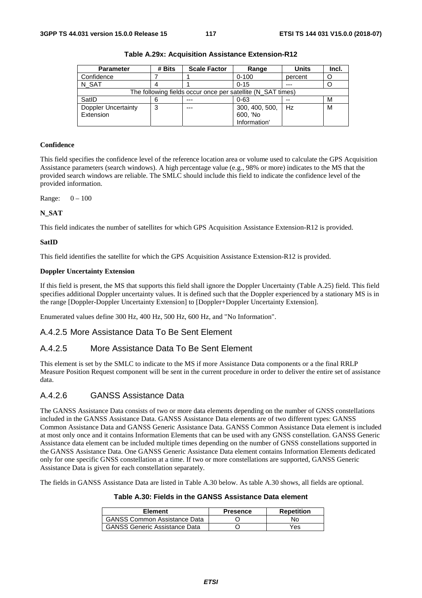| <b>Parameter</b>                                            | # Bits | <b>Scale Factor</b> | Range          | <b>Units</b> | Incl. |
|-------------------------------------------------------------|--------|---------------------|----------------|--------------|-------|
| Confidence                                                  |        |                     | $0 - 100$      | percent      |       |
| N SAT                                                       |        |                     | $0 - 15$       | ---          |       |
| The following fields occur once per satellite (N_SAT times) |        |                     |                |              |       |
| SatID                                                       | 6      | $---$               | $0 - 63$       | $- -$        | М     |
| <b>Doppler Uncertainty</b>                                  | 3      | ---                 | 300, 400, 500, | Hz           | м     |
| Extension                                                   |        |                     | 600, 'No       |              |       |
|                                                             |        |                     | Information'   |              |       |

**Table A.29x: Acquisition Assistance Extension-R12** 

#### **Confidence**

This field specifies the confidence level of the reference location area or volume used to calculate the GPS Acquisition Assistance parameters (search windows). A high percentage value (e.g., 98% or more) indicates to the MS that the provided search windows are reliable. The SMLC should include this field to indicate the confidence level of the provided information.

Range: 0 – 100

# **N\_SAT**

This field indicates the number of satellites for which GPS Acquisition Assistance Extension-R12 is provided.

# **SatID**

This field identifies the satellite for which the GPS Acquisition Assistance Extension-R12 is provided.

### **Doppler Uncertainty Extension**

If this field is present, the MS that supports this field shall ignore the Doppler Uncertainty (Table A.25) field. This field specifies additional Doppler uncertainty values. It is defined such that the Doppler experienced by a stationary MS is in the range [Doppler-Doppler Uncertainty Extension] to [Doppler+Doppler Uncertainty Extension].

Enumerated values define 300 Hz, 400 Hz, 500 Hz, 600 Hz, and "No Information".

# A.4.2.5 More Assistance Data To Be Sent Element

# A.4.2.5 More Assistance Data To Be Sent Element

This element is set by the SMLC to indicate to the MS if more Assistance Data components or a the final RRLP Measure Position Request component will be sent in the current procedure in order to deliver the entire set of assistance data.

# A.4.2.6 GANSS Assistance Data

The GANSS Assistance Data consists of two or more data elements depending on the number of GNSS constellations included in the GANSS Assistance Data. GANSS Assistance Data elements are of two different types: GANSS Common Assistance Data and GANSS Generic Assistance Data. GANSS Common Assistance Data element is included at most only once and it contains Information Elements that can be used with any GNSS constellation. GANSS Generic Assistance data element can be included multiple times depending on the number of GNSS constellations supported in the GANSS Assistance Data. One GANSS Generic Assistance Data element contains Information Elements dedicated only for one specific GNSS constellation at a time. If two or more constellations are supported, GANSS Generic Assistance Data is given for each constellation separately.

The fields in GANSS Assistance Data are listed in Table A.30 below. As table A.30 shows, all fields are optional.

## **Table A.30: Fields in the GANSS Assistance Data element**

| Element                              | <b>Presence</b> | Repetition |
|--------------------------------------|-----------------|------------|
| <b>GANSS Common Assistance Data</b>  |                 | No         |
| <b>GANSS Generic Assistance Data</b> |                 | Yes        |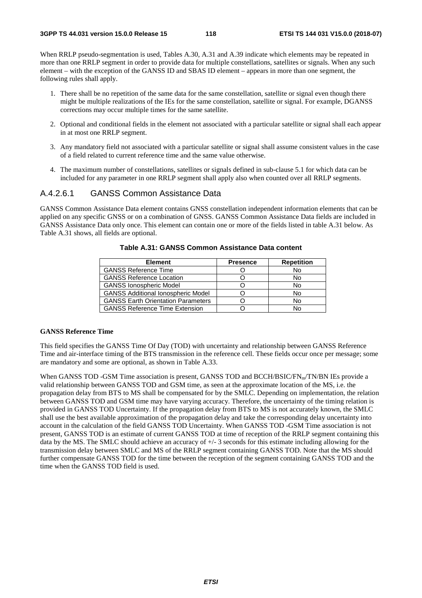When RRLP pseudo-segmentation is used, Tables A.30, A.31 and A.39 indicate which elements may be repeated in more than one RRLP segment in order to provide data for multiple constellations, satellites or signals. When any such element – with the exception of the GANSS ID and SBAS ID element – appears in more than one segment, the following rules shall apply.

- 1. There shall be no repetition of the same data for the same constellation, satellite or signal even though there might be multiple realizations of the IEs for the same constellation, satellite or signal. For example, DGANSS corrections may occur multiple times for the same satellite.
- 2. Optional and conditional fields in the element not associated with a particular satellite or signal shall each appear in at most one RRLP segment.
- 3. Any mandatory field not associated with a particular satellite or signal shall assume consistent values in the case of a field related to current reference time and the same value otherwise.
- 4. The maximum number of constellations, satellites or signals defined in sub-clause 5.1 for which data can be included for any parameter in one RRLP segment shall apply also when counted over all RRLP segments.

# A.4.2.6.1 GANSS Common Assistance Data

GANSS Common Assistance Data element contains GNSS constellation independent information elements that can be applied on any specific GNSS or on a combination of GNSS. GANSS Common Assistance Data fields are included in GANSS Assistance Data only once. This element can contain one or more of the fields listed in table A.31 below. As Table A.31 shows, all fields are optional.

| <b>Element</b>                            | <b>Presence</b> | <b>Repetition</b> |
|-------------------------------------------|-----------------|-------------------|
| <b>GANSS Reference Time</b>               |                 | No                |
| <b>GANSS Reference Location</b>           |                 | No                |
| <b>GANSS Ionospheric Model</b>            |                 | No                |
| <b>GANSS Additional Ionospheric Model</b> |                 | No                |
| <b>GANSS Earth Orientation Parameters</b> |                 | N٥                |
| <b>GANSS Reference Time Extension</b>     |                 | N٥                |

# **Table A.31: GANSS Common Assistance Data content**

#### **GANSS Reference Time**

This field specifies the GANSS Time Of Day (TOD) with uncertainty and relationship between GANSS Reference Time and air-interface timing of the BTS transmission in the reference cell. These fields occur once per message; some are mandatory and some are optional, as shown in Table A.33.

When GANSS TOD -GSM Time association is present, GANSS TOD and BCCH/BSIC/FN<sub>m</sub>/TN/BN IEs provide a valid relationship between GANSS TOD and GSM time, as seen at the approximate location of the MS, i.e. the propagation delay from BTS to MS shall be compensated for by the SMLC. Depending on implementation, the relation between GANSS TOD and GSM time may have varying accuracy. Therefore, the uncertainty of the timing relation is provided in GANSS TOD Uncertainty. If the propagation delay from BTS to MS is not accurately known, the SMLC shall use the best available approximation of the propagation delay and take the corresponding delay uncertainty into account in the calculation of the field GANSS TOD Uncertainty. When GANSS TOD -GSM Time association is not present, GANSS TOD is an estimate of current GANSS TOD at time of reception of the RRLP segment containing this data by the MS. The SMLC should achieve an accuracy of +/- 3 seconds for this estimate including allowing for the transmission delay between SMLC and MS of the RRLP segment containing GANSS TOD. Note that the MS should further compensate GANSS TOD for the time between the reception of the segment containing GANSS TOD and the time when the GANSS TOD field is used.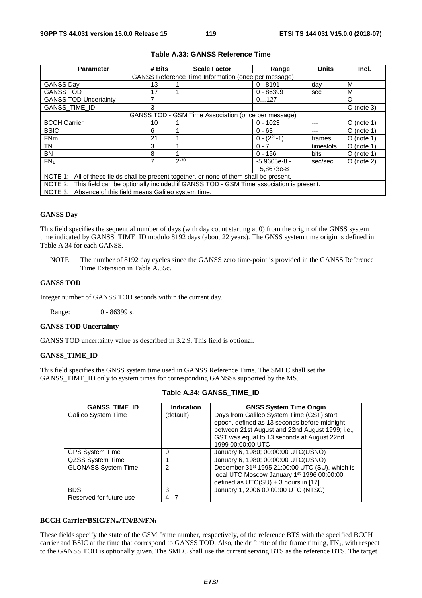| <b>Parameter</b>                                                                              | # Bits                                              | <b>Scale Factor</b> | Range              | <b>Units</b>             | Incl.        |  |  |
|-----------------------------------------------------------------------------------------------|-----------------------------------------------------|---------------------|--------------------|--------------------------|--------------|--|--|
| GANSS Reference Time Information (once per message)                                           |                                                     |                     |                    |                          |              |  |  |
| <b>GANSS Day</b>                                                                              | 13                                                  |                     | $0 - 8191$         | day                      | M            |  |  |
| <b>GANSS TOD</b>                                                                              | 17                                                  |                     | $0 - 86399$        | sec                      | м            |  |  |
| <b>GANSS TOD Uncertainty</b>                                                                  | 7                                                   |                     | 0127               | $\overline{\phantom{0}}$ | O            |  |  |
| <b>GANSS_TIME_ID</b>                                                                          | 3                                                   | ---                 | ---                | ---                      | $O$ (note 3) |  |  |
|                                                                                               | GANSS TOD - GSM Time Association (once per message) |                     |                    |                          |              |  |  |
| <b>BCCH Carrier</b>                                                                           | 10                                                  |                     | $0 - 1023$         | ---                      | $O$ (note 1) |  |  |
| <b>BSIC</b>                                                                                   | 6                                                   |                     | $0 - 63$           | ---                      | $O$ (note 1) |  |  |
| <b>FNm</b>                                                                                    | 21                                                  |                     | $0 - (2^{21} - 1)$ | frames                   | $O$ (note 1) |  |  |
| <b>TN</b>                                                                                     | 3                                                   |                     | $0 - 7$            | timeslots                | $O$ (note 1) |  |  |
| <b>BN</b>                                                                                     | 8                                                   |                     | $0 - 156$          | bits                     | $O$ (note 1) |  |  |
| FN <sub>1</sub>                                                                               | 7                                                   | $2 - 30$            | $-5,9605e-8-$      | sec/sec                  | $O$ (note 2) |  |  |
|                                                                                               |                                                     |                     | +5,8673e-8         |                          |              |  |  |
| NOTE 1: All of these fields shall be present together, or none of them shall be present.      |                                                     |                     |                    |                          |              |  |  |
| NOTE 2: This field can be optionally included if GANSS TOD - GSM Time association is present. |                                                     |                     |                    |                          |              |  |  |
| NOTE 3.<br>Absence of this field means Galileo system time.                                   |                                                     |                     |                    |                          |              |  |  |

# **Table A.33: GANSS Reference Time**

#### **GANSS Day**

This field specifies the sequential number of days (with day count starting at 0) from the origin of the GNSS system time indicated by GANSS\_TIME\_ID modulo 8192 days (about 22 years). The GNSS system time origin is defined in Table A.34 for each GANSS.

NOTE: The number of 8192 day cycles since the GANSS zero time-point is provided in the GANSS Reference Time Extension in Table A.35c.

### **GANSS TOD**

Integer number of GANSS TOD seconds within the current day.

Range: 0 - 86399 s.

#### **GANSS TOD Uncertainty**

GANSS TOD uncertainty value as described in 3.2.9. This field is optional.

## **GANSS\_TIME\_ID**

This field specifies the GNSS system time used in GANSS Reference Time. The SMLC shall set the GANSS\_TIME\_ID only to system times for corresponding GANSSs supported by the MS.

| <b>GANSS_TIME_ID</b>             | <b>Indication</b> | <b>GNSS System Time Origin</b>                             |
|----------------------------------|-------------------|------------------------------------------------------------|
| Galileo System Time<br>(default) |                   | Days from Galileo System Time (GST) start                  |
|                                  |                   | epoch, defined as 13 seconds before midnight               |
|                                  |                   | between 21st August and 22nd August 1999; i.e.,            |
|                                  |                   | GST was equal to 13 seconds at August 22nd                 |
|                                  |                   | 1999 00:00:00 UTC                                          |
| <b>GPS System Time</b>           |                   | January 6, 1980; 00:00:00 UTC(USNO)                        |
| QZSS System Time                 |                   | January 6, 1980; 00:00:00 UTC(USNO)                        |
| <b>GLONASS System Time</b>       | 2                 | December 31 <sup>st</sup> 1995 21:00:00 UTC (SU), which is |
|                                  |                   | local UTC Moscow January 1st 1996 00:00:00,                |
|                                  |                   | defined as $UTC(SU) + 3$ hours in [17]                     |
| <b>BDS</b>                       | 3                 | January 1, 2006 00:00:00 UTC (NTSC)                        |
| Reserved for future use          | $4 - 7$           |                                                            |

#### **Table A.34: GANSS\_TIME\_ID**

### **BCCH Carrier/BSIC/FNm/TN/BN/FN1**

These fields specify the state of the GSM frame number, respectively, of the reference BTS with the specified BCCH carrier and BSIC at the time that correspond to GANSS TOD. Also, the drift rate of the frame timing, FN<sub>1</sub>, with respect to the GANSS TOD is optionally given. The SMLC shall use the current serving BTS as the reference BTS. The target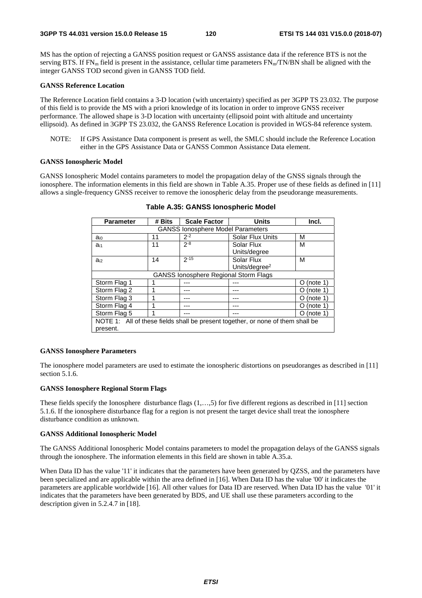MS has the option of rejecting a GANSS position request or GANSS assistance data if the reference BTS is not the serving BTS. If  $FN_m$  field is present in the assistance, cellular time parameters  $FN_m/TN/BN$  shall be aligned with the integer GANSS TOD second given in GANSS TOD field.

## **GANSS Reference Location**

The Reference Location field contains a 3-D location (with uncertainty) specified as per 3GPP TS 23.032. The purpose of this field is to provide the MS with a priori knowledge of its location in order to improve GNSS receiver performance. The allowed shape is 3-D location with uncertainty (ellipsoid point with altitude and uncertainty ellipsoid). As defined in 3GPP TS 23.032, the GANSS Reference Location is provided in WGS-84 reference system.

NOTE: If GPS Assistance Data component is present as well, the SMLC should include the Reference Location either in the GPS Assistance Data or GANSS Common Assistance Data element.

### **GANSS Ionospheric Model**

GANSS Ionospheric Model contains parameters to model the propagation delay of the GNSS signals through the ionosphere. The information elements in this field are shown in Table A.35. Proper use of these fields as defined in [11] allows a single-frequency GNSS receiver to remove the ionospheric delay from the pseudorange measurements.

| <b>Parameter</b>                                                                | # Bits | <b>Scale Factor</b>                          | Units                     | Incl.         |  |  |
|---------------------------------------------------------------------------------|--------|----------------------------------------------|---------------------------|---------------|--|--|
| <b>GANSS lonosphere Model Parameters</b>                                        |        |                                              |                           |               |  |  |
| a <sub>i0</sub>                                                                 | 11     | $2 - 2$                                      | <b>Solar Flux Units</b>   | М             |  |  |
| a <sub>i1</sub>                                                                 | 11     | $2^{-8}$                                     | Solar Flux                | M             |  |  |
|                                                                                 |        |                                              | Units/degree              |               |  |  |
| $a_{i2}$                                                                        | 14     | $2 - 15$                                     | Solar Flux                | М             |  |  |
|                                                                                 |        |                                              | Units/degree <sup>2</sup> |               |  |  |
|                                                                                 |        | <b>GANSS lonosphere Regional Storm Flags</b> |                           |               |  |  |
| Storm Flag 1                                                                    |        |                                              |                           | $O$ (note 1)  |  |  |
| Storm Flag 2                                                                    |        |                                              |                           | O (note 1)    |  |  |
| Storm Flag 3                                                                    |        |                                              |                           | (note 1)<br>O |  |  |
| Storm Flag 4                                                                    |        |                                              |                           | O (note 1)    |  |  |
| Storm Flag 5<br>O (note 1)                                                      |        |                                              |                           |               |  |  |
| NOTE 1: All of these fields shall be present together, or none of them shall be |        |                                              |                           |               |  |  |
| present.                                                                        |        |                                              |                           |               |  |  |

**Table A.35: GANSS Ionospheric Model** 

# **GANSS Ionosphere Parameters**

The ionosphere model parameters are used to estimate the ionospheric distortions on pseudoranges as described in [11] section 5.1.6.

# **GANSS Ionosphere Regional Storm Flags**

These fields specify the Ionosphere disturbance flags (1,…,5) for five different regions as described in [11] section 5.1.6. If the ionosphere disturbance flag for a region is not present the target device shall treat the ionosphere disturbance condition as unknown.

#### **GANSS Additional Ionospheric Model**

The GANSS Additional Ionospheric Model contains parameters to model the propagation delays of the GANSS signals through the ionosphere. The information elements in this field are shown in table A.35.a.

When Data ID has the value '11' it indicates that the parameters have been generated by OZSS, and the parameters have been specialized and are applicable within the area defined in [16]. When Data ID has the value '00' it indicates the parameters are applicable worldwide [16]. All other values for Data ID are reserved. When Data ID has the value '01' it indicates that the parameters have been generated by BDS, and UE shall use these parameters according to the description given in 5.2.4.7 in [18].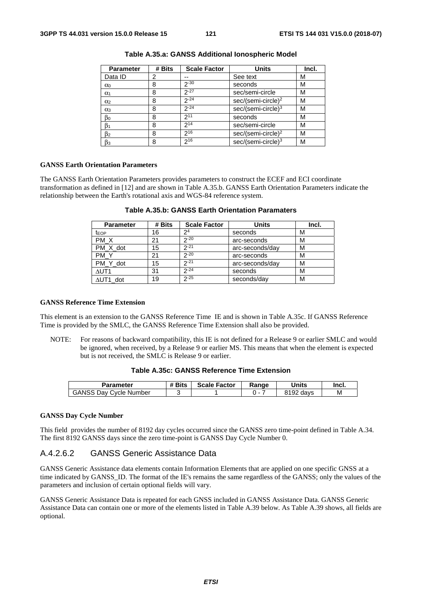| <b>Parameter</b>      | # Bits | <b>Scale Factor</b> | <b>Units</b>                   | Incl. |
|-----------------------|--------|---------------------|--------------------------------|-------|
| Data ID               | 2      |                     | See text                       | М     |
| $\alpha$              | 8      | $2 - 30$            | seconds                        | М     |
| $\alpha_1$            | 8      | $2 - 27$            | sec/semi-circle                | М     |
| $\alpha_2$            | 8      | $2 - 24$            | sec/(semi-circle) <sup>2</sup> | М     |
| $\alpha$ <sub>3</sub> | 8      | $2 - 24$            | $sec/(semi-circle)^3$          | м     |
| βo                    | 8      | $2^{11}$            | seconds                        | М     |
| $\beta_1$             | 8      | $2^{14}$            | sec/semi-circle                | М     |
| $\beta$ <sub>2</sub>  | 8      | $2^{16}$            | $sec/(semi-circle)^2$          | М     |
| $\beta_3$             | 8      | $2^{16}$            | $sec/(semi-circle)^3$          | М     |

**Table A.35.a: GANSS Additional Ionospheric Model** 

#### **GANSS Earth Orientation Parameters**

The GANSS Earth Orientation Parameters provides parameters to construct the ECEF and ECI coordinate transformation as defined in [12] and are shown in Table A.35.b. GANSS Earth Orientation Parameters indicate the relationship between the Earth's rotational axis and WGS-84 reference system.

| <b>Parameter</b> | # Bits | <b>Scale Factor</b> | <b>Units</b>    | Incl. |
|------------------|--------|---------------------|-----------------|-------|
| t <sub>EOP</sub> | 16     | 2 <sup>4</sup>      | seconds         | м     |
| PM_X             | 21     | $2 - 20$            | arc-seconds     | М     |
| PM X dot         | 15     | $2 - 21$            | arc-seconds/day | M     |
| PM <sub>Y</sub>  | 21     | $2 - 20$            | arc-seconds     | М     |
| PM_Y_dot         | 15     | $2 - 21$            | arc-seconds/day | М     |
| $\triangle$ UT1  | 31     | $2 - 24$            | seconds         | М     |
| $\Delta$ UT1 dot | 19     | $2 - 25$            | seconds/day     | М     |

# **Table A.35.b: GANSS Earth Orientation Paramaters**

### **GANSS Reference Time Extension**

This element is an extension to the GANSS Reference Time IE and is shown in Table A.35c. If GANSS Reference Time is provided by the SMLC, the GANSS Reference Time Extension shall also be provided.

NOTE: For reasons of backward compatibility, this IE is not defined for a Release 9 or earlier SMLC and would be ignored, when received, by a Release 9 or earlier MS. This means that when the element is expected but is not received, the SMLC is Release 9 or earlier.

| Parameter                     | <b># Bits</b> | <b>Scale Factor</b> | Range | Units     | lnci. |
|-------------------------------|---------------|---------------------|-------|-----------|-------|
| <b>GANSS Dav Cycle Number</b> |               |                     |       | 8192 days | M     |

# **GANSS Day Cycle Number**

This field provides the number of 8192 day cycles occurred since the GANSS zero time-point defined in Table A.34. The first 8192 GANSS days since the zero time-point is GANSS Day Cycle Number 0.

# A.4.2.6.2 GANSS Generic Assistance Data

GANSS Generic Assistance data elements contain Information Elements that are applied on one specific GNSS at a time indicated by GANSS\_ID. The format of the IE's remains the same regardless of the GANSS; only the values of the parameters and inclusion of certain optional fields will vary.

GANSS Generic Assistance Data is repeated for each GNSS included in GANSS Assistance Data. GANSS Generic Assistance Data can contain one or more of the elements listed in Table A.39 below. As Table A.39 shows, all fields are optional.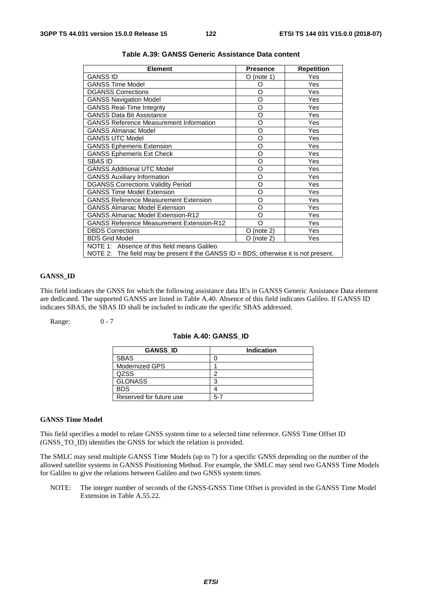| <b>Element</b>                                                                          | <b>Presence</b> | <b>Repetition</b> |  |  |  |
|-----------------------------------------------------------------------------------------|-----------------|-------------------|--|--|--|
| <b>GANSS ID</b>                                                                         | $O$ (note 1)    | Yes               |  |  |  |
| <b>GANSS Time Model</b>                                                                 | O               | Yes               |  |  |  |
| <b>DGANSS Corrections</b>                                                               | O               | Yes               |  |  |  |
| <b>GANSS Navigation Model</b>                                                           | O               | <b>Yes</b>        |  |  |  |
| <b>GANSS Real-Time Integrity</b>                                                        | O               | Yes               |  |  |  |
| <b>GANSS Data Bit Assistance</b>                                                        | O               | Yes               |  |  |  |
| <b>GANSS Reference Measurement Information</b>                                          | O               | Yes               |  |  |  |
| <b>GANSS Almanac Model</b>                                                              | O               | Yes               |  |  |  |
| <b>GANSS UTC Model</b>                                                                  | O               | Yes               |  |  |  |
| <b>GANSS Ephemeris Extension</b>                                                        | O               | Yes               |  |  |  |
| <b>GANSS Ephemeris Ext Check</b>                                                        | O               | Yes               |  |  |  |
| <b>SBAS ID</b>                                                                          | O               | Yes               |  |  |  |
| <b>GANSS Additional UTC Model</b>                                                       | O               | Yes               |  |  |  |
| <b>GANSS Auxiliary Information</b>                                                      | O               | Yes               |  |  |  |
| <b>DGANSS Corrections Validity Period</b>                                               | O               | Yes               |  |  |  |
| <b>GANSS Time Model Extension</b>                                                       | O               | Yes               |  |  |  |
| <b>GANSS Reference Measurement Extension</b>                                            | O               | Yes               |  |  |  |
| <b>GANSS Almanac Model Extension</b>                                                    | O               | Yes               |  |  |  |
| <b>GANSS Almanac Model Extension-R12</b>                                                | O               | Yes               |  |  |  |
| <b>GANSS Reference Measurement Extension-R12</b>                                        | $\Omega$        | Yes               |  |  |  |
| <b>DBDS Corrections</b>                                                                 | (note 2)<br>O   | Yes               |  |  |  |
| <b>BDS Grid Model</b>                                                                   | O (note 2)      | Yes               |  |  |  |
| NOTE 1: Absence of this field means Galileo.                                            |                 |                   |  |  |  |
| NOTE 2: The field may be present if the GANSS $ID = BDS$ ; otherwise it is not present. |                 |                   |  |  |  |

# **Table A.39: GANSS Generic Assistance Data content**

# **GANSS\_ID**

This field indicates the GNSS for which the following assistance data IE's in GANSS Generic Assistance Data element are dedicated. The supported GANSS are listed in Table A.40. Absence of this field indicates Galileo. If GANSS ID indicates SBAS, the SBAS ID shall be included to indicate the specific SBAS addressed.

Range: 0 - 7

#### **Table A.40: GANSS\_ID**

| <b>GANSS ID</b>         | Indication |
|-------------------------|------------|
| <b>SBAS</b>             |            |
| Modernized GPS          |            |
| QZSS                    | ◠          |
| <b>GLONASS</b>          | 3          |
| <b>BDS</b>              |            |
| Reserved for future use | $5 - 7$    |

## **GANSS Time Model**

This field specifies a model to relate GNSS system time to a selected time reference. GNSS Time Offset ID (GNSS\_TO\_ID) identifies the GNSS for which the relation is provided.

The SMLC may send multiple GANSS Time Models (up to 7) for a specific GNSS depending on the number of the allowed satellite systems in GANSS Positioning Method. For example, the SMLC may send two GANSS Time Models for Galileo to give the relations between Galileo and two GNSS system times.

NOTE: The integer number of seconds of the GNSS-GNSS Time Offset is provided in the GANSS Time Model Extension in Table A.55.22.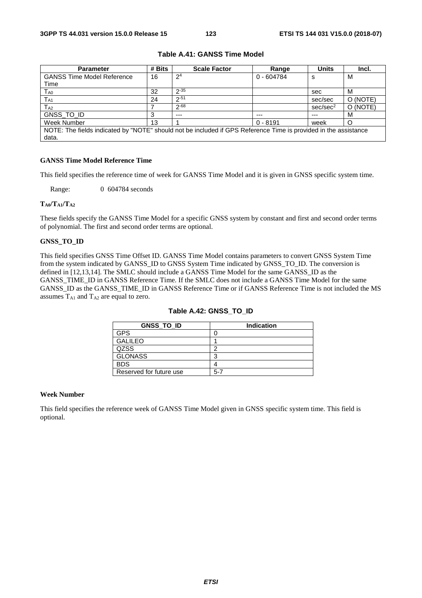| <b>Parameter</b>                                                                                                | # Bits | <b>Scale Factor</b> | Range        | <b>Units</b>         | Incl.    |  |
|-----------------------------------------------------------------------------------------------------------------|--------|---------------------|--------------|----------------------|----------|--|
| <b>GANSS Time Model Reference</b>                                                                               | 16     | 2 <sup>4</sup>      | $0 - 604784$ | s                    | M        |  |
| Time                                                                                                            |        |                     |              |                      |          |  |
| T <sub>A0</sub>                                                                                                 | 32     | $2 - 35$            |              | sec                  | м        |  |
| $T_{A1}$                                                                                                        | 24     | $2 - 51$            |              | sec/sec              | O (NOTE) |  |
| $T_{A2}$                                                                                                        |        | $2 - 68$            |              | sec/sec <sup>2</sup> | O (NOTE) |  |
| GNSS_TO_ID                                                                                                      |        | $---$               | $---$        | ---                  | M        |  |
| Week Number                                                                                                     | 13     |                     | $0 - 8191$   | week                 |          |  |
| NOTE: The fields indicated by "NOTE" should not be included if GPS Reference Time is provided in the assistance |        |                     |              |                      |          |  |
| data.                                                                                                           |        |                     |              |                      |          |  |

# **Table A.41: GANSS Time Model**

# **GANSS Time Model Reference Time**

This field specifies the reference time of week for GANSS Time Model and it is given in GNSS specific system time.

Range: 0 604784 seconds

#### **TA0/TA1/TA2**

These fields specify the GANSS Time Model for a specific GNSS system by constant and first and second order terms of polynomial. The first and second order terms are optional.

## **GNSS\_TO\_ID**

This field specifies GNSS Time Offset ID. GANSS Time Model contains parameters to convert GNSS System Time from the system indicated by GANSS\_ID to GNSS System Time indicated by GNSS\_TO\_ID. The conversion is defined in [12,13,14]. The SMLC should include a GANSS Time Model for the same GANSS ID as the GANSS\_TIME\_ID in GANSS Reference Time. If the SMLC does not include a GANSS Time Model for the same GANSS\_ID as the GANSS\_TIME\_ID in GANSS Reference Time or if GANSS Reference Time is not included the MS assumes  $T_{A1}$  and  $T_{A2}$  are equal to zero.

| <b>GNSS TO ID</b>       | <b>Indication</b> |
|-------------------------|-------------------|
| <b>GPS</b>              |                   |
| <b>GALILEO</b>          |                   |
| QZSS                    | ◠                 |
| <b>GLONASS</b>          | 3                 |
| <b>BDS</b>              |                   |
| Reserved for future use | $5 - 7$           |

#### **Table A.42: GNSS\_TO\_ID**

#### **Week Number**

This field specifies the reference week of GANSS Time Model given in GNSS specific system time. This field is optional.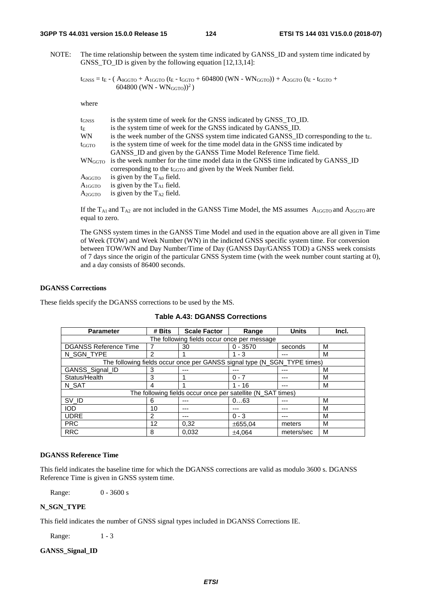NOTE: The time relationship between the system time indicated by GANSS\_ID and system time indicated by GNSS\_TO\_ID is given by the following equation [12,13,14]:

 $t_{GNSS} = t_E - ( A_{0GGTO} + A_{1GGTO} (t_E - t_{GGTO} + 604800 (WN - WNGGTO)) + A_{2GGTO} (t_E - t_{GGTO} +$  $604800$  (WN - WN<sub>GGTO</sub>))<sup>2</sup>)

#### where

| t <sub>GNSS</sub> | is the system time of week for the GNSS indicated by GNSS_TO_ID.                                     |
|-------------------|------------------------------------------------------------------------------------------------------|
| $t_{\rm E}$       | is the system time of week for the GNSS indicated by GANSS ID.                                       |
| <b>WN</b>         | is the week number of the GNSS system time indicated GANSS_ID corresponding to the $t_E$ .           |
| $t_{GGTO}$        | is the system time of week for the time model data in the GNSS time indicated by                     |
|                   | GANSS_ID and given by the GANSS Time Model Reference Time field.                                     |
|                   | WN <sub>GGTO</sub> is the week number for the time model data in the GNSS time indicated by GANSS_ID |
|                   | corresponding to the t <sub>GGTO</sub> and given by the Week Number field.                           |
| $A0$ ggto         | is given by the $T_{A0}$ field.                                                                      |
| $A_{1GGTO}$       | is given by the $T_{A1}$ field.                                                                      |
| $A_{2GGTO}$       | is given by the $T_{A2}$ field.                                                                      |

If the  $T_{A1}$  and  $T_{A2}$  are not included in the GANSS Time Model, the MS assumes  $A_{1GGTO}$  and  $A_{2GGTO}$  are equal to zero.

The GNSS system times in the GANSS Time Model and used in the equation above are all given in Time of Week (TOW) and Week Number (WN) in the indicted GNSS specific system time. For conversion between TOW/WN and Day Number/Time of Day (GANSS Day/GANSS TOD) a GNSS week consists of 7 days since the origin of the particular GNSS System time (with the week number count starting at 0), and a day consists of 86400 seconds.

# **DGANSS Corrections**

These fields specify the DGANSS corrections to be used by the MS.

| <b>Parameter</b>                                            | # Bits | <b>Scale Factor</b>                                                      | Range      | <b>Units</b> | Incl. |  |  |
|-------------------------------------------------------------|--------|--------------------------------------------------------------------------|------------|--------------|-------|--|--|
| The following fields occur once per message                 |        |                                                                          |            |              |       |  |  |
| <b>DGANSS Reference Time</b>                                |        | 30                                                                       | $0 - 3570$ | seconds      | м     |  |  |
| N_SGN_TYPE                                                  | 2      |                                                                          | $1 - 3$    |              | м     |  |  |
|                                                             |        | The following fields occur once per GANSS signal type (N_SGN_TYPE times) |            |              |       |  |  |
| GANSS_Signal_ID                                             | 3      | ---                                                                      |            |              | м     |  |  |
| Status/Health                                               | 3      |                                                                          | $0 - 7$    |              | м     |  |  |
| N SAT                                                       | 4      |                                                                          | $1 - 16$   |              | М     |  |  |
| The following fields occur once per satellite (N_SAT times) |        |                                                                          |            |              |       |  |  |
| SV_ID                                                       | 6      | ---                                                                      | 063        |              | м     |  |  |
| IOD                                                         | 10     | ---                                                                      |            | ---          | м     |  |  |
| <b>UDRE</b>                                                 | 2      | ---                                                                      | $0 - 3$    |              | м     |  |  |
| <b>PRC</b>                                                  | 12     | 0.32                                                                     | ±655,04    | meters       | м     |  |  |
| <b>RRC</b>                                                  | 8      | 0.032                                                                    | ±4.064     | meters/sec   | м     |  |  |

# **Table A.43: DGANSS Corrections**

### **DGANSS Reference Time**

This field indicates the baseline time for which the DGANSS corrections are valid as modulo 3600 s. DGANSS Reference Time is given in GNSS system time.

Range: 0 - 3600 s

#### **N\_SGN\_TYPE**

This field indicates the number of GNSS signal types included in DGANSS Corrections IE.

Range: 1 - 3

### **GANSS\_Signal\_ID**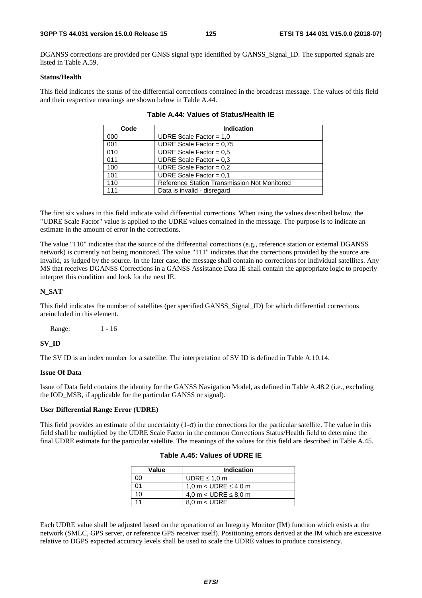DGANSS corrections are provided per GNSS signal type identified by GANSS\_Signal\_ID. The supported signals are listed in Table A.59.

### **Status/Health**

This field indicates the status of the differential corrections contained in the broadcast message. The values of this field and their respective meanings are shown below in Table A.44.

| Code | <b>Indication</b>                            |  |  |
|------|----------------------------------------------|--|--|
| 000  | UDRE Scale Factor = $1,0$                    |  |  |
| 001  | UDRE Scale Factor = $0,75$                   |  |  |
| 010  | UDRE Scale Factor = $0.5$                    |  |  |
| 011  | UDRE Scale Factor = $0,3$                    |  |  |
| 100  | UDRE Scale Factor = $0.2$                    |  |  |
| 101  | UDRE Scale Factor = $0.1$                    |  |  |
| 110  | Reference Station Transmission Not Monitored |  |  |
| 111  | Data is invalid - disregard                  |  |  |

| Table A.44: Values of Status/Health IE |
|----------------------------------------|
|----------------------------------------|

The first six values in this field indicate valid differential corrections. When using the values described below, the "UDRE Scale Factor" value is applied to the UDRE values contained in the message. The purpose is to indicate an estimate in the amount of error in the corrections.

The value "110" indicates that the source of the differential corrections (e.g., reference station or external DGANSS network) is currently not being monitored. The value "111" indicates that the corrections provided by the source are invalid, as judged by the source. In the later case, the message shall contain no corrections for individual satellites. Any MS that receives DGANSS Corrections in a GANSS Assistance Data IE shall contain the appropriate logic to properly interpret this condition and look for the next IE.

# **N\_SAT**

This field indicates the number of satellites (per specified GANSS\_Signal\_ID) for which differential corrections areincluded in this element.

Range: 1 - 16

# **SV\_ID**

The SV ID is an index number for a satellite. The interpretation of SV ID is defined in Table A.10.14.

#### **Issue Of Data**

Issue of Data field contains the identity for the GANSS Navigation Model, as defined in Table A.48.2 (i.e., excluding the IOD\_MSB, if applicable for the particular GANSS or signal).

# **User Differential Range Error (UDRE)**

This field provides an estimate of the uncertainty  $(1-\sigma)$  in the corrections for the particular satellite. The value in this field shall be multiplied by the UDRE Scale Factor in the common Corrections Status/Health field to determine the final UDRE estimate for the particular satellite. The meanings of the values for this field are described in Table A.45.

| Value | Indication                |
|-------|---------------------------|
|       | UDRE $\leq$ 1,0 m         |
|       | 1,0 m < UDRE $\leq$ 4,0 m |
| 10    | 4,0 m < UDRE $\leq$ 8,0 m |
|       | $8.0 m < \text{UDRE}$     |

**Table A.45: Values of UDRE IE** 

Each UDRE value shall be adjusted based on the operation of an Integrity Monitor (IM) function which exists at the network (SMLC, GPS server, or reference GPS receiver itself). Positioning errors derived at the IM which are excessive relative to DGPS expected accuracy levels shall be used to scale the UDRE values to produce consistency.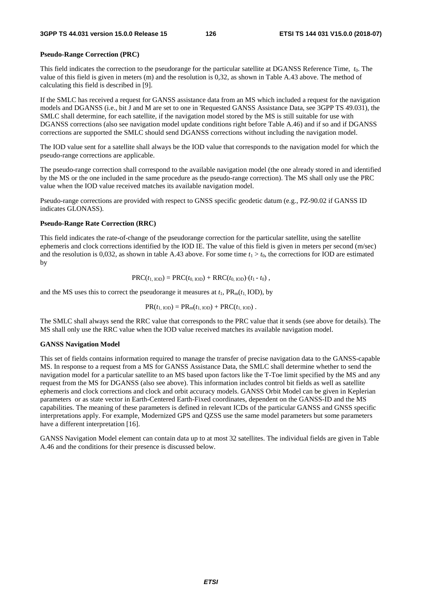#### **Pseudo-Range Correction (PRC)**

This field indicates the correction to the pseudorange for the particular satellite at DGANSS Reference Time, *t*0. The value of this field is given in meters (m) and the resolution is 0,32, as shown in Table A.43 above. The method of calculating this field is described in [9].

If the SMLC has received a request for GANSS assistance data from an MS which included a request for the navigation models and DGANSS (i.e., bit J and M are set to one in 'Requested GANSS Assistance Data, see 3GPP TS 49.031), the SMLC shall determine, for each satellite, if the navigation model stored by the MS is still suitable for use with DGANSS corrections (also see navigation model update conditions right before Table A.46) and if so and if DGANSS corrections are supported the SMLC should send DGANSS corrections without including the navigation model.

The IOD value sent for a satellite shall always be the IOD value that corresponds to the navigation model for which the pseudo-range corrections are applicable.

The pseudo-range correction shall correspond to the available navigation model (the one already stored in and identified by the MS or the one included in the same procedure as the pseudo-range correction). The MS shall only use the PRC value when the IOD value received matches its available navigation model.

Pseudo-range corrections are provided with respect to GNSS specific geodetic datum (e.g., PZ-90.02 if GANSS ID indicates GLONASS).

#### **Pseudo-Range Rate Correction (RRC)**

This field indicates the rate-of-change of the pseudorange correction for the particular satellite, using the satellite ephemeris and clock corrections identified by the IOD IE. The value of this field is given in meters per second (m/sec) and the resolution is 0,032, as shown in table A.43 above. For some time  $t_1 > t_0$ , the corrections for IOD are estimated by

$$
PRC(t_{1, \text{IOD}}) = PRC(t_{0, \text{IOD}}) + RRC(t_{0, \text{IOD}}) (t_{1} - t_{0}),
$$

and the MS uses this to correct the pseudorange it measures at  $t_1$ ,  $PR_m(t_1, IOD)$ , by

$$
PR(t_{1,\text{IOD}}) = PR_m(t_{1,\text{IOD}}) + PRC(t_{1,\text{IOD}}).
$$

The SMLC shall always send the RRC value that corresponds to the PRC value that it sends (see above for details). The MS shall only use the RRC value when the IOD value received matches its available navigation model.

#### **GANSS Navigation Model**

This set of fields contains information required to manage the transfer of precise navigation data to the GANSS-capable MS. In response to a request from a MS for GANSS Assistance Data, the SMLC shall determine whether to send the navigation model for a particular satellite to an MS based upon factors like the T-Toe limit specified by the MS and any request from the MS for DGANSS (also see above). This information includes control bit fields as well as satellite ephemeris and clock corrections and clock and orbit accuracy models. GANSS Orbit Model can be given in Keplerian parameters or as state vector in Earth-Centered Earth-Fixed coordinates, dependent on the GANSS-ID and the MS capabilities. The meaning of these parameters is defined in relevant ICDs of the particular GANSS and GNSS specific interpretations apply. For example, Modernized GPS and QZSS use the same model parameters but some parameters have a different interpretation [16].

GANSS Navigation Model element can contain data up to at most 32 satellites. The individual fields are given in Table A.46 and the conditions for their presence is discussed below.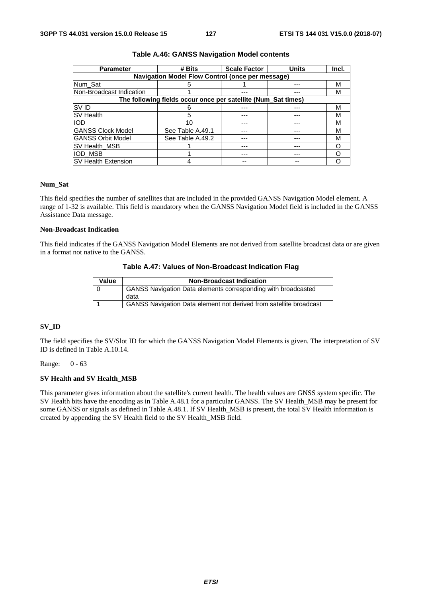| <b>Parameter</b>                                 | # Bits                                                        | <b>Scale Factor</b> | <b>Units</b> | Incl. |  |  |  |
|--------------------------------------------------|---------------------------------------------------------------|---------------------|--------------|-------|--|--|--|
| Navigation Model Flow Control (once per message) |                                                               |                     |              |       |  |  |  |
| Num Sat                                          |                                                               |                     |              | М     |  |  |  |
| Non-Broadcast Indication                         |                                                               |                     |              | м     |  |  |  |
|                                                  | The following fields occur once per satellite (Num_Sat times) |                     |              |       |  |  |  |
| <b>SVID</b>                                      |                                                               |                     |              | М     |  |  |  |
| SV Health                                        | h                                                             |                     |              | м     |  |  |  |
| <b>IOD</b>                                       | 10                                                            |                     |              | м     |  |  |  |
| <b>GANSS Clock Model</b>                         | See Table A.49.1                                              |                     |              | м     |  |  |  |
| <b>GANSS Orbit Model</b>                         | See Table A.49.2                                              |                     |              | м     |  |  |  |
| SV Health MSB                                    |                                                               |                     |              |       |  |  |  |
| <b>IOD MSB</b>                                   |                                                               |                     |              |       |  |  |  |
| <b>SV Health Extension</b>                       |                                                               |                     |              |       |  |  |  |

### **Table A.46: GANSS Navigation Model contents**

#### **Num\_Sat**

This field specifies the number of satellites that are included in the provided GANSS Navigation Model element. A range of 1-32 is available. This field is mandatory when the GANSS Navigation Model field is included in the GANSS Assistance Data message.

# **Non-Broadcast Indication**

This field indicates if the GANSS Navigation Model Elements are not derived from satellite broadcast data or are given in a format not native to the GANSS.

## **Table A.47: Values of Non-Broadcast Indication Flag**

| Value | <b>Non-Broadcast Indication</b>                                           |
|-------|---------------------------------------------------------------------------|
|       | <b>GANSS Navigation Data elements corresponding with broadcasted</b>      |
|       | data                                                                      |
|       | <b>GANSS Navigation Data element not derived from satellite broadcast</b> |

### **SV\_ID**

The field specifies the SV/Slot ID for which the GANSS Navigation Model Elements is given. The interpretation of SV ID is defined in Table A.10.14.

Range: 0 - 63

### **SV Health and SV Health\_MSB**

This parameter gives information about the satellite's current health. The health values are GNSS system specific. The SV Health bits have the encoding as in Table A.48.1 for a particular GANSS. The SV Health\_MSB may be present for some GANSS or signals as defined in Table A.48.1. If SV Health\_MSB is present, the total SV Health information is created by appending the SV Health field to the SV Health\_MSB field.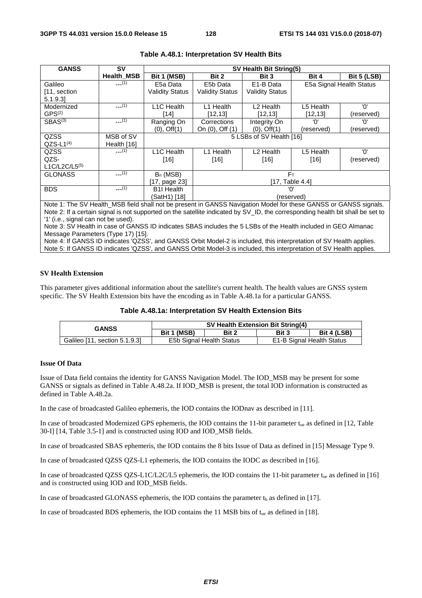| <b>GANSS</b>        | <b>SV</b>         | SV Health Bit String(5) |                                                   |                          |            |             |  |
|---------------------|-------------------|-------------------------|---------------------------------------------------|--------------------------|------------|-------------|--|
|                     | <b>Health_MSB</b> | Bit 1 (MSB)             | Bit 2                                             | Bit 3                    | Bit 4      | Bit 5 (LSB) |  |
| Galileo             | $---(1)$          | E5a Data                | E5a Signal Health Status<br>E5b Data<br>E1-B Data |                          |            |             |  |
| [11, section        |                   | <b>Validity Status</b>  | <b>Validity Status</b>                            | <b>Validity Status</b>   |            |             |  |
| 5.1.9.3             |                   |                         |                                                   |                          |            |             |  |
| Modernized          | $---(1)$          | L <sub>1</sub> C Health | L1 Health                                         | L <sub>2</sub> Health    | L5 Health  | 'ח'         |  |
| GPS <sup>(2)</sup>  |                   | [14]                    | [12, 13]                                          | [12,13]                  | [12, 13]   | (reserved)  |  |
| SBAS <sup>(3)</sup> | $---(1)$          | Ranging On              | Corrections                                       | Integrity On             | 'ח'        | 'ח'         |  |
|                     |                   | $(0)$ , Off $(1)$       | On (0), Off (1)                                   | $(0)$ , Off $(1)$        | (reserved) | (reserved)  |  |
| QZSS                | MSB of SV         |                         |                                                   | 5 LSBs of SV Health [16] |            |             |  |
| $QZS-L1(4)$         | Health [16]       |                         |                                                   |                          |            |             |  |
| QZSS                | $---(1)$          | L <sub>1</sub> C Health | L1 Health                                         | L <sub>2</sub> Health    | L5 Health  | 'ח'         |  |
| QZS-                |                   | $[16]$                  | [16]                                              | [16]                     | [16]       | (reserved)  |  |
| $L1C/L2C/L5^{(5)}$  |                   |                         |                                                   |                          |            |             |  |
| <b>GLONASS</b>      | $---(1)$          | $B_n$ (MSB)             | $F_T$                                             |                          |            |             |  |
|                     |                   | [17, page 23]           | [17, Table 4.4]                                   |                          |            |             |  |
| <b>BDS</b>          | $---(1)$          | <b>B1I Health</b>       | 'ח'                                               |                          |            |             |  |
|                     |                   | (SatH1) [18]            | (reserved)                                        |                          |            |             |  |

### **Table A.48.1: Interpretation SV Health Bits**

Note 1: The SV Health\_MSB field shall not be present in GANSS Navigation Model for these GANSS or GANSS signals. Note 2: If a certain signal is not supported on the satellite indicated by SV\_ID, the corresponding health bit shall be set to '1' (i.e., signal can not be used).

Note 3: SV Health in case of GANSS ID indicates SBAS includes the 5 LSBs of the Health included in GEO Almanac Message Parameters (Type 17) [15].

Note 4: If GANSS ID indicates 'QZSS', and GANSS Orbit Model-2 is included, this interpretation of SV Health applies.

Note 5: If GANSS ID indicates 'QZSS', and GANSS Orbit Model-3 is included, this interpretation of SV Health applies.

### **SV Health Extension**

This parameter gives additional information about the satellite's current health. The health values are GNSS system specific. The SV Health Extension bits have the encoding as in Table A.48.1a for a particular GANSS.

| Table A.48.1a: Interpretation SV Health Extension Bits |  |  |
|--------------------------------------------------------|--|--|
|--------------------------------------------------------|--|--|

| <b>GANSS</b>                  | SV Health Extension Bit String(4) |       |       |                           |  |
|-------------------------------|-----------------------------------|-------|-------|---------------------------|--|
|                               | Bit 1 (MSB)                       | Bit 2 | Bit 3 | Bit 4 (LSB)               |  |
| Galileo [11, section 5.1.9.3] | E5b Signal Health Status          |       |       | E1-B Signal Health Status |  |

### **Issue Of Data**

Issue of Data field contains the identity for GANSS Navigation Model. The IOD\_MSB may be present for some GANSS or signals as defined in Table A.48.2a. If IOD\_MSB is present, the total IOD information is constructed as defined in Table A.48.2a.

In the case of broadcasted Galileo ephemeris, the IOD contains the IODnav as described in [11].

In case of broadcasted Modernized GPS ephemeris, the IOD contains the 11-bit parameter t<sub>oe</sub> as defined in [12, Table 30-I] [14, Table 3.5-1] and is constructed using IOD and IOD\_MSB fields.

In case of broadcasted SBAS ephemeris, the IOD contains the 8 bits Issue of Data as defined in [15] Message Type 9.

In case of broadcasted QZSS QZS-L1 ephemeris, the IOD contains the IODC as described in [16].

In case of broadcasted QZSS QZS-L1C/L2C/L5 ephemeris, the IOD contains the 11-bit parameter  $t_{oe}$  as defined in [16] and is constructed using IOD and IOD\_MSB fields.

In case of broadcasted GLONASS ephemeris, the IOD contains the parameter  $t<sub>b</sub>$  as defined in [17].

In case of broadcasted BDS ephemeris, the IOD contains the 11 MSB bits of toe as defined in [18].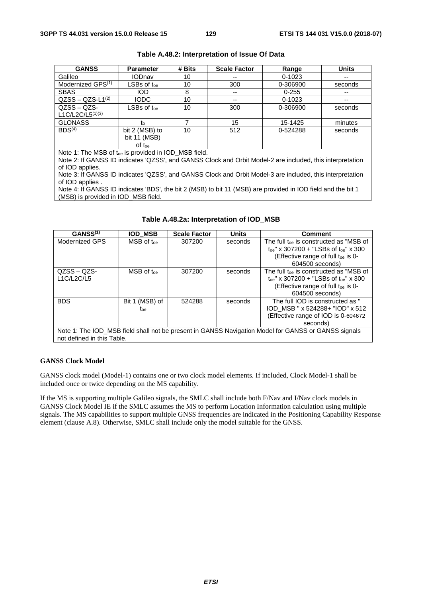| <b>GANSS</b>                                         | <b>Parameter</b>       | # Bits | <b>Scale Factor</b> | Range      | <b>Units</b> |  |  |
|------------------------------------------------------|------------------------|--------|---------------------|------------|--------------|--|--|
| Galileo                                              | <b>IODnav</b>          | 10     | --                  | $0 - 1023$ | --           |  |  |
| Modernized GPS <sup>(1)</sup>                        | $LSBs$ of $t_{oe}$     | 10     | 300                 | 0-306900   | seconds      |  |  |
| <b>SBAS</b>                                          | <b>IOD</b>             | 8      | $- -$               | $0 - 255$  | --           |  |  |
| $QZSS - QZS-L1^{(2)}$                                | <b>IODC</b>            | 10     | --                  | $0 - 1023$ |              |  |  |
| $QZSS - QZS -$                                       | $\mathsf{LSBs}$ of toe | 10     | 300                 | 0-306900   | seconds      |  |  |
| $L1C/L2C/L5^{(1)(3)}$                                |                        |        |                     |            |              |  |  |
| <b>GLONASS</b>                                       | th                     |        | 15                  | 15-1425    | minutes      |  |  |
| BDS <sup>(4)</sup>                                   | bit 2 (MSB) to         | 10     | 512                 | 0-524288   | seconds      |  |  |
|                                                      | bit 11 (MSB)           |        |                     |            |              |  |  |
|                                                      | of t <sub>oe</sub>     |        |                     |            |              |  |  |
| Note 1. The MCD of $t$ is provided in IOD, MCD field |                        |        |                     |            |              |  |  |

Note 1: The MSB of toe is provided in IOD\_MSB field.

Note 2: If GANSS ID indicates 'QZSS', and GANSS Clock and Orbit Model-2 are included, this interpretation of IOD applies.

Note 3: If GANSS ID indicates 'QZSS', and GANSS Clock and Orbit Model-3 are included, this interpretation of IOD applies .

Note 4: If GANSS ID indicates 'BDS', the bit 2 (MSB) to bit 11 (MSB) are provided in IOD field and the bit 1 (MSB) is provided in IOD\_MSB field.

|  | Table A.48.2a: Interpretation of IOD_MSB |  |  |
|--|------------------------------------------|--|--|
|--|------------------------------------------|--|--|

| GANSS <sup>(1)</sup>                                                                                | <b>IOD MSB</b>    | <b>Scale Factor</b> | Units   | <b>Comment</b>                                                |
|-----------------------------------------------------------------------------------------------------|-------------------|---------------------|---------|---------------------------------------------------------------|
| Modernized GPS                                                                                      | $MSB$ of $t_{oe}$ | 307200              | seconds | The full toe is constructed as "MSB of                        |
|                                                                                                     |                   |                     |         | $_{\text{loc}}$ " x 307200 + "LSBs of $_{\text{loc}}$ " x 300 |
|                                                                                                     |                   |                     |         | (Effective range of full $t_{oe}$ is 0-                       |
|                                                                                                     |                   |                     |         | 604500 seconds)                                               |
| $QZSS - QZS$                                                                                        | MSB of toe        | 307200              | seconds | The full toe is constructed as "MSB of                        |
| L1C/L2C/L5                                                                                          |                   |                     |         | $t_{\text{oe}}$ " x 307200 + "LSBs of $t_{\text{oe}}$ " x 300 |
|                                                                                                     |                   |                     |         | (Effective range of full toe is 0-                            |
|                                                                                                     |                   |                     |         | 604500 seconds)                                               |
| <b>BDS</b>                                                                                          | Bit 1 (MSB) of    | 524288              | seconds | The full IOD is constructed as "                              |
|                                                                                                     | toe               |                     |         | IOD MSB " x 524288+ "IOD" x 512                               |
|                                                                                                     |                   |                     |         | (Effective range of IOD is 0-604672                           |
|                                                                                                     |                   |                     |         | seconds)                                                      |
| Note 1: The IOD_MSB field shall not be present in GANSS Navigation Model for GANSS or GANSS signals |                   |                     |         |                                                               |
| not defined in this Table.                                                                          |                   |                     |         |                                                               |

### **GANSS Clock Model**

GANSS clock model (Model-1) contains one or two clock model elements. If included, Clock Model-1 shall be included once or twice depending on the MS capability.

If the MS is supporting multiple Galileo signals, the SMLC shall include both F/Nav and I/Nav clock models in GANSS Clock Model IE if the SMLC assumes the MS to perform Location Information calculation using multiple signals. The MS capabilities to support multiple GNSS frequencies are indicated in the Positioning Capability Response element (clause A.8). Otherwise, SMLC shall include only the model suitable for the GNSS.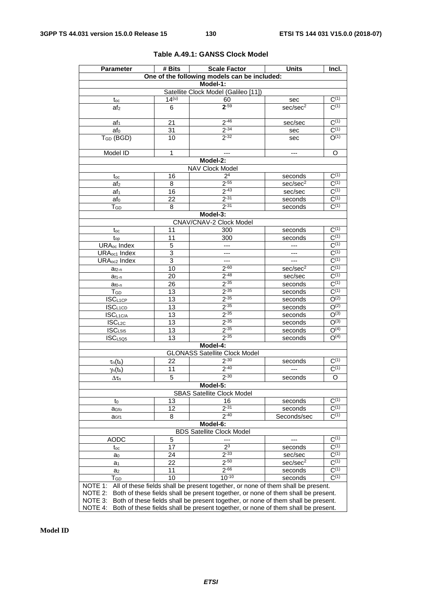| <b>Parameter</b>                                                                  | # Bits          | <b>Scale Factor</b>                                                               | <b>Units</b>             | Incl.                |
|-----------------------------------------------------------------------------------|-----------------|-----------------------------------------------------------------------------------|--------------------------|----------------------|
| One of the following models can be included:                                      |                 |                                                                                   |                          |                      |
|                                                                                   |                 | Model-1:                                                                          |                          |                      |
| Satellite Clock Model (Galileo [11])                                              |                 |                                                                                   |                          |                      |
| $t_{\rm oc}$                                                                      | $14^{(u)}$      | $\frac{60}{2^{.59}}$                                                              | sec                      | $\overline{C^{(1)}}$ |
| af <sub>2</sub>                                                                   | 6               |                                                                                   | sec/sec <sup>2</sup>     | $\overline{C^{(1)}}$ |
| af <sub>1</sub>                                                                   | 21              | $2 - 46$                                                                          | sec/sec                  | $C^{(1)}$            |
| af <sub>0</sub>                                                                   | 31              | $2 - 34$                                                                          | sec                      | $C^{(1)}$            |
| T <sub>GD</sub> (BGD)                                                             | 10              | $2 - 32$                                                                          | sec                      | $O^{(1)}$            |
| Model ID                                                                          | $\mathbf{1}$    |                                                                                   | ---                      | $\overline{\circ}$   |
|                                                                                   |                 | Model-2:                                                                          |                          |                      |
|                                                                                   |                 | <b>NAV Clock Model</b>                                                            |                          |                      |
| toc                                                                               | 16              | 2 <sup>4</sup>                                                                    | seconds                  | $C^{(1)}$            |
| af <sub>2</sub>                                                                   | 8               | $2 - 55$                                                                          | sec/sec <sup>2</sup>     | $C^{(1)}$            |
| af <sub>1</sub>                                                                   | 16              | $2 - 43$                                                                          | sec/sec                  | $\overline{C^{(1)}}$ |
| af <sub>0</sub>                                                                   | $\overline{22}$ | $2 - 31$                                                                          | seconds                  | $C^{(1)}$            |
| TGD                                                                               | 8               | $2 - 31$                                                                          | seconds                  | $C^{(1)}$            |
|                                                                                   |                 | Model-3:                                                                          |                          |                      |
|                                                                                   |                 | CNAV/CNAV-2 Clock Model                                                           |                          |                      |
| toc                                                                               | 11              | 300                                                                               | seconds                  | $\overline{C^{(1)}}$ |
| $t_{op}$                                                                          | 11              | 300                                                                               | seconds                  | $C^{(1)}$            |
| URA <sub>oc</sub> Index                                                           | 5               | $\overline{\phantom{a}}$                                                          | $\overline{\phantom{a}}$ | $\overline{C^{(1)}}$ |
| URA <sub>oc1</sub> Index                                                          | $\overline{3}$  | ---                                                                               | ---                      | $C^{(1)}$            |
| URA <sub>oc2</sub> Index                                                          | $\overline{3}$  | ---                                                                               | ---                      | $C^{(1)}$            |
| $a_{f2-n}$                                                                        | $\overline{10}$ | $2 - 60$                                                                          | sec/sec <sup>2</sup>     | $C^{(1)}$            |
| af1-n                                                                             | 20              | $2 - 48$                                                                          | sec/sec                  | $C^{(1)}$            |
| $a_{f0-n}$                                                                        | 26              | $2 - 35$                                                                          | seconds                  | $C^{(1)}$            |
| TGD                                                                               | 13              | $2 - 35$                                                                          | seconds                  | $C^{(1)}$            |
| <b>ISCL1CP</b>                                                                    | $\overline{13}$ | $2 - 35$                                                                          | seconds                  | O <sup>(2)</sup>     |
| <b>ISCL1CD</b>                                                                    | $\overline{13}$ | $2 - 35$                                                                          | seconds                  | $\overline{O^{(2)}}$ |
| ISCL <sub>1C/A</sub>                                                              | $\overline{13}$ | $2 - 35$                                                                          | seconds                  | O <sup>(3)</sup>     |
| ISC <sub>L2C</sub>                                                                | 13              | $2 - 35$                                                                          | seconds                  | $O^{(3)}$            |
| ISC <sub>L515</sub>                                                               | 13              | $2 - 35$                                                                          | seconds                  | O <sup>(4)</sup>     |
| ISC <sub>L5Q5</sub>                                                               | 13              | $2 - 35$                                                                          | seconds                  | O <sup>(4)</sup>     |
|                                                                                   |                 | Model-4:                                                                          |                          |                      |
|                                                                                   |                 | <b>GLONASS Satellite Clock Model</b>                                              |                          |                      |
| $\tau_n(t_b)$                                                                     | 22              | $2^{-30}$                                                                         | seconds                  | $C^{(1)}$            |
| $\gamma_n(t_b)$                                                                   | 11              | $2 - 40$                                                                          | $\overline{a}$           | $C^{(1)}$            |
| $\Delta\tau$ n                                                                    | $\overline{5}$  | $2 - 30$                                                                          | seconds                  | $\overline{O}$       |
|                                                                                   |                 | Model-5:                                                                          |                          |                      |
|                                                                                   |                 | <b>SBAS Satellite Clock Model</b>                                                 |                          |                      |
| to                                                                                | 13              | 16                                                                                | seconds                  | $\overline{C^{(1)}}$ |
| a <sub>Gfo</sub>                                                                  | 12              | $2 - 31$                                                                          | seconds                  | $C^{(1)}$            |
| a <sub>Gf1</sub>                                                                  | 8               | $2^{-40}$                                                                         | Seconds/sec              | $\overline{C^{(1)}}$ |
|                                                                                   |                 | Model-6:                                                                          |                          |                      |
| <b>BDS Satellite Clock Model</b>                                                  |                 |                                                                                   |                          |                      |
| <b>AODC</b>                                                                       | $\overline{5}$  | ---                                                                               |                          | $C^{(1)}$            |
| $t_{oc}$                                                                          | 17              | 2 <sup>3</sup>                                                                    | seconds                  | $\overline{C^{(1)}}$ |
| a <sub>0</sub>                                                                    | $\overline{24}$ | $2 - 33$                                                                          | sec/sec                  | $C^{(1)}$            |
| a <sub>1</sub>                                                                    | 22              | $2 - 50$                                                                          | sec/sec <sup>2</sup>     | $\overline{C^{(1)}}$ |
| a <sub>2</sub>                                                                    | 11              | $2 - 66$                                                                          | seconds                  | $C^{(1)}$            |
| TGD                                                                               | 10              | $10^{-10}$                                                                        | seconds                  | $C^{(1)}$            |
| NOTE 1:                                                                           |                 | All of these fields shall be present together, or none of them shall be present.  |                          |                      |
| NOTE 2:                                                                           |                 | Both of these fields shall be present together, or none of them shall be present. |                          |                      |
| NOTE 3:                                                                           |                 | Both of these fields shall be present together, or none of them shall be present. |                          |                      |
| NOTE 4:                                                                           |                 |                                                                                   |                          |                      |
| Both of these fields shall be present together, or none of them shall be present. |                 |                                                                                   |                          |                      |

# **Table A.49.1: GANSS Clock Model**

**Model ID**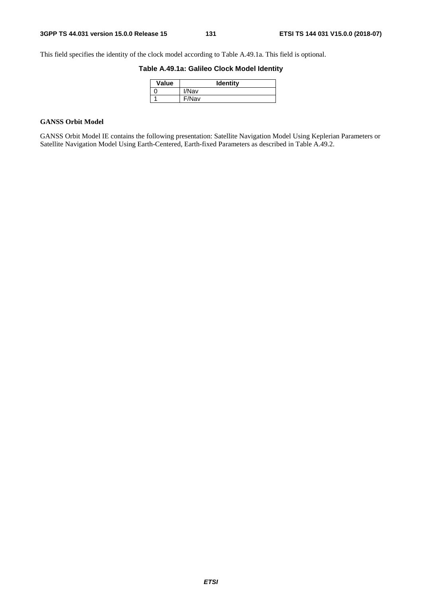This field specifies the identity of the clock model according to Table A.49.1a. This field is optional.

# **Table A.49.1a: Galileo Clock Model Identity**

| Value | <b>Identity</b> |
|-------|-----------------|
|       | I/Nav           |
|       | F/Nav           |

# **GANSS Orbit Model**

GANSS Orbit Model IE contains the following presentation: Satellite Navigation Model Using Keplerian Parameters or Satellite Navigation Model Using Earth-Centered, Earth-fixed Parameters as described in Table A.49.2.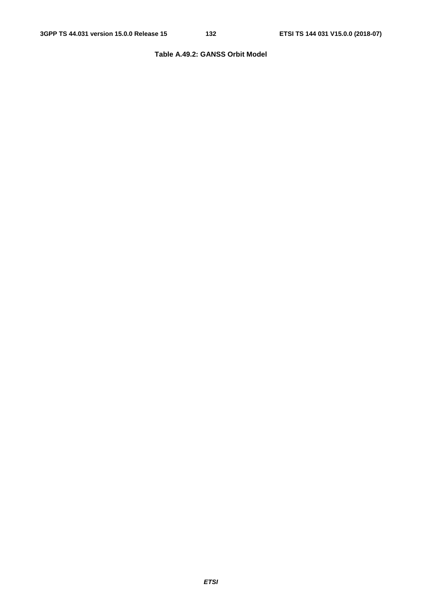# **Table A.49.2: GANSS Orbit Model**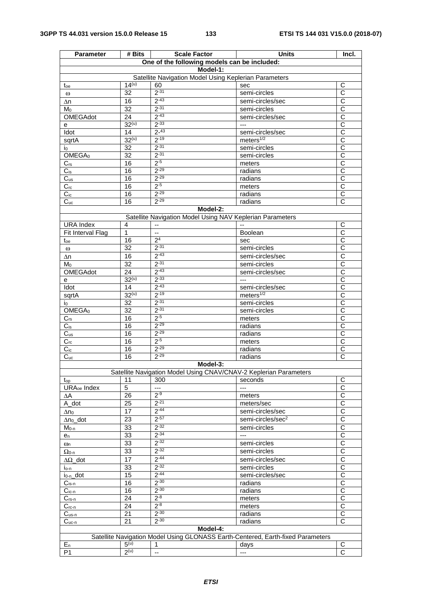| <b>Parameter</b>                             | # Bits           | <b>Scale Factor</b>                                               | <b>Units</b>                                                                    | Incl.                      |
|----------------------------------------------|------------------|-------------------------------------------------------------------|---------------------------------------------------------------------------------|----------------------------|
| One of the following models can be included: |                  |                                                                   |                                                                                 |                            |
| Model-1:                                     |                  |                                                                   |                                                                                 |                            |
|                                              | $14^{(u)}$       | Satellite Navigation Model Using Keplerian Parameters             |                                                                                 |                            |
| toe                                          | 32               | 60<br>$2 - 31$                                                    | sec<br>semi-circles                                                             | С<br>$\overline{\text{c}}$ |
| $\omega$                                     | 16               | $2^{-43}$                                                         | semi-circles/sec                                                                | $\overline{C}$             |
| Δn<br>Mo                                     | $\overline{32}$  | $2 - 31$                                                          | semi-circles                                                                    | $\overline{\text{c}}$      |
| <b>OMEGAdot</b>                              | 24               | $2^{-43}$                                                         | semi-circles/sec                                                                | C                          |
| е                                            | $32^{(u)}$       | $2 - 33$                                                          | $\overline{a}$                                                                  | $\overline{\text{c}}$      |
| Idot                                         | 14               | $2 - 43$                                                          | semi-circles/sec                                                                | $\overline{\text{c}}$      |
| sqrtA                                        | $32^{(u)}$       | $2 - 19$                                                          | meters <sup>1/2</sup>                                                           | $\overline{\text{c}}$      |
| İ0.                                          | 32               | $2 - 31$                                                          | semi-circles                                                                    | $\overline{C}$             |
| OMEGA <sub>0</sub>                           | 32               | $2 - 31$                                                          | semi-circles                                                                    | $\overline{C}$             |
| $C_{rs}$                                     | 16               | $2 - 5$                                                           | meters                                                                          | $\overline{\text{c}}$      |
| $C_{is}$                                     | 16               | $2 - 29$                                                          | radians                                                                         | $\overline{C}$             |
| $C_{us}$                                     | 16               | $2 - 29$                                                          | radians                                                                         | $\overline{\text{c}}$      |
| $C_{rc}$                                     | 16               | $2 - 5$                                                           | meters                                                                          | $\overline{C}$             |
| $C_{ic}$                                     | 16               | $2 - 29$                                                          | radians                                                                         | $\overline{C}$             |
| $C_{\underline{\text{uc}}}$                  | 16               | $2 - 29$                                                          | radians                                                                         | $\overline{C}$             |
|                                              |                  | Model-2:                                                          |                                                                                 |                            |
|                                              |                  | Satellite Navigation Model Using NAV Keplerian Parameters         |                                                                                 |                            |
| <b>URA</b> Index                             | $\overline{4}$   | $\overline{\phantom{a}}$                                          |                                                                                 | $\overline{C}$             |
| Fit Interval Flag                            | 1                | $\overline{\phantom{a}}$<br>2 <sup>4</sup>                        | Boolean                                                                         | C<br>$\overline{\text{c}}$ |
| toe                                          | 16<br>32         | $2 - 31$                                                          | sec<br>semi-circles                                                             | $\overline{\text{c}}$      |
| $\omega$                                     | 16               | $2 - 43$                                                          | semi-circles/sec                                                                | $\overline{\text{c}}$      |
| $\Delta n$<br>$M_0$                          | $\overline{32}$  | $2 - 31$                                                          | semi-circles                                                                    | $\overline{\text{c}}$      |
| OMEGAdot                                     | 24               | $2 - 43$                                                          | semi-circles/sec                                                                | $\overline{C}$             |
| e                                            | $32^{(u)}$       | $2 - 33$                                                          | $\overline{a}$                                                                  | $\overline{C}$             |
| Idot                                         | 14               | $2 - 43$                                                          | semi-circles/sec                                                                | С                          |
| sqrtA                                        | $32^{(u)}$       | $2^{-19}$                                                         | meters $1/2$                                                                    | $\overline{\text{c}}$      |
| I0                                           | 32               | $2 - 31$                                                          | semi-circles                                                                    | $\overline{\text{c}}$      |
| OMEGA <sub>0</sub>                           | $\overline{32}$  | $2 - 31$                                                          | semi-circles                                                                    | $\overline{\text{c}}$      |
| $C_{rs}$                                     | 16               | $2 - 5$                                                           | meters                                                                          | $\overline{C}$             |
| $C_{is}$                                     | 16               | $2 - 29$                                                          | radians                                                                         | $\overline{C}$             |
| $C_{us}$                                     | 16               | $2 - 29$                                                          | radians                                                                         | $\overline{C}$             |
| $C_{rc}$                                     | $\overline{16}$  | $2 - 5$                                                           | meters                                                                          | $\overline{\text{c}}$      |
| $\rm C_{ic}$                                 | 16               | $2 - 29$                                                          | radians                                                                         | $\overline{C}$             |
| $C_{uc}$                                     | 16               | $2 - 29$                                                          | radians                                                                         | C                          |
|                                              |                  | Model-3:                                                          |                                                                                 |                            |
|                                              |                  | Satellite Navigation Model Using CNAV/CNAV-2 Keplerian Parameters |                                                                                 |                            |
| $t_{op}$                                     | 11               | 300                                                               | seconds                                                                         | C                          |
| URA <sub>oe</sub> Index                      | 5                | ---                                                               | $---$                                                                           | $\mathsf C$                |
| $\Delta\mathsf{A}$                           | 26               | $2 - 9$                                                           | meters                                                                          | $\overline{\mathsf{c}}$    |
| A_dot                                        | 25               | $2 - 21$                                                          | meters/sec                                                                      | $\overline{C}$             |
| $\Delta$ no                                  | 17               | $2 - 44$                                                          | semi-circles/sec                                                                | $\overline{\text{c}}$      |
| $\Delta$ n <sub>0</sub> _dot                 | 23               | $2 - 57$                                                          | semi-circles/sec <sup>2</sup>                                                   | C                          |
| $M_{0-n}$                                    | 33               | $2 - 32$                                                          | semi-circles                                                                    | $\overline{\text{c}}$      |
| en                                           | 33               | $2 - 34$                                                          | $\overline{a}$                                                                  | $\overline{\text{c}}$      |
| ωn                                           | 33               | $2 - 32$                                                          | semi-circles                                                                    | $\mathsf C$                |
| $\Omega$ <sub>0-n</sub>                      | 33               | $2 - 32$                                                          | semi-circles                                                                    | $\overline{\text{c}}$      |
| $\Delta\Omega$ dot                           | 17               | $2 - 44$                                                          | semi-circles/sec                                                                | $\overline{C}$             |
| lo-n                                         | 33               | $2 - 32$                                                          | semi-circles                                                                    | $\overline{\text{c}}$      |
| i <sub>0-n_dot</sub>                         | 15               | $2 - 44$<br>$2^{-30}$                                             | semi-circles/sec                                                                | C<br>$\overline{C}$        |
| $C_{is-n}$                                   | 16<br>16         | $2 - 30$                                                          | radians                                                                         | $\overline{C}$             |
| $C_{ic-n}$                                   | 24               | $2^{-8}$                                                          | radians<br>meters                                                               | $\overline{\text{c}}$      |
| $C_{rs-n}$<br>$C_{\underline{rc-n}}$         | 24               | $2^{-8}$                                                          | meters                                                                          | $\overline{\mathsf{C}}$    |
| $C_{us-n}$                                   | 21               | $2 - 30$                                                          | radians                                                                         | C                          |
| $C_{\underline{uc-n}}$                       | 21               | $2 - 30$                                                          | radians                                                                         | $\overline{C}$             |
|                                              |                  | Model-4:                                                          |                                                                                 |                            |
|                                              |                  |                                                                   | Satellite Navigation Model Using GLONASS Earth-Centered, Earth-fixed Parameters |                            |
| $E_n$                                        | 5 <sup>(u)</sup> | $\mathbf{1}$                                                      | days                                                                            | C                          |
| P <sub>1</sub>                               | 2 <sup>(u)</sup> | Ξ.                                                                | $\overline{a}$                                                                  | $\overline{C}$             |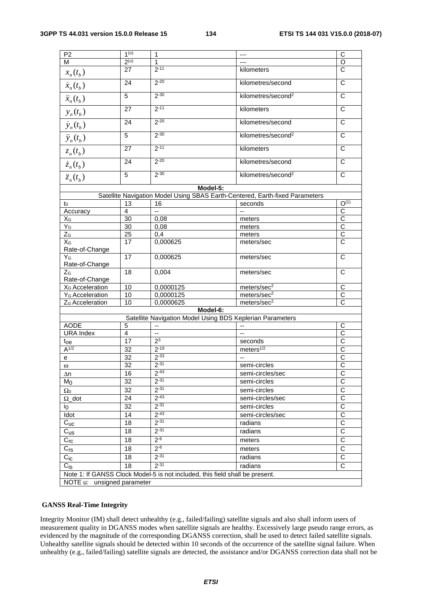| P <sub>2</sub>              | 1 <sup>(u)</sup> | 1                                                                            | ---                                                                          | C                       |
|-----------------------------|------------------|------------------------------------------------------------------------------|------------------------------------------------------------------------------|-------------------------|
| M                           | 2 <sup>(u)</sup> | 1                                                                            |                                                                              | $\overline{O}$          |
| $x_n(t_b)$                  | 27               | $2 - 11$                                                                     | kilometers                                                                   | $\overline{\text{c}}$   |
| $\dot{x}_n(t_b)$            | 24               | $2 - 20$                                                                     | kilometres/second                                                            | $\mathsf{C}$            |
| $\ddot{x}_n(t_b)$           | 5                | $2 - 30$                                                                     | kilometres/second <sup>2</sup>                                               | C                       |
|                             | 27               | $2 - 11$                                                                     | kilometers                                                                   | C                       |
| $y_n(t_b)$                  | 24               | $2 - 20$                                                                     | kilometres/second                                                            | C                       |
| $\dot{y}_n(t_b)$            | 5                | $2 - 30$                                                                     | kilometres/second <sup>2</sup>                                               | C                       |
| $\ddot{y}_n(t_b)$           |                  |                                                                              |                                                                              |                         |
| $z_n(t_b)$                  | 27               | $2 - 11$                                                                     | kilometers                                                                   | C                       |
| $\dot{z}_n(t_b)$            | 24               | $2 - 20$                                                                     | kilometres/second                                                            | $\mathsf{C}$            |
| $\ddot{z}_n(t_b)$           | $\overline{5}$   | $2 - 30$                                                                     | kilometres/second <sup>2</sup>                                               | C                       |
|                             |                  | Model-5:                                                                     |                                                                              |                         |
|                             |                  |                                                                              | Satellite Navigation Model Using SBAS Earth-Centered, Earth-fixed Parameters |                         |
| to                          | 13               | 16                                                                           | seconds                                                                      | $O^{(1)}$               |
| Accuracy                    | 4                | Ξ.                                                                           |                                                                              | $\overline{C}$          |
| $X_G$                       | 30               | 0,08                                                                         | meters                                                                       | $\overline{C}$          |
| YG                          | 30               | 0,08                                                                         | meters                                                                       | $\overline{C}$          |
| $Z_G$                       | 25               | 0,4                                                                          | meters                                                                       | $\overline{C}$          |
|                             |                  |                                                                              |                                                                              |                         |
| $X_G$<br>Rate-of-Change     | 17               | 0,000625                                                                     | meters/sec                                                                   | $\overline{C}$          |
| $Y_G$                       | $\overline{17}$  | 0,000625                                                                     | meters/sec                                                                   | $\overline{C}$          |
| Rate-of-Change              |                  |                                                                              |                                                                              |                         |
| Z <sub>G</sub>              | 18               | 0,004                                                                        | meters/sec                                                                   | C                       |
| Rate-of-Change              |                  |                                                                              |                                                                              |                         |
| X <sub>G</sub> Acceleration | 10               | 0,0000125                                                                    | meters/sec <sup>2</sup>                                                      | C                       |
| Y <sub>G</sub> Acceleration | 10               | 0,0000125                                                                    | meters/sec <sup>2</sup>                                                      | $\overline{\text{c}}$   |
|                             |                  |                                                                              |                                                                              |                         |
| Z <sub>G</sub> Acceleration | 10               | 0,0000625<br>Model-6:                                                        | meters/sec <sup>2</sup>                                                      | C                       |
|                             |                  |                                                                              |                                                                              |                         |
|                             |                  |                                                                              | Satellite Navigation Model Using BDS Keplerian Parameters                    |                         |
| <b>AODE</b>                 | 5                | --                                                                           |                                                                              | $\mathsf C$             |
| <b>URA Index</b>            | 4                |                                                                              |                                                                              | $\overline{C}$          |
| $t_{\rm oe}$                | 17               | 2 <sup>3</sup>                                                               | seconds                                                                      | C                       |
| $A^{1/2}$                   | $\overline{32}$  | $2 - 19$                                                                     | meters $1/2$                                                                 | $\overline{\text{c}}$   |
| е                           | 32               | $2 - 33$                                                                     | ۰.                                                                           | C                       |
| $\omega$                    | 32               | $2 - 31$                                                                     | semi-circles                                                                 | $\overline{\text{c}}$   |
| Δn                          | 16               | $2^{-43}$                                                                    | semi-circles/sec                                                             | $\overline{\mathrm{c}}$ |
| M <sub>0</sub>              | 32               | $2^{-31}$                                                                    | semi-circles                                                                 | $\overline{\text{c}}$   |
|                             | 32               | $2 - 31$                                                                     |                                                                              | $\overline{\text{c}}$   |
| $\Omega_0$                  |                  |                                                                              | semi-circles                                                                 |                         |
| $\Omega$ _dot               | 24               | $2^{-43}$                                                                    | semi-circles/sec                                                             | $\overline{C}$          |
| io                          | 32               | $2 - 31$                                                                     | semi-circles                                                                 | $\overline{\text{c}}$   |
| Idot                        | 14               | $2 - 43$                                                                     | semi-circles/sec                                                             | $\overline{\text{c}}$   |
| $C_{\text{UC}}$             | 18               | $2 - 31$                                                                     | radians                                                                      | $\overline{\text{c}}$   |
| $C_{US}$                    | 18               | $2 - 31$                                                                     | radians                                                                      | C                       |
| $C_{\text{rc}}$             | 18               | $2 - 6$                                                                      | meters                                                                       | $\overline{C}$          |
|                             | 18               | $2^{-6}$                                                                     |                                                                              | $\overline{\text{c}}$   |
| $C_{rs}$                    |                  |                                                                              | meters                                                                       |                         |
| $C_{ic}$                    | 18               | $2 - 31$                                                                     | radians                                                                      | $\overline{\text{c}}$   |
| $C_{\text{is}}$             | 18               | $2 - 31$                                                                     | radians                                                                      | $\overline{C}$          |
|                             |                  | Note 1: If GANSS Clock Model-5 is not included, this field shall be present. |                                                                              |                         |
| NOTE u: unsigned parameter  |                  |                                                                              |                                                                              |                         |

# **GANSS Real-Time Integrity**

Integrity Monitor (IM) shall detect unhealthy (e.g., failed/failing) satellite signals and also shall inform users of measurement quality in DGANSS modes when satellite signals are healthy. Excessively large pseudo range errors, as evidenced by the magnitude of the corresponding DGANSS correction, shall be used to detect failed satellite signals. Unhealthy satellite signals should be detected within 10 seconds of the occurrence of the satellite signal failure. When unhealthy (e.g., failed/failing) satellite signals are detected, the assistance and/or DGANSS correction data shall not be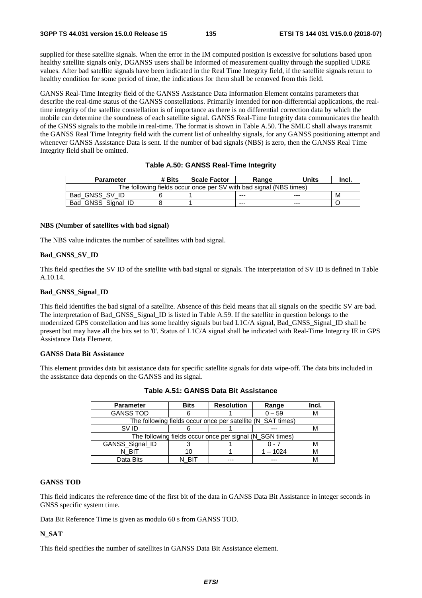supplied for these satellite signals. When the error in the IM computed position is excessive for solutions based upon healthy satellite signals only, DGANSS users shall be informed of measurement quality through the supplied UDRE values. After bad satellite signals have been indicated in the Real Time Integrity field, if the satellite signals return to healthy condition for some period of time, the indications for them shall be removed from this field.

GANSS Real-Time Integrity field of the GANSS Assistance Data Information Element contains parameters that describe the real-time status of the GANSS constellations. Primarily intended for non-differential applications, the realtime integrity of the satellite constellation is of importance as there is no differential correction data by which the mobile can determine the soundness of each satellite signal. GANSS Real-Time Integrity data communicates the health of the GNSS signals to the mobile in real-time. The format is shown in Table A.50. The SMLC shall always transmit the GANSS Real Time Integrity field with the current list of unhealthy signals, for any GANSS positioning attempt and whenever GANSS Assistance Data is sent. If the number of bad signals (NBS) is zero, then the GANSS Real Time Integrity field shall be omitted.

#### **Table A.50: GANSS Real-Time Integrity**

| <b>Parameter</b>                                                   | # Bits | <b>Scale Factor</b> | Range   | Units   | Incl. |
|--------------------------------------------------------------------|--------|---------------------|---------|---------|-------|
| The following fields occur once per SV with bad signal (NBS times) |        |                     |         |         |       |
| Bad GNSS SV ID                                                     |        |                     | $- - -$ | $- - -$ | M     |
| Bad GNSS Signal ID                                                 |        |                     | $- - -$ | $- - -$ |       |

#### **NBS (Number of satellites with bad signal)**

The NBS value indicates the number of satellites with bad signal.

#### **Bad\_GNSS\_SV\_ID**

This field specifies the SV ID of the satellite with bad signal or signals. The interpretation of SV ID is defined in Table A.10.14.

## **Bad\_GNSS\_Signal\_ID**

This field identifies the bad signal of a satellite. Absence of this field means that all signals on the specific SV are bad. The interpretation of Bad\_GNSS\_Signal\_ID is listed in Table A.59. If the satellite in question belongs to the modernized GPS constellation and has some healthy signals but bad L1C/A signal, Bad\_GNSS\_Signal\_ID shall be present but may have all the bits set to '0'. Status of L1C/A signal shall be indicated with Real-Time Integrity IE in GPS Assistance Data Element.

### **GANSS Data Bit Assistance**

This element provides data bit assistance data for specific satellite signals for data wipe-off. The data bits included in the assistance data depends on the GANSS and its signal.

| <b>Parameter</b> | <b>Bits</b> | <b>Resolution</b>                                           | Range      | Incl. |
|------------------|-------------|-------------------------------------------------------------|------------|-------|
| <b>GANSS TOD</b> |             |                                                             | $0 - 59$   | М     |
|                  |             | The following fields occur once per satellite (N_SAT times) |            |       |
| SV ID            |             |                                                             |            | M     |
|                  |             | The following fields occur once per signal (N_SGN times)    |            |       |
| GANSS_Signal_ID  |             |                                                             |            |       |
| N BIT            |             |                                                             | $1 - 1024$ | М     |
| Data Bits        |             |                                                             |            | M     |

**Table A.51: GANSS Data Bit Assistance** 

#### **GANSS TOD**

This field indicates the reference time of the first bit of the data in GANSS Data Bit Assistance in integer seconds in GNSS specific system time.

Data Bit Reference Time is given as modulo 60 s from GANSS TOD.

#### **N\_SAT**

This field specifies the number of satellites in GANSS Data Bit Assistance element.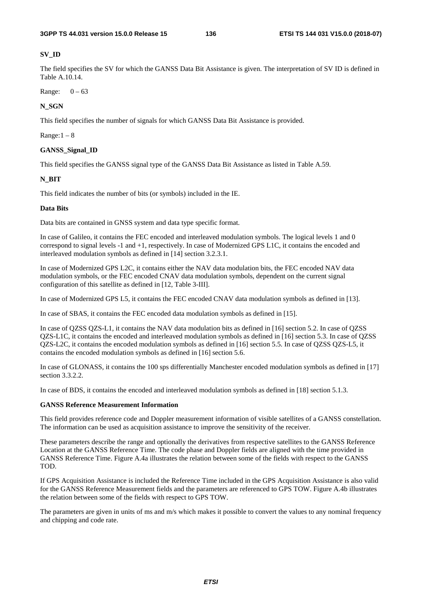# **SV\_ID**

The field specifies the SV for which the GANSS Data Bit Assistance is given. The interpretation of SV ID is defined in Table A.10.14.

Range:  $0 - 63$ 

# **N\_SGN**

This field specifies the number of signals for which GANSS Data Bit Assistance is provided.

Range:  $1 - 8$ 

**GANSS\_Signal\_ID** 

This field specifies the GANSS signal type of the GANSS Data Bit Assistance as listed in Table A.59.

# **N\_BIT**

This field indicates the number of bits (or symbols) included in the IE.

# **Data Bits**

Data bits are contained in GNSS system and data type specific format.

In case of Galileo, it contains the FEC encoded and interleaved modulation symbols. The logical levels 1 and 0 correspond to signal levels -1 and +1, respectively. In case of Modernized GPS L1C, it contains the encoded and interleaved modulation symbols as defined in [14] section 3.2.3.1.

In case of Modernized GPS L2C, it contains either the NAV data modulation bits, the FEC encoded NAV data modulation symbols, or the FEC encoded CNAV data modulation symbols, dependent on the current signal configuration of this satellite as defined in [12, Table 3-III].

In case of Modernized GPS L5, it contains the FEC encoded CNAV data modulation symbols as defined in [13].

In case of SBAS, it contains the FEC encoded data modulation symbols as defined in [15].

In case of QZSS QZS-L1, it contains the NAV data modulation bits as defined in [16] section 5.2. In case of QZSS QZS-L1C, it contains the encoded and interleaved modulation symbols as defined in [16] section 5.3. In case of QZSS QZS-L2C, it contains the encoded modulation symbols as defined in [16] section 5.5. In case of QZSS QZS-L5, it contains the encoded modulation symbols as defined in [16] section 5.6.

In case of GLONASS, it contains the 100 sps differentially Manchester encoded modulation symbols as defined in [17] section 3.3.2.2.

In case of BDS, it contains the encoded and interleaved modulation symbols as defined in [18] section 5.1.3.

# **GANSS Reference Measurement Information**

This field provides reference code and Doppler measurement information of visible satellites of a GANSS constellation. The information can be used as acquisition assistance to improve the sensitivity of the receiver.

These parameters describe the range and optionally the derivatives from respective satellites to the GANSS Reference Location at the GANSS Reference Time. The code phase and Doppler fields are aligned with the time provided in GANSS Reference Time. Figure A.4a illustrates the relation between some of the fields with respect to the GANSS TOD.

If GPS Acquisition Assistance is included the Reference Time included in the GPS Acquisition Assistance is also valid for the GANSS Reference Measurement fields and the parameters are referenced to GPS TOW. Figure A.4b illustrates the relation between some of the fields with respect to GPS TOW.

The parameters are given in units of ms and m/s which makes it possible to convert the values to any nominal frequency and chipping and code rate.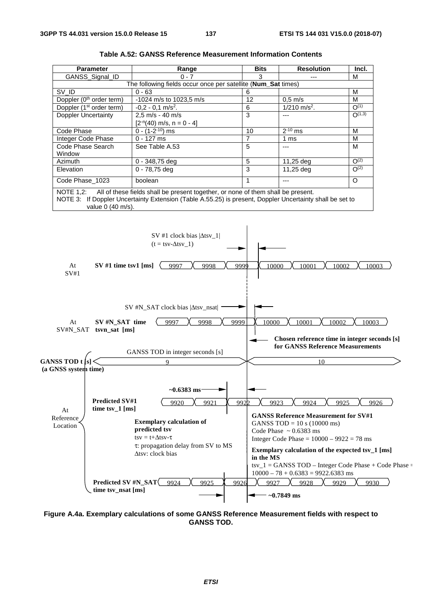| <b>Parameter</b>                                                                                                                                                                                                            | Range                                                         | <b>Bits</b> | <b>Resolution</b>          | Incl.     |
|-----------------------------------------------------------------------------------------------------------------------------------------------------------------------------------------------------------------------------|---------------------------------------------------------------|-------------|----------------------------|-----------|
| GANSS_Signal_ID                                                                                                                                                                                                             | $0 - 7$                                                       | 3           |                            | м         |
|                                                                                                                                                                                                                             | The following fields occur once per satellite (Num_Sat times) |             |                            |           |
| SV ID                                                                                                                                                                                                                       | $0 - 63$                                                      | 6           |                            | м         |
| Doppler (0 <sup>th</sup> order term)                                                                                                                                                                                        | $-1024$ m/s to 1023,5 m/s                                     | 12          | $0.5 \text{ m/s}$          | м         |
| Doppler (1 <sup>st</sup> order term)                                                                                                                                                                                        | $-0.2 - 0.1$ m/s <sup>2</sup> .                               | 6           | $1/210$ m/s <sup>2</sup> . | $O^{(1)}$ |
| <b>Doppler Uncertainty</b>                                                                                                                                                                                                  | $2.5 \text{ m/s} - 40 \text{ m/s}$                            | 3           |                            | O(1,3)    |
|                                                                                                                                                                                                                             | $[2-n(40)$ m/s, n = 0 - 4]                                    |             |                            |           |
| Code Phase                                                                                                                                                                                                                  | $0 - (1-2^{-10})$ ms                                          | 10          | $2^{-10}$ ms               | м         |
| Integer Code Phase                                                                                                                                                                                                          | $0 - 127$ ms                                                  |             | 1 ms                       | м         |
| Code Phase Search                                                                                                                                                                                                           | See Table A.53                                                | 5           |                            | м         |
| Window                                                                                                                                                                                                                      |                                                               |             |                            |           |
| Azimuth                                                                                                                                                                                                                     | 0 - 348,75 deg                                                | 5           | 11,25 deg                  | $O^{(2)}$ |
| Elevation                                                                                                                                                                                                                   | $0 - 78,75$ deg                                               | 3           | 11,25 deg                  | $O^{(2)}$ |
| Code Phase_1023                                                                                                                                                                                                             | boolean                                                       |             |                            | O         |
| NOTE 1,2: All of these fields shall be present together, or none of them shall be present.<br>NOTE 3: If Doppler Uncertainty Extension (Table A.55.25) is present, Doppler Uncertainty shall be set to<br>value 0 (40 m/s). |                                                               |             |                            |           |

| <b>Table A.52: GANSS Reference Measurement Information Contents</b> |
|---------------------------------------------------------------------|
|---------------------------------------------------------------------|



**Figure A.4a. Exemplary calculations of some GANSS Reference Measurement fields with respect to GANSS TOD.**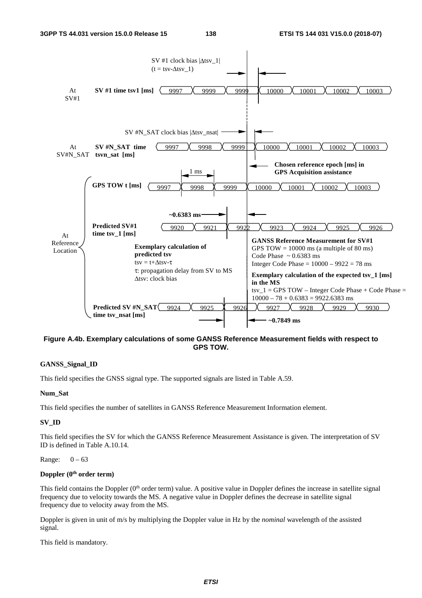

# **Figure A.4b. Exemplary calculations of some GANSS Reference Measurement fields with respect to GPS TOW.**

# **GANSS\_Signal\_ID**

This field specifies the GNSS signal type. The supported signals are listed in Table A.59.

# **Num\_Sat**

This field specifies the number of satellites in GANSS Reference Measurement Information element.

# **SV\_ID**

This field specifies the SV for which the GANSS Reference Measurement Assistance is given. The interpretation of SV ID is defined in Table A.10.14.

# Range:  $0 - 63$

# Doppler (0<sup>th</sup> order term)

This field contains the Doppler  $(0<sup>th</sup> order term)$  value. A positive value in Doppler defines the increase in satellite signal frequency due to velocity towards the MS. A negative value in Doppler defines the decrease in satellite signal frequency due to velocity away from the MS.

Doppler is given in unit of m/s by multiplying the Doppler value in Hz by the *nominal* wavelength of the assisted signal.

This field is mandatory.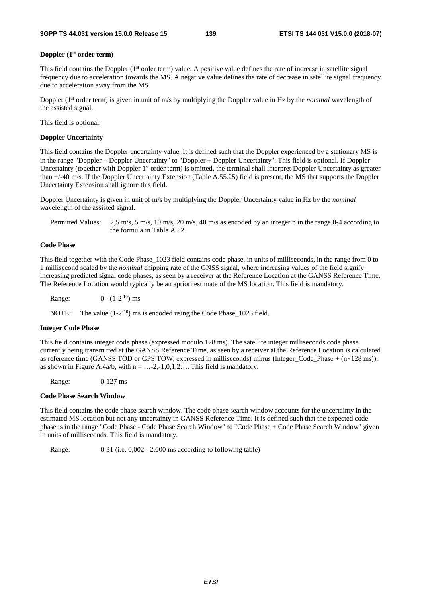#### **Doppler (1st order term**)

This field contains the Doppler  $(1<sup>st</sup> order term)$  value. A positive value defines the rate of increase in satellite signal frequency due to acceleration towards the MS. A negative value defines the rate of decrease in satellite signal frequency due to acceleration away from the MS.

Doppler (1<sup>st</sup> order term) is given in unit of m/s by multiplying the Doppler value in Hz by the *nominal* wavelength of the assisted signal.

This field is optional.

#### **Doppler Uncertainty**

This field contains the Doppler uncertainty value. It is defined such that the Doppler experienced by a stationary MS is in the range "Doppler − Doppler Uncertainty" to "Doppler + Doppler Uncertainty". This field is optional. If Doppler Uncertainty (together with Doppler  $1<sup>st</sup>$  order term) is omitted, the terminal shall interpret Doppler Uncertainty as greater than +/-40 m/s. If the Doppler Uncertainty Extension (Table A.55.25) field is present, the MS that supports the Doppler Uncertainty Extension shall ignore this field.

Doppler Uncertainty is given in unit of m/s by multiplying the Doppler Uncertainty value in Hz by the *nominal* wavelength of the assisted signal.

Permitted Values: 2,5 m/s, 5 m/s, 10 m/s, 20 m/s, 40 m/s as encoded by an integer n in the range 0-4 according to the formula in Table A.52.

## **Code Phase**

This field together with the Code Phase\_1023 field contains code phase, in units of milliseconds, in the range from 0 to 1 millisecond scaled by the *nominal* chipping rate of the GNSS signal, where increasing values of the field signify increasing predicted signal code phases, as seen by a receiver at the Reference Location at the GANSS Reference Time. The Reference Location would typically be an apriori estimate of the MS location. This field is mandatory.

Range:  $0 - (1-2^{-10})$  ms

NOTE: The value  $(1-2^{-10})$  ms is encoded using the Code Phase 1023 field.

#### **Integer Code Phase**

This field contains integer code phase (expressed modulo 128 ms). The satellite integer milliseconds code phase currently being transmitted at the GANSS Reference Time, as seen by a receiver at the Reference Location is calculated as reference time (GANSS TOD or GPS TOW, expressed in milliseconds) minus (Integer\_Code\_Phase + (n×128 ms)), as shown in Figure A.4a/b, with  $n = ... -2, -1, 0, 1, 2, ...$  This field is mandatory.

Range: 0-127 ms

#### **Code Phase Search Window**

This field contains the code phase search window. The code phase search window accounts for the uncertainty in the estimated MS location but not any uncertainty in GANSS Reference Time. It is defined such that the expected code phase is in the range "Code Phase - Code Phase Search Window" to "Code Phase + Code Phase Search Window" given in units of milliseconds. This field is mandatory.

Range: 0-31 (i.e. 0,002 - 2,000 ms according to following table)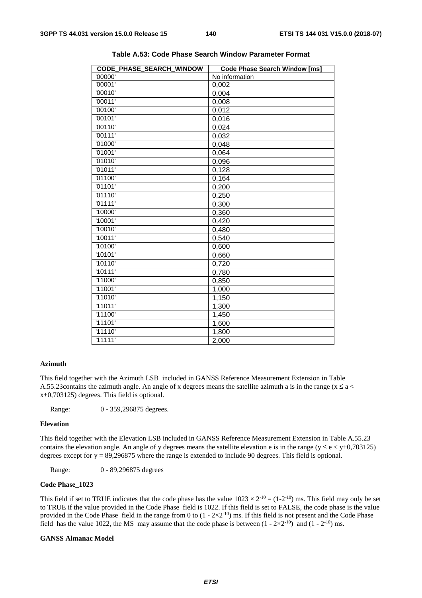| CODE PHASE SEARCH WINDOW | <b>Code Phase Search Window [ms]</b> |
|--------------------------|--------------------------------------|
| '00000'                  | No information                       |
| '00001'                  | 0,002                                |
| '00010'                  | 0,004                                |
| '00011'                  | 0,008                                |
| '00100'                  | 0,012                                |
| '00101'                  | 0,016                                |
| '00110'                  | 0,024                                |
| '00111'                  | 0,032                                |
| '01000'                  | 0,048                                |
| '01001'                  | 0,064                                |
| '01010'                  | 0,096                                |
| '01011'                  | 0,128                                |
| '01100'                  | 0,164                                |
| '01101'                  | 0,200                                |
| '01110'                  | 0,250                                |
| '01111'                  | 0,300                                |
| '10000'                  | 0,360                                |
| '10001'                  | 0,420                                |
| '10010'                  | 0,480                                |
| '10011'                  | 0,540                                |
| '10100'                  | 0,600                                |
| '10101'                  | 0,660                                |
| '10110'                  | 0,720                                |
| '10111'                  | 0,780                                |
| '11000'                  | 0,850                                |
| '11001'                  | 1,000                                |
| '11010'                  | 1,150                                |
| '11011'                  | 1,300                                |
| '11100'                  | 1,450                                |
| '11101'                  | 1,600                                |
| '11110'                  | 1,800                                |
| '11111'                  | 2,000                                |
|                          |                                      |

**Table A.53: Code Phase Search Window Parameter Format** 

# **Azimuth**

This field together with the Azimuth LSB included in GANSS Reference Measurement Extension in Table A.55.23 contains the azimuth angle. An angle of x degrees means the satellite azimuth a is in the range ( $x \le a$  < x+0,703125) degrees. This field is optional.

Range: 0 - 359,296875 degrees.

#### **Elevation**

This field together with the Elevation LSB included in GANSS Reference Measurement Extension in Table A.55.23 contains the elevation angle. An angle of y degrees means the satellite elevation e is in the range ( $y \le e \lt y+0.703125$ ) degrees except for y = 89,296875 where the range is extended to include 90 degrees. This field is optional.

Range: 0 - 89,296875 degrees

### **Code Phase\_1023**

This field if set to TRUE indicates that the code phase has the value  $1023 \times 2^{-10} = (1-2^{-10})$  ms. This field may only be set to TRUE if the value provided in the Code Phase field is 1022. If this field is set to FALSE, the code phase is the value provided in the Code Phase field in the range from 0 to  $(1 - 2 \times 2^{-10})$  ms. If this field is not present and the Code Phase field has the value 1022, the MS may assume that the code phase is between  $(1 - 2 \times 2^{-10})$  and  $(1 - 2^{-10})$  ms.

#### **GANSS Almanac Model**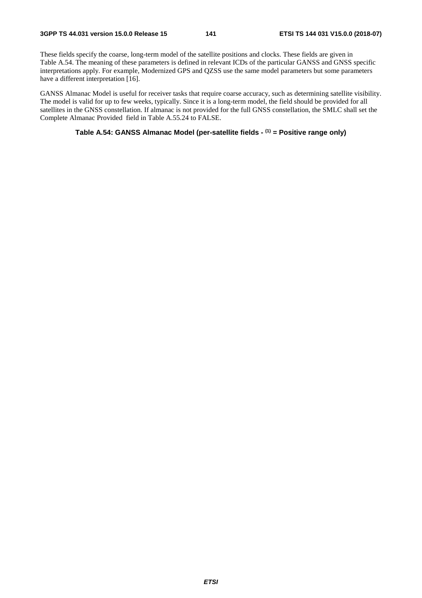These fields specify the coarse, long-term model of the satellite positions and clocks. These fields are given in Table A.54. The meaning of these parameters is defined in relevant ICDs of the particular GANSS and GNSS specific interpretations apply. For example, Modernized GPS and QZSS use the same model parameters but some parameters have a different interpretation [16].

GANSS Almanac Model is useful for receiver tasks that require coarse accuracy, such as determining satellite visibility. The model is valid for up to few weeks, typically. Since it is a long-term model, the field should be provided for all satellites in the GNSS constellation. If almanac is not provided for the full GNSS constellation, the SMLC shall set the Complete Almanac Provided field in Table A.55.24 to FALSE.

# **Table A.54: GANSS Almanac Model (per-satellite fields - (1) = Positive range only)**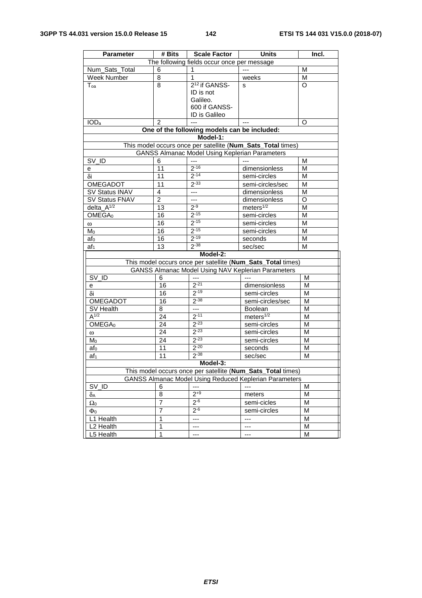| <b>Parameter</b>                                                                                                             | # Bits         | <b>Scale Factor</b>                          | <b>Units</b>                                       | Incl. |  |  |
|------------------------------------------------------------------------------------------------------------------------------|----------------|----------------------------------------------|----------------------------------------------------|-------|--|--|
| The following fields occur once per message                                                                                  |                |                                              |                                                    |       |  |  |
| Num_Sats_Total                                                                                                               | 6              |                                              |                                                    | м     |  |  |
| <b>Week Number</b>                                                                                                           | 8              | 1                                            | weeks                                              | M     |  |  |
| $T_{oa}$                                                                                                                     | 8              | 2 <sup>12</sup> if GANSS-                    | s                                                  | O     |  |  |
|                                                                                                                              |                | ID is not                                    |                                                    |       |  |  |
|                                                                                                                              |                | Galileo.                                     |                                                    |       |  |  |
|                                                                                                                              |                | 600 if GANSS-                                |                                                    |       |  |  |
|                                                                                                                              |                | ID is Galileo                                |                                                    |       |  |  |
| <b>IOD</b> <sub>a</sub>                                                                                                      | $\mathcal{P}$  |                                              |                                                    | O     |  |  |
|                                                                                                                              |                | One of the following models can be included: |                                                    |       |  |  |
|                                                                                                                              |                | Model-1:                                     |                                                    |       |  |  |
| This model occurs once per satellite (Num_Sats_Total times)<br><b>GANSS Almanac Model Using Keplerian Parameters</b>         |                |                                              |                                                    |       |  |  |
|                                                                                                                              |                |                                              |                                                    |       |  |  |
| SV_ID                                                                                                                        | 6              | ---                                          |                                                    | М     |  |  |
| е                                                                                                                            | 11             | $2 - 16$<br>$2^{-14}$                        | dimensionless                                      | M     |  |  |
| δi                                                                                                                           | 11             |                                              | semi-circles                                       | М     |  |  |
| OMEGADOT                                                                                                                     | 11             | $2^{-33}$                                    | semi-circles/sec                                   | M     |  |  |
| SV Status INAV                                                                                                               | $\overline{4}$ | $\overline{\phantom{a}}$                     | dimensionless                                      | M     |  |  |
| SV Status FNAV                                                                                                               | $\overline{2}$ | ---                                          | dimensionless                                      | O     |  |  |
| delta $A^{1/2}$                                                                                                              | 13             | $2^{-9}$                                     | meters $1/2$                                       | M     |  |  |
| OMEGA <sub>0</sub>                                                                                                           | 16             | $2 - 15$                                     | semi-circles                                       | M     |  |  |
| ω                                                                                                                            | 16             | $2 - 15$                                     | semi-circles                                       | M     |  |  |
| Mo                                                                                                                           | 16             | $2 - 15$                                     | semi-circles                                       | M     |  |  |
| $a f_0$                                                                                                                      | 16             | $2 - 19$                                     | seconds                                            | M     |  |  |
| af <sub>1</sub>                                                                                                              | 13             | $2^{-38}$                                    | sec/sec                                            | М     |  |  |
|                                                                                                                              |                | Model-2:                                     |                                                    |       |  |  |
| This model occurs once per satellite (Num_Sats_Total times)                                                                  |                |                                              |                                                    |       |  |  |
|                                                                                                                              |                |                                              | GANSS Almanac Model Using NAV Keplerian Parameters |       |  |  |
| SV_ID                                                                                                                        | 6              | $\scriptstyle \cdots$                        |                                                    | M     |  |  |
| e                                                                                                                            | 16             | $2 - 21$                                     | dimensionless                                      | M     |  |  |
| δi                                                                                                                           | 16             | $2 - 19$                                     | semi-circles                                       | М     |  |  |
| OMEGADOT                                                                                                                     | 16             | $2 - 38$                                     | semi-circles/sec                                   | М     |  |  |
| SV Health                                                                                                                    | 8              | ---                                          | Boolean                                            | M     |  |  |
| $A^{1/2}$                                                                                                                    | 24             | $2 - 11$                                     | $meters$ <sup><math>1/2</math></sup>               | M     |  |  |
| OMEGA <sub>0</sub>                                                                                                           | 24             | $2 - 23$                                     | semi-circles                                       | M     |  |  |
| $\omega$                                                                                                                     | 24             | $2 - 23$                                     | semi-circles                                       | М     |  |  |
| M <sub>0</sub>                                                                                                               | 24             | $2 - 23$                                     | semi-circles                                       | М     |  |  |
| afo                                                                                                                          | 11             | $2 - 20$                                     | seconds                                            | М     |  |  |
| af <sub>1</sub>                                                                                                              | 11             | $2 - 38$                                     | sec/sec                                            | М     |  |  |
| Model-3:                                                                                                                     |                |                                              |                                                    |       |  |  |
| This model occurs once per satellite (Num_Sats_Total times)<br><b>GANSS Almanac Model Using Reduced Keplerian Parameters</b> |                |                                              |                                                    |       |  |  |
|                                                                                                                              |                |                                              |                                                    |       |  |  |
| $SV$ <sub>ID</sub>                                                                                                           | 6              | ---                                          |                                                    | M     |  |  |
| δA                                                                                                                           | 8              | $2^{+9}$                                     | meters                                             | M     |  |  |
| $\Omega_0$                                                                                                                   | 7              | $2-6$                                        | semi-cicles                                        | М     |  |  |
| $\Phi_0$                                                                                                                     | $\overline{7}$ | $2 - 6$                                      | semi-circles                                       | М     |  |  |
| L1 Health                                                                                                                    | 1              | ---                                          | ---                                                | M     |  |  |
| L2 Health                                                                                                                    | 1              | ---                                          | ---                                                | M     |  |  |
| L5 Health                                                                                                                    | 1              | ---                                          | ---                                                | M     |  |  |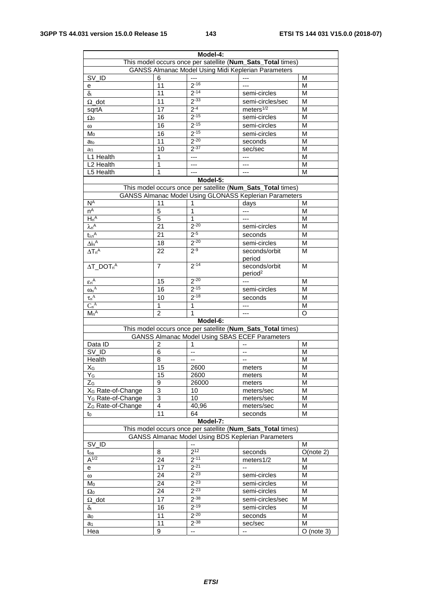| Model-4:                                                                                                                  |                 |                          |                                                               |                         |  |  |  |
|---------------------------------------------------------------------------------------------------------------------------|-----------------|--------------------------|---------------------------------------------------------------|-------------------------|--|--|--|
|                                                                                                                           |                 |                          |                                                               |                         |  |  |  |
| This model occurs once per satellite (Num_Sats_Total times)<br><b>GANSS Almanac Model Using Midi Keplerian Parameters</b> |                 |                          |                                                               |                         |  |  |  |
|                                                                                                                           |                 |                          |                                                               |                         |  |  |  |
| SV ID                                                                                                                     | 6               |                          |                                                               | М                       |  |  |  |
| е                                                                                                                         | 11              | $2^{-16}$                |                                                               | М                       |  |  |  |
| $\delta_{\rm i}$                                                                                                          | 11              | $2 - 14$                 | semi-circles                                                  | M                       |  |  |  |
| $\Omega$ _dot                                                                                                             | 11              | $2 - 33$                 | semi-circles/sec                                              | M                       |  |  |  |
| sqrtA                                                                                                                     | 17              | $2 - 4$                  | meters $1/2$                                                  | M                       |  |  |  |
| $\Omega_0$                                                                                                                | 16              | $2 - 15$                 | semi-circles                                                  | м                       |  |  |  |
|                                                                                                                           | 16              | $2 - 15$                 | semi-circles                                                  | M                       |  |  |  |
| $\omega$                                                                                                                  |                 | $2 - 15$                 |                                                               |                         |  |  |  |
| Mo                                                                                                                        | 16              | $2 - 20$                 | semi-circles                                                  | M                       |  |  |  |
| afo                                                                                                                       | 11              |                          | seconds                                                       | M                       |  |  |  |
| a <sub>f1</sub>                                                                                                           | 10              | $2 - 37$                 | sec/sec                                                       | M                       |  |  |  |
| L1 Health                                                                                                                 | 1               | ---                      | ---                                                           | M                       |  |  |  |
| L2 Health                                                                                                                 | $\mathbf{1}$    | ---                      | ---                                                           | M                       |  |  |  |
| L5 Health                                                                                                                 | 1               | ---                      | ---                                                           | М                       |  |  |  |
|                                                                                                                           |                 | Model-5:                 |                                                               |                         |  |  |  |
| This model occurs once per satellite (Num_Sats_Total times)                                                               |                 |                          |                                                               |                         |  |  |  |
|                                                                                                                           |                 |                          | <b>GANSS Almanac Model Using GLONASS Keplerian Parameters</b> |                         |  |  |  |
| $N^A$                                                                                                                     | 11              | 1                        | days                                                          | M                       |  |  |  |
| $n^A$                                                                                                                     | 5               | 1                        | ---                                                           | М                       |  |  |  |
| $H_n^A$                                                                                                                   | $\overline{5}$  | 1                        | ---                                                           | M                       |  |  |  |
|                                                                                                                           |                 | $2 - 20$                 |                                                               |                         |  |  |  |
| $\lambda_n^A$                                                                                                             | 21              |                          | semi-circles                                                  | M                       |  |  |  |
| $t_{\lambda n}{}^A$                                                                                                       | $\overline{21}$ | $2 - 5$                  | seconds                                                       | M                       |  |  |  |
| $\Delta i n^A$                                                                                                            | 18              | $2 - 20$                 | semi-circles                                                  | М                       |  |  |  |
| $\Delta T_n^{\overline{A}}$                                                                                               | 22              | $2 - 9$                  | seconds/orbit<br>period                                       | М                       |  |  |  |
| $\Delta T\_DOT_n^A$                                                                                                       | $\overline{7}$  | $2^{-14}$                | seconds/orbit                                                 | М                       |  |  |  |
|                                                                                                                           |                 |                          | period <sup>2</sup>                                           |                         |  |  |  |
| $\epsilon_n{}^A$                                                                                                          | 15              | $2 - 20$                 |                                                               | М                       |  |  |  |
| $\omega_n{}^A$                                                                                                            | 16              | $2 - 15$                 | semi-circles                                                  | M                       |  |  |  |
| $\overline{\tau_n}^A$                                                                                                     | 10              | $2 - 18$                 | seconds                                                       | M                       |  |  |  |
| $C_n^A$                                                                                                                   | 1               | 1                        | ---                                                           | M                       |  |  |  |
| $Mn^A$                                                                                                                    | $\overline{2}$  | 1                        | ---                                                           | O                       |  |  |  |
|                                                                                                                           |                 | Model-6:                 |                                                               |                         |  |  |  |
|                                                                                                                           |                 |                          | This model occurs once per satellite (Num_Sats_Total times)   |                         |  |  |  |
|                                                                                                                           |                 |                          |                                                               |                         |  |  |  |
|                                                                                                                           |                 |                          | <b>GANSS Almanac Model Using SBAS ECEF Parameters</b>         |                         |  |  |  |
| Data ID                                                                                                                   | $\overline{c}$  | 1                        | $-$                                                           | M                       |  |  |  |
| SV_ID                                                                                                                     | 6               | --                       | -−                                                            | M                       |  |  |  |
| Health                                                                                                                    | 8               | --                       | --                                                            | М                       |  |  |  |
| $X_G$                                                                                                                     | $\overline{15}$ | 2600                     | meters                                                        | $\overline{\mathsf{M}}$ |  |  |  |
| YG                                                                                                                        | 15              | 2600                     | meters                                                        | M                       |  |  |  |
| $Z_G$                                                                                                                     | 9               | 26000                    | meters                                                        | M                       |  |  |  |
| X <sub>G</sub> Rate-of-Change                                                                                             | 3               | 10                       | meters/sec                                                    | M                       |  |  |  |
| Y <sub>G</sub> Rate-of-Change                                                                                             | 3               | 10                       | meters/sec                                                    | M                       |  |  |  |
| Z <sub>G</sub> Rate-of-Change                                                                                             | $\overline{4}$  | 40,96                    | meters/sec                                                    | M                       |  |  |  |
| to                                                                                                                        | 11              | 64                       | seconds                                                       | М                       |  |  |  |
|                                                                                                                           |                 |                          |                                                               |                         |  |  |  |
| Model-7:                                                                                                                  |                 |                          |                                                               |                         |  |  |  |
| This model occurs once per satellite (Num_Sats_Total times)<br><b>GANSS Almanac Model Using BDS Keplerian Parameters</b>  |                 |                          |                                                               |                         |  |  |  |
|                                                                                                                           |                 |                          |                                                               |                         |  |  |  |
| $SV$ <sub>ID</sub>                                                                                                        |                 | $\overline{\phantom{a}}$ |                                                               | M                       |  |  |  |
| toa                                                                                                                       | 8               | $2^{12}$                 | seconds                                                       | O(note 2)               |  |  |  |
| $\overline{A^{1/2}}$                                                                                                      | 24              | $2 - 11$                 | meters1/2                                                     | М                       |  |  |  |
| е                                                                                                                         | 17              | $2 - 21$                 | --                                                            | M                       |  |  |  |
| $\omega$                                                                                                                  | 24              | $2 - 23$                 | semi-circles                                                  | M                       |  |  |  |
| $M_0$                                                                                                                     | 24              | $2 - 23$                 | semi-circles                                                  | M                       |  |  |  |
| $\Omega_0$                                                                                                                | 24              | $2 - 23$                 | semi-circles                                                  | M                       |  |  |  |
|                                                                                                                           |                 | $2 - 38$                 |                                                               |                         |  |  |  |
| $\Omega$ _dot                                                                                                             | 17              |                          | semi-circles/sec                                              | M                       |  |  |  |
| $\delta_{\sf i}$                                                                                                          | 16              | $2 - 19$                 | semi-circles                                                  | M                       |  |  |  |
| a <sub>0</sub>                                                                                                            | 11              | $2 - 20$                 | seconds                                                       | M                       |  |  |  |
| a <sub>1</sub>                                                                                                            | $\overline{11}$ | $2 - 38$                 | sec/sec                                                       | M                       |  |  |  |
| Hea                                                                                                                       | 9               | ۰.                       | --                                                            | $O$ (note 3)            |  |  |  |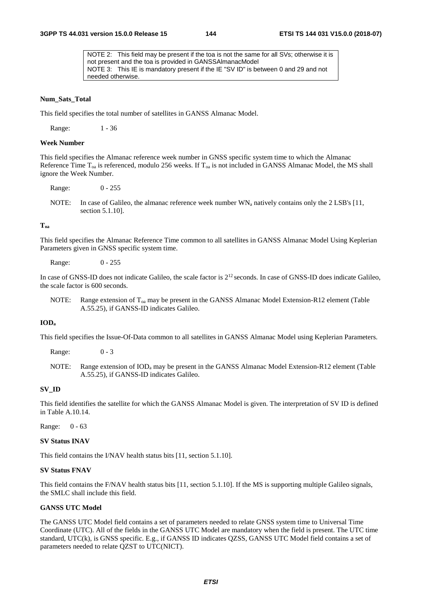NOTE 2: This field may be present if the toa is not the same for all SVs; otherwise it is not present and the toa is provided in GANSSAlmanacModel NOTE 3: This IE is mandatory present if the IE "SV ID" is between 0 and 29 and not needed otherwise.

# **Num\_Sats\_Total**

This field specifies the total number of satellites in GANSS Almanac Model.

Range: 1 - 36

# **Week Number**

This field specifies the Almanac reference week number in GNSS specific system time to which the Almanac Reference Time  $T_{oa}$  is referenced, modulo 256 weeks. If  $T_{oa}$  is not included in GANSS Almanac Model, the MS shall ignore the Week Number.

Range: 0 - 255

NOTE: In case of Galileo, the almanac reference week number  $WN_a$  natively contains only the 2 LSB's [11, section 5.1.10].

# **Toa**

This field specifies the Almanac Reference Time common to all satellites in GANSS Almanac Model Using Keplerian Parameters given in GNSS specific system time.

Range: 0 - 255

In case of GNSS-ID does not indicate Galileo, the scale factor is 212 seconds. In case of GNSS-ID does indicate Galileo, the scale factor is 600 seconds.

NOTE: Range extension of  $T_{oa}$  may be present in the GANSS Almanac Model Extension-R12 element (Table A.55.25), if GANSS-ID indicates Galileo.

# **IODa**

This field specifies the Issue-Of-Data common to all satellites in GANSS Almanac Model using Keplerian Parameters.

Range: 0 - 3

NOTE: Range extension of IODa may be present in the GANSS Almanac Model Extension-R12 element (Table A.55.25), if GANSS-ID indicates Galileo.

# **SV\_ID**

This field identifies the satellite for which the GANSS Almanac Model is given. The interpretation of SV ID is defined in Table A.10.14.

Range: 0 - 63

# **SV Status INAV**

This field contains the I/NAV health status bits [11, section 5.1.10].

#### **SV Status FNAV**

This field contains the F/NAV health status bits [11, section 5.1.10]. If the MS is supporting multiple Galileo signals, the SMLC shall include this field.

# **GANSS UTC Model**

The GANSS UTC Model field contains a set of parameters needed to relate GNSS system time to Universal Time Coordinate (UTC). All of the fields in the GANSS UTC Model are mandatory when the field is present. The UTC time standard, UTC(k), is GNSS specific. E.g., if GANSS ID indicates QZSS, GANSS UTC Model field contains a set of parameters needed to relate QZST to UTC(NICT).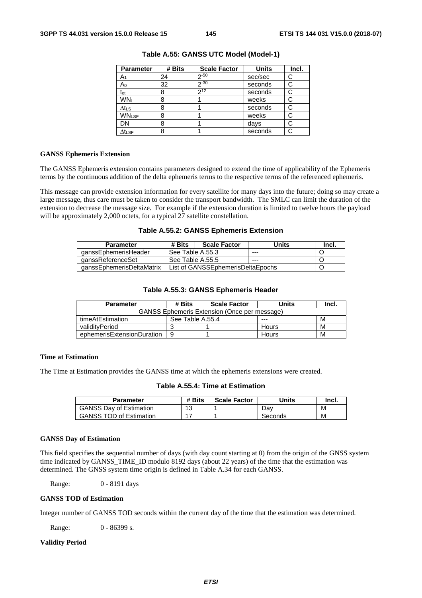| <b>Parameter</b> | # Bits | <b>Scale Factor</b> | <b>Units</b> | Incl. |
|------------------|--------|---------------------|--------------|-------|
| A <sub>1</sub>   | 24     | $2 - 50$            | sec/sec      | C     |
| $A_0$            | 32     | $2 - 30$            | seconds      |       |
| $t_{\rm ot}$     | 8      | $2^{12}$            | seconds      |       |
| WN <sub>t</sub>  | 8      |                     | weeks        |       |
| $\Delta t_{LS}$  | 8      |                     | seconds      |       |
| <b>WNLSF</b>     | 8      |                     | weeks        | C     |
| DN               | 8      |                     | davs         | C     |
| $\Delta t_{LSF}$ | 8      |                     | seconds      |       |

**Table A.55: GANSS UTC Model (Model-1)** 

#### **GANSS Ephemeris Extension**

The GANSS Ephemeris extension contains parameters designed to extend the time of applicability of the Ephemeris terms by the continuous addition of the delta ephemeris terms to the respective terms of the referenced ephemeris.

This message can provide extension information for every satellite for many days into the future; doing so may create a large message, thus care must be taken to consider the transport bandwidth. The SMLC can limit the duration of the extension to decrease the message size. For example if the extension duration is limited to twelve hours the payload will be approximately 2,000 octets, for a typical 27 satellite constellation.

#### **Table A.55.2: GANSS Ephemeris Extension**

| <b>Parameter</b>          | # Bits                            | <b>Scale Factor</b> | Units | lncl. |
|---------------------------|-----------------------------------|---------------------|-------|-------|
| qanssEphemerisHeader      | See Table A.55.3                  |                     | ---   |       |
| ganssReferenceSet         | See Table A.55.5                  |                     | $--$  |       |
| aanssEphemerisDeltaMatrix | List of GANSSEphemerisDeltaEpochs |                     |       |       |

# **Table A.55.3: GANSS Ephemeris Header**

| <b>Parameter</b>                                    | # Bits           | <b>Scale Factor</b> | Units   | Incl. |  |
|-----------------------------------------------------|------------------|---------------------|---------|-------|--|
| <b>GANSS Ephemeris Extension (Once per message)</b> |                  |                     |         |       |  |
| timeAtEstimation                                    | See Table A.55.4 |                     | $- - -$ | м     |  |
| validitvPeriod                                      |                  |                     | Hours   | м     |  |
| ephemerisExtensionDuration                          |                  |                     | Hours   | м     |  |

# **Time at Estimation**

The Time at Estimation provides the GANSS time at which the ephemeris extensions were created.

# **Table A.55.4: Time at Estimation**

| <b>Parameter</b>               | # Bits    | <b>Scale Factor</b> | Units   | Incı. |
|--------------------------------|-----------|---------------------|---------|-------|
| <b>GANSS Dav of Estimation</b> | 12<br>د ۱ |                     | Dav     | M     |
| <b>GANSS TOD of Estimation</b> |           |                     | Seconds | M     |

# **GANSS Day of Estimation**

This field specifies the sequential number of days (with day count starting at 0) from the origin of the GNSS system time indicated by GANSS\_TIME\_ID modulo 8192 days (about 22 years) of the time that the estimation was determined. The GNSS system time origin is defined in Table A.34 for each GANSS.

Range: 0 - 8191 days

# **GANSS TOD of Estimation**

Integer number of GANSS TOD seconds within the current day of the time that the estimation was determined.

Range: 0 - 86399 s.

# **Validity Period**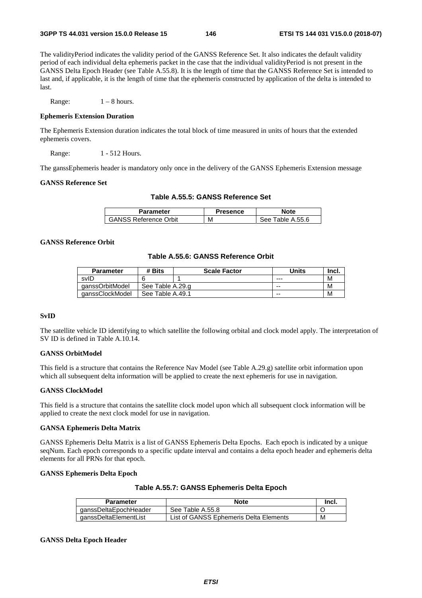The validityPeriod indicates the validity period of the GANSS Reference Set. It also indicates the default validity period of each individual delta ephemeris packet in the case that the individual validityPeriod is not present in the GANSS Delta Epoch Header (see Table A.55.8). It is the length of time that the GANSS Reference Set is intended to last and, if applicable, it is the length of time that the ephemeris constructed by application of the delta is intended to last.

Range:  $1 - 8$  hours.

# **Ephemeris Extension Duration**

The Ephemeris Extension duration indicates the total block of time measured in units of hours that the extended ephemeris covers.

Range: 1 - 512 Hours.

The ganssEphemeris header is mandatory only once in the delivery of the GANSS Ephemeris Extension message

# **GANSS Reference Set**

|  | Table A.55.5: GANSS Reference Set |
|--|-----------------------------------|
|  |                                   |

| Parameter                    | Presence | <b>Note</b>           |
|------------------------------|----------|-----------------------|
| <b>GANSS Reference Orbit</b> | M        | Table A.55.6<br>See : |

# **GANSS Reference Orbit**

# **Table A.55.6: GANSS Reference Orbit**

| <b>Parameter</b> | # Bits           | <b>Scale Factor</b> | <b>Units</b> | Incl. |
|------------------|------------------|---------------------|--------------|-------|
| svID             |                  |                     | $- - -$      | M     |
| qanssOrbitModel  | See Table A.29.g |                     | $- -$        | M     |
| qanssClockModel  | See Table A.49.1 |                     | $- -$        | M     |

# **SvID**

The satellite vehicle ID identifying to which satellite the following orbital and clock model apply. The interpretation of SV ID is defined in Table A.10.14.

# **GANSS OrbitModel**

This field is a structure that contains the Reference Nav Model (see Table A.29.g) satellite orbit information upon which all subsequent delta information will be applied to create the next ephemeris for use in navigation.

#### **GANSS ClockModel**

This field is a structure that contains the satellite clock model upon which all subsequent clock information will be applied to create the next clock model for use in navigation.

#### **GANSA Ephemeris Delta Matrix**

GANSS Ephemeris Delta Matrix is a list of GANSS Ephemeris Delta Epochs. Each epoch is indicated by a unique seqNum. Each epoch corresponds to a specific update interval and contains a delta epoch header and ephemeris delta elements for all PRNs for that epoch.

#### **GANSS Ephemeris Delta Epoch**

| Table A.55.7: GANSS Ephemeris Delta Epoch |  |  |  |
|-------------------------------------------|--|--|--|
|-------------------------------------------|--|--|--|

| Parameter             | <b>Note</b>                            | Incl. |
|-----------------------|----------------------------------------|-------|
| qanssDeltaEpochHeader | See Table A.55.8                       |       |
| ganssDeltaElementList | List of GANSS Ephemeris Delta Elements | M     |

#### **GANSS Delta Epoch Header**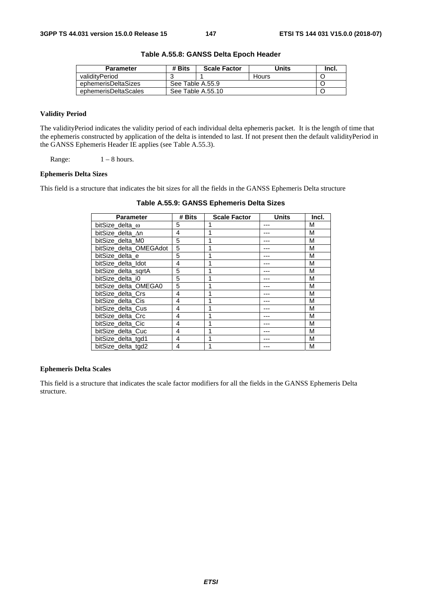| Parameter            | # Bits           | <b>Scale Factor</b> | Units | Incl. |
|----------------------|------------------|---------------------|-------|-------|
| validityPeriod       | w                |                     | Hours |       |
| ephemerisDeltaSizes  | See Table A.55.9 |                     |       |       |
| ephemerisDeltaScales |                  | See Table A.55.10   |       |       |

**Table A.55.8: GANSS Delta Epoch Header**

# **Validity Period**

The validityPeriod indicates the validity period of each individual delta ephemeris packet. It is the length of time that the ephemeris constructed by application of the delta is intended to last. If not present then the default validityPeriod in the GANSS Ephemeris Header IE applies (see Table A.55.3).

Range:  $1 - 8$  hours.

# **Ephemeris Delta Sizes**

This field is a structure that indicates the bit sizes for all the fields in the GANSS Ephemeris Delta structure

| <b>Parameter</b>       | # Bits | <b>Scale Factor</b> | <b>Units</b> | Incl. |
|------------------------|--------|---------------------|--------------|-------|
| bitSize delta $\omega$ | 5      |                     |              | м     |
| bitSize delta An       | 4      |                     |              | М     |
| bitSize delta M0       | 5      |                     |              | М     |
| bitSize_delta_OMEGAdot | 5      |                     |              | М     |
| bitSize delta e        | 5      |                     |              | М     |
| bitSize_delta_Idot     | 4      |                     |              | М     |
| bitSize delta sgrtA    | 5      |                     |              | М     |
| bitSize delta i0       | 5      |                     |              | М     |
| bitSize_delta_OMEGA0   | 5      |                     |              | М     |
| bitSize_delta_Crs      | 4      |                     |              | М     |
| bitSize delta Cis      | 4      |                     |              | М     |
| bitSize delta Cus      | 4      |                     |              | М     |
| bitSize delta Crc      | 4      |                     |              | М     |
| bitSize delta Cic      | 4      |                     |              | М     |
| bitSize delta Cuc      | 4      | ◢                   |              | М     |
| bitSize delta tgd1     | 4      |                     |              | М     |
| bitSize delta tgd2     | 4      |                     |              | М     |

**Table A.55.9: GANSS Ephemeris Delta Sizes** 

# **Ephemeris Delta Scales**

This field is a structure that indicates the scale factor modifiers for all the fields in the GANSS Ephemeris Delta structure.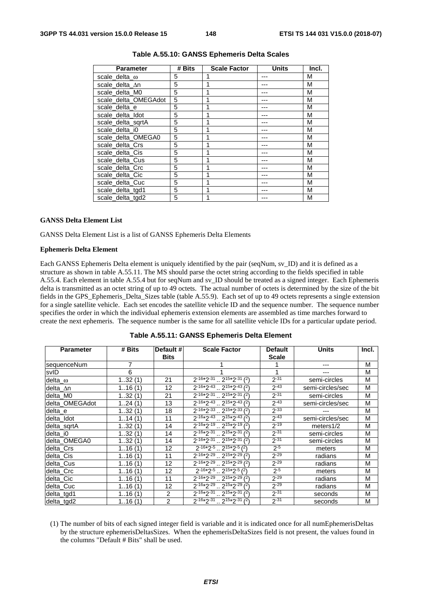| <b>Parameter</b>      | # Bits | <b>Scale Factor</b> | <b>Units</b> | Incl. |
|-----------------------|--------|---------------------|--------------|-------|
| scale_delta_ $\omega$ | 5      |                     |              | М     |
| scale delta An        | 5      | 1                   |              | М     |
| scale delta M0        | 5      | 1                   |              | М     |
| scale_delta_OMEGAdot  | 5      |                     |              | М     |
| scale delta e         | 5      |                     |              | М     |
| scale delta Idot      | 5      | 1                   |              | М     |
| scale delta sgrtA     | 5      | 1                   |              | М     |
| scale_delta_i0        | 5      |                     |              | М     |
| scale_delta_OMEGA0    | 5      |                     |              | М     |
| scale_delta_Crs       | 5      | 1                   |              | М     |
| scale delta Cis       | 5      |                     |              | М     |
| scale delta Cus       | 5      |                     |              | М     |
| scale delta Crc       | 5      | 1                   |              | М     |
| scale_delta_Cic       | 5      | 1                   |              | М     |
| scale_delta_Cuc       | 5      | 1                   |              | М     |
| scale_delta_tgd1      | 5      |                     |              | М     |
| scale delta tgd2      | 5      | 1                   |              | М     |

# **Table A.55.10: GANSS Ephemeris Delta Scales**

#### **GANSS Delta Element List**

GANSS Delta Element List is a list of GANSS Ephemeris Delta Elements

#### **Ephemeris Delta Element**

Each GANSS Ephemeris Delta element is uniquely identified by the pair (seqNum, sv\_ID) and it is defined as a structure as shown in table A.55.11. The MS should parse the octet string according to the fields specified in table A.55.4. Each element in table A.55.4 but for seqNum and sv\_ID should be treated as a signed integer. Each Ephemeris delta is transmitted as an octet string of up to 49 octets. The actual number of octets is determined by the size of the bit fields in the GPS\_Ephemeris\_Delta\_Sizes table (table A.55.9). Each set of up to 49 octets represents a single extension for a single satellite vehicle. Each set encodes the satellite vehicle ID and the sequence number. The sequence number specifies the order in which the individual ephemeris extension elements are assembled as time marches forward to create the next ephemeris. The sequence number is the same for all satellite vehicle IDs for a particular update period.

| <b>Parameter</b> | # Bits | Default #<br><b>Bits</b> | <b>Scale Factor</b>                                 | <b>Default</b><br><b>Scale</b> | <b>Units</b>     | Incl. |
|------------------|--------|--------------------------|-----------------------------------------------------|--------------------------------|------------------|-------|
| sequenceNum      | 7      |                          |                                                     |                                | ---              | M     |
| svID             | 6      |                          |                                                     |                                |                  | M     |
| delta_ω          | 132(1) | 21                       | $2^{-16*}2^{-31}$ $2^{15*}2^{-31}$ ( <sup>2</sup> ) | $2 - 31$                       | semi-circles     | M     |
| delta ∆n         | 116(1) | 12                       | $2^{-16*}2^{-43}$ $2^{15*}2^{-43}$ (2)              | $2 - 43$                       | semi-circles/sec | M     |
| delta_M0         | 132(1) | 21                       | $2^{-16*}2^{-31}$ $2^{15*}2^{-31}$ (2)              | $2 - 31$                       | semi-circles     | M     |
| delta OMEGAdot   | 124(1) | 13                       | $2^{-16*2^{-43}}$ . $2^{15*2^{-43}}$ (2)            | $2 - 43$                       | semi-circles/sec | M     |
| delta_e          | 132(1) | 18                       | $2^{-16*2-33}$ $2^{15*2-33}$ (2)                    | $2 - 33$                       |                  | M     |
| delta Idot       | 114(1) | 11                       | $2^{-16*}2^{-43}$ $2^{15*}2^{-43}$ (2)              | $2 - 43$                       | semi-circles/sec | M     |
| delta_sqrtA      | 132(1) | 14                       | $2^{-16*}2^{-19}$ . $2^{15*}2^{-19}$ (2)            | $2 - 19$                       | meters1/2        | M     |
| delta_i0         | 132(1) | 14                       | $\sqrt{2^{-16*2^{-31}} \cdot 2^{15*2^{-31}}}$ (2)   | $2 - 31$                       | semi-circles     | M     |
| delta_OMEGA0     | 132(1) | 14                       | $2^{-16*}2^{-31}$ $2^{15*}2^{-31}$ (2)              | $2 - 31$                       | semi-circles     | M     |
| delta_Crs        | 116(1) | 12                       | $2^{-16*}2^{-5}$ $2^{15*}2^{-5}$ (2)                | $2^{-5}$                       | meters           | M     |
| delta Cis        | 116(1) | 11                       | $2^{-16*}2^{-29}$ $2^{15*}2^{-29}$ (2)              | $2 - 29$                       | radians          | M     |
| delta_Cus        | 116(1) | 12                       | $2^{-16*}2^{-29}$ $2^{15*}2^{-29}$ (2)              | $2 - 29$                       | radians          | M     |
| delta Crc        | 116(1) | 12                       | $2^{-16*}2^{-5}$ $2^{15*}2^{-5}$ (2)                | $2^{-5}$                       | meters           | M     |
| delta Cic        | 116(1) | 11                       | $2^{-16*}2^{-29}$ . $2^{15*}2^{-29}$ (2)            | $2^{-29}$                      | radians          | M     |
| delta Cuc        | 116(1) | 12                       | $2^{-16*}2^{-29}$ 2 <sup>15*</sup> 2-29(2)          | $2^{-29}$                      | radians          | M     |
| delta_tgd1       | 116(1) | 2                        | $2^{-16*2-31}$ $2^{15*2-31}$ $(2)$                  | $2 - 31$                       | seconds          | M     |
| delta_tgd2       | 116(1) | $\overline{2}$           | $2^{-16*}2^{-31}$ $2^{15*}2^{-31}$ ( <sup>2</sup> ) | $2 - 31$                       | seconds          | M     |

**Table A.55.11: GANSS Ephemeris Delta Element** 

(1) The number of bits of each signed integer field is variable and it is indicated once for all numEphemerisDeltas by the structure ephemerisDeltasSizes. When the ephemerisDeltaSizes field is not present, the values found in the columns "Default # Bits" shall be used.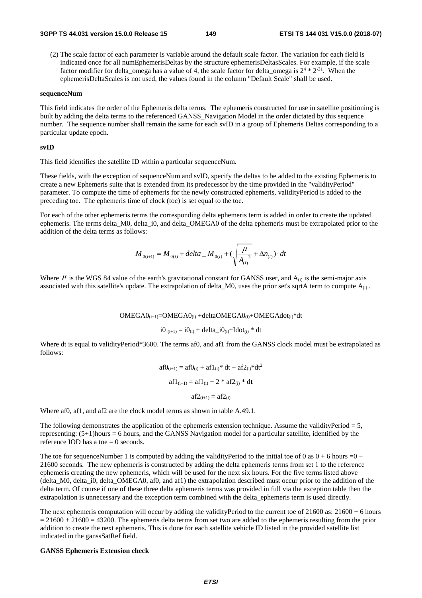(2) The scale factor of each parameter is variable around the default scale factor. The variation for each field is indicated once for all numEphemerisDeltas by the structure ephemerisDeltasScales. For example, if the scale factor modifier for delta\_omega has a value of 4, the scale factor for delta\_omega is  $2^4 * 2^{-31}$ . When the ephemerisDeltaScales is not used, the values found in the column "Default Scale" shall be used.

#### **sequenceNum**

This field indicates the order of the Ephemeris delta terms. The ephemeris constructed for use in satellite positioning is built by adding the delta terms to the referenced GANSS\_Navigation Model in the order dictated by this sequence number. The sequence number shall remain the same for each svID in a group of Ephemeris Deltas corresponding to a particular update epoch.

#### **svID**

This field identifies the satellite ID within a particular sequenceNum.

These fields, with the exception of sequenceNum and svID, specify the deltas to be added to the existing Ephemeris to create a new Ephemeris suite that is extended from its predecessor by the time provided in the "validityPeriod" parameter. To compute the time of ephemeris for the newly constructed ephemeris, validityPeriod is added to the preceding toe. The ephemeris time of clock (toc) is set equal to the toe.

For each of the other ephemeris terms the corresponding delta ephemeris term is added in order to create the updated ephemeris. The terms delta M0, delta i0, and delta OMEGA0 of the delta ephemeris must be extrapolated prior to the addition of the delta terms as follows:

$$
M_{0(i+1)} = M_{0(i)} + delta \_M_{0(i)} + (\sqrt{\frac{\mu}{A_{(i)}}^3 + \Delta n_{(i)}}) \cdot dt
$$

Where  $\mu$  is the WGS 84 value of the earth's gravitational constant for GANSS user, and  $A_{(i)}$  is the semi-major axis associated with this satellite's update. The extrapolation of delta\_M0, uses the prior set's sqrtA term to compute  $A_{(i)}$ .

 $OMEGAO_{(i+1)}=OMEGAO_{(i)} +deltaIaOMEGAO_{(i)} + OMEGAI_{(i)} *dt$ 

$$
i0_{(i+1)} = i0_{(i)} + delta_i = 0_{(i)} + Idot_{(i)}
$$
 \* dt

Where dt is equal to validityPeriod\*3600. The terms af0, and af1 from the GANSS clock model must be extrapolated as follows:

> $af0_{(i+1)} = af0_{(i)} + af1_{(i)} * dt + af2_{(i)} * dt^2$ af1<sub>(i+1)</sub> = af1<sub>(i)</sub> + 2  $*$  af2<sub>(i)</sub>  $*$  dt  $af2_{(i+1)} = af2_{(i)}$

Where af0, af1, and af2 are the clock model terms as shown in table A.49.1.

The following demonstrates the application of the ephemeris extension technique. Assume the validityPeriod  $= 5$ , representing: (5+1)hours = 6 hours, and the GANSS Navigation model for a particular satellite, identified by the reference IOD has a toe  $= 0$  seconds.

The toe for sequenceNumber 1 is computed by adding the validityPeriod to the initial toe of 0 as  $0 + 6$  hours =0 + 21600 seconds. The new ephemeris is constructed by adding the delta ephemeris terms from set 1 to the reference ephemeris creating the new ephemeris, which will be used for the next six hours. For the five terms listed above (delta\_M0, delta\_i0, delta\_OMEGA0, af0, and af1) the extrapolation described must occur prior to the addition of the delta term. Of course if one of these three delta ephemeris terms was provided in full via the exception table then the extrapolation is unnecessary and the exception term combined with the delta\_ephemeris term is used directly.

The next ephemeris computation will occur by adding the validityPeriod to the current toe of  $21600$  as:  $21600 + 6$  hours  $= 21600 + 21600 = 43200$ . The ephemeris delta terms from set two are added to the ephemeris resulting from the prior addition to create the next ephemeris. This is done for each satellite vehicle ID listed in the provided satellite list indicated in the ganssSatRef field.

# **GANSS Ephemeris Extension check**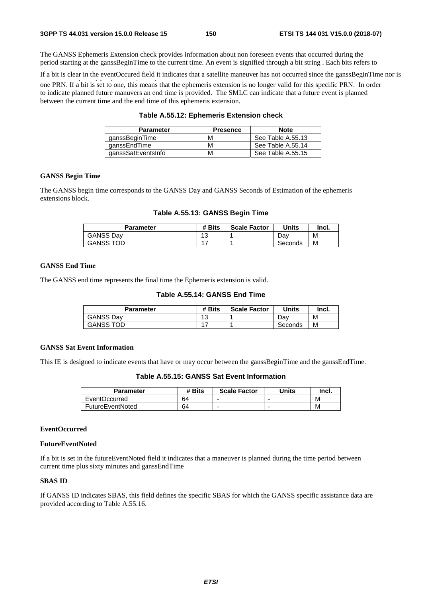The GANSS Ephemeris Extension check provides information about non foreseen events that occurred during the period starting at the ganssBeginTime to the current time. An event is signified through a bit string . Each bits refers to

If a bit is clear in the eventOccured field it indicates that a satellite maneuver has not occurred since the ganssBeginTime nor is

one PRN. If a bit is set to one, this means that the ephemeris extension is no longer valid for this specific PRN. In order to indicate planned future manuvers an end time is provided. The SMLC can indicate that a future event is planned between the current time and the end time of this ephemeris extension.

| Table A.55.12: Ephemeris Extension check |  |  |
|------------------------------------------|--|--|
|------------------------------------------|--|--|

| <b>Parameter</b>   | <b>Presence</b> | <b>Note</b>       |
|--------------------|-----------------|-------------------|
| ganssBeginTime     | М               | See Table A.55.13 |
| ganssEndTime       | M               | See Table A.55.14 |
| ganssSatEventsInfo | M               | See Table A.55.15 |

# **GANSS Begin Time**

The GANSS begin time corresponds to the GANSS Day and GANSS Seconds of Estimation of the ephemeris extensions block.

**Table A.55.13: GANSS Begin Time** 

| Parameter        | # Bits           | <b>Scale Factor</b> | <b>Units</b> | Incl. |
|------------------|------------------|---------------------|--------------|-------|
| <b>GANSS Dav</b> | $\Lambda$<br>ں ا |                     | Dav          | М     |
| <b>GANSS TOD</b> |                  |                     | Seconds      | M     |

# **GANSS End Time**

The GANSS end time represents the final time the Ephemeris extension is valid.

| Table A.55.14: GANSS End Time |  |  |  |
|-------------------------------|--|--|--|
|-------------------------------|--|--|--|

| Parameter        | <b>Bits</b> | <b>Scale Factor</b> | Units   | Incl. |
|------------------|-------------|---------------------|---------|-------|
| <b>GANSS Dav</b> | 10<br>J     |                     | Dav     | M     |
| GANSS TOD        |             |                     | Seconds | М     |

# **GANSS Sat Event Information**

This IE is designed to indicate events that have or may occur between the ganssBeginTime and the ganssEndTime.

**Table A.55.15: GANSS Sat Event Information** 

| <b>Parameter</b> | # Bits | <b>Scale Factor</b> | Units | Incl. |
|------------------|--------|---------------------|-------|-------|
| EventOccurred    | 64     |                     |       | M     |
| FutureEventNoted | 64     |                     |       | м     |

# **EventOccurred**

# **FutureEventNoted**

If a bit is set in the futureEventNoted field it indicates that a maneuver is planned during the time period between current time plus sixty minutes and ganssEndTime

# **SBAS ID**

If GANSS ID indicates SBAS, this field defines the specific SBAS for which the GANSS specific assistance data are provided according to Table A.55.16.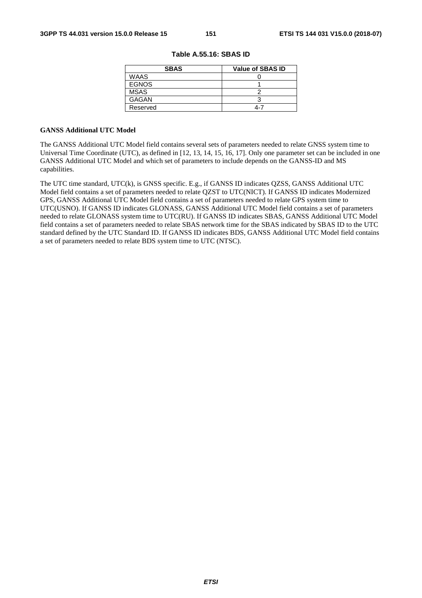| <b>SBAS</b>  | <b>Value of SBAS ID</b> |
|--------------|-------------------------|
| <b>WAAS</b>  |                         |
| <b>EGNOS</b> |                         |
| <b>MSAS</b>  |                         |
| <b>GAGAN</b> |                         |
| Reserved     | 4-7                     |

|  | Table A.55.16: SBAS ID |  |  |
|--|------------------------|--|--|
|--|------------------------|--|--|

#### **GANSS Additional UTC Model**

The GANSS Additional UTC Model field contains several sets of parameters needed to relate GNSS system time to Universal Time Coordinate (UTC), as defined in [12, 13, 14, 15, 16, 17]. Only one parameter set can be included in one GANSS Additional UTC Model and which set of parameters to include depends on the GANSS-ID and MS capabilities.

The UTC time standard, UTC(k), is GNSS specific. E.g., if GANSS ID indicates QZSS, GANSS Additional UTC Model field contains a set of parameters needed to relate QZST to UTC(NICT). If GANSS ID indicates Modernized GPS, GANSS Additional UTC Model field contains a set of parameters needed to relate GPS system time to UTC(USNO). If GANSS ID indicates GLONASS, GANSS Additional UTC Model field contains a set of parameters needed to relate GLONASS system time to UTC(RU). If GANSS ID indicates SBAS, GANSS Additional UTC Model field contains a set of parameters needed to relate SBAS network time for the SBAS indicated by SBAS ID to the UTC standard defined by the UTC Standard ID. If GANSS ID indicates BDS, GANSS Additional UTC Model field contains a set of parameters needed to relate BDS system time to UTC (NTSC).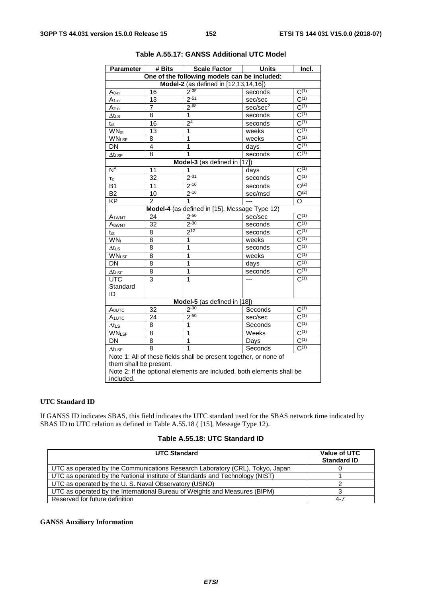| <b>Parameter</b>          | # Bits          | <b>Scale Factor</b>                                                   | <b>Units</b>         | Incl.                |  |
|---------------------------|-----------------|-----------------------------------------------------------------------|----------------------|----------------------|--|
|                           |                 | One of the following models can be included:                          |                      |                      |  |
|                           |                 | Model-2 (as defined in [12,13,14,16])                                 |                      |                      |  |
| $A_{0-n}$                 | 16              | $2 - 35$                                                              | seconds              | $C^{(1)}$            |  |
| $A_{1-n}$                 | 13              | $2 - 51$                                                              | sec/sec              | $C^{(1)}$            |  |
| $A_{2-n}$                 | $\overline{7}$  | $2 - 68$                                                              | sec/sec <sup>2</sup> | $C^{(1)}$            |  |
| $\Delta t$ LS             | 8               | $\overline{1}$                                                        | seconds              | $C^{(1)}$            |  |
| $t_{\rm ot}$              | 16              | 2 <sup>4</sup>                                                        | seconds              | $C^{(1)}$            |  |
| <b>WN</b> <sub>ot</sub>   | 13              | 1                                                                     | weeks                | $C^{(1)}$            |  |
| <b>WNLSF</b>              | 8               | 1                                                                     | weeks                | $C^{(1)}$            |  |
| <b>DN</b>                 | 4               | 1                                                                     | days                 | $C^{(1)}$            |  |
| $\Delta t_{\textsf{LSF}}$ | 8               | 1                                                                     | seconds              | $\overline{C^{(1)}}$ |  |
|                           |                 | Model-3 (as defined in [17])                                          |                      |                      |  |
| $N^A$                     | 11              | 1                                                                     | days                 | $\overline{C^{(1)}}$ |  |
| $\tau_{\rm c}$            | 32              | $2 - 31$                                                              | seconds              | $C^{(1)}$            |  |
| <b>B1</b>                 | $\overline{11}$ | $2 - 10$                                                              | seconds              | O <sup>(2)</sup>     |  |
| B <sub>2</sub>            | 10              | $2 - 16$                                                              | sec/msd              | O <sup>(2)</sup>     |  |
| <b>KP</b>                 | $\overline{2}$  | $\overline{1}$                                                        | $\overline{a}$       | $\overline{O}$       |  |
|                           |                 | Model-4 (as defined in [15], Message Type 12)                         |                      |                      |  |
| <b>A1WNT</b>              | 24              | $2 - 50$                                                              | sec/sec              | $C^{(1)}$            |  |
| AOWNT                     | 32              | $2 - 30$                                                              | seconds              | $C^{(1)}$            |  |
| $t_{\rm ot}$              | 8               | $2^{12}$                                                              | seconds              | $C^{(1)}$            |  |
| WN <sub>t</sub>           | 8               | $\mathbf{1}$                                                          | weeks                | $C^{(1)}$            |  |
| $\Delta t_{LS}$           | 8               | 1                                                                     | seconds              | $C^{(1)}$            |  |
| <b>WNLSF</b>              | 8               | $\overline{1}$                                                        | weeks                | $C^{(1)}$            |  |
| <b>DN</b>                 | 8               | 1                                                                     | days                 | $C^{(1)}$            |  |
| $\Delta t$ LSF            | 8               | $\mathbf{1}$                                                          | seconds              | $C^{(1)}$            |  |
| <b>UTC</b>                | 3               | 1                                                                     |                      | $C^{(1)}$            |  |
| Standard                  |                 |                                                                       |                      |                      |  |
| ID                        |                 |                                                                       |                      |                      |  |
|                           |                 | Model-5 (as defined in [18])                                          |                      |                      |  |
| AOUTC                     | 32              | $2 - 30$                                                              | Seconds              | $\overline{C^{(1)}}$ |  |
| A <sub>1UTC</sub>         | 24              | $2 - 50$                                                              | sec/sec              | $C^{(1)}$            |  |
| $\Delta t$ <sub>LS</sub>  | 8               | $\mathbf{1}$                                                          | Seconds              | $C^{(1)}$            |  |
| <b>WNLSF</b>              | $\overline{8}$  | $\overline{1}$                                                        | Weeks                | $C^{(1)}$            |  |
| DN                        | 8               | $\overline{1}$                                                        | Days                 | $C^{(1)}$            |  |
| $\Delta t$ LSF            | 8               | 1                                                                     | Seconds              | $C^{(1)}$            |  |
|                           |                 | Note 1: All of these fields shall be present together, or none of     |                      |                      |  |
| them shall be present.    |                 |                                                                       |                      |                      |  |
|                           |                 | Note 2: If the optional elements are included, both elements shall be |                      |                      |  |
| included.                 |                 |                                                                       |                      |                      |  |

# **Table A.55.17: GANSS Additional UTC Model**

# **UTC Standard ID**

If GANSS ID indicates SBAS, this field indicates the UTC standard used for the SBAS network time indicated by SBAS ID to UTC relation as defined in Table A.55.18 ( [15], Message Type 12).

# **Table A.55.18: UTC Standard ID**

| <b>UTC Standard</b>                                                           | Value of UTC<br><b>Standard ID</b> |
|-------------------------------------------------------------------------------|------------------------------------|
| UTC as operated by the Communications Research Laboratory (CRL), Tokyo, Japan |                                    |
| UTC as operated by the National Institute of Standards and Technology (NIST)  |                                    |
| UTC as operated by the U.S. Naval Observatory (USNO)                          |                                    |
| UTC as operated by the International Bureau of Weights and Measures (BIPM)    |                                    |
| Reserved for future definition                                                | 4-7                                |

# **GANSS Auxiliary Information**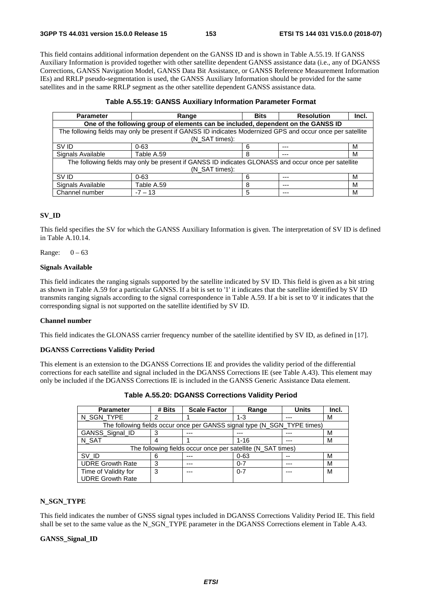This field contains additional information dependent on the GANSS ID and is shown in Table A.55.19. If GANSS Auxiliary Information is provided together with other satellite dependent GANSS assistance data (i.e., any of DGANSS Corrections, GANSS Navigation Model, GANSS Data Bit Assistance, or GANSS Reference Measurement Information IEs) and RRLP pseudo-segmentation is used, the GANSS Auxiliary Information should be provided for the same satellites and in the same RRLP segment as the other satellite dependent GANSS assistance data.

| <b>Parameter</b>  | Range                                                                                                      | <b>Bits</b> | <b>Resolution</b> | Incl. |  |  |  |  |
|-------------------|------------------------------------------------------------------------------------------------------------|-------------|-------------------|-------|--|--|--|--|
|                   | One of the following group of elements can be included, dependent on the GANSS ID                          |             |                   |       |  |  |  |  |
|                   | The following fields may only be present if GANSS ID indicates Modernized GPS and occur once per satellite |             |                   |       |  |  |  |  |
|                   | (N SAT times):                                                                                             |             |                   |       |  |  |  |  |
| SV ID             | $0 - 63$                                                                                                   | 6           | ---               | м     |  |  |  |  |
| Signals Available | Table A.59                                                                                                 | 8           | ---               | м     |  |  |  |  |
|                   | The following fields may only be present if GANSS ID indicates GLONASS and occur once per satellite        |             |                   |       |  |  |  |  |
|                   | (N SAT times):                                                                                             |             |                   |       |  |  |  |  |
| SV ID             | $0 - 63$                                                                                                   | 6           | ---               | м     |  |  |  |  |
| Signals Available | Table A.59                                                                                                 | 8           | ---               | М     |  |  |  |  |
| Channel number    | $-7 - 13$                                                                                                  | 5           | ---               | м     |  |  |  |  |

# **Table A.55.19: GANSS Auxiliary Information Parameter Format**

# **SV\_ID**

This field specifies the SV for which the GANSS Auxiliary Information is given. The interpretation of SV ID is defined in Table A.10.14.

Range:  $0 - 63$ 

# **Signals Available**

This field indicates the ranging signals supported by the satellite indicated by SV ID. This field is given as a bit string as shown in Table A.59 for a particular GANSS. If a bit is set to '1' it indicates that the satellite identified by SV ID transmits ranging signals according to the signal correspondence in Table A.59. If a bit is set to '0' it indicates that the corresponding signal is not supported on the satellite identified by SV ID.

# **Channel number**

This field indicates the GLONASS carrier frequency number of the satellite identified by SV ID, as defined in [17].

# **DGANSS Corrections Validity Period**

This element is an extension to the DGANSS Corrections IE and provides the validity period of the differential corrections for each satellite and signal included in the DGANSS Corrections IE (see Table A.43). This element may only be included if the DGANSS Corrections IE is included in the GANSS Generic Assistance Data element.

| <b>Parameter</b>        | # Bits | <b>Scale Factor</b>                                                      | Range    | <b>Units</b> | Incl. |
|-------------------------|--------|--------------------------------------------------------------------------|----------|--------------|-------|
| N_SGN_TYPE              | 2      |                                                                          | $1 - 3$  | ---          | М     |
|                         |        | The following fields occur once per GANSS signal type (N_SGN_TYPE times) |          |              |       |
| GANSS_Signal_ID         |        |                                                                          |          |              | М     |
| N SAT                   |        |                                                                          | $1 - 16$ | ---          | M     |
|                         |        | The following fields occur once per satellite (N_SAT times)              |          |              |       |
| SV ID                   | 6      |                                                                          | $0 - 63$ |              | М     |
| <b>UDRE Growth Rate</b> | 3      | ---                                                                      | $0 - 7$  | ---          | M     |
| Time of Validity for    | 3      | ---                                                                      | $0 - 7$  | ---          | М     |
| <b>UDRE Growth Rate</b> |        |                                                                          |          |              |       |

# **N\_SGN\_TYPE**

This field indicates the number of GNSS signal types included in DGANSS Corrections Validity Period IE. This field shall be set to the same value as the N\_SGN\_TYPE parameter in the DGANSS Corrections element in Table A.43.

#### **GANSS\_Signal\_ID**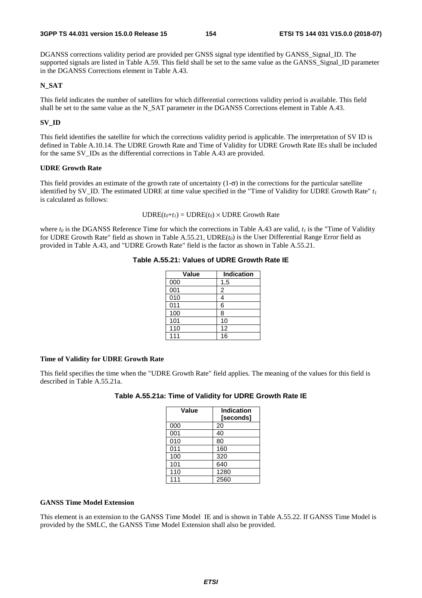DGANSS corrections validity period are provided per GNSS signal type identified by GANSS\_Signal\_ID. The supported signals are listed in Table A.59. This field shall be set to the same value as the GANSS\_Signal\_ID parameter in the DGANSS Corrections element in Table A.43.

# **N\_SAT**

This field indicates the number of satellites for which differential corrections validity period is available. This field shall be set to the same value as the N\_SAT parameter in the DGANSS Corrections element in Table A.43.

# **SV\_ID**

This field identifies the satellite for which the corrections validity period is applicable. The interpretation of SV ID is defined in Table A.10.14. The UDRE Growth Rate and Time of Validity for UDRE Growth Rate IEs shall be included for the same SV\_IDs as the differential corrections in Table A.43 are provided.

# **UDRE Growth Rate**

This field provides an estimate of the growth rate of uncertainty  $(1-\sigma)$  in the corrections for the particular satellite identified by SV<sub>\_</sub>ID. The estimated UDRE at time value specified in the "Time of Validity for UDRE Growth Rate"  $t_1$ is calculated as follows:

 $\text{UDRE}(t_0+t_1) = \text{UDRE}(t_0) \times \text{UDRE}$  Growth Rate

where  $t_0$  is the DGANSS Reference Time for which the corrections in Table A.43 are valid,  $t_1$  is the "Time of Validity" for UDRE Growth Rate" field as shown in Table A.55.21, UDRE(*t0*) is the User Differential Range Error field as provided in Table A.43, and "UDRE Growth Rate" field is the factor as shown in Table A.55.21.

# **Table A.55.21: Values of UDRE Growth Rate IE**

| <b>Value</b> | <b>Indication</b> |
|--------------|-------------------|
| 000          | 1,5               |
| 001          | 2                 |
| 010          | 4                 |
| 011          | 6                 |
| 100          | 8                 |
| 101          | 10                |
| 110          | 12                |
| 111          | 16                |

# **Time of Validity for UDRE Growth Rate**

This field specifies the time when the "UDRE Growth Rate" field applies. The meaning of the values for this field is described in Table A.55.21a.

| Table A.55.21a: Time of Validity for UDRE Growth Rate IE |  |
|----------------------------------------------------------|--|
|----------------------------------------------------------|--|

| Value | <b>Indication</b><br>[seconds] |
|-------|--------------------------------|
| 000   | 20                             |
| 001   | 40                             |
| 010   | 80                             |
| 011   | 160                            |
| 100   | 320                            |
| 101   | 640                            |
| 110   | 1280                           |
| 111   | 2560                           |

# **GANSS Time Model Extension**

This element is an extension to the GANSS Time Model IE and is shown in Table A.55.22. If GANSS Time Model is provided by the SMLC, the GANSS Time Model Extension shall also be provided.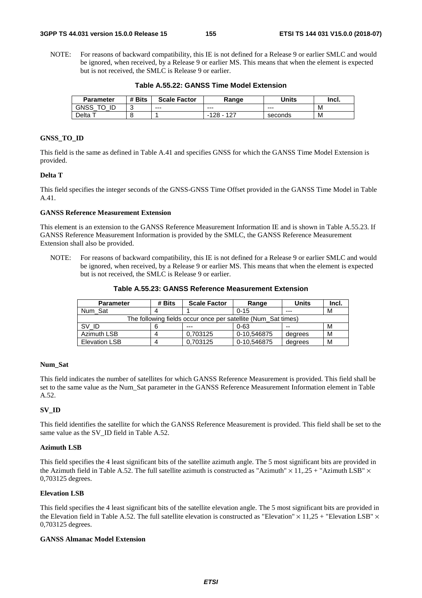NOTE: For reasons of backward compatibility, this IE is not defined for a Release 9 or earlier SMLC and would be ignored, when received, by a Release 9 or earlier MS. This means that when the element is expected but is not received, the SMLC is Release 9 or earlier.

| <b>Parameter</b>       | # Bits | <b>Scale Factor</b> | Range         | Units   | Incl. |
|------------------------|--------|---------------------|---------------|---------|-------|
| <b>GNSS</b><br>$T\cap$ | ື      | ---                 | $--$          | $- - -$ | м     |
| Delta                  |        |                     | $10 -$<br>28١ | seconds | M     |

**Table A.55.22: GANSS Time Model Extension** 

# **GNSS\_TO\_ID**

This field is the same as defined in Table A.41 and specifies GNSS for which the GANSS Time Model Extension is provided.

# **Delta T**

This field specifies the integer seconds of the GNSS-GNSS Time Offset provided in the GANSS Time Model in Table A.41.

# **GANSS Reference Measurement Extension**

This element is an extension to the GANSS Reference Measurement Information IE and is shown in Table A.55.23. If GANSS Reference Measurement Information is provided by the SMLC, the GANSS Reference Measurement Extension shall also be provided.

NOTE: For reasons of backward compatibility, this IE is not defined for a Release 9 or earlier SMLC and would be ignored, when received, by a Release 9 or earlier MS. This means that when the element is expected but is not received, the SMLC is Release 9 or earlier.

|  |  | Table A.55.23: GANSS Reference Measurement Extension |
|--|--|------------------------------------------------------|
|--|--|------------------------------------------------------|

| <b>Parameter</b>                                              | # Bits | <b>Scale Factor</b> | Range       | <b>Units</b> | Incl. |
|---------------------------------------------------------------|--------|---------------------|-------------|--------------|-------|
| Num Sat                                                       |        |                     | $0 - 15$    | $---$        | М     |
| The following fields occur once per satellite (Num Sat times) |        |                     |             |              |       |
| SV ID                                                         |        | $---$               | $0 - 63$    | $-$          | M     |
| Azimuth LSB                                                   |        | 0.703125            | 0-10,546875 | degrees      | M     |
| <b>Elevation LSB</b>                                          |        | 0.703125            | 0-10.546875 | degrees      | M     |

# **Num\_Sat**

This field indicates the number of satellites for which GANSS Reference Measurement is provided. This field shall be set to the same value as the Num\_Sat parameter in the GANSS Reference Measurement Information element in Table A.52.

# **SV\_ID**

This field identifies the satellite for which the GANSS Reference Measurement is provided. This field shall be set to the same value as the SV<sub>ID</sub> field in Table A.52.

# **Azimuth LSB**

This field specifies the 4 least significant bits of the satellite azimuth angle. The 5 most significant bits are provided in the Azimuth field in Table A.52. The full satellite azimuth is constructed as "Azimuth"  $\times$  11,.25 + "Azimuth LSB"  $\times$ 0,703125 degrees.

# **Elevation LSB**

This field specifies the 4 least significant bits of the satellite elevation angle. The 5 most significant bits are provided in the Elevation field in Table A.52. The full satellite elevation is constructed as "Elevation"  $\times$  11,25 + "Elevation LSB"  $\times$ 0,703125 degrees.

# **GANSS Almanac Model Extension**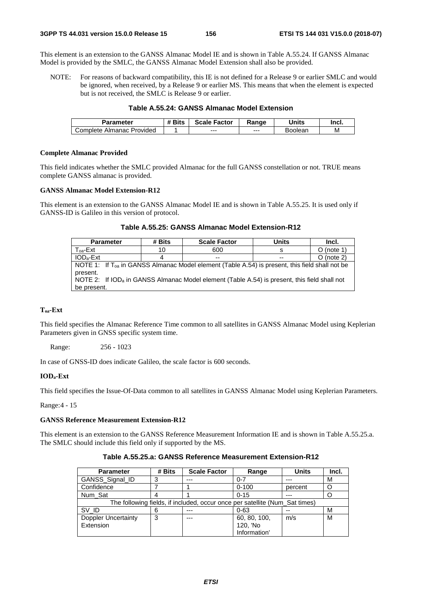This element is an extension to the GANSS Almanac Model IE and is shown in Table A.55.24. If GANSS Almanac Model is provided by the SMLC, the GANSS Almanac Model Extension shall also be provided.

NOTE: For reasons of backward compatibility, this IE is not defined for a Release 9 or earlier SMLC and would be ignored, when received, by a Release 9 or earlier MS. This means that when the element is expected but is not received, the SMLC is Release 9 or earlier.

# **Table A.55.24: GANSS Almanac Model Extension**

| Parameter                 | <b>4 Bits</b> | <b>Scale Factor</b> | Range | Units   | Inci. |
|---------------------------|---------------|---------------------|-------|---------|-------|
| Complete Almanac Provided |               | $--$                | $--$  | Boolean | M     |

# **Complete Almanac Provided**

This field indicates whether the SMLC provided Almanac for the full GANSS constellation or not. TRUE means complete GANSS almanac is provided.

# **GANSS Almanac Model Extension-R12**

This element is an extension to the GANSS Almanac Model IE and is shown in Table A.55.25. It is used only if GANSS-ID is Galileo in this version of protocol.

# **Table A.55.25: GANSS Almanac Model Extension-R12**

| <b>Parameter</b>                                                                                                | # Bits | <b>Scale Factor</b> | Units | Incl.        |  |  |
|-----------------------------------------------------------------------------------------------------------------|--------|---------------------|-------|--------------|--|--|
| $T_{oa}$ -Ext                                                                                                   | 10     | 600                 | s     | $O$ (note 1) |  |  |
| $IODa-Ext$                                                                                                      | 4      | $- -$               | $- -$ | $O$ (note 2) |  |  |
| NOTE 1: If $T_{oa}$ in GANSS Almanac Model element (Table A.54) is present, this field shall not be<br>present. |        |                     |       |              |  |  |
| NOTE 2: If IOD <sub>a</sub> in GANSS Almanac Model element (Table A.54) is present, this field shall not        |        |                     |       |              |  |  |
| be present.                                                                                                     |        |                     |       |              |  |  |

# **Toa-Ext**

This field specifies the Almanac Reference Time common to all satellites in GANSS Almanac Model using Keplerian Parameters given in GNSS specific system time.

Range: 256 - 1023

In case of GNSS-ID does indicate Galileo, the scale factor is 600 seconds.

# **IODa-Ext**

This field specifies the Issue-Of-Data common to all satellites in GANSS Almanac Model using Keplerian Parameters.

Range: 4 - 15

# **GANSS Reference Measurement Extension-R12**

This element is an extension to the GANSS Reference Measurement Information IE and is shown in Table A.55.25.a. The SMLC should include this field only if supported by the MS.

# **Table A.55.25.a: GANSS Reference Measurement Extension-R12**

| <b>Parameter</b>           | # Bits | <b>Scale Factor</b>                                                         | Range        | <b>Units</b> | Incl. |
|----------------------------|--------|-----------------------------------------------------------------------------|--------------|--------------|-------|
| GANSS_Signal_ID            |        |                                                                             | $0 - 7$      |              | М     |
| Confidence                 |        |                                                                             | $0 - 100$    | percent      |       |
| Num Sat                    |        |                                                                             | $0 - 15$     | ---          |       |
|                            |        | The following fields, if included, occur once per satellite (Num Sat times) |              |              |       |
| SV ID                      |        | $- - -$                                                                     | $0 - 63$     | --           | м     |
| <b>Doppler Uncertainty</b> | 3      | $- - -$                                                                     | 60, 80, 100, | m/s          | M     |
| Extension                  |        |                                                                             | 120, 'No     |              |       |
|                            |        |                                                                             | Information' |              |       |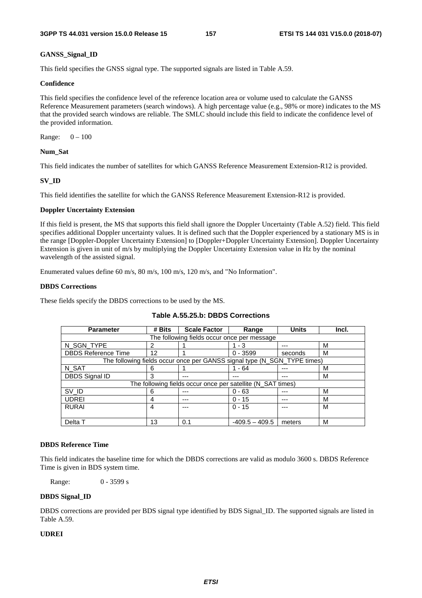# **GANSS\_Signal\_ID**

This field specifies the GNSS signal type. The supported signals are listed in Table A.59.

# **Confidence**

This field specifies the confidence level of the reference location area or volume used to calculate the GANSS Reference Measurement parameters (search windows). A high percentage value (e.g., 98% or more) indicates to the MS that the provided search windows are reliable. The SMLC should include this field to indicate the confidence level of the provided information.

Range: 0 – 100

# **Num\_Sat**

This field indicates the number of satellites for which GANSS Reference Measurement Extension-R12 is provided.

# **SV\_ID**

This field identifies the satellite for which the GANSS Reference Measurement Extension-R12 is provided.

# **Doppler Uncertainty Extension**

If this field is present, the MS that supports this field shall ignore the Doppler Uncertainty (Table A.52) field. This field specifies additional Doppler uncertainty values. It is defined such that the Doppler experienced by a stationary MS is in the range [Doppler-Doppler Uncertainty Extension] to [Doppler+Doppler Uncertainty Extension]. Doppler Uncertainty Extension is given in unit of m/s by multiplying the Doppler Uncertainty Extension value in Hz by the nominal wavelength of the assisted signal.

Enumerated values define 60 m/s, 80 m/s, 100 m/s, 120 m/s, and "No Information".

# **DBDS Corrections**

These fields specify the DBDS corrections to be used by the MS.

| <b>Parameter</b>           | # Bits | <b>Scale Factor</b>                                                      | Range            | Units   | Incl. |
|----------------------------|--------|--------------------------------------------------------------------------|------------------|---------|-------|
|                            |        |                                                                          |                  |         |       |
|                            |        | The following fields occur once per message                              |                  |         |       |
| N_SGN_TYPE                 | 2      |                                                                          | $1 - 3$          | $---$   | М     |
| <b>DBDS Reference Time</b> | 12     |                                                                          | $0 - 3599$       | seconds | М     |
|                            |        | The following fields occur once per GANSS signal type (N_SGN_TYPE times) |                  |         |       |
| N SAT                      | 6      |                                                                          | 1 - 64           |         | м     |
| <b>DBDS Signal ID</b>      | 3      | ---                                                                      |                  |         | М     |
|                            |        | The following fields occur once per satellite (N_SAT times)              |                  |         |       |
| SV_ID                      | 6      | ---                                                                      | $0 - 63$         |         | M     |
| <b>UDREI</b>               | 4      | ---                                                                      | $0 - 15$         | ---     | м     |
| <b>RURAI</b>               | 4      | ---                                                                      | $0 - 15$         |         | М     |
|                            |        |                                                                          |                  |         |       |
| Delta T                    | 13     | 0.1                                                                      | $-409.5 - 409.5$ | meters  | M     |

# **Table A.55.25.b: DBDS Corrections**

# **DBDS Reference Time**

This field indicates the baseline time for which the DBDS corrections are valid as modulo 3600 s. DBDS Reference Time is given in BDS system time.

Range: 0 - 3599 s

# **DBDS Signal\_ID**

DBDS corrections are provided per BDS signal type identified by BDS Signal\_ID. The supported signals are listed in Table A.59.

# **UDREI**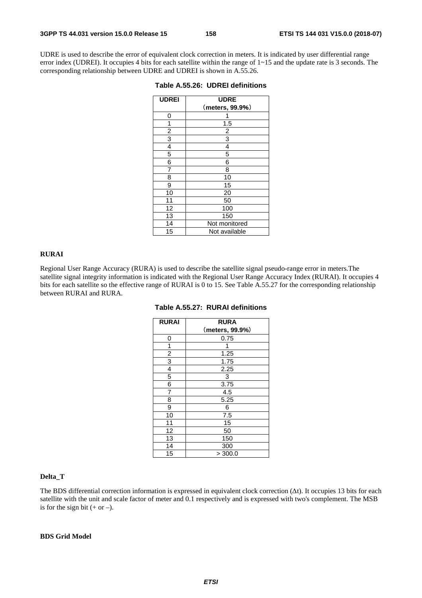UDRE is used to describe the error of equivalent clock correction in meters. It is indicated by user differential range error index (UDREI). It occupies 4 bits for each satellite within the range of  $1 \sim 15$  and the update rate is 3 seconds. The corresponding relationship between UDRE and UDREI is shown in A.55.26.

| <b>UDREI</b>            | <b>UDRE</b>             |  |  |  |
|-------------------------|-------------------------|--|--|--|
|                         | (meters, 99.9%)         |  |  |  |
| 0                       |                         |  |  |  |
| 1                       | 1.5                     |  |  |  |
| $\overline{\mathbf{c}}$ | $\overline{\mathbf{c}}$ |  |  |  |
| 3                       | 3                       |  |  |  |
| 4                       | 4                       |  |  |  |
| 5                       | 5                       |  |  |  |
| 6                       | 6                       |  |  |  |
| 7                       | 8                       |  |  |  |
| 8                       | 10                      |  |  |  |
| 9                       | 15                      |  |  |  |
| 10                      | 20                      |  |  |  |
| 11                      | 50                      |  |  |  |
| 12                      | 100                     |  |  |  |
| 13                      | 150                     |  |  |  |
| 14                      | Not monitored           |  |  |  |
| 15                      | Not available           |  |  |  |

| Table A.55.26: UDREI definitions |  |  |
|----------------------------------|--|--|
|----------------------------------|--|--|

# **RURAI**

Regional User Range Accuracy (RURA) is used to describe the satellite signal pseudo-range error in meters.The satellite signal integrity information is indicated with the Regional User Range Accuracy Index (RURAI). It occupies 4 bits for each satellite so the effective range of RURAI is 0 to 15. See Table A.55.27 for the corresponding relationship between RURAI and RURA.

| <b>RURAI</b>   | <b>RURA</b>     |
|----------------|-----------------|
|                | (meters, 99.9%) |
| 0              | 0.75            |
| 1              |                 |
| $\overline{2}$ | 1.25            |
| 3              | 1.75            |
| $\overline{4}$ | 2.25            |
| 5              | 3               |
| 6              | 3.75            |
| 7              | 4.5             |
| 8              | 5.25            |
| 9              | 6               |
| 10             | 7.5             |
| 11             | 15              |
| 12             | 50              |
| 13             | 150             |
| 14             | 300             |
| 15             | > 300.0         |

# **Table A.55.27: RURAI definitions**

#### **Delta\_T**

The BDS differential correction information is expressed in equivalent clock correction (Δt). It occupies 13 bits for each satellite with the unit and scale factor of meter and 0.1 respectively and is expressed with two's complement. The MSB is for the sign bit  $(+ or -)$ .

#### **BDS Grid Model**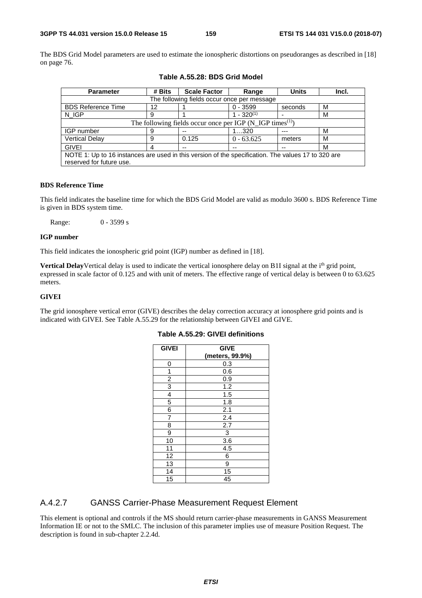The BDS Grid Model parameters are used to estimate the ionospheric distortions on pseudoranges as described in [18] on page 76.

| <b>Parameter</b>                                                                                   | # Bits                                                                          | <b>Scale Factor</b> | Range           | <b>Units</b> | Incl. |  |  |
|----------------------------------------------------------------------------------------------------|---------------------------------------------------------------------------------|---------------------|-----------------|--------------|-------|--|--|
|                                                                                                    | The following fields occur once per message                                     |                     |                 |              |       |  |  |
| <b>BDS Reference Time</b>                                                                          | 12                                                                              |                     | $0 - 3599$      | seconds      | м     |  |  |
| N IGP                                                                                              | 9                                                                               |                     | $1 - 320^{(1)}$ |              | м     |  |  |
|                                                                                                    | The following fields occur once per IGP $(N_{\text{I}}IGP \text{ times}^{(1)})$ |                     |                 |              |       |  |  |
| IGP number                                                                                         | 9                                                                               | $- -$               | 1320            |              | м     |  |  |
| <b>Vertical Delay</b>                                                                              | 9                                                                               | 0.125               | $0 - 63.625$    | meters       | М     |  |  |
| <b>GIVEI</b>                                                                                       | 4                                                                               | $- -$               | $-$             | $-$          | М     |  |  |
| NOTE 1: Up to 16 instances are used in this version of the specification. The values 17 to 320 are |                                                                                 |                     |                 |              |       |  |  |
| reserved for future use.                                                                           |                                                                                 |                     |                 |              |       |  |  |

**Table A.55.28: BDS Grid Model** 

# **BDS Reference Time**

This field indicates the baseline time for which the BDS Grid Model are valid as modulo 3600 s. BDS Reference Time is given in BDS system time.

Range: 0 - 3599 s

# **IGP number**

This field indicates the ionospheric grid point (IGP) number as defined in [18].

Vertical DelayVertical delay is used to indicate the vertical ionosphere delay on B1I signal at the i<sup>th</sup> grid point, expressed in scale factor of 0.125 and with unit of meters. The effective range of vertical delay is between 0 to 63.625 meters.

#### **GIVEI**

The grid ionosphere vertical error (GIVE) describes the delay correction accuracy at ionosphere grid points and is indicated with GIVEI. See Table A.55.29 for the relationship between GIVEI and GIVE.

| <b>GIVEI</b>   | <b>GIVE</b>     |
|----------------|-----------------|
|                | (meters, 99.9%) |
| 0              | 0.3             |
| 1              | 0.6             |
| $\overline{2}$ | 0.9             |
| $\overline{3}$ | 1.2             |
| 4              | 1.5             |
| 5              | 1.8             |
| 6              | 2.1             |
| 7              | 2.4             |
| 8              | 2.7             |
| 9              | 3               |
| 10             | 3.6             |
| 11             | 4.5             |
| 12             | 6               |
| 13             | 9               |
| 14             | 15              |
| 15             | 45              |

# **Table A.55.29: GIVEI definitions**

# A.4.2.7 GANSS Carrier-Phase Measurement Request Element

This element is optional and controls if the MS should return carrier-phase measurements in GANSS Measurement Information IE or not to the SMLC. The inclusion of this parameter implies use of measure Position Request. The description is found in sub-chapter 2.2.4d.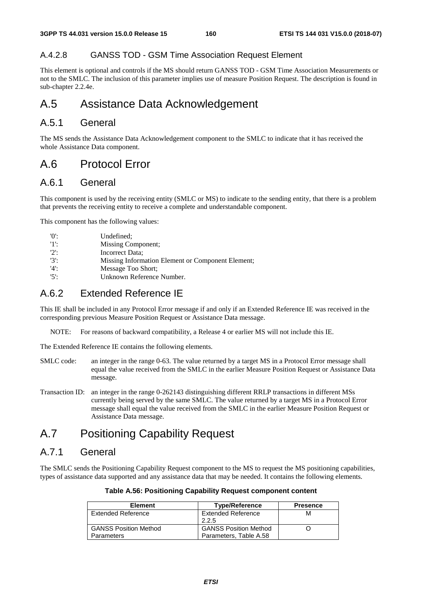# A.4.2.8 GANSS TOD - GSM Time Association Request Element

This element is optional and controls if the MS should return GANSS TOD - GSM Time Association Measurements or not to the SMLC. The inclusion of this parameter implies use of measure Position Request. The description is found in sub-chapter 2.2.4e.

# A.5 Assistance Data Acknowledgement

# A.5.1 General

The MS sends the Assistance Data Acknowledgement component to the SMLC to indicate that it has received the whole Assistance Data component.

# A.6 Protocol Error

# A.6.1 General

This component is used by the receiving entity (SMLC or MS) to indicate to the sending entity, that there is a problem that prevents the receiving entity to receive a complete and understandable component.

This component has the following values:

| $^{\prime}$ () <sup><math>\cdot</math></sup> | Undefined:                                        |
|----------------------------------------------|---------------------------------------------------|
| $'1$ ':                                      | Missing Component;                                |
| $'2$ :                                       | Incorrect Data:                                   |
| $'3'$ :                                      | Missing Information Element or Component Element; |
| $'4$ :                                       | Message Too Short:                                |
| $'5$ .                                       | Unknown Reference Number.                         |

# A.6.2 Extended Reference IE

This IE shall be included in any Protocol Error message if and only if an Extended Reference IE was received in the corresponding previous Measure Position Request or Assistance Data message.

NOTE: For reasons of backward compatibility, a Release 4 or earlier MS will not include this IE.

The Extended Reference IE contains the following elements.

- SMLC code: an integer in the range 0-63. The value returned by a target MS in a Protocol Error message shall equal the value received from the SMLC in the earlier Measure Position Request or Assistance Data message.
- Transaction ID: an integer in the range 0-262143 distinguishing different RRLP transactions in different MSs currently being served by the same SMLC. The value returned by a target MS in a Protocol Error message shall equal the value received from the SMLC in the earlier Measure Position Request or Assistance Data message.

# A.7 Positioning Capability Request

# A.7.1 General

The SMLC sends the Positioning Capability Request component to the MS to request the MS positioning capabilities, types of assistance data supported and any assistance data that may be needed. It contains the following elements.

| Table A.56: Positioning Capability Request component content |  |  |
|--------------------------------------------------------------|--|--|
|--------------------------------------------------------------|--|--|

| <b>Element</b>               | <b>Type/Reference</b>        | <b>Presence</b> |
|------------------------------|------------------------------|-----------------|
| Extended Reference           | <b>Extended Reference</b>    | м               |
|                              | 2.2.5                        |                 |
| <b>GANSS Position Method</b> | <b>GANSS Position Method</b> |                 |
| <b>Parameters</b>            | Parameters, Table A.58       |                 |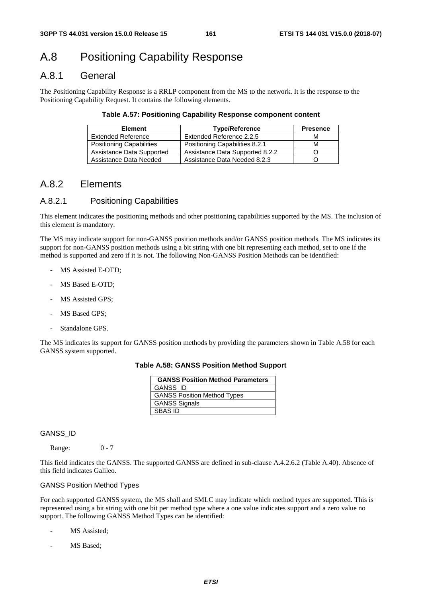# A.8 Positioning Capability Response

# A.8.1 General

The Positioning Capability Response is a RRLP component from the MS to the network. It is the response to the Positioning Capability Request. It contains the following elements.

# **Table A.57: Positioning Capability Response component content**

| <b>Element</b>                  | <b>Type/Reference</b>           | <b>Presence</b> |
|---------------------------------|---------------------------------|-----------------|
| Extended Reference              | Extended Reference 2.2.5        | М               |
| <b>Positioning Capabilities</b> | Positioning Capabilities 8.2.1  | М               |
| Assistance Data Supported       | Assistance Data Supported 8.2.2 |                 |
| Assistance Data Needed          | Assistance Data Needed 8.2.3    |                 |

# A.8.2 Elements

# A.8.2.1 Positioning Capabilities

This element indicates the positioning methods and other positioning capabilities supported by the MS. The inclusion of this element is mandatory.

The MS may indicate support for non-GANSS position methods and/or GANSS position methods. The MS indicates its support for non-GANSS position methods using a bit string with one bit representing each method, set to one if the method is supported and zero if it is not. The following Non-GANSS Position Methods can be identified:

- MS Assisted E-OTD;
- MS Based E-OTD;
- MS Assisted GPS;
- MS Based GPS;
- Standalone GPS.

The MS indicates its support for GANSS position methods by providing the parameters shown in Table A.58 for each GANSS system supported.

# **Table A.58: GANSS Position Method Support**

| <b>GANSS Position Method Parameters</b> |
|-----------------------------------------|
| <b>GANSS ID</b>                         |
| <b>GANSS Position Method Types</b>      |
| <b>GANSS Signals</b>                    |
| <b>SBAS ID</b>                          |

# GANSS\_ID

Range: 0 - 7

This field indicates the GANSS. The supported GANSS are defined in sub-clause A.4.2.6.2 (Table A.40). Absence of this field indicates Galileo.

# GANSS Position Method Types

For each supported GANSS system, the MS shall and SMLC may indicate which method types are supported. This is represented using a bit string with one bit per method type where a one value indicates support and a zero value no support. The following GANSS Method Types can be identified:

- MS Assisted:
- MS Based;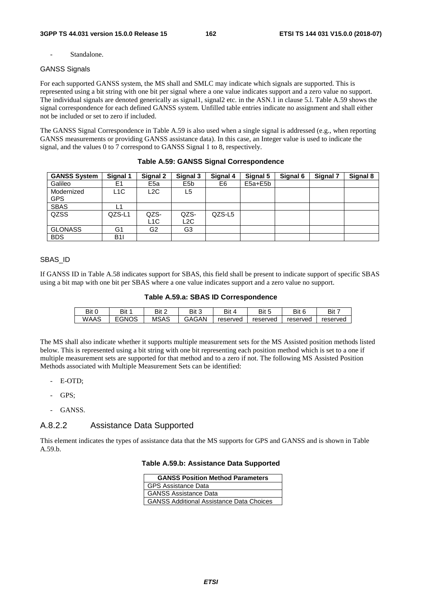Standalone.

# GANSS Signals

For each supported GANSS system, the MS shall and SMLC may indicate which signals are supported. This is represented using a bit string with one bit per signal where a one value indicates support and a zero value no support. The individual signals are denoted generically as signal1, signal2 etc. in the ASN.1 in clause 5.l. Table A.59 shows the signal correspondence for each defined GANSS system. Unfilled table entries indicate no assignment and shall either not be included or set to zero if included.

The GANSS Signal Correspondence in Table A.59 is also used when a single signal is addressed (e.g., when reporting GANSS measurements or providing GANSS assistance data). In this case, an Integer value is used to indicate the signal, and the values 0 to 7 correspond to GANSS Signal 1 to 8, respectively.

| <b>GANSS System</b> | Signal 1       | Signal 2        | Signal 3         | Signal 4 | Signal 5    | Signal 6 | Signal 7 | Signal 8 |
|---------------------|----------------|-----------------|------------------|----------|-------------|----------|----------|----------|
| Galileo             | E1             | E <sub>5a</sub> | E <sub>5</sub> b | E6       | $E5a + E5b$ |          |          |          |
| Modernized          | L1C            | L2C             | L5               |          |             |          |          |          |
| <b>GPS</b>          |                |                 |                  |          |             |          |          |          |
| <b>SBAS</b>         | ∟1             |                 |                  |          |             |          |          |          |
| QZSS                | QZS-L1         | QZS-            | QZS-             | QZS-L5   |             |          |          |          |
|                     |                | L1C             | L2C              |          |             |          |          |          |
| <b>GLONASS</b>      | G <sub>1</sub> | G <sub>2</sub>  | G3               |          |             |          |          |          |
| <b>BDS</b>          | B11            |                 |                  |          |             |          |          |          |

# **Table A.59: GANSS Signal Correspondence**

# SBAS\_ID

If GANSS ID in Table A.58 indicates support for SBAS, this field shall be present to indicate support of specific SBAS using a bit map with one bit per SBAS where a one value indicates support and a zero value no support.

| Table A.59.a: SBAS ID Correspondence |  |  |  |
|--------------------------------------|--|--|--|
|--------------------------------------|--|--|--|

| Bit 0 | Bit 1        | Bit 2       | Bit 3 | Bit ∕    | Bit 5    | Bit 6    | Bit 7    |
|-------|--------------|-------------|-------|----------|----------|----------|----------|
| WAAS  | <b>EGNOS</b> | <b>MSAS</b> | GAGAN | reserved | reserved | reserved | reserved |

The MS shall also indicate whether it supports multiple measurement sets for the MS Assisted position methods listed below. This is represented using a bit string with one bit representing each position method which is set to a one if multiple measurement sets are supported for that method and to a zero if not. The following MS Assisted Position Methods associated with Multiple Measurement Sets can be identified:

- E-OTD:
- GPS:
- GANSS.

# A.8.2.2 Assistance Data Supported

This element indicates the types of assistance data that the MS supports for GPS and GANSS and is shown in Table A.59.b.

# **Table A.59.b: Assistance Data Supported**

| <b>GANSS Position Method Parameters</b>         |
|-------------------------------------------------|
| <b>GPS Assistance Data</b>                      |
| <b>GANSS Assistance Data</b>                    |
| <b>GANSS Additional Assistance Data Choices</b> |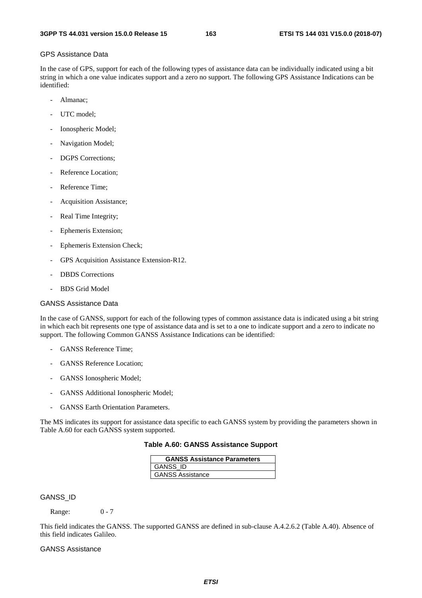#### GPS Assistance Data

In the case of GPS, support for each of the following types of assistance data can be individually indicated using a bit string in which a one value indicates support and a zero no support. The following GPS Assistance Indications can be identified:

- Almanac;
- UTC model:
- Ionospheric Model;
- Navigation Model;
- DGPS Corrections:
- Reference Location;
- Reference Time;
- Acquisition Assistance;
- Real Time Integrity;
- Ephemeris Extension;
- Ephemeris Extension Check:
- GPS Acquisition Assistance Extension-R12.
- DBDS Corrections
- BDS Grid Model

# GANSS Assistance Data

In the case of GANSS, support for each of the following types of common assistance data is indicated using a bit string in which each bit represents one type of assistance data and is set to a one to indicate support and a zero to indicate no support. The following Common GANSS Assistance Indications can be identified:

- GANSS Reference Time;
- GANSS Reference Location;
- GANSS Ionospheric Model;
- GANSS Additional Ionospheric Model;
- GANSS Earth Orientation Parameters.

The MS indicates its support for assistance data specific to each GANSS system by providing the parameters shown in Table A.60 for each GANSS system supported.

# **Table A.60: GANSS Assistance Support**

| <b>GANSS Assistance Parameters</b> |
|------------------------------------|
| GANSS ID                           |
| GANSS Assistance                   |

# GANSS\_ID

Range: 0 - 7

This field indicates the GANSS. The supported GANSS are defined in sub-clause A.4.2.6.2 (Table A.40). Absence of this field indicates Galileo.

# GANSS Assistance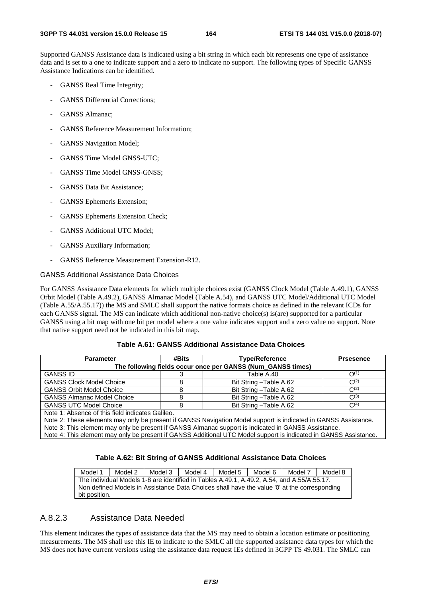Supported GANSS Assistance data is indicated using a bit string in which each bit represents one type of assistance data and is set to a one to indicate support and a zero to indicate no support. The following types of Specific GANSS Assistance Indications can be identified.

- GANSS Real Time Integrity;
- GANSS Differential Corrections:
- GANSS Almanac;
- GANSS Reference Measurement Information;
- GANSS Navigation Model;
- GANSS Time Model GNSS-UTC:
- GANSS Time Model GNSS-GNSS;
- GANSS Data Bit Assistance;
- GANSS Ephemeris Extension;
- GANSS Ephemeris Extension Check;
- GANSS Additional UTC Model;
- GANSS Auxiliary Information:
- GANSS Reference Measurement Extension-R12.

# GANSS Additional Assistance Data Choices

For GANSS Assistance Data elements for which multiple choices exist (GANSS Clock Model (Table A.49.1), GANSS Orbit Model (Table A.49.2), GANSS Almanac Model (Table A.54), and GANSS UTC Model/Additional UTC Model (Table A.55/A.55.17)) the MS and SMLC shall support the native formats choice as defined in the relevant ICDs for each GANSS signal. The MS can indicate which additional non-native choice(s) is(are) supported for a particular GANSS using a bit map with one bit per model where a one value indicates support and a zero value no support. Note that native support need not be indicated in this bit map.

# **Table A.61: GANSS Additional Assistance Data Choices**

| <b>Parameter</b>                                            | #Bits | <b>Type/Reference</b>   | <b>Prsesence</b> |  |
|-------------------------------------------------------------|-------|-------------------------|------------------|--|
| The following fields occur once per GANSS (Num_GANSS times) |       |                         |                  |  |
| <b>GANSS ID</b>                                             |       | Table A.40              | $O^{(1)}$        |  |
| <b>GANSS Clock Model Choice</b>                             |       | Bit String - Table A.62 | $C^{(2)}$        |  |
| <b>GANSS Orbit Model Choice</b>                             |       | Bit String - Table A.62 | $C^{(2)}$        |  |
| <b>GANSS Almanac Model Choice</b>                           |       | Bit String - Table A.62 | $C^{(3)}$        |  |
| <b>GANSS UTC Model Choice</b>                               |       | Bit String - Table A.62 | $C^{(4)}$        |  |
| Note 1: Abconce of this field indicates Calilee             |       |                         |                  |  |

Absence of this field indicates Galileo.

Note 2: These elements may only be present if GANSS Navigation Model support is indicated in GANSS Assistance.

Note 3: This element may only be present if GANSS Almanac support is indicated in GANSS Assistance.

Note 4: This element may only be present if GANSS Additional UTC Model support is indicated in GANSS Assistance.

# **Table A.62: Bit String of GANSS Additional Assistance Data Choices**

Model 2 | Model 3 | Model 4 | Model 5 | Model 6 | Model 7 | Model 8 The individual Models 1-8 are identified in Tables A.49.1, A.49.2, A.54, and A.55/A.55.17. Non defined Models in Assistance Data Choices shall have the value '0' at the corresponding bit position.

# A.8.2.3 Assistance Data Needed

This element indicates the types of assistance data that the MS may need to obtain a location estimate or positioning measurements. The MS shall use this IE to indicate to the SMLC all the supported assistance data types for which the MS does not have current versions using the assistance data request IEs defined in 3GPP TS 49.031. The SMLC can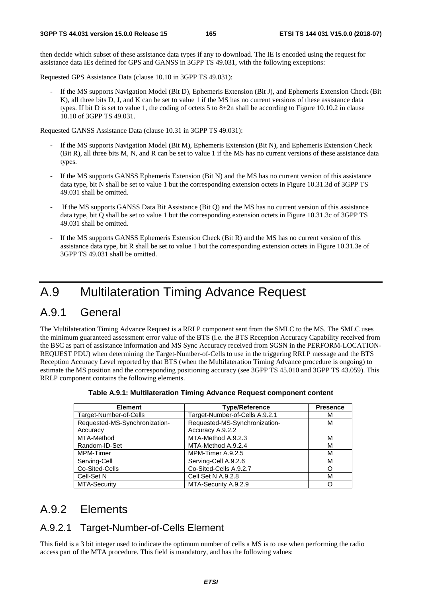then decide which subset of these assistance data types if any to download. The IE is encoded using the request for assistance data IEs defined for GPS and GANSS in 3GPP TS 49.031, with the following exceptions:

Requested GPS Assistance Data (clause 10.10 in 3GPP TS 49.031):

If the MS supports Navigation Model (Bit D), Ephemeris Extension (Bit J), and Ephemeris Extension Check (Bit K), all three bits D, J, and K can be set to value 1 if the MS has no current versions of these assistance data types. If bit D is set to value 1, the coding of octets 5 to 8+2n shall be according to Figure 10.10.2 in clause 10.10 of 3GPP TS 49.031.

Requested GANSS Assistance Data (clause 10.31 in 3GPP TS 49.031):

- If the MS supports Navigation Model (Bit M), Ephemeris Extension (Bit N), and Ephemeris Extension Check (Bit R), all three bits M, N, and R can be set to value 1 if the MS has no current versions of these assistance data types.
- If the MS supports GANSS Ephemeris Extension (Bit N) and the MS has no current version of this assistance data type, bit N shall be set to value 1 but the corresponding extension octets in Figure 10.31.3d of 3GPP TS 49.031 shall be omitted.
- If the MS supports GANSS Data Bit Assistance (Bit Q) and the MS has no current version of this assistance data type, bit Q shall be set to value 1 but the corresponding extension octets in Figure 10.31.3c of 3GPP TS 49.031 shall be omitted.
- If the MS supports GANSS Ephemeris Extension Check (Bit R) and the MS has no current version of this assistance data type, bit R shall be set to value 1 but the corresponding extension octets in Figure 10.31.3e of 3GPP TS 49.031 shall be omitted.

# A.9 Multilateration Timing Advance Request

# A.9.1 General

The Multilateration Timing Advance Request is a RRLP component sent from the SMLC to the MS. The SMLC uses the minimum guaranteed assessment error value of the BTS (i.e. the BTS Reception Accuracy Capability received from the BSC as part of assistance information and MS Sync Accuracy received from SGSN in the PERFORM-LOCATION-REQUEST PDU) when determining the Target-Number-of-Cells to use in the triggering RRLP message and the BTS Reception Accuracy Level reported by that BTS (when the Multilateration Timing Advance procedure is ongoing) to estimate the MS position and the corresponding positioning accuracy (see 3GPP TS 45.010 and 3GPP TS 43.059). This RRLP component contains the following elements.

| <b>Element</b>                | <b>Type/Reference</b>          | <b>Presence</b> |
|-------------------------------|--------------------------------|-----------------|
| Target-Number-of-Cells        | Target-Number-of-Cells A.9.2.1 | М               |
| Requested-MS-Synchronization- | Requested-MS-Synchronization-  | М               |
| Accuracy                      | Accuracy A.9.2.2               |                 |
| MTA-Method                    | MTA-Method A.9.2.3             | M               |
| Random-ID-Set                 | MTA-Method A.9.2.4             | М               |
| <b>MPM-Timer</b>              | MPM-Timer A.9.2.5              | м               |
| Serving-Cell                  | Serving-Cell A.9.2.6           | М               |
| Co-Sited-Cells                | Co-Sited-Cells A.9.2.7         | O               |
| Cell-Set N                    | Cell Set N A.9.2.8             | M               |
| MTA-Security                  | MTA-Security A.9.2.9           | O               |

**Table A.9.1: Multilateration Timing Advance Request component content** 

# A.9.2 Elements

# A.9.2.1 Target-Number-of-Cells Element

This field is a 3 bit integer used to indicate the optimum number of cells a MS is to use when performing the radio access part of the MTA procedure. This field is mandatory, and has the following values: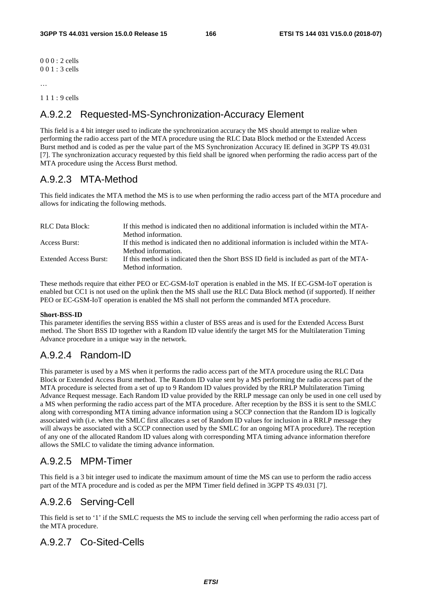0 0 0 : 2 cells 0 0 1 : 3 cells

1 1 1 : 9 cells

# A.9.2.2 Requested-MS-Synchronization-Accuracy Element

This field is a 4 bit integer used to indicate the synchronization accuracy the MS should attempt to realize when performing the radio access part of the MTA procedure using the RLC Data Block method or the Extended Access Burst method and is coded as per the value part of the MS Synchronization Accuracy IE defined in 3GPP TS 49.031 [7]. The synchronization accuracy requested by this field shall be ignored when performing the radio access part of the MTA procedure using the Access Burst method.

# A.9.2.3 MTA-Method

This field indicates the MTA method the MS is to use when performing the radio access part of the MTA procedure and allows for indicating the following methods.

| <b>RLC Data Block:</b> | If this method is indicated then no additional information is included within the MTA-  |
|------------------------|-----------------------------------------------------------------------------------------|
|                        | Method information.                                                                     |
| Access Burst:          | If this method is indicated then no additional information is included within the MTA-  |
|                        | Method information.                                                                     |
| Extended Access Burst: | If this method is indicated then the Short BSS ID field is included as part of the MTA- |
|                        | Method information.                                                                     |

These methods require that either PEO or EC-GSM-IoT operation is enabled in the MS. If EC-GSM-IoT operation is enabled but CC1 is not used on the uplink then the MS shall use the RLC Data Block method (if supported). If neither PEO or EC-GSM-IoT operation is enabled the MS shall not perform the commanded MTA procedure.

# **Short-BSS-ID**

This parameter identifies the serving BSS within a cluster of BSS areas and is used for the Extended Access Burst method. The Short BSS ID together with a Random ID value identify the target MS for the Multilateration Timing Advance procedure in a unique way in the network.

# A.9.2.4 Random-ID

This parameter is used by a MS when it performs the radio access part of the MTA procedure using the RLC Data Block or Extended Access Burst method. The Random ID value sent by a MS performing the radio access part of the MTA procedure is selected from a set of up to 9 Random ID values provided by the RRLP Multilateration Timing Advance Request message. Each Random ID value provided by the RRLP message can only be used in one cell used by a MS when performing the radio access part of the MTA procedure. After reception by the BSS it is sent to the SMLC along with corresponding MTA timing advance information using a SCCP connection that the Random ID is logically associated with (i.e. when the SMLC first allocates a set of Random ID values for inclusion in a RRLP message they will always be associated with a SCCP connection used by the SMLC for an ongoing MTA procedure). The reception of any one of the allocated Random ID values along with corresponding MTA timing advance information therefore allows the SMLC to validate the timing advance information.

# A.9.2.5 MPM-Timer

This field is a 3 bit integer used to indicate the maximum amount of time the MS can use to perform the radio access part of the MTA procedure and is coded as per the MPM Timer field defined in 3GPP TS 49.031 [7].

# A.9.2.6 Serving-Cell

This field is set to '1' if the SMLC requests the MS to include the serving cell when performing the radio access part of the MTA procedure.

# A.9.2.7 Co-Sited-Cells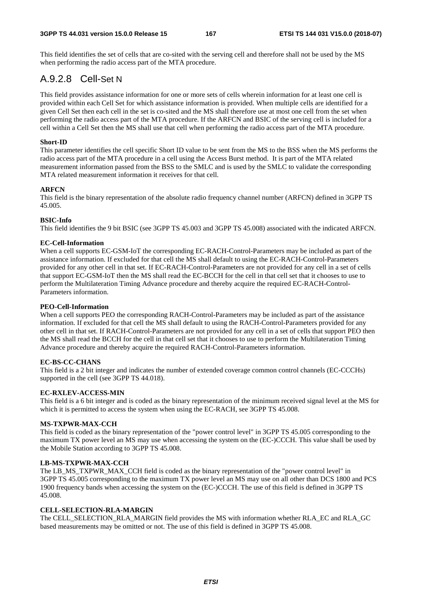This field identifies the set of cells that are co-sited with the serving cell and therefore shall not be used by the MS when performing the radio access part of the MTA procedure.

# A.9.2.8 Cell-Set N

This field provides assistance information for one or more sets of cells wherein information for at least one cell is provided within each Cell Set for which assistance information is provided. When multiple cells are identified for a given Cell Set then each cell in the set is co-sited and the MS shall therefore use at most one cell from the set when performing the radio access part of the MTA procedure. If the ARFCN and BSIC of the serving cell is included for a cell within a Cell Set then the MS shall use that cell when performing the radio access part of the MTA procedure.

# **Short-ID**

This parameter identifies the cell specific Short ID value to be sent from the MS to the BSS when the MS performs the radio access part of the MTA procedure in a cell using the Access Burst method. It is part of the MTA related measurement information passed from the BSS to the SMLC and is used by the SMLC to validate the corresponding MTA related measurement information it receives for that cell.

# **ARFCN**

This field is the binary representation of the absolute radio frequency channel number (ARFCN) defined in 3GPP TS 45.005.

# **BSIC-Info**

This field identifies the 9 bit BSIC (see 3GPP TS 45.003 and 3GPP TS 45.008) associated with the indicated ARFCN.

# **EC-Cell-Information**

When a cell supports EC-GSM-IoT the corresponding EC-RACH-Control-Parameters may be included as part of the assistance information. If excluded for that cell the MS shall default to using the EC-RACH-Control-Parameters provided for any other cell in that set. If EC-RACH-Control-Parameters are not provided for any cell in a set of cells that support EC-GSM-IoT then the MS shall read the EC-BCCH for the cell in that cell set that it chooses to use to perform the Multilateration Timing Advance procedure and thereby acquire the required EC-RACH-Control-Parameters information.

# **PEO-Cell-Information**

When a cell supports PEO the corresponding RACH-Control-Parameters may be included as part of the assistance information. If excluded for that cell the MS shall default to using the RACH-Control-Parameters provided for any other cell in that set. If RACH-Control-Parameters are not provided for any cell in a set of cells that support PEO then the MS shall read the BCCH for the cell in that cell set that it chooses to use to perform the Multilateration Timing Advance procedure and thereby acquire the required RACH-Control-Parameters information.

# **EC-BS-CC-CHANS**

This field is a 2 bit integer and indicates the number of extended coverage common control channels (EC-CCCHs) supported in the cell (see 3GPP TS 44.018).

# **EC-RXLEV-ACCESS-MIN**

This field is a 6 bit integer and is coded as the binary representation of the minimum received signal level at the MS for which it is permitted to access the system when using the EC-RACH, see 3GPP TS 45.008.

# **MS-TXPWR-MAX-CCH**

This field is coded as the binary representation of the "power control level" in 3GPP TS 45.005 corresponding to the maximum TX power level an MS may use when accessing the system on the (EC-)CCCH. This value shall be used by the Mobile Station according to 3GPP TS 45.008.

# **LB-MS-TXPWR-MAX-CCH**

The LB\_MS\_TXPWR\_MAX\_CCH field is coded as the binary representation of the "power control level" in 3GPP TS 45.005 corresponding to the maximum TX power level an MS may use on all other than DCS 1800 and PCS 1900 frequency bands when accessing the system on the (EC-)CCCH. The use of this field is defined in 3GPP TS 45.008.

# **CELL-SELECTION-RLA-MARGIN**

The CELL\_SELECTION\_RLA\_MARGIN field provides the MS with information whether RLA\_EC and RLA\_GC based measurements may be omitted or not. The use of this field is defined in 3GPP TS 45.008.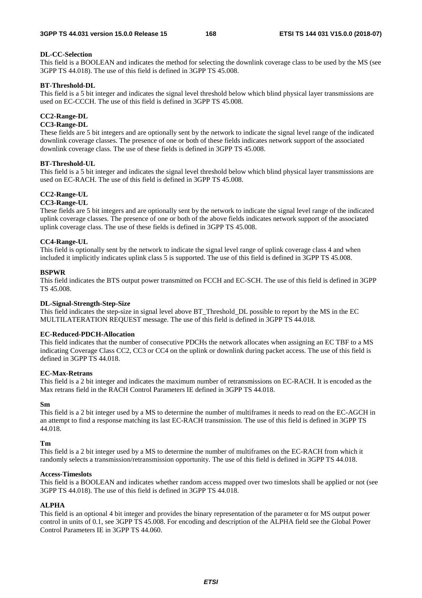# **DL-CC-Selection**

This field is a BOOLEAN and indicates the method for selecting the downlink coverage class to be used by the MS (see 3GPP TS 44.018). The use of this field is defined in 3GPP TS 45.008.

# **BT-Threshold-DL**

This field is a 5 bit integer and indicates the signal level threshold below which blind physical layer transmissions are used on EC-CCCH. The use of this field is defined in 3GPP TS 45.008.

# **CC2-Range-DL**

# **CC3-Range-DL**

These fields are 5 bit integers and are optionally sent by the network to indicate the signal level range of the indicated downlink coverage classes. The presence of one or both of these fields indicates network support of the associated downlink coverage class. The use of these fields is defined in 3GPP TS 45.008.

# **BT-Threshold-UL**

This field is a 5 bit integer and indicates the signal level threshold below which blind physical layer transmissions are used on EC-RACH. The use of this field is defined in 3GPP TS 45.008.

# **CC2-Range-UL**

# **CC3-Range-UL**

These fields are 5 bit integers and are optionally sent by the network to indicate the signal level range of the indicated uplink coverage classes. The presence of one or both of the above fields indicates network support of the associated uplink coverage class. The use of these fields is defined in 3GPP TS 45.008.

# **CC4-Range-UL**

This field is optionally sent by the network to indicate the signal level range of uplink coverage class 4 and when included it implicitly indicates uplink class 5 is supported. The use of this field is defined in 3GPP TS 45.008.

# **BSPWR**

This field indicates the BTS output power transmitted on FCCH and EC-SCH. The use of this field is defined in 3GPP TS 45.008.

# **DL-Signal-Strength-Step-Size**

This field indicates the step-size in signal level above BT\_Threshold\_DL possible to report by the MS in the EC MULTILATERATION REQUEST message. The use of this field is defined in 3GPP TS 44.018.

# **EC-Reduced-PDCH-Allocation**

This field indicates that the number of consecutive PDCHs the network allocates when assigning an EC TBF to a MS indicating Coverage Class CC2, CC3 or CC4 on the uplink or downlink during packet access. The use of this field is defined in 3GPP TS 44.018.

# **EC-Max-Retrans**

This field is a 2 bit integer and indicates the maximum number of retransmissions on EC-RACH. It is encoded as the Max retrans field in the RACH Control Parameters IE defined in 3GPP TS 44.018.

# **Sm**

This field is a 2 bit integer used by a MS to determine the number of multiframes it needs to read on the EC-AGCH in an attempt to find a response matching its last EC-RACH transmission. The use of this field is defined in 3GPP TS 44.018.

# **Tm**

This field is a 2 bit integer used by a MS to determine the number of multiframes on the EC-RACH from which it randomly selects a transmission/retransmission opportunity. The use of this field is defined in 3GPP TS 44.018.

# **Access-Timeslots**

This field is a BOOLEAN and indicates whether random access mapped over two timeslots shall be applied or not (see 3GPP TS 44.018). The use of this field is defined in 3GPP TS 44.018.

# **ALPHA**

This field is an optional 4 bit integer and provides the binary representation of the parameter  $\alpha$  for MS output power control in units of 0.1, see 3GPP TS 45.008. For encoding and description of the ALPHA field see the Global Power Control Parameters IE in 3GPP TS 44.060.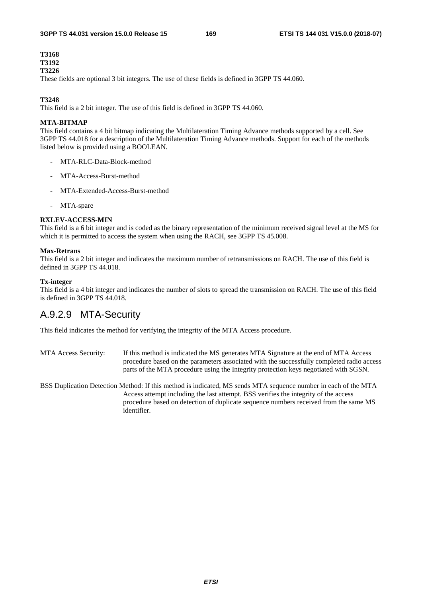#### **T3168 T3192**

# **T3226**

These fields are optional 3 bit integers. The use of these fields is defined in 3GPP TS 44.060.

# **T3248**

This field is a 2 bit integer. The use of this field is defined in 3GPP TS 44.060.

# **MTA-BITMAP**

This field contains a 4 bit bitmap indicating the Multilateration Timing Advance methods supported by a cell. See 3GPP TS 44.018 for a description of the Multilateration Timing Advance methods. Support for each of the methods listed below is provided using a BOOLEAN.

- MTA-RLC-Data-Block-method
- MTA-Access-Burst-method
- MTA-Extended-Access-Burst-method
- MTA-spare

# **RXLEV-ACCESS-MIN**

This field is a 6 bit integer and is coded as the binary representation of the minimum received signal level at the MS for which it is permitted to access the system when using the RACH, see 3GPP TS 45.008.

# **Max-Retrans**

This field is a 2 bit integer and indicates the maximum number of retransmissions on RACH. The use of this field is defined in 3GPP TS 44.018.

# **Tx-integer**

This field is a 4 bit integer and indicates the number of slots to spread the transmission on RACH. The use of this field is defined in 3GPP TS 44.018.

# A.9.2.9 MTA-Security

This field indicates the method for verifying the integrity of the MTA Access procedure.

MTA Access Security: If this method is indicated the MS generates MTA Signature at the end of MTA Access procedure based on the parameters associated with the successfully completed radio access parts of the MTA procedure using the Integrity protection keys negotiated with SGSN.

BSS Duplication Detection Method: If this method is indicated, MS sends MTA sequence number in each of the MTA Access attempt including the last attempt. BSS verifies the integrity of the access procedure based on detection of duplicate sequence numbers received from the same MS identifier.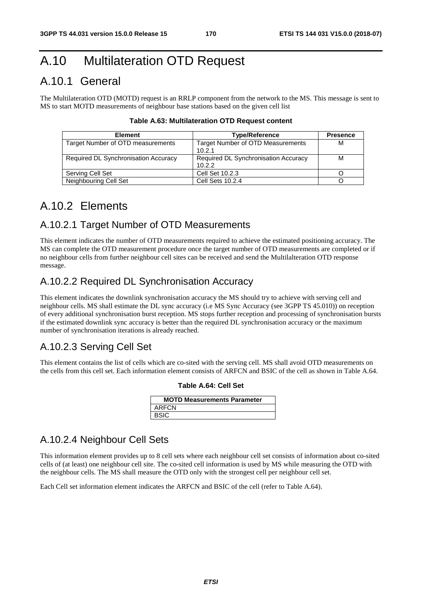# A.10 Multilateration OTD Request

# A.10.1 General

The Multilateration OTD (MOTD) request is an RRLP component from the network to the MS. This message is sent to MS to start MOTD measurements of neighbour base stations based on the given cell list

| Table A.63: Multilateration OTD Request content |  |
|-------------------------------------------------|--|
|-------------------------------------------------|--|

| <b>Element</b>                       | <b>Type/Reference</b>                    | <b>Presence</b> |
|--------------------------------------|------------------------------------------|-----------------|
| Target Number of OTD measurements    | <b>Target Number of OTD Measurements</b> | м               |
|                                      | 10.2.1                                   |                 |
| Required DL Synchronisation Accuracy | Required DL Synchronisation Accuracy     | м               |
|                                      | 10.2.2                                   |                 |
| Serving Cell Set                     | Cell Set 10.2.3                          |                 |
| Neighbouring Cell Set                | Cell Sets 10.2.4                         |                 |

# A.10.2 Elements

# A.10.2.1 Target Number of OTD Measurements

This element indicates the number of OTD measurements required to achieve the estimated positioning accuracy. The MS can complete the OTD measurement procedure once the target number of OTD measurements are completed or if no neighbour cells from further neighbour cell sites can be received and send the Multilalteration OTD response message.

# A.10.2.2 Required DL Synchronisation Accuracy

This element indicates the downlink synchronisation accuracy the MS should try to achieve with serving cell and neighbour cells. MS shall estimate the DL sync accuracy (i.e MS Sync Accuracy (see 3GPP TS 45.010)) on reception of every additional synchronisation burst reception. MS stops further reception and processing of synchronisation bursts if the estimated downlink sync accuracy is better than the required DL synchronisation accuracy or the maximum number of synchronisation iterations is already reached.

# A.10.2.3 Serving Cell Set

This element contains the list of cells which are co-sited with the serving cell. MS shall avoid OTD measurements on the cells from this cell set. Each information element consists of ARFCN and BSIC of the cell as shown in Table A.64.

**Table A.64: Cell Set** 

| <b>MOTD Measurements Parameter</b> |
|------------------------------------|
| <b>ARFCN</b>                       |
| <b>BSIC</b>                        |

# A.10.2.4 Neighbour Cell Sets

This information element provides up to 8 cell sets where each neighbour cell set consists of information about co-sited cells of (at least) one neighbour cell site. The co-sited cell information is used by MS while measuring the OTD with the neighbour cells. The MS shall measure the OTD only with the strongest cell per neighbour cell set.

Each Cell set information element indicates the ARFCN and BSIC of the cell (refer to Table A.64).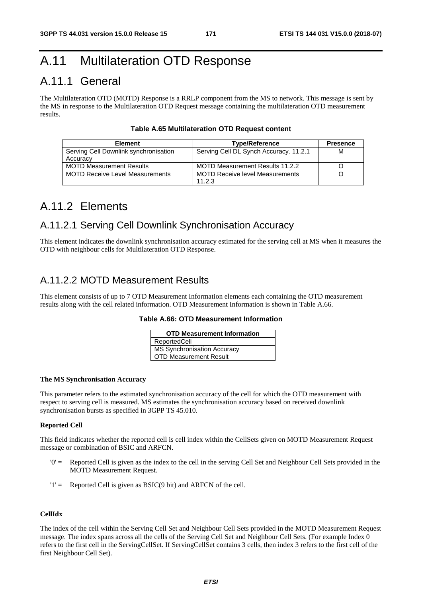# A.11 Multilateration OTD Response

# A.11.1 General

The Multilateration OTD (MOTD) Response is a RRLP component from the MS to network. This message is sent by the MS in response to the Multilateration OTD Request message containing the multilateration OTD measurement results.

|  | Table A.65 Multilateration OTD Request content |  |  |
|--|------------------------------------------------|--|--|
|--|------------------------------------------------|--|--|

| <b>Element</b>                         | <b>Type/Reference</b>                  | <b>Presence</b> |
|----------------------------------------|----------------------------------------|-----------------|
| Serving Cell Downlink synchronisation  | Serving Cell DL Synch Accuracy. 11.2.1 | М               |
| Accuracy                               |                                        |                 |
| <b>MOTD Measurement Results</b>        | <b>MOTD Measurement Results 11.2.2</b> |                 |
| <b>MOTD Receive Level Measurements</b> | <b>MOTD Receive level Measurements</b> |                 |
|                                        | 11.2.3                                 |                 |

# A.11.2 Elements

# A.11.2.1 Serving Cell Downlink Synchronisation Accuracy

This element indicates the downlink synchronisation accuracy estimated for the serving cell at MS when it measures the OTD with neighbour cells for Multilateration OTD Response.

# A.11.2.2 MOTD Measurement Results

This element consists of up to 7 OTD Measurement Information elements each containing the OTD measurement results along with the cell related information. OTD Measurement Information is shown in Table A.66.

# **Table A.66: OTD Measurement Information**

| <b>OTD Measurement Information</b> |
|------------------------------------|
| ReportedCell                       |
| <b>MS Synchronisation Accuracy</b> |
| <b>OTD Measurement Result</b>      |

# **The MS Synchronisation Accuracy**

This parameter refers to the estimated synchronisation accuracy of the cell for which the OTD measurement with respect to serving cell is measured. MS estimates the synchronisation accuracy based on received downlink synchronisation bursts as specified in 3GPP TS 45.010.

# **Reported Cell**

This field indicates whether the reported cell is cell index within the CellSets given on MOTD Measurement Request message or combination of BSIC and ARFCN.

- '0' = Reported Cell is given as the index to the cell in the serving Cell Set and Neighbour Cell Sets provided in the MOTD Measurement Request.
- $'1' =$  Reported Cell is given as BSIC(9 bit) and ARFCN of the cell.

# **CellIdx**

The index of the cell within the Serving Cell Set and Neighbour Cell Sets provided in the MOTD Measurement Request message. The index spans across all the cells of the Serving Cell Set and Neighbour Cell Sets. (For example Index 0 refers to the first cell in the ServingCellSet. If ServingCellSet contains 3 cells, then index 3 refers to the first cell of the first Neighbour Cell Set).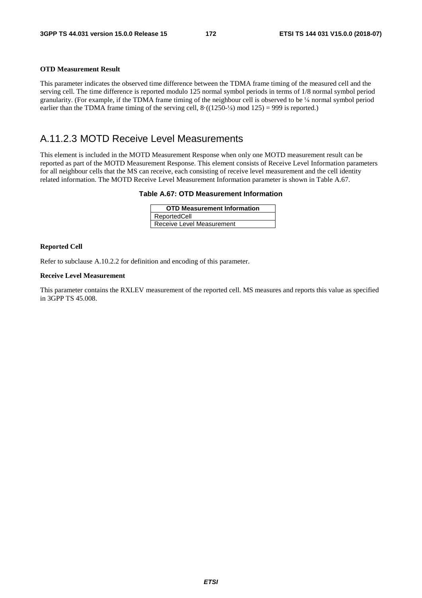# **OTD Measurement Result**

This parameter indicates the observed time difference between the TDMA frame timing of the measured cell and the serving cell. The time difference is reported modulo 125 normal symbol periods in terms of 1/8 normal symbol period granularity. (For example, if the TDMA frame timing of the neighbour cell is observed to be ⅛ normal symbol period earlier than the TDMA frame timing of the serving cell,  $8 \cdot ((1250-\frac{1}{8}) \mod 125) = 999$  is reported.)

# A.11.2.3 MOTD Receive Level Measurements

This element is included in the MOTD Measurement Response when only one MOTD measurement result can be reported as part of the MOTD Measurement Response. This element consists of Receive Level Information parameters for all neighbour cells that the MS can receive, each consisting of receive level measurement and the cell identity related information. The MOTD Receive Level Measurement Information parameter is shown in Table A.67.

# **Table A.67: OTD Measurement Information**

| <b>OTD Measurement Information</b> |  |  |  |  |
|------------------------------------|--|--|--|--|
| ReportedCell                       |  |  |  |  |
| Receive Level Measurement          |  |  |  |  |

# **Reported Cell**

Refer to subclause A.10.2.2 for definition and encoding of this parameter.

# **Receive Level Measurement**

This parameter contains the RXLEV measurement of the reported cell. MS measures and reports this value as specified in 3GPP TS 45.008.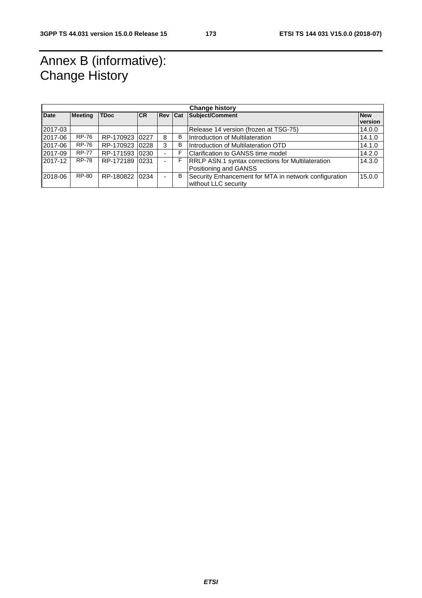# Annex B (informative): Change History

| <b>Change history</b> |                |                |            |                |   |                                                       |            |  |
|-----------------------|----------------|----------------|------------|----------------|---|-------------------------------------------------------|------------|--|
| <b>Date</b>           | <b>Meeting</b> | <b>TDoc</b>    | <b>ICR</b> | <b>Rev Cat</b> |   | Subject/Comment                                       | <b>New</b> |  |
|                       |                |                |            |                |   |                                                       | version    |  |
| 2017-03               |                |                |            |                |   | Release 14 version (frozen at TSG-75)                 | 14.0.0     |  |
| 2017-06               | RP-76          | RP-170923 0227 |            | 8              | B | Introduction of Multilateration                       | 14.1.0     |  |
| 2017-06               | RP-76          | RP-170923 0228 |            | 3              | B | Introduction of Multilateration OTD                   | 14.1.0     |  |
| 2017-09               | <b>RP-77</b>   | RP-171593 0230 |            |                | F | Clarification to GANSS time model                     | 14.2.0     |  |
| 2017-12               | <b>RP-78</b>   | RP-172189 0231 |            |                | F | RRLP ASN.1 syntax corrections for Multilateration     | 14.3.0     |  |
|                       |                |                |            |                |   | Positioning and GANSS                                 |            |  |
| 2018-06               | RP-80          | RP-180822 0234 |            |                | в | Security Enhancement for MTA in network configuration | 15.0.0     |  |
|                       |                |                |            |                |   | without LLC security                                  |            |  |